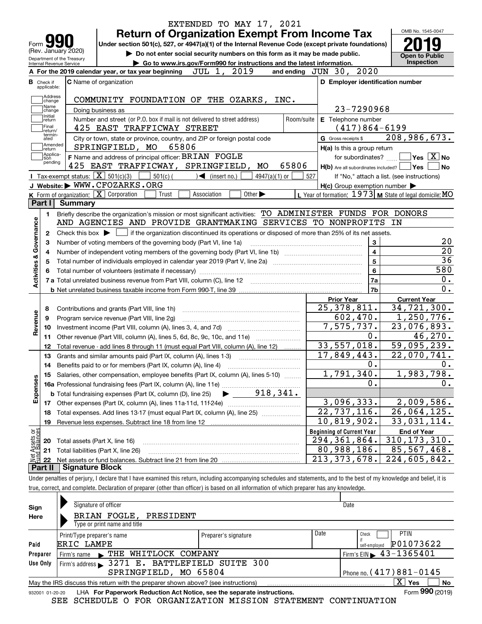|                                                   |                        | EXTENDED TO MAY 17, 2021<br><b>Return of Organization Exempt From Income Tax</b>                                                                                                                                 |                                                           | OMB No. 1545-0047                          |
|---------------------------------------------------|------------------------|------------------------------------------------------------------------------------------------------------------------------------------------------------------------------------------------------------------|-----------------------------------------------------------|--------------------------------------------|
| Form JY                                           |                        | Under section 501(c), 527, or 4947(a)(1) of the Internal Revenue Code (except private foundations)                                                                                                               |                                                           |                                            |
| (Rev. January 2020)<br>Department of the Treasury |                        | Do not enter social security numbers on this form as it may be made public.                                                                                                                                      |                                                           | <b>Open to Public</b>                      |
| Internal Revenue Service                          |                        | Go to www.irs.gov/Form990 for instructions and the latest information.                                                                                                                                           |                                                           | Inspection                                 |
|                                                   |                        | 2019<br>JUL 1,<br>A For the 2019 calendar year, or tax year beginning                                                                                                                                            | and ending JUN 30, 2020                                   |                                            |
| <b>B</b> Check if<br>applicable:                  |                        | <b>C</b> Name of organization                                                                                                                                                                                    | D Employer identification number                          |                                            |
| Address<br>change<br>Name                         |                        | COMMUNITY FOUNDATION OF THE OZARKS,<br>INC.                                                                                                                                                                      | 23-7290968                                                |                                            |
| change<br>Initial                                 |                        | Doing business as                                                                                                                                                                                                |                                                           |                                            |
| return<br> Final                                  |                        | Number and street (or P.O. box if mail is not delivered to street address)<br>Room/suite<br>425 EAST TRAFFICWAY STREET                                                                                           | E Telephone number<br>$(417)864-6199$                     |                                            |
| return/<br>termin-<br>ated                        |                        | City or town, state or province, country, and ZIP or foreign postal code                                                                                                                                         | G Gross receipts \$                                       | 208,986,673.                               |
| Amended<br>∫return                                |                        | SPRINGFIELD, MO<br>65806                                                                                                                                                                                         | H(a) Is this a group return                               |                                            |
| Applica-<br>tion                                  |                        | F Name and address of principal officer: BRIAN FOGLE                                                                                                                                                             | for subordinates?                                         | $\,$ Yes $\,$ $\,$ $\rm X$ $\,$ No $\,$    |
| pending                                           |                        | 425 EAST TRAFFICWAY, SPRINGFIELD,<br>65806<br>MO                                                                                                                                                                 | $H(b)$ Are all subordinates included? $\Box$ Yes $\Box$   | No                                         |
|                                                   |                        | Tax-exempt status: $\boxed{\mathbf{X}}$ 501(c)(3) $\boxed{\mathbf{X}}$<br>$501(c)$ (<br>$\sqrt{\frac{1}{1}}$ (insert no.)<br>$4947(a)(1)$ or                                                                     | 527                                                       | If "No," attach a list. (see instructions) |
|                                                   |                        | J Website: WWW.CFOZARKS.ORG                                                                                                                                                                                      | $H(c)$ Group exemption number $\blacktriangleright$       |                                            |
|                                                   |                        | <b>K</b> Form of organization: $\boxed{\mathbf{X}}$ Corporation<br>Other $\blacktriangleright$<br>Association<br>Trust                                                                                           | L Year of formation: $1973$ M State of legal domicile: MO |                                            |
| Part I                                            | Summary                |                                                                                                                                                                                                                  |                                                           |                                            |
| 1.                                                |                        | Briefly describe the organization's mission or most significant activities: TO ADMINISTER FUNDS FOR DONORS                                                                                                       |                                                           |                                            |
|                                                   |                        | AND AGENCIES AND PROVIDE GRANTMAKING SERVICES TO NONPROFITS IN                                                                                                                                                   |                                                           |                                            |
| Activities & Governance<br>2<br>з                 |                        | Check this box $\blacktriangleright$ $\Box$ if the organization discontinued its operations or disposed of more than 25% of its net assets.<br>Number of voting members of the governing body (Part VI, line 1a) | 3                                                         |                                            |
| 4                                                 |                        |                                                                                                                                                                                                                  | $\overline{\mathbf{4}}$                                   | $\overline{20}$                            |
| 5                                                 |                        |                                                                                                                                                                                                                  | 5                                                         | 36<br>580                                  |
|                                                   |                        |                                                                                                                                                                                                                  | 6                                                         | 0.                                         |
|                                                   |                        |                                                                                                                                                                                                                  | 7a<br>7 <sub>b</sub>                                      | 0.                                         |
|                                                   |                        |                                                                                                                                                                                                                  |                                                           | <b>Current Year</b>                        |
|                                                   |                        |                                                                                                                                                                                                                  | <b>Prior Year</b><br>25, 378, 811.                        | $\overline{34,721,300}$ .                  |
| 8<br>9                                            |                        | Contributions and grants (Part VIII, line 1h)<br>Program service revenue (Part VIII, line 2g)                                                                                                                    | 602,470.                                                  | 1,250,776.                                 |
| Revenue<br>10                                     |                        |                                                                                                                                                                                                                  | 7,575,737.                                                | 23,076,893.                                |
| 11                                                |                        | Other revenue (Part VIII, column (A), lines 5, 6d, 8c, 9c, 10c, and 11e)                                                                                                                                         | 0.                                                        | 46, 270.                                   |
| 12                                                |                        | Total revenue - add lines 8 through 11 (must equal Part VIII, column (A), line 12)                                                                                                                               | 33,557,018.                                               | 59,095,239.                                |
| 13                                                |                        | Grants and similar amounts paid (Part IX, column (A), lines 1-3)                                                                                                                                                 | 17,849,443.                                               | 22,070,741.                                |
| 14                                                |                        |                                                                                                                                                                                                                  | $0$ .                                                     | 0.                                         |
|                                                   |                        | 15 Salaries, other compensation, employee benefits (Part IX, column (A), lines 5-10)                                                                                                                             | 1,791,340.                                                | 1,983,798.                                 |
| Expenses                                          |                        |                                                                                                                                                                                                                  | 0.                                                        | 0.                                         |
|                                                   |                        | 918, 341.<br><b>b</b> Total fundraising expenses (Part IX, column (D), line 25)                                                                                                                                  |                                                           |                                            |
| 17                                                |                        | Other expenses (Part IX, column (A), lines 11a-11d, 11f-24e)                                                                                                                                                     | 3,096,333.                                                | 2,009,586.                                 |
| 18                                                |                        | Total expenses. Add lines 13-17 (must equal Part IX, column (A), line 25)                                                                                                                                        | $\overline{22,737,116}$ .                                 | 26,064,125.                                |
| 19                                                |                        |                                                                                                                                                                                                                  | 10,819,902.                                               | 33,031,114.                                |
|                                                   |                        |                                                                                                                                                                                                                  | <b>Beginning of Current Year</b>                          | <b>End of Year</b>                         |
| 20                                                |                        | Total assets (Part X, line 16)                                                                                                                                                                                   | 294, 361, 864.                                            | 310, 173, 310.                             |
| t Assets or<br>d Balances<br>21                   |                        | Total liabilities (Part X, line 26)                                                                                                                                                                              | 80,988,186.                                               | 85,567,468.                                |
| 혏<br>22                                           |                        |                                                                                                                                                                                                                  | $\overline{213}$ , 373, 678.                              | 224,605,842.                               |
| Part II                                           | <b>Signature Block</b> |                                                                                                                                                                                                                  |                                                           |                                            |
|                                                   |                        | Under penalties of perjury, I declare that I have examined this return, including accompanying schedules and statements, and to the best of my knowledge and belief, it is                                       |                                                           |                                            |
|                                                   |                        | true, correct, and complete. Declaration of preparer (other than officer) is based on all information of which preparer has any knowledge.                                                                       |                                                           |                                            |
|                                                   |                        |                                                                                                                                                                                                                  |                                                           |                                            |

| Sign            | Signature of officer                                                                                           |                      |      | Date                                        |  |  |  |  |  |  |  |
|-----------------|----------------------------------------------------------------------------------------------------------------|----------------------|------|---------------------------------------------|--|--|--|--|--|--|--|
| Here            | BRIAN FOGLE, PRESIDENT                                                                                         |                      |      |                                             |  |  |  |  |  |  |  |
|                 | Type or print name and title                                                                                   |                      |      |                                             |  |  |  |  |  |  |  |
|                 | Print/Type preparer's name                                                                                     | Preparer's signature | Date | <b>PTIN</b><br>Check                        |  |  |  |  |  |  |  |
| Paid            | <b>ERIC LAMPE</b>                                                                                              |                      |      | P01073622<br>self-emploved                  |  |  |  |  |  |  |  |
| Preparer        | THE WHITLOCK COMPANY<br>Firm's name<br>$\mathbf{A}$                                                            |                      |      | Firm's EIN $\blacktriangleright$ 43-1365401 |  |  |  |  |  |  |  |
| Use Only        | Firm's address 3271 E. BATTLEFIELD SUITE 300                                                                   |                      |      |                                             |  |  |  |  |  |  |  |
|                 | Phone no. $(417)881 - 0145$<br>SPRINGFIELD, MO 65804                                                           |                      |      |                                             |  |  |  |  |  |  |  |
|                 | $\mathbf{x}$<br>No<br>Yes<br>May the IRS discuss this return with the preparer shown above? (see instructions) |                      |      |                                             |  |  |  |  |  |  |  |
| 932001 01-20-20 | LHA For Paperwork Reduction Act Notice, see the separate instructions.                                         |                      |      | Form 990 (2019)                             |  |  |  |  |  |  |  |

SEE SCHEDULE O FOR ORGANIZATION MISSION STATEMENT CONTINUATION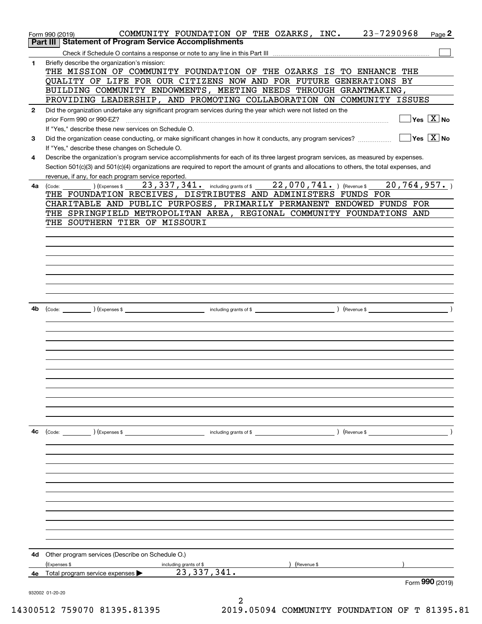|              | COMMUNITY FOUNDATION OF THE OZARKS, INC. 23-7290968<br>Page 2<br>Form 990 (2019)<br>Part III   Statement of Program Service Accomplishments                                                                               |
|--------------|---------------------------------------------------------------------------------------------------------------------------------------------------------------------------------------------------------------------------|
|              |                                                                                                                                                                                                                           |
| $\mathbf{1}$ | Briefly describe the organization's mission:                                                                                                                                                                              |
|              | THE MISSION OF COMMUNITY FOUNDATION OF THE OZARKS IS TO ENHANCE THE                                                                                                                                                       |
|              | QUALITY OF LIFE FOR OUR CITIZENS NOW AND FOR FUTURE GENERATIONS BY                                                                                                                                                        |
|              | BUILDING COMMUNITY ENDOWMENTS, MEETING NEEDS THROUGH GRANTMAKING,                                                                                                                                                         |
|              | PROVIDING LEADERSHIP, AND PROMOTING COLLABORATION ON COMMUNITY ISSUES                                                                                                                                                     |
| $\mathbf{2}$ | Did the organization undertake any significant program services during the year which were not listed on the                                                                                                              |
|              | $\Box$ Yes $[\overline{\mathrm{X}}]$ No<br>prior Form 990 or 990-EZ?                                                                                                                                                      |
|              | If "Yes," describe these new services on Schedule O.                                                                                                                                                                      |
| 3            | $\Box$ Yes $\Box$ No<br>Did the organization cease conducting, or make significant changes in how it conducts, any program services?                                                                                      |
|              | If "Yes," describe these changes on Schedule O.                                                                                                                                                                           |
| 4            | Describe the organization's program service accomplishments for each of its three largest program services, as measured by expenses.                                                                                      |
|              | Section 501(c)(3) and 501(c)(4) organizations are required to report the amount of grants and allocations to others, the total expenses, and                                                                              |
|              | revenue, if any, for each program service reported.                                                                                                                                                                       |
| 4a           | $_{\rm \odot}$ ) (Expenses \$ $_{\rm \odot}$ 23 , 337 , 341 $_{\rm \odot}$ including grants of \$ $_{\rm \odot}$ 22 , 070 , 741 $_{\rm \bullet}$ ) (Revenue \$ $_{\rm \odot}$ 20 , 764 , 957 $_{\rm \bullet}$ )<br>(Code: |
|              | THE FOUNDATION RECEIVES, DISTRIBUTES AND ADMINISTERS FUNDS FOR                                                                                                                                                            |
|              | CHARITABLE AND PUBLIC PURPOSES, PRIMARILY PERMANENT ENDOWED FUNDS FOR                                                                                                                                                     |
|              | THE SPRINGFIELD METROPOLITAN AREA, REGIONAL COMMUNITY FOUNDATIONS AND                                                                                                                                                     |
|              | THE SOUTHERN TIER OF MISSOURI                                                                                                                                                                                             |
|              |                                                                                                                                                                                                                           |
|              |                                                                                                                                                                                                                           |
|              |                                                                                                                                                                                                                           |
|              |                                                                                                                                                                                                                           |
|              |                                                                                                                                                                                                                           |
|              |                                                                                                                                                                                                                           |
|              |                                                                                                                                                                                                                           |
|              |                                                                                                                                                                                                                           |
| 4b           |                                                                                                                                                                                                                           |
|              |                                                                                                                                                                                                                           |
|              |                                                                                                                                                                                                                           |
|              |                                                                                                                                                                                                                           |
|              |                                                                                                                                                                                                                           |
|              |                                                                                                                                                                                                                           |
|              |                                                                                                                                                                                                                           |
|              |                                                                                                                                                                                                                           |
|              |                                                                                                                                                                                                                           |
|              |                                                                                                                                                                                                                           |
|              |                                                                                                                                                                                                                           |
|              |                                                                                                                                                                                                                           |
|              |                                                                                                                                                                                                                           |
| 4c           | (Code: ) (Expenses \$<br>(Revenue \$<br>including grants of \$                                                                                                                                                            |
|              |                                                                                                                                                                                                                           |
|              |                                                                                                                                                                                                                           |
|              |                                                                                                                                                                                                                           |
|              |                                                                                                                                                                                                                           |
|              |                                                                                                                                                                                                                           |
|              |                                                                                                                                                                                                                           |
|              |                                                                                                                                                                                                                           |
|              |                                                                                                                                                                                                                           |
|              |                                                                                                                                                                                                                           |
|              |                                                                                                                                                                                                                           |
|              |                                                                                                                                                                                                                           |
|              |                                                                                                                                                                                                                           |
| 4d           | Other program services (Describe on Schedule O.)                                                                                                                                                                          |
|              | (Expenses \$<br>including grants of \$<br>(Revenue \$<br>23, 337, 341.<br>4e Total program service expenses $\blacktriangleright$                                                                                         |
|              | Form 990 (2019)                                                                                                                                                                                                           |
|              | 932002 01-20-20                                                                                                                                                                                                           |
|              |                                                                                                                                                                                                                           |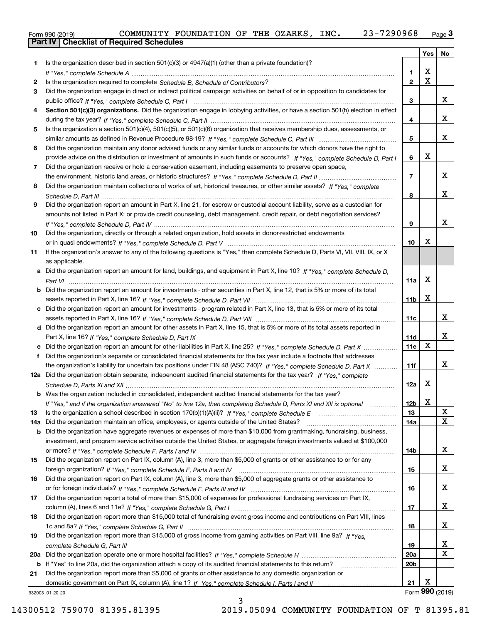| 990 (2019) |  |
|------------|--|
|            |  |

|     |                                                                                                                                  |                 | Yes         | No              |
|-----|----------------------------------------------------------------------------------------------------------------------------------|-----------------|-------------|-----------------|
| 1   | Is the organization described in section $501(c)(3)$ or $4947(a)(1)$ (other than a private foundation)?                          |                 |             |                 |
|     |                                                                                                                                  | 1               | X           |                 |
| 2   |                                                                                                                                  | $\overline{2}$  | $\mathbf X$ |                 |
| 3.  | Did the organization engage in direct or indirect political campaign activities on behalf of or in opposition to candidates for  |                 |             |                 |
|     |                                                                                                                                  | 3               |             | x               |
| 4   | Section 501(c)(3) organizations. Did the organization engage in lobbying activities, or have a section 501(h) election in effect |                 |             |                 |
|     |                                                                                                                                  | 4               |             | x               |
| 5   | Is the organization a section 501(c)(4), 501(c)(5), or 501(c)(6) organization that receives membership dues, assessments, or     |                 |             |                 |
|     |                                                                                                                                  | 5               |             | x               |
| 6   | Did the organization maintain any donor advised funds or any similar funds or accounts for which donors have the right to        |                 |             |                 |
|     | provide advice on the distribution or investment of amounts in such funds or accounts? If "Yes," complete Schedule D, Part I     | 6               | х           |                 |
| 7   | Did the organization receive or hold a conservation easement, including easements to preserve open space,                        |                 |             |                 |
|     |                                                                                                                                  | 7               |             | x               |
| 8   | Did the organization maintain collections of works of art, historical treasures, or other similar assets? If "Yes," complete     |                 |             |                 |
|     |                                                                                                                                  | 8               |             | x               |
| 9   | Did the organization report an amount in Part X, line 21, for escrow or custodial account liability, serve as a custodian for    |                 |             |                 |
|     | amounts not listed in Part X; or provide credit counseling, debt management, credit repair, or debt negotiation services?        |                 |             |                 |
|     |                                                                                                                                  | 9               |             | X               |
| 10  | Did the organization, directly or through a related organization, hold assets in donor-restricted endowments                     |                 |             |                 |
|     |                                                                                                                                  | 10              | x           |                 |
| 11  | If the organization's answer to any of the following questions is "Yes," then complete Schedule D, Parts VI, VII, VIII, IX, or X |                 |             |                 |
|     | as applicable.                                                                                                                   |                 |             |                 |
|     | a Did the organization report an amount for land, buildings, and equipment in Part X, line 10? If "Yes," complete Schedule D,    |                 | X           |                 |
|     |                                                                                                                                  | 11a             |             |                 |
|     | Did the organization report an amount for investments - other securities in Part X, line 12, that is 5% or more of its total     |                 | X           |                 |
|     |                                                                                                                                  | 11 <sub>b</sub> |             |                 |
| c   | Did the organization report an amount for investments - program related in Part X, line 13, that is 5% or more of its total      | 11c             |             | x               |
|     | d Did the organization report an amount for other assets in Part X, line 15, that is 5% or more of its total assets reported in  |                 |             |                 |
|     |                                                                                                                                  | 11d             |             | x               |
|     | Did the organization report an amount for other liabilities in Part X, line 25? If "Yes," complete Schedule D, Part X            | 11e             | х           |                 |
|     | Did the organization's separate or consolidated financial statements for the tax year include a footnote that addresses          |                 |             |                 |
|     | the organization's liability for uncertain tax positions under FIN 48 (ASC 740)? If "Yes," complete Schedule D, Part X           | 11f             |             | x               |
|     | 12a Did the organization obtain separate, independent audited financial statements for the tax year? If "Yes," complete          |                 |             |                 |
|     |                                                                                                                                  | 12a             | х           |                 |
|     | b Was the organization included in consolidated, independent audited financial statements for the tax year?                      |                 |             |                 |
|     | If "Yes," and if the organization answered "No" to line 12a, then completing Schedule D, Parts XI and XII is optional            | 12b             | X           |                 |
| 13  |                                                                                                                                  | 13              |             | X               |
| 14a | Did the organization maintain an office, employees, or agents outside of the United States?                                      | 14a             |             | х               |
| b   | Did the organization have aggregate revenues or expenses of more than \$10,000 from grantmaking, fundraising, business,          |                 |             |                 |
|     | investment, and program service activities outside the United States, or aggregate foreign investments valued at \$100,000       |                 |             |                 |
|     |                                                                                                                                  | 14b             |             | x               |
| 15  | Did the organization report on Part IX, column (A), line 3, more than \$5,000 of grants or other assistance to or for any        |                 |             |                 |
|     |                                                                                                                                  | 15              |             | x               |
| 16  | Did the organization report on Part IX, column (A), line 3, more than \$5,000 of aggregate grants or other assistance to         |                 |             |                 |
|     |                                                                                                                                  | 16              |             | x               |
| 17  | Did the organization report a total of more than \$15,000 of expenses for professional fundraising services on Part IX,          |                 |             |                 |
|     |                                                                                                                                  | 17              |             | x               |
| 18  | Did the organization report more than \$15,000 total of fundraising event gross income and contributions on Part VIII, lines     |                 |             |                 |
|     |                                                                                                                                  | 18              |             | x               |
| 19  | Did the organization report more than \$15,000 of gross income from gaming activities on Part VIII, line 9a? If "Yes."           |                 |             |                 |
|     |                                                                                                                                  | 19              |             | x               |
| 20a |                                                                                                                                  | 20a             |             | х               |
| b   | If "Yes" to line 20a, did the organization attach a copy of its audited financial statements to this return?                     | 20 <sub>b</sub> |             |                 |
| 21  | Did the organization report more than \$5,000 of grants or other assistance to any domestic organization or                      |                 |             |                 |
|     |                                                                                                                                  | 21              | х           |                 |
|     | 932003 01-20-20                                                                                                                  |                 |             | Form 990 (2019) |

932003 01-20-20

3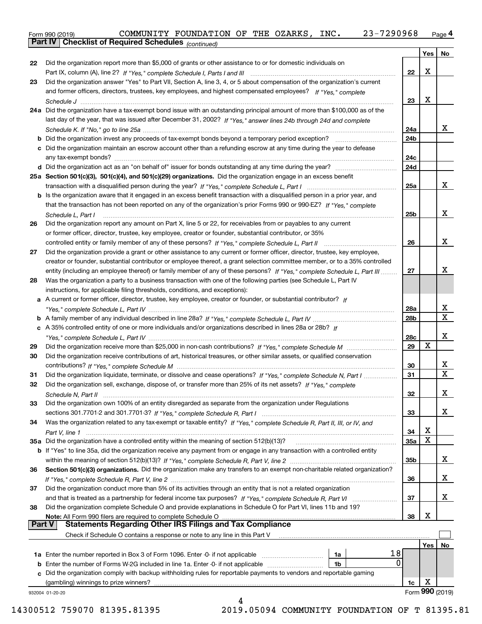Form 990 (2019) COMMUNITY FOUNDATION OF THE OZARKS,INC**.** 23-7290968 <sub>Page</sub> 4<br>**Part IV | Checklist of Required Schedules** <sub>(continued)</sub>

|        | Parl IV I<br>Criecklist of Required Scriedules (continued)                                                                   |     |     |                 |
|--------|------------------------------------------------------------------------------------------------------------------------------|-----|-----|-----------------|
|        |                                                                                                                              |     | Yes | No              |
| 22     | Did the organization report more than \$5,000 of grants or other assistance to or for domestic individuals on                |     |     |                 |
|        |                                                                                                                              | 22  | X   |                 |
| 23     | Did the organization answer "Yes" to Part VII, Section A, line 3, 4, or 5 about compensation of the organization's current   |     |     |                 |
|        | and former officers, directors, trustees, key employees, and highest compensated employees? If "Yes," complete               |     |     |                 |
|        |                                                                                                                              | 23  | х   |                 |
|        | 24a Did the organization have a tax-exempt bond issue with an outstanding principal amount of more than \$100,000 as of the  |     |     |                 |
|        | last day of the year, that was issued after December 31, 2002? If "Yes," answer lines 24b through 24d and complete           |     |     |                 |
|        |                                                                                                                              | 24a |     | x               |
|        | <b>b</b> Did the organization invest any proceeds of tax-exempt bonds beyond a temporary period exception?                   | 24b |     |                 |
|        | c Did the organization maintain an escrow account other than a refunding escrow at any time during the year to defease       |     |     |                 |
|        |                                                                                                                              | 24c |     |                 |
|        |                                                                                                                              | 24d |     |                 |
|        | 25a Section 501(c)(3), 501(c)(4), and 501(c)(29) organizations. Did the organization engage in an excess benefit             |     |     |                 |
|        |                                                                                                                              | 25a |     | x               |
|        | b Is the organization aware that it engaged in an excess benefit transaction with a disqualified person in a prior year, and |     |     |                 |
|        | that the transaction has not been reported on any of the organization's prior Forms 990 or 990-EZ? If "Yes," complete        |     |     |                 |
|        | Schedule L, Part I                                                                                                           | 25b |     | х               |
| 26     | Did the organization report any amount on Part X, line 5 or 22, for receivables from or payables to any current              |     |     |                 |
|        | or former officer, director, trustee, key employee, creator or founder, substantial contributor, or 35%                      |     |     |                 |
|        |                                                                                                                              | 26  |     | х               |
| 27     | Did the organization provide a grant or other assistance to any current or former officer, director, trustee, key employee,  |     |     |                 |
|        | creator or founder, substantial contributor or employee thereof, a grant selection committee member, or to a 35% controlled  |     |     |                 |
|        | entity (including an employee thereof) or family member of any of these persons? If "Yes," complete Schedule L, Part III     | 27  |     | x               |
| 28     | Was the organization a party to a business transaction with one of the following parties (see Schedule L, Part IV            |     |     |                 |
|        | instructions, for applicable filing thresholds, conditions, and exceptions):                                                 |     |     |                 |
|        | a A current or former officer, director, trustee, key employee, creator or founder, or substantial contributor? If           |     |     |                 |
|        |                                                                                                                              | 28a |     | x               |
|        |                                                                                                                              | 28b |     | х               |
|        | c A 35% controlled entity of one or more individuals and/or organizations described in lines 28a or 28b? If                  |     |     |                 |
|        |                                                                                                                              | 28c |     | х               |
| 29     |                                                                                                                              | 29  | x   |                 |
| 30     | Did the organization receive contributions of art, historical treasures, or other similar assets, or qualified conservation  |     |     |                 |
|        |                                                                                                                              | 30  |     | x               |
| 31     | Did the organization liquidate, terminate, or dissolve and cease operations? If "Yes," complete Schedule N, Part I           | 31  |     | X               |
| 32     | Did the organization sell, exchange, dispose of, or transfer more than 25% of its net assets? If "Yes," complete             |     |     |                 |
|        | Schedule N. Part II                                                                                                          | 32  |     | х               |
| 33     | Did the organization own 100% of an entity disregarded as separate from the organization under Regulations                   |     |     |                 |
|        |                                                                                                                              | 33  |     | x               |
| 34     | Was the organization related to any tax-exempt or taxable entity? If "Yes," complete Schedule R, Part II, III, or IV, and    |     |     |                 |
|        |                                                                                                                              | 34  | х   |                 |
|        | 35a Did the organization have a controlled entity within the meaning of section 512(b)(13)?                                  | 35a | х   |                 |
|        | b If "Yes" to line 35a, did the organization receive any payment from or engage in any transaction with a controlled entity  |     |     |                 |
|        |                                                                                                                              | 35b |     | x               |
| 36     | Section 501(c)(3) organizations. Did the organization make any transfers to an exempt non-charitable related organization?   |     |     |                 |
|        |                                                                                                                              | 36  |     | x               |
| 37     | Did the organization conduct more than 5% of its activities through an entity that is not a related organization             |     |     |                 |
|        | and that is treated as a partnership for federal income tax purposes? If "Yes," complete Schedule R, Part VI                 | 37  |     | х               |
| 38     | Did the organization complete Schedule O and provide explanations in Schedule O for Part VI, lines 11b and 19?               |     |     |                 |
|        | Note: All Form 990 filers are required to complete Schedule O                                                                | 38  | X   |                 |
| Part V | <b>Statements Regarding Other IRS Filings and Tax Compliance</b>                                                             |     |     |                 |
|        | Check if Schedule O contains a response or note to any line in this Part V                                                   |     |     |                 |
|        |                                                                                                                              |     | Yes | No              |
|        | 18<br>1a                                                                                                                     |     |     |                 |
|        | 0<br><b>b</b> Enter the number of Forms W-2G included in line 1a. Enter -0- if not applicable<br>1b                          |     |     |                 |
|        | c Did the organization comply with backup withholding rules for reportable payments to vendors and reportable gaming         |     |     |                 |
|        | (gambling) winnings to prize winners?                                                                                        | 1c  | х   |                 |
|        | 932004 01-20-20                                                                                                              |     |     | Form 990 (2019) |
|        | 4                                                                                                                            |     |     |                 |

14300512 759070 81395.81395 2019.05094 COMMUNITY FOUNDATION OF T 81395.81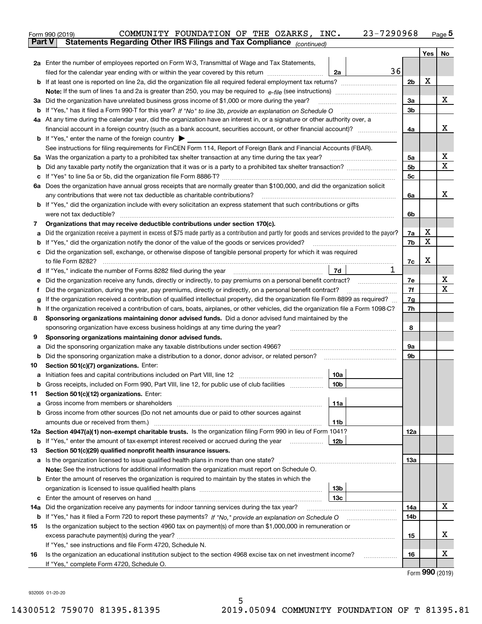|        | COMMUNITY FOUNDATION OF THE OZARKS, INC.<br>Form 990 (2019)                                                                                                                                                                    | 23-7290968 |                |                                     | <u>Page</u> 5 |  |  |  |  |  |  |
|--------|--------------------------------------------------------------------------------------------------------------------------------------------------------------------------------------------------------------------------------|------------|----------------|-------------------------------------|---------------|--|--|--|--|--|--|
| Part V | Statements Regarding Other IRS Filings and Tax Compliance (continued)                                                                                                                                                          |            |                |                                     |               |  |  |  |  |  |  |
|        |                                                                                                                                                                                                                                |            |                | Yes                                 | No            |  |  |  |  |  |  |
|        | 2a Enter the number of employees reported on Form W-3, Transmittal of Wage and Tax Statements,                                                                                                                                 |            |                |                                     |               |  |  |  |  |  |  |
|        | filed for the calendar year ending with or within the year covered by this return <i>manumumumum</i>                                                                                                                           | 36<br>2a   |                |                                     |               |  |  |  |  |  |  |
|        |                                                                                                                                                                                                                                |            | 2 <sub>b</sub> | X                                   |               |  |  |  |  |  |  |
|        |                                                                                                                                                                                                                                |            |                |                                     | x             |  |  |  |  |  |  |
|        | 3a Did the organization have unrelated business gross income of \$1,000 or more during the year?                                                                                                                               |            |                |                                     |               |  |  |  |  |  |  |
|        |                                                                                                                                                                                                                                |            |                |                                     |               |  |  |  |  |  |  |
|        | 4a At any time during the calendar year, did the organization have an interest in, or a signature or other authority over, a                                                                                                   |            |                |                                     |               |  |  |  |  |  |  |
|        |                                                                                                                                                                                                                                |            |                |                                     |               |  |  |  |  |  |  |
|        | <b>b</b> If "Yes," enter the name of the foreign country $\blacktriangleright$                                                                                                                                                 |            |                |                                     |               |  |  |  |  |  |  |
|        | See instructions for filing requirements for FinCEN Form 114, Report of Foreign Bank and Financial Accounts (FBAR).                                                                                                            |            |                |                                     |               |  |  |  |  |  |  |
|        | 5a Was the organization a party to a prohibited tax shelter transaction at any time during the tax year?                                                                                                                       |            | 5a             |                                     | х             |  |  |  |  |  |  |
| b      |                                                                                                                                                                                                                                |            | 5 <sub>b</sub> |                                     | Χ             |  |  |  |  |  |  |
| с      |                                                                                                                                                                                                                                |            | 5 <sub>c</sub> |                                     |               |  |  |  |  |  |  |
|        | 6a Does the organization have annual gross receipts that are normally greater than \$100,000, and did the organization solicit                                                                                                 |            |                |                                     |               |  |  |  |  |  |  |
|        |                                                                                                                                                                                                                                |            | 6a             |                                     | х             |  |  |  |  |  |  |
|        | <b>b</b> If "Yes," did the organization include with every solicitation an express statement that such contributions or gifts                                                                                                  |            |                |                                     |               |  |  |  |  |  |  |
|        |                                                                                                                                                                                                                                |            | 6b             |                                     |               |  |  |  |  |  |  |
| 7      | Organizations that may receive deductible contributions under section 170(c).                                                                                                                                                  |            |                |                                     |               |  |  |  |  |  |  |
| а      | Did the organization receive a payment in excess of \$75 made partly as a contribution and partly for goods and services provided to the payor?                                                                                |            | 7a             | х                                   |               |  |  |  |  |  |  |
| b      | If "Yes," did the organization notify the donor of the value of the goods or services provided?                                                                                                                                |            | 7b             | X                                   |               |  |  |  |  |  |  |
|        | c Did the organization sell, exchange, or otherwise dispose of tangible personal property for which it was required                                                                                                            |            |                |                                     |               |  |  |  |  |  |  |
|        |                                                                                                                                                                                                                                |            | 7c             | x                                   |               |  |  |  |  |  |  |
|        | d If "Yes," indicate the number of Forms 8282 filed during the year [11] [11] No. 2010 [12] Henry Marian Marian Marian Marian Marian Marian Marian Marian Marian Marian Marian Marian Marian Marian Marian Marian Marian Maria | 1<br>7d    |                |                                     |               |  |  |  |  |  |  |
| е      | Did the organization receive any funds, directly or indirectly, to pay premiums on a personal benefit contract?                                                                                                                |            | 7e             |                                     | x             |  |  |  |  |  |  |
| f      | Did the organization, during the year, pay premiums, directly or indirectly, on a personal benefit contract?                                                                                                                   |            | 7f             |                                     | х             |  |  |  |  |  |  |
| g      | If the organization received a contribution of qualified intellectual property, did the organization file Form 8899 as required?                                                                                               |            | 7g             |                                     |               |  |  |  |  |  |  |
| h.     | If the organization received a contribution of cars, boats, airplanes, or other vehicles, did the organization file a Form 1098-C?                                                                                             |            | 7h             |                                     |               |  |  |  |  |  |  |
| 8      | Sponsoring organizations maintaining donor advised funds. Did a donor advised fund maintained by the                                                                                                                           |            |                |                                     |               |  |  |  |  |  |  |
|        | sponsoring organization have excess business holdings at any time during the year?                                                                                                                                             |            | 8              |                                     |               |  |  |  |  |  |  |
| 9      | Sponsoring organizations maintaining donor advised funds.                                                                                                                                                                      |            |                |                                     |               |  |  |  |  |  |  |
| а      | Did the sponsoring organization make any taxable distributions under section 4966?                                                                                                                                             |            | 9a             |                                     |               |  |  |  |  |  |  |
| b      |                                                                                                                                                                                                                                |            | 9b             |                                     |               |  |  |  |  |  |  |
| 10     | Section 501(c)(7) organizations. Enter:                                                                                                                                                                                        |            |                |                                     |               |  |  |  |  |  |  |
| а      |                                                                                                                                                                                                                                | 10a        |                |                                     |               |  |  |  |  |  |  |
|        | Gross receipts, included on Form 990, Part VIII, line 12, for public use of club facilities                                                                                                                                    | 10b        |                |                                     |               |  |  |  |  |  |  |
| 11     | Section 501(c)(12) organizations. Enter:                                                                                                                                                                                       |            |                |                                     |               |  |  |  |  |  |  |
| а      | Gross income from members or shareholders                                                                                                                                                                                      | 11a        |                |                                     |               |  |  |  |  |  |  |
|        | b Gross income from other sources (Do not net amounts due or paid to other sources against                                                                                                                                     |            |                |                                     |               |  |  |  |  |  |  |
|        | amounts due or received from them.)                                                                                                                                                                                            | 11b        |                |                                     |               |  |  |  |  |  |  |
|        | 12a Section 4947(a)(1) non-exempt charitable trusts. Is the organization filing Form 990 in lieu of Form 1041?                                                                                                                 |            | 12a            |                                     |               |  |  |  |  |  |  |
|        | <b>b</b> If "Yes," enter the amount of tax-exempt interest received or accrued during the year <i>manument</i>                                                                                                                 | 12b        |                |                                     |               |  |  |  |  |  |  |
| 13     | Section 501(c)(29) qualified nonprofit health insurance issuers.                                                                                                                                                               |            |                |                                     |               |  |  |  |  |  |  |
| а      | Is the organization licensed to issue qualified health plans in more than one state?                                                                                                                                           |            | 13а            |                                     |               |  |  |  |  |  |  |
|        | Note: See the instructions for additional information the organization must report on Schedule O.                                                                                                                              |            |                |                                     |               |  |  |  |  |  |  |
|        | <b>b</b> Enter the amount of reserves the organization is required to maintain by the states in which the                                                                                                                      |            |                |                                     |               |  |  |  |  |  |  |
|        |                                                                                                                                                                                                                                | 13b        |                |                                     |               |  |  |  |  |  |  |
| с      |                                                                                                                                                                                                                                | 13с        |                |                                     |               |  |  |  |  |  |  |
|        | 14a Did the organization receive any payments for indoor tanning services during the tax year?                                                                                                                                 |            | 14a            |                                     | x             |  |  |  |  |  |  |
|        | <b>b</b> If "Yes," has it filed a Form 720 to report these payments? If "No," provide an explanation on Schedule O                                                                                                             |            | 14b            |                                     |               |  |  |  |  |  |  |
| 15     | Is the organization subject to the section 4960 tax on payment(s) of more than \$1,000,000 in remuneration or                                                                                                                  |            |                |                                     |               |  |  |  |  |  |  |
|        |                                                                                                                                                                                                                                |            | 15             |                                     | х             |  |  |  |  |  |  |
|        | If "Yes," see instructions and file Form 4720, Schedule N.                                                                                                                                                                     |            |                |                                     |               |  |  |  |  |  |  |
| 16     | Is the organization an educational institution subject to the section 4968 excise tax on net investment income?                                                                                                                |            | 16             |                                     | х             |  |  |  |  |  |  |
|        | If "Yes," complete Form 4720, Schedule O.                                                                                                                                                                                      |            |                | $T_{\text{arm}}$ QQ $\Omega$ (2010) |               |  |  |  |  |  |  |

5

Form (2019) **990**

932005 01-20-20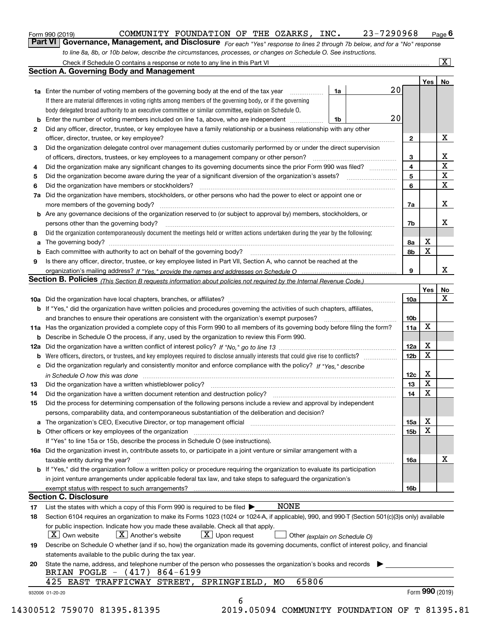orm 990 (2019) COMMUNITY FOUNDATION OF THE OZARKS , INC **.** 23–7290968 <sub>Page</sub> 6<br>**Part VI** | **Governance, Management, and Disclosure** <sub>For each "Yes" response to lines 2 through 7b below, and </sub> *to line 8a, 8b, or 10b below, describe the circumstances, processes, or changes on Schedule O. See instructions.*

|              |                                                                                                                                                                            |    |  |    |                 | Yes   No    |             |  |  |  |  |
|--------------|----------------------------------------------------------------------------------------------------------------------------------------------------------------------------|----|--|----|-----------------|-------------|-------------|--|--|--|--|
|              | <b>1a</b> Enter the number of voting members of the governing body at the end of the tax year <i>manumum</i>                                                               | 1a |  | 20 |                 |             |             |  |  |  |  |
|              | If there are material differences in voting rights among members of the governing body, or if the governing                                                                |    |  |    |                 |             |             |  |  |  |  |
|              | body delegated broad authority to an executive committee or similar committee, explain on Schedule O.                                                                      |    |  |    |                 |             |             |  |  |  |  |
|              |                                                                                                                                                                            | 1b |  | 20 |                 |             |             |  |  |  |  |
| $\mathbf{2}$ | Did any officer, director, trustee, or key employee have a family relationship or a business relationship with any other                                                   |    |  |    |                 |             |             |  |  |  |  |
|              | officer, director, trustee, or key employee?                                                                                                                               |    |  |    |                 |             |             |  |  |  |  |
| 3            | Did the organization delegate control over management duties customarily performed by or under the direct supervision                                                      |    |  |    |                 |             |             |  |  |  |  |
|              |                                                                                                                                                                            |    |  |    | 3               |             | X           |  |  |  |  |
| 4            | Did the organization make any significant changes to its governing documents since the prior Form 990 was filed?                                                           |    |  |    | 4               |             | $\mathbf X$ |  |  |  |  |
| 5            |                                                                                                                                                                            |    |  |    | 5               |             | $\mathbf X$ |  |  |  |  |
| 6            | Did the organization have members or stockholders?                                                                                                                         |    |  |    | 6               |             | X           |  |  |  |  |
|              | 7a Did the organization have members, stockholders, or other persons who had the power to elect or appoint one or                                                          |    |  |    |                 |             |             |  |  |  |  |
|              |                                                                                                                                                                            |    |  |    | 7a              |             | X           |  |  |  |  |
|              | <b>b</b> Are any governance decisions of the organization reserved to (or subject to approval by) members, stockholders, or                                                |    |  |    |                 |             |             |  |  |  |  |
|              | persons other than the governing body?                                                                                                                                     |    |  |    | 7b              |             | Х           |  |  |  |  |
| 8            | Did the organization contemporaneously document the meetings held or written actions undertaken during the year by the following:                                          |    |  |    |                 |             |             |  |  |  |  |
| a            |                                                                                                                                                                            |    |  |    | 8a              | X           |             |  |  |  |  |
|              |                                                                                                                                                                            |    |  |    | 8b              | $\mathbf X$ |             |  |  |  |  |
| 9            | Is there any officer, director, trustee, or key employee listed in Part VII, Section A, who cannot be reached at the                                                       |    |  |    |                 |             |             |  |  |  |  |
|              |                                                                                                                                                                            |    |  |    | 9               |             | X           |  |  |  |  |
|              | Section B. Policies <sub>(This</sub> Section B requests information about policies not required by the Internal Revenue Code.)                                             |    |  |    |                 |             |             |  |  |  |  |
|              |                                                                                                                                                                            |    |  |    |                 | Yes         | <b>No</b>   |  |  |  |  |
|              |                                                                                                                                                                            |    |  |    | <b>10a</b>      |             | X           |  |  |  |  |
|              | <b>b</b> If "Yes," did the organization have written policies and procedures governing the activities of such chapters, affiliates,                                        |    |  |    |                 |             |             |  |  |  |  |
|              |                                                                                                                                                                            |    |  |    | 10 <sub>b</sub> |             |             |  |  |  |  |
|              | 11a Has the organization provided a complete copy of this Form 990 to all members of its governing body before filing the form?                                            |    |  |    | 11a             | X           |             |  |  |  |  |
|              | <b>b</b> Describe in Schedule O the process, if any, used by the organization to review this Form 990.                                                                     |    |  |    |                 |             |             |  |  |  |  |
|              |                                                                                                                                                                            |    |  |    | 12a             | X           |             |  |  |  |  |
| b            |                                                                                                                                                                            |    |  |    | 12 <sub>b</sub> | X           |             |  |  |  |  |
|              | c Did the organization regularly and consistently monitor and enforce compliance with the policy? If "Yes," describe                                                       |    |  |    |                 |             |             |  |  |  |  |
|              | in Schedule O how this was done www.communication.com/www.communications.com/www.communications.com/                                                                       |    |  |    | 12c             | X           |             |  |  |  |  |
| 13           |                                                                                                                                                                            |    |  |    | 13              | $\mathbf X$ |             |  |  |  |  |
| 14           | Did the organization have a written document retention and destruction policy? manufactured and the organization have a written document retention and destruction policy? |    |  |    | 14              | $\mathbf X$ |             |  |  |  |  |
| 15           | Did the process for determining compensation of the following persons include a review and approval by independent                                                         |    |  |    |                 |             |             |  |  |  |  |
|              | persons, comparability data, and contemporaneous substantiation of the deliberation and decision?                                                                          |    |  |    |                 |             |             |  |  |  |  |
|              |                                                                                                                                                                            |    |  |    | 15a             | X           |             |  |  |  |  |
|              | <b>b</b> Other officers or key employees of the organization                                                                                                               |    |  |    | 15b             | X           |             |  |  |  |  |
|              | If "Yes" to line 15a or 15b, describe the process in Schedule O (see instructions).                                                                                        |    |  |    |                 |             |             |  |  |  |  |
|              | 16a Did the organization invest in, contribute assets to, or participate in a joint venture or similar arrangement with a                                                  |    |  |    |                 |             |             |  |  |  |  |
|              | taxable entity during the year?                                                                                                                                            |    |  |    | 16a             |             | х           |  |  |  |  |
|              | <b>b</b> If "Yes," did the organization follow a written policy or procedure requiring the organization to evaluate its participation                                      |    |  |    |                 |             |             |  |  |  |  |
|              | in joint venture arrangements under applicable federal tax law, and take steps to safequard the organization's                                                             |    |  |    |                 |             |             |  |  |  |  |
|              | exempt status with respect to such arrangements?                                                                                                                           |    |  |    | <b>16b</b>      |             |             |  |  |  |  |
|              | <b>Section C. Disclosure</b>                                                                                                                                               |    |  |    |                 |             |             |  |  |  |  |
| 17           | <b>NONE</b><br>List the states with which a copy of this Form 990 is required to be filed $\blacktriangleright$                                                            |    |  |    |                 |             |             |  |  |  |  |
| 18           | Section 6104 requires an organization to make its Forms 1023 (1024 or 1024-A, if applicable), 990, and 990-T (Section 501(c)(3)s only) available                           |    |  |    |                 |             |             |  |  |  |  |
|              | for public inspection. Indicate how you made these available. Check all that apply.                                                                                        |    |  |    |                 |             |             |  |  |  |  |
|              | $X$ Upon request<br>$ X $ Own website<br>$X$ Another's website<br>Other (explain on Schedule O)                                                                            |    |  |    |                 |             |             |  |  |  |  |
| 19           | Describe on Schedule O whether (and if so, how) the organization made its governing documents, conflict of interest policy, and financial                                  |    |  |    |                 |             |             |  |  |  |  |
|              | statements available to the public during the tax year.                                                                                                                    |    |  |    |                 |             |             |  |  |  |  |
| 20           | State the name, address, and telephone number of the person who possesses the organization's books and records                                                             |    |  |    |                 |             |             |  |  |  |  |
|              | BRIAN FOGLE - (417) 864-6199                                                                                                                                               |    |  |    |                 |             |             |  |  |  |  |
|              | 65806<br>425 EAST TRAFFICWAY STREET, SPRINGFIELD, MO                                                                                                                       |    |  |    |                 |             |             |  |  |  |  |
|              |                                                                                                                                                                            |    |  |    |                 |             |             |  |  |  |  |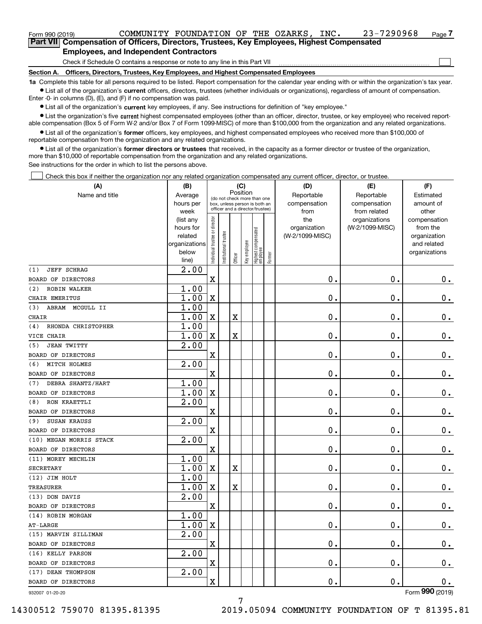$\mathcal{L}^{\text{max}}$ 

| Form 990 (2019) |                                               | COMMUNITY FOUNDATION OF THE OZARKS,                                                        |  | INC. | 23-7290968 | Page 7 |
|-----------------|-----------------------------------------------|--------------------------------------------------------------------------------------------|--|------|------------|--------|
|                 |                                               | Part VII Compensation of Officers, Directors, Trustees, Key Employees, Highest Compensated |  |      |            |        |
|                 | <b>Employees, and Independent Contractors</b> |                                                                                            |  |      |            |        |

Check if Schedule O contains a response or note to any line in this Part VII

**Section A. Officers, Directors, Trustees, Key Employees, and Highest Compensated Employees**

**1a**  Complete this table for all persons required to be listed. Report compensation for the calendar year ending with or within the organization's tax year. **•** List all of the organization's current officers, directors, trustees (whether individuals or organizations), regardless of amount of compensation.

Enter -0- in columns (D), (E), and (F) if no compensation was paid.

 $\bullet$  List all of the organization's  $\,$ current key employees, if any. See instructions for definition of "key employee."

**•** List the organization's five current highest compensated employees (other than an officer, director, trustee, or key employee) who received reportable compensation (Box 5 of Form W-2 and/or Box 7 of Form 1099-MISC) of more than \$100,000 from the organization and any related organizations.

**•** List all of the organization's former officers, key employees, and highest compensated employees who received more than \$100,000 of reportable compensation from the organization and any related organizations.

**former directors or trustees**  ¥ List all of the organization's that received, in the capacity as a former director or trustee of the organization, more than \$10,000 of reportable compensation from the organization and any related organizations.

See instructions for the order in which to list the persons above.

Check this box if neither the organization nor any related organization compensated any current officer, director, or trustee.  $\mathcal{L}^{\text{max}}$ 

| (A)                        | (B)                         | (C)<br>Position                |                                                                  |                         |              |                                   |        | (D)                        | (E)                        | (F)                    |  |  |
|----------------------------|-----------------------------|--------------------------------|------------------------------------------------------------------|-------------------------|--------------|-----------------------------------|--------|----------------------------|----------------------------|------------------------|--|--|
| Name and title             | Average<br>hours per        |                                | (do not check more than one                                      |                         |              |                                   |        | Reportable<br>compensation | Reportable<br>compensation | Estimated<br>amount of |  |  |
|                            | week                        |                                | box, unless person is both an<br>officer and a director/trustee) |                         |              |                                   |        | from                       | from related               | other                  |  |  |
|                            | (list any                   |                                |                                                                  |                         |              |                                   |        | the                        | organizations              | compensation           |  |  |
|                            | hours for                   |                                |                                                                  |                         |              |                                   |        | organization               | (W-2/1099-MISC)            | from the               |  |  |
|                            | related                     |                                |                                                                  |                         |              |                                   |        | (W-2/1099-MISC)            |                            | organization           |  |  |
|                            | organizations               |                                |                                                                  |                         |              |                                   |        |                            |                            | and related            |  |  |
|                            | below                       | Individual trustee or director | nstitutional trustee                                             | Officer                 | Key employee | Highest compensated<br>  employee | Former |                            |                            | organizations          |  |  |
| <b>JEFF SCHRAG</b><br>(1)  | line)<br>$\overline{2}$ .00 |                                |                                                                  |                         |              |                                   |        |                            |                            |                        |  |  |
| BOARD OF DIRECTORS         |                             | $\rm X$                        |                                                                  |                         |              |                                   |        | $0$ .                      | 0.                         | $\mathbf 0$ .          |  |  |
| <b>ROBIN WALKER</b><br>(2) | 1.00                        |                                |                                                                  |                         |              |                                   |        |                            |                            |                        |  |  |
| CHAIR EMERITUS             | 1.00                        | $\mathbf X$                    |                                                                  |                         |              |                                   |        | 0.                         | $\mathbf 0$ .              | $0\cdot$               |  |  |
| ABRAM MCGULL II<br>(3)     | 1.00                        |                                |                                                                  |                         |              |                                   |        |                            |                            |                        |  |  |
| CHAIR                      | 1.00                        | X                              |                                                                  | X                       |              |                                   |        | 0.                         | $\mathbf 0$ .              | $\mathbf 0$ .          |  |  |
| RHONDA CHRISTOPHER<br>(4)  | 1.00                        |                                |                                                                  |                         |              |                                   |        |                            |                            |                        |  |  |
| VICE CHAIR                 | 1.00                        | $\mathbf X$                    |                                                                  | $\overline{\textbf{X}}$ |              |                                   |        | $\mathbf 0$ .              | $\mathbf 0$ .              | $\mathbf 0$ .          |  |  |
| (5)<br><b>JEAN TWITTY</b>  | 2.00                        |                                |                                                                  |                         |              |                                   |        |                            |                            |                        |  |  |
| BOARD OF DIRECTORS         |                             | X                              |                                                                  |                         |              |                                   |        | $\mathbf 0$ .              | $\mathbf 0$ .              | $\mathbf 0$ .          |  |  |
| MITCH HOLMES<br>(6)        | 2.00                        |                                |                                                                  |                         |              |                                   |        |                            |                            |                        |  |  |
| BOARD OF DIRECTORS         |                             | $\mathbf x$                    |                                                                  |                         |              |                                   |        | 0.                         | $\mathbf 0$ .              | 0.                     |  |  |
| DEBRA SHANTZ/HART<br>(7)   | 1.00                        |                                |                                                                  |                         |              |                                   |        |                            |                            |                        |  |  |
| BOARD OF DIRECTORS         | 1.00                        | $\mathbf X$                    |                                                                  |                         |              |                                   |        | $\mathbf 0$ .              | $\mathbf 0$ .              | $\mathbf 0$ .          |  |  |
| RON KRAETTLI<br>(8)        | 2.00                        |                                |                                                                  |                         |              |                                   |        |                            |                            |                        |  |  |
| BOARD OF DIRECTORS         |                             | X                              |                                                                  |                         |              |                                   |        | $\mathbf 0$ .              | $\mathbf 0$ .              | $\mathbf 0$ .          |  |  |
| SUSAN KRAUSS<br>(9)        | 2.00                        |                                |                                                                  |                         |              |                                   |        |                            |                            |                        |  |  |
| BOARD OF DIRECTORS         |                             | $\mathbf X$                    |                                                                  |                         |              |                                   |        | $\mathbf 0$ .              | $\mathbf 0$ .              | $\mathbf 0$ .          |  |  |
| (10) MEGAN MORRIS STACK    | 2.00                        |                                |                                                                  |                         |              |                                   |        |                            |                            |                        |  |  |
| BOARD OF DIRECTORS         |                             | X                              |                                                                  |                         |              |                                   |        | 0.                         | $\mathbf 0$ .              | $0_{.}$                |  |  |
| (11) MOREY MECHLIN         | 1.00                        |                                |                                                                  |                         |              |                                   |        |                            |                            |                        |  |  |
| <b>SECRETARY</b>           | 1.00                        | $\mathbf X$                    |                                                                  | X                       |              |                                   |        | $\mathbf 0$ .              | $\mathbf 0$ .              | $0_{.}$                |  |  |
| (12) JIM HOLT              | 1.00                        |                                |                                                                  |                         |              |                                   |        |                            |                            |                        |  |  |
| <b>TREASURER</b>           | 1.00                        | X                              |                                                                  | X                       |              |                                   |        | $\mathbf 0$ .              | $\mathbf 0$ .              | $\mathbf 0$ .          |  |  |
| (13) DON DAVIS             | 2.00                        |                                |                                                                  |                         |              |                                   |        |                            |                            |                        |  |  |
| BOARD OF DIRECTORS         |                             | X                              |                                                                  |                         |              |                                   |        | 0.                         | $\mathbf 0$ .              | 0.                     |  |  |
| (14) ROBIN MORGAN          | 1.00                        |                                |                                                                  |                         |              |                                   |        |                            |                            |                        |  |  |
| $AT-LARGE$                 | 1.00                        | $\mathbf X$                    |                                                                  |                         |              |                                   |        | 0.                         | $\mathbf 0$ .              | $\mathbf 0$ .          |  |  |
| (15) MARVIN SILLIMAN       | 2.00                        |                                |                                                                  |                         |              |                                   |        |                            |                            |                        |  |  |
| BOARD OF DIRECTORS         |                             | X                              |                                                                  |                         |              |                                   |        | $\mathbf 0$ .              | $\mathbf 0$ .              | $\mathbf 0$ .          |  |  |
| (16) KELLY PARSON          | 2.00                        |                                |                                                                  |                         |              |                                   |        |                            |                            |                        |  |  |
| BOARD OF DIRECTORS         |                             | X                              |                                                                  |                         |              |                                   |        | $\mathbf 0$ .              | $\mathbf 0$ .              | $\mathbf 0$ .          |  |  |
| (17) DEAN THOMPSON         | 2.00                        |                                |                                                                  |                         |              |                                   |        |                            |                            |                        |  |  |
| BOARD OF DIRECTORS         |                             | X                              |                                                                  |                         |              |                                   |        | $\mathbf 0$ .              | О.                         | О.                     |  |  |
| 932007 01-20-20            |                             |                                |                                                                  |                         |              |                                   |        |                            |                            | Form 990 (2019)        |  |  |

932007 01-20-20

14300512 759070 81395.81395 2019.05094 COMMUNITY FOUNDATION OF T 81395.81

7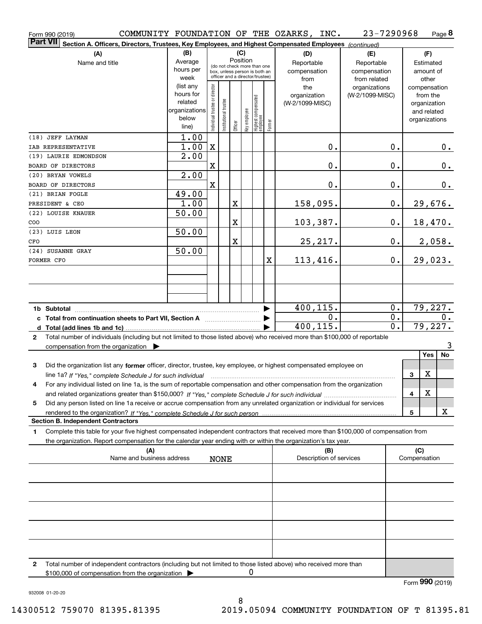|                 | Form 990 (2019)                                                                                                                                                     |                   |                                |                       |                                                                  |              |                                   |        | COMMUNITY FOUNDATION OF THE OZARKS, INC. | 23-7290968                       |                  | Page 8                   |
|-----------------|---------------------------------------------------------------------------------------------------------------------------------------------------------------------|-------------------|--------------------------------|-----------------------|------------------------------------------------------------------|--------------|-----------------------------------|--------|------------------------------------------|----------------------------------|------------------|--------------------------|
| <b>Part VII</b> | Section A. Officers, Directors, Trustees, Key Employees, and Highest Compensated Employees (continued)                                                              |                   |                                |                       |                                                                  |              |                                   |        |                                          |                                  |                  |                          |
| (B)<br>(A)      |                                                                                                                                                                     |                   |                                |                       |                                                                  | (C)          |                                   |        | (D)                                      | (E)                              |                  | (F)                      |
|                 | Name and title                                                                                                                                                      | Average           |                                |                       |                                                                  | Position     | (do not check more than one       |        | Reportable                               | Reportable                       |                  | Estimated                |
|                 |                                                                                                                                                                     | hours per         |                                |                       | box, unless person is both an<br>officer and a director/trustee) |              |                                   |        | compensation                             | compensation                     |                  | amount of                |
|                 |                                                                                                                                                                     | week<br>(list any |                                |                       |                                                                  |              |                                   |        | from                                     | from related                     |                  | other                    |
|                 |                                                                                                                                                                     | hours for         |                                |                       |                                                                  |              |                                   |        | the<br>organization                      | organizations<br>(W-2/1099-MISC) |                  | compensation<br>from the |
|                 |                                                                                                                                                                     | related           |                                |                       |                                                                  |              |                                   |        | (W-2/1099-MISC)                          |                                  |                  | organization             |
|                 |                                                                                                                                                                     | organizations     |                                |                       |                                                                  |              |                                   |        |                                          |                                  |                  | and related              |
|                 |                                                                                                                                                                     | below             | Individual trustee or director | Institutional trustee |                                                                  | Key employee |                                   |        |                                          |                                  |                  | organizations            |
|                 |                                                                                                                                                                     | line)             |                                |                       | Officer                                                          |              | Highest compensated<br>  employee | Former |                                          |                                  |                  |                          |
|                 | (18) JEFF LAYMAN                                                                                                                                                    | 1.00              |                                |                       |                                                                  |              |                                   |        |                                          |                                  |                  |                          |
|                 | IAB REPRESENTATIVE                                                                                                                                                  | 1.00              | X                              |                       |                                                                  |              |                                   |        | 0.                                       |                                  | 0.               | 0.                       |
|                 | (19) LAURIE EDMONDSON                                                                                                                                               | 2.00              |                                |                       |                                                                  |              |                                   |        |                                          |                                  |                  |                          |
|                 | BOARD OF DIRECTORS                                                                                                                                                  |                   | $\mathbf X$                    |                       |                                                                  |              |                                   |        | 0.                                       | 0.                               |                  | 0.                       |
|                 | (20) BRYAN VOWELS                                                                                                                                                   | 2.00              |                                |                       |                                                                  |              |                                   |        |                                          |                                  |                  |                          |
|                 | BOARD OF DIRECTORS                                                                                                                                                  |                   | $\overline{\textbf{X}}$        |                       |                                                                  |              |                                   |        | 0.                                       | 0.                               |                  | 0.                       |
|                 | (21) BRIAN FOGLE                                                                                                                                                    | 49.00             |                                |                       |                                                                  |              |                                   |        |                                          |                                  |                  |                          |
|                 | PRESIDENT & CEO                                                                                                                                                     | 1.00              |                                |                       | X                                                                |              |                                   |        | 158,095.                                 |                                  | $\mathbf 0$ .    | 29,676.                  |
|                 | (22) LOUISE KNAUER                                                                                                                                                  | 50.00             |                                |                       |                                                                  |              |                                   |        |                                          |                                  |                  |                          |
| COO             |                                                                                                                                                                     |                   |                                |                       | X                                                                |              |                                   |        | 103,387.                                 |                                  | 0.               | 18,470.                  |
|                 | (23) LUIS LEON                                                                                                                                                      | 50.00             |                                |                       |                                                                  |              |                                   |        |                                          |                                  |                  |                          |
| CFO             |                                                                                                                                                                     |                   |                                |                       | X                                                                |              |                                   |        | 25, 217.                                 |                                  | 0.               | 2,058.                   |
|                 | (24) SUSANNE GRAY                                                                                                                                                   | 50.00             |                                |                       |                                                                  |              |                                   |        |                                          |                                  |                  |                          |
|                 | FORMER CFO                                                                                                                                                          |                   |                                |                       |                                                                  |              |                                   | X      | 113,416.                                 |                                  | 0.               | 29,023.                  |
|                 |                                                                                                                                                                     |                   |                                |                       |                                                                  |              |                                   |        |                                          |                                  |                  |                          |
|                 |                                                                                                                                                                     |                   |                                |                       |                                                                  |              |                                   |        |                                          |                                  |                  |                          |
|                 |                                                                                                                                                                     |                   |                                |                       |                                                                  |              |                                   |        |                                          |                                  |                  |                          |
|                 |                                                                                                                                                                     |                   |                                |                       |                                                                  |              |                                   |        | 400, 115.                                |                                  | $0$ .            | 79,227.                  |
|                 | c Total from continuation sheets to Part VII, Section A manufactured and response to Total from extension                                                           |                   |                                |                       |                                                                  |              |                                   |        | 0.                                       |                                  | 0.               | 0.                       |
|                 |                                                                                                                                                                     |                   |                                |                       |                                                                  |              |                                   |        | 400,115.                                 |                                  | $\overline{0}$ . | 79,227.                  |
| $\mathbf{2}$    | Total number of individuals (including but not limited to those listed above) who received more than \$100,000 of reportable                                        |                   |                                |                       |                                                                  |              |                                   |        |                                          |                                  |                  |                          |
|                 | compensation from the organization $\blacktriangleright$                                                                                                            |                   |                                |                       |                                                                  |              |                                   |        |                                          |                                  |                  | 3                        |
|                 |                                                                                                                                                                     |                   |                                |                       |                                                                  |              |                                   |        |                                          |                                  |                  | No<br>Yes                |
| З               | Did the organization list any former officer, director, trustee, key employee, or highest compensated employee on                                                   |                   |                                |                       |                                                                  |              |                                   |        |                                          |                                  |                  |                          |
|                 | line 1a? If "Yes," complete Schedule J for such individual material content in the content of the Schedule J for such individual                                    |                   |                                |                       |                                                                  |              |                                   |        |                                          |                                  | 3                | X                        |
| 4               | For any individual listed on line 1a, is the sum of reportable compensation and other compensation from the organization                                            |                   |                                |                       |                                                                  |              |                                   |        |                                          |                                  |                  |                          |
|                 |                                                                                                                                                                     |                   |                                |                       |                                                                  |              |                                   |        |                                          |                                  | 4                | X                        |
| 5               | Did any person listed on line 1a receive or accrue compensation from any unrelated organization or individual for services                                          |                   |                                |                       |                                                                  |              |                                   |        |                                          |                                  |                  |                          |
|                 |                                                                                                                                                                     |                   |                                |                       |                                                                  |              |                                   |        |                                          |                                  | 5                | X                        |
|                 | <b>Section B. Independent Contractors</b>                                                                                                                           |                   |                                |                       |                                                                  |              |                                   |        |                                          |                                  |                  |                          |
| 1               | Complete this table for your five highest compensated independent contractors that received more than \$100,000 of compensation from                                |                   |                                |                       |                                                                  |              |                                   |        |                                          |                                  |                  |                          |
|                 | the organization. Report compensation for the calendar year ending with or within the organization's tax year.                                                      |                   |                                |                       |                                                                  |              |                                   |        |                                          |                                  |                  |                          |
|                 | (A)<br>Name and business address                                                                                                                                    |                   |                                |                       |                                                                  |              |                                   |        | (B)<br>Description of services           |                                  |                  | (C)<br>Compensation      |
|                 |                                                                                                                                                                     |                   |                                | <b>NONE</b>           |                                                                  |              |                                   |        |                                          |                                  |                  |                          |
|                 |                                                                                                                                                                     |                   |                                |                       |                                                                  |              |                                   |        |                                          |                                  |                  |                          |
|                 |                                                                                                                                                                     |                   |                                |                       |                                                                  |              |                                   |        |                                          |                                  |                  |                          |
|                 |                                                                                                                                                                     |                   |                                |                       |                                                                  |              |                                   |        |                                          |                                  |                  |                          |
|                 |                                                                                                                                                                     |                   |                                |                       |                                                                  |              |                                   |        |                                          |                                  |                  |                          |
|                 |                                                                                                                                                                     |                   |                                |                       |                                                                  |              |                                   |        |                                          |                                  |                  |                          |
|                 |                                                                                                                                                                     |                   |                                |                       |                                                                  |              |                                   |        |                                          |                                  |                  |                          |
|                 |                                                                                                                                                                     |                   |                                |                       |                                                                  |              |                                   |        |                                          |                                  |                  |                          |
|                 |                                                                                                                                                                     |                   |                                |                       |                                                                  |              |                                   |        |                                          |                                  |                  |                          |
|                 |                                                                                                                                                                     |                   |                                |                       |                                                                  |              |                                   |        |                                          |                                  |                  |                          |
| $\mathbf{2}$    | Total number of independent contractors (including but not limited to those listed above) who received more than<br>\$100,000 of compensation from the organization |                   |                                |                       |                                                                  |              | 0                                 |        |                                          |                                  |                  |                          |
|                 |                                                                                                                                                                     |                   |                                |                       |                                                                  |              |                                   |        |                                          |                                  |                  | Form 990 (2019)          |

932008 01-20-20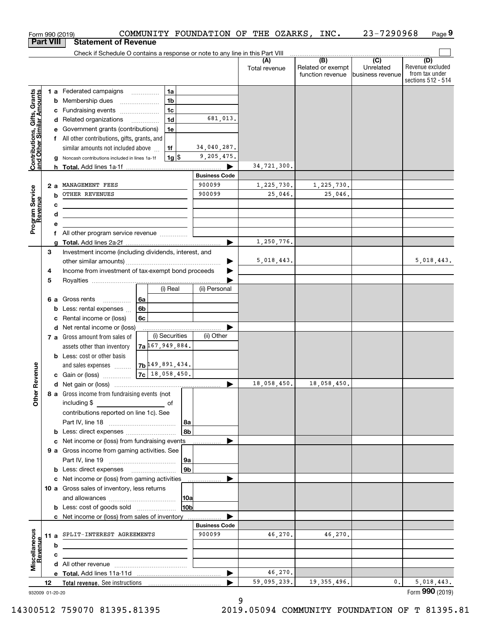|                                                           |                  |     | Form 990 (2019)                                                               |                  |                   |                           |                       |         | COMMUNITY FOUNDATION OF THE OZARKS, INC. | 23-7290968                                      | Page 9                                                          |
|-----------------------------------------------------------|------------------|-----|-------------------------------------------------------------------------------|------------------|-------------------|---------------------------|-----------------------|---------|------------------------------------------|-------------------------------------------------|-----------------------------------------------------------------|
|                                                           | <b>Part VIII</b> |     | <b>Statement of Revenue</b>                                                   |                  |                   |                           |                       |         |                                          |                                                 |                                                                 |
|                                                           |                  |     | Check if Schedule O contains a response or note to any line in this Part VIII |                  |                   |                           |                       |         | (B)                                      |                                                 |                                                                 |
|                                                           |                  |     |                                                                               |                  |                   |                           | (A)<br>Total revenue  |         | Related or exempt<br>function revenue    | $\overline{C}$<br>Unrelated<br>business revenue | (D)<br>Revenue excluded<br>from tax under<br>sections 512 - 514 |
|                                                           |                  |     | 1 a Federated campaigns                                                       |                  | 1a                |                           |                       |         |                                          |                                                 |                                                                 |
| Contributions, Gifts, Grants<br>and Other Similar Amounts |                  |     | <b>b</b> Membership dues                                                      |                  | 1 <sub>b</sub>    |                           |                       |         |                                          |                                                 |                                                                 |
|                                                           |                  |     | c Fundraising events                                                          |                  | 1 <sub>c</sub>    |                           |                       |         |                                          |                                                 |                                                                 |
|                                                           |                  |     | d Related organizations                                                       |                  | 1 <sub>d</sub>    | 681,013.                  |                       |         |                                          |                                                 |                                                                 |
|                                                           |                  |     | e Government grants (contributions)                                           |                  | 1e                |                           |                       |         |                                          |                                                 |                                                                 |
|                                                           |                  |     | f All other contributions, gifts, grants, and                                 |                  |                   |                           |                       |         |                                          |                                                 |                                                                 |
|                                                           |                  |     | similar amounts not included above                                            |                  | 1f                | 34,040,287.<br>9,205,475. |                       |         |                                          |                                                 |                                                                 |
|                                                           |                  |     | g Noncash contributions included in lines 1a-1f                               |                  | <u>1g \$</u>      |                           | 34,721,300.           |         |                                          |                                                 |                                                                 |
|                                                           |                  |     |                                                                               |                  |                   | <b>Business Code</b>      |                       |         |                                          |                                                 |                                                                 |
|                                                           |                  | 2 a | MANAGEMENT FEES                                                               |                  |                   | 900099                    | 1,225,730.            |         | 1,225,730.                               |                                                 |                                                                 |
|                                                           |                  | b   | OTHER REVENUES                                                                |                  |                   | 900099                    |                       | 25,046. | 25,046.                                  |                                                 |                                                                 |
|                                                           |                  | с   |                                                                               |                  |                   |                           |                       |         |                                          |                                                 |                                                                 |
|                                                           |                  | d   |                                                                               |                  |                   |                           |                       |         |                                          |                                                 |                                                                 |
| Program Service<br>Revenue                                |                  | е   |                                                                               |                  |                   |                           |                       |         |                                          |                                                 |                                                                 |
|                                                           |                  |     |                                                                               |                  |                   |                           |                       |         |                                          |                                                 |                                                                 |
|                                                           |                  |     |                                                                               |                  |                   |                           | 1,250,776.            |         |                                          |                                                 |                                                                 |
|                                                           | З                |     | Investment income (including dividends, interest, and                         |                  |                   |                           | 5,018,443.            |         |                                          |                                                 | 5,018,443.                                                      |
|                                                           | 4                |     | Income from investment of tax-exempt bond proceeds                            |                  |                   | ▶                         |                       |         |                                          |                                                 |                                                                 |
|                                                           | 5                |     |                                                                               |                  |                   |                           |                       |         |                                          |                                                 |                                                                 |
|                                                           |                  |     |                                                                               |                  | (i) Real          | (ii) Personal             |                       |         |                                          |                                                 |                                                                 |
|                                                           |                  |     | 6 a Gross rents<br>$\overline{\phantom{a}}$                                   | 6a               |                   |                           |                       |         |                                          |                                                 |                                                                 |
|                                                           |                  |     | <b>b</b> Less: rental expenses $\ldots$                                       | 6b               |                   |                           |                       |         |                                          |                                                 |                                                                 |
|                                                           |                  |     | c Rental income or (loss)                                                     | 6c               |                   |                           |                       |         |                                          |                                                 |                                                                 |
|                                                           |                  |     | d Net rental income or (loss)                                                 |                  |                   |                           |                       |         |                                          |                                                 |                                                                 |
|                                                           |                  |     | 7 a Gross amount from sales of                                                |                  | (i) Securities    | (ii) Other                |                       |         |                                          |                                                 |                                                                 |
|                                                           |                  |     | assets other than inventory                                                   |                  | 7a 167, 949, 884. |                           |                       |         |                                          |                                                 |                                                                 |
|                                                           |                  |     | <b>b</b> Less: cost or other basis<br>and sales expenses                      |                  | 7b 49, 891, 434.  |                           |                       |         |                                          |                                                 |                                                                 |
| anueve                                                    |                  |     | c Gain or (loss)                                                              | $7c$ 18,058,450. |                   |                           |                       |         |                                          |                                                 |                                                                 |
|                                                           |                  |     |                                                                               |                  |                   |                           | $\boxed{18,058,450.}$ |         | 18,058,450.                              |                                                 |                                                                 |
| Other R                                                   |                  |     | 8 a Gross income from fundraising events (not                                 |                  |                   |                           |                       |         |                                          |                                                 |                                                                 |
|                                                           |                  |     | including \$                                                                  |                  | of                |                           |                       |         |                                          |                                                 |                                                                 |
|                                                           |                  |     | contributions reported on line 1c). See                                       |                  |                   |                           |                       |         |                                          |                                                 |                                                                 |
|                                                           |                  |     |                                                                               |                  | 8a                |                           |                       |         |                                          |                                                 |                                                                 |
|                                                           |                  |     |                                                                               |                  | 8b                |                           |                       |         |                                          |                                                 |                                                                 |
|                                                           |                  |     | c Net income or (loss) from fundraising events                                |                  |                   |                           |                       |         |                                          |                                                 |                                                                 |
|                                                           |                  |     | 9 a Gross income from gaming activities. See                                  |                  | 9a                |                           |                       |         |                                          |                                                 |                                                                 |
|                                                           |                  |     |                                                                               |                  | 9b                |                           |                       |         |                                          |                                                 |                                                                 |
|                                                           |                  |     | c Net income or (loss) from gaming activities ______________                  |                  |                   |                           |                       |         |                                          |                                                 |                                                                 |
|                                                           |                  |     | 10 a Gross sales of inventory, less returns                                   |                  |                   |                           |                       |         |                                          |                                                 |                                                                 |
|                                                           |                  |     |                                                                               |                  | 10a               |                           |                       |         |                                          |                                                 |                                                                 |
|                                                           |                  |     |                                                                               |                  | 10 <sub>b</sub>   |                           |                       |         |                                          |                                                 |                                                                 |
|                                                           |                  |     | c Net income or (loss) from sales of inventory                                |                  |                   |                           |                       |         |                                          |                                                 |                                                                 |
|                                                           |                  |     |                                                                               |                  |                   | <b>Business Code</b>      |                       |         |                                          |                                                 |                                                                 |
| Miscellaneous<br>Revenue                                  |                  |     | 11 a SPLIT-INTEREST AGREEMENTS                                                |                  |                   | 900099                    |                       | 46,270. | 46,270.                                  |                                                 |                                                                 |
|                                                           |                  | b   |                                                                               |                  |                   |                           |                       |         |                                          |                                                 |                                                                 |
|                                                           |                  | c   |                                                                               |                  |                   |                           |                       |         |                                          |                                                 |                                                                 |
|                                                           |                  |     |                                                                               |                  |                   | ▶                         |                       | 46,270. |                                          |                                                 |                                                                 |
|                                                           | 12               |     |                                                                               |                  |                   |                           | 59,095,239.           |         | 19, 355, 496.                            | 0.                                              | 5,018,443.                                                      |
| 932009 01-20-20                                           |                  |     |                                                                               |                  |                   |                           |                       |         |                                          |                                                 | Form 990 (2019)                                                 |

9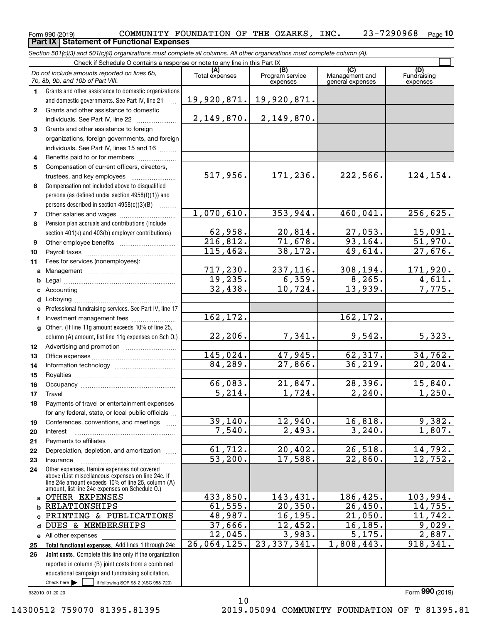#### $_{\rm Form}$   $_{990}$  (2019)  $_{\rm PQ}$   $_{\rm COMMUNITY}$   $_{\rm FOUNDATION}$  of the OZARKS,  $_{\rm INC}$  .  $_{\rm 23-7290968}$   $_{\rm Page}$ **10 Part IX Statement of Functional Expenses**

*Section 501(c)(3) and 501(c)(4) organizations must complete all columns. All other organizations must complete column (A).*

|              | Check if Schedule O contains a response or note to any line in this Part IX.                                                  |                       |                        |                           |                           |  |  |  |  |  |  |
|--------------|-------------------------------------------------------------------------------------------------------------------------------|-----------------------|------------------------|---------------------------|---------------------------|--|--|--|--|--|--|
|              | Do not include amounts reported on lines 6b,                                                                                  | (A)<br>Total expenses | (B)<br>Program service | (C)<br>Management and     | (D)<br>Fundraising        |  |  |  |  |  |  |
|              | 7b, 8b, 9b, and 10b of Part VIII.                                                                                             |                       | expenses               | general expenses          | expenses                  |  |  |  |  |  |  |
| 1.           | Grants and other assistance to domestic organizations                                                                         |                       |                        |                           |                           |  |  |  |  |  |  |
|              | and domestic governments. See Part IV, line 21                                                                                | 19,920,871.           | 19,920,871.            |                           |                           |  |  |  |  |  |  |
| $\mathbf{2}$ | Grants and other assistance to domestic                                                                                       |                       |                        |                           |                           |  |  |  |  |  |  |
|              | individuals. See Part IV, line 22                                                                                             | 2,149,870.            | 2,149,870.             |                           |                           |  |  |  |  |  |  |
| 3            | Grants and other assistance to foreign                                                                                        |                       |                        |                           |                           |  |  |  |  |  |  |
|              | organizations, foreign governments, and foreign                                                                               |                       |                        |                           |                           |  |  |  |  |  |  |
|              | individuals. See Part IV, lines 15 and 16                                                                                     |                       |                        |                           |                           |  |  |  |  |  |  |
| 4            | Benefits paid to or for members                                                                                               |                       |                        |                           |                           |  |  |  |  |  |  |
| 5            | Compensation of current officers, directors,                                                                                  | 517,956.              | 171,236.               | 222,566.                  | 124,154.                  |  |  |  |  |  |  |
|              |                                                                                                                               |                       |                        |                           |                           |  |  |  |  |  |  |
| 6            | Compensation not included above to disqualified                                                                               |                       |                        |                           |                           |  |  |  |  |  |  |
|              | persons (as defined under section 4958(f)(1)) and<br>persons described in section 4958(c)(3)(B)                               |                       |                        |                           |                           |  |  |  |  |  |  |
| 7            |                                                                                                                               | 1,070,610.            | 353,944.               | 460,041.                  | 256,625.                  |  |  |  |  |  |  |
| 8            | Pension plan accruals and contributions (include                                                                              |                       |                        |                           |                           |  |  |  |  |  |  |
|              | section 401(k) and 403(b) employer contributions)                                                                             | 62,958.               | 20,814.                |                           |                           |  |  |  |  |  |  |
| 9            |                                                                                                                               | 216,812.              | 71,678.                | $\frac{27,053.}{93,164.}$ | $\frac{15,091.}{51,970.}$ |  |  |  |  |  |  |
| 10           |                                                                                                                               | 115,462.              | 38, 172.               | 49,614.                   | 27,676.                   |  |  |  |  |  |  |
| 11           | Fees for services (nonemployees):                                                                                             |                       |                        |                           |                           |  |  |  |  |  |  |
| a            |                                                                                                                               | 717,230.              | 237, 116.              | 308, 194.                 | 171,920.                  |  |  |  |  |  |  |
| b            |                                                                                                                               | 19,235.               | 6,359.                 | 8,265.                    | 4,611.                    |  |  |  |  |  |  |
|              |                                                                                                                               | 32,438.               | 10,724.                | 13,939.                   | 7,775.                    |  |  |  |  |  |  |
| d            |                                                                                                                               |                       |                        |                           |                           |  |  |  |  |  |  |
|              | Professional fundraising services. See Part IV, line 17                                                                       |                       |                        |                           |                           |  |  |  |  |  |  |
| f            | Investment management fees                                                                                                    | 162, 172.             |                        | 162,172.                  |                           |  |  |  |  |  |  |
| q            | Other. (If line 11g amount exceeds 10% of line 25,                                                                            |                       |                        |                           |                           |  |  |  |  |  |  |
|              | column (A) amount, list line 11g expenses on Sch O.)                                                                          | 22, 206.              | 7,341.                 | 9,542.                    | 5,323.                    |  |  |  |  |  |  |
| 12           |                                                                                                                               |                       |                        |                           |                           |  |  |  |  |  |  |
| 13           |                                                                                                                               | 145,024.              | 47,945.                | 62, 317.                  | 34,762.                   |  |  |  |  |  |  |
| 14           |                                                                                                                               | 84,289.               | 27,866.                | 36, 219.                  | 20, 204.                  |  |  |  |  |  |  |
| 15           |                                                                                                                               | 66,083.               | 21,847.                | 28,396.                   | 15,840.                   |  |  |  |  |  |  |
| 16           |                                                                                                                               | $\overline{5,214}$ .  | 1,724.                 | 2,240.                    | 1,250.                    |  |  |  |  |  |  |
| 17           | Travel<br>Payments of travel or entertainment expenses                                                                        |                       |                        |                           |                           |  |  |  |  |  |  |
| 18           | for any federal, state, or local public officials                                                                             |                       |                        |                           |                           |  |  |  |  |  |  |
| 19           | Conferences, conventions, and meetings                                                                                        | 39,140.               | 12,940.                | 16,818.                   | 9,382.                    |  |  |  |  |  |  |
| 20           | Interest                                                                                                                      | 7,540.                | 2,493.                 | 3,240.                    | 1,807.                    |  |  |  |  |  |  |
| 21           |                                                                                                                               |                       |                        |                           |                           |  |  |  |  |  |  |
| 22           | Depreciation, depletion, and amortization                                                                                     | 61, 712.              | 20,402.                | 26,518.                   | 14,792.                   |  |  |  |  |  |  |
| 23           | Insurance                                                                                                                     | $\overline{53,200}$ . | 17,588.                | 22,860.                   | 12,752.                   |  |  |  |  |  |  |
| 24           | Other expenses. Itemize expenses not covered                                                                                  |                       |                        |                           |                           |  |  |  |  |  |  |
|              | above (List miscellaneous expenses on line 24e. If<br>line 24e amount exceeds 10% of line 25, column (A)                      |                       |                        |                           |                           |  |  |  |  |  |  |
|              | amount, list line 24e expenses on Schedule O.)                                                                                |                       |                        |                           |                           |  |  |  |  |  |  |
| a            | OTHER EXPENSES                                                                                                                | 433,850.              | 143,431.               | 186,425.                  | 103,994.                  |  |  |  |  |  |  |
| b            | RELATIONSHIPS                                                                                                                 | 61,555.               | $\overline{20,350}$ .  | 26,450.                   | 14,755.                   |  |  |  |  |  |  |
| C            | PRINTING & PUBLICATIONS                                                                                                       | 48,987.               | 16, 195.               | 21,050.                   | 11,742.                   |  |  |  |  |  |  |
| d            | DUES & MEMBERSHIPS                                                                                                            | 37,666.               | 12,452.                | 16, 185.                  | 9,029.                    |  |  |  |  |  |  |
|              | e All other expenses                                                                                                          | 12,045.               | 3,983.                 | $\overline{5,175.}$       | 2,887.                    |  |  |  |  |  |  |
| 25           | Total functional expenses. Add lines 1 through 24e                                                                            | 26,064,125.           | 23, 337, 341.          | 1,808,443.                | 918, 341.                 |  |  |  |  |  |  |
| 26           | Joint costs. Complete this line only if the organization                                                                      |                       |                        |                           |                           |  |  |  |  |  |  |
|              | reported in column (B) joint costs from a combined                                                                            |                       |                        |                           |                           |  |  |  |  |  |  |
|              | educational campaign and fundraising solicitation.<br>Check here $\blacktriangleright$<br>if following SOP 98-2 (ASC 958-720) |                       |                        |                           |                           |  |  |  |  |  |  |
|              |                                                                                                                               |                       |                        |                           |                           |  |  |  |  |  |  |

10

932010 01-20-20

Form (2019) **990**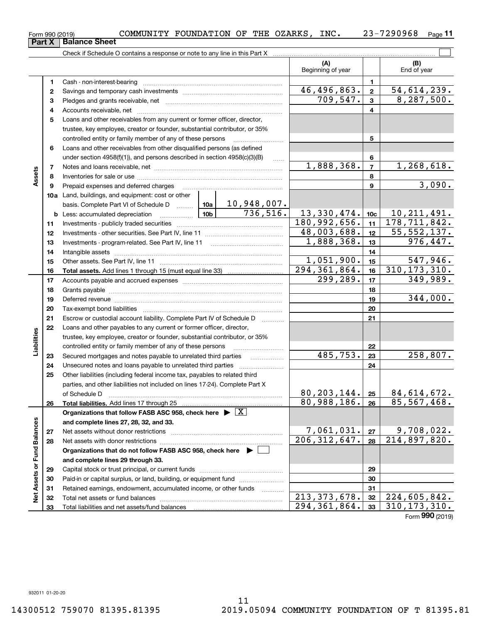| Form 990 (2019) | COMMUNITY FOUNDATION OF THE OZARKS, |  | INC. | 7290968 | Page |
|-----------------|-------------------------------------|--|------|---------|------|
|                 |                                     |  |      |         |      |

|                             | Part X | <b>Balance Sheet</b>                                                                                                                                                                                                           |              |            |                              |                         |                    |
|-----------------------------|--------|--------------------------------------------------------------------------------------------------------------------------------------------------------------------------------------------------------------------------------|--------------|------------|------------------------------|-------------------------|--------------------|
|                             |        |                                                                                                                                                                                                                                |              |            |                              |                         |                    |
|                             |        |                                                                                                                                                                                                                                |              |            | (A)<br>Beginning of year     |                         | (B)<br>End of year |
|                             | 1      |                                                                                                                                                                                                                                |              |            |                              | 1                       |                    |
|                             | 2      |                                                                                                                                                                                                                                |              |            | 46,496,863.                  | $\overline{\mathbf{2}}$ | 54,614,239.        |
|                             | з      |                                                                                                                                                                                                                                |              |            | 709, 547.                    | $\overline{3}$          | 8, 287, 500.       |
|                             | 4      |                                                                                                                                                                                                                                |              |            |                              | $\overline{\mathbf{4}}$ |                    |
|                             | 5      | Loans and other receivables from any current or former officer, director,                                                                                                                                                      |              |            |                              |                         |                    |
|                             |        | trustee, key employee, creator or founder, substantial contributor, or 35%                                                                                                                                                     |              |            |                              |                         |                    |
|                             |        | controlled entity or family member of any of these persons                                                                                                                                                                     |              |            |                              | 5                       |                    |
|                             | 6      | Loans and other receivables from other disqualified persons (as defined                                                                                                                                                        |              |            |                              |                         |                    |
|                             |        | under section $4958(f)(1)$ , and persons described in section $4958(c)(3)(B)$                                                                                                                                                  |              |            |                              | 6                       |                    |
|                             | 7      |                                                                                                                                                                                                                                |              | 1,888,368. | $\overline{7}$               | 1,268,618.              |                    |
| Assets                      | 8      |                                                                                                                                                                                                                                |              |            |                              | 8                       |                    |
|                             | 9      | Prepaid expenses and deferred charges                                                                                                                                                                                          |              |            |                              | 9                       | 3,090.             |
|                             |        | <b>10a</b> Land, buildings, and equipment: cost or other                                                                                                                                                                       |              |            |                              |                         |                    |
|                             |        |                                                                                                                                                                                                                                |              |            |                              |                         |                    |
|                             |        | <u>  10b</u>  <br><b>b</b> Less: accumulated depreciation                                                                                                                                                                      |              |            | 13,330,474.                  | 10c                     | 10, 211, 491.      |
|                             | 11     |                                                                                                                                                                                                                                | 180,992,656. | 11         | 178, 711, 842.               |                         |                    |
|                             | 12     |                                                                                                                                                                                                                                | 48,003,688.  | 12         | $\overline{55, 552, 137}$ .  |                         |                    |
|                             | 13     |                                                                                                                                                                                                                                | 1,888,368.   | 13         | 976,447.                     |                         |                    |
|                             | 14     |                                                                                                                                                                                                                                |              |            | 14                           |                         |                    |
|                             | 15     |                                                                                                                                                                                                                                |              |            | 1,051,900.                   | 15                      | 547,946.           |
|                             | 16     |                                                                                                                                                                                                                                |              |            | $\overline{294, 361, 864}$ . | 16                      | 310, 173, 310.     |
|                             | 17     |                                                                                                                                                                                                                                |              |            | 299, 289.                    | 17                      | 349,989.           |
|                             | 18     |                                                                                                                                                                                                                                |              | 18         |                              |                         |                    |
|                             | 19     | Deferred revenue manual contracts and contracts are all the contracts and contracts are contracted and contracts are contracted and contract are contracted and contract are contracted and contract are contracted and contra |              |            |                              | 19                      | 344,000.           |
|                             | 20     |                                                                                                                                                                                                                                |              |            |                              | 20                      |                    |
|                             | 21     | Escrow or custodial account liability. Complete Part IV of Schedule D                                                                                                                                                          |              |            |                              | 21                      |                    |
|                             | 22     | Loans and other payables to any current or former officer, director,                                                                                                                                                           |              |            |                              |                         |                    |
| Liabilities                 |        | trustee, key employee, creator or founder, substantial contributor, or 35%                                                                                                                                                     |              |            |                              |                         |                    |
|                             |        | controlled entity or family member of any of these persons                                                                                                                                                                     |              |            | 485,753.                     | 22                      |                    |
|                             | 23     | Secured mortgages and notes payable to unrelated third parties                                                                                                                                                                 |              |            |                              | 23                      | 258,807.           |
|                             | 24     | Unsecured notes and loans payable to unrelated third parties                                                                                                                                                                   |              |            |                              | 24                      |                    |
|                             | 25     | Other liabilities (including federal income tax, payables to related third                                                                                                                                                     |              |            |                              |                         |                    |
|                             |        | parties, and other liabilities not included on lines 17-24). Complete Part X                                                                                                                                                   |              |            | 80, 203, 144.                |                         | 84,614,672.        |
|                             |        | of Schedule D                                                                                                                                                                                                                  |              |            | 80,988,186.                  | 25                      | 85,567,468.        |
|                             | 26     | Total liabilities. Add lines 17 through 25<br>Organizations that follow FASB ASC 958, check here $\blacktriangleright \boxed{X}$                                                                                               |              |            |                              | 26                      |                    |
|                             |        | and complete lines 27, 28, 32, and 33.                                                                                                                                                                                         |              |            |                              |                         |                    |
|                             | 27     |                                                                                                                                                                                                                                |              |            | 7,061,031.                   | 27                      | 9,708,022.         |
|                             | 28     | Net assets with donor restrictions                                                                                                                                                                                             |              |            | 206, 312, 647.               | 28                      | 214,897,820.       |
|                             |        | Organizations that do not follow FASB ASC 958, check here $\blacktriangleright$                                                                                                                                                |              |            |                              |                         |                    |
|                             |        | and complete lines 29 through 33.                                                                                                                                                                                              |              |            |                              |                         |                    |
|                             | 29     |                                                                                                                                                                                                                                |              |            |                              | 29                      |                    |
|                             | 30     | Paid-in or capital surplus, or land, building, or equipment fund                                                                                                                                                               |              |            |                              | 30                      |                    |
|                             | 31     | Retained earnings, endowment, accumulated income, or other funds                                                                                                                                                               |              | .          |                              | 31                      |                    |
| Net Assets or Fund Balances | 32     |                                                                                                                                                                                                                                |              |            | 213, 373, 678.               | 32                      | 224,605,842.       |
|                             | 33     |                                                                                                                                                                                                                                |              |            | 294, 361, 864.               | 33                      | 310, 173, 310.     |
|                             |        |                                                                                                                                                                                                                                |              |            |                              |                         |                    |

Form (2019) **990**

**11**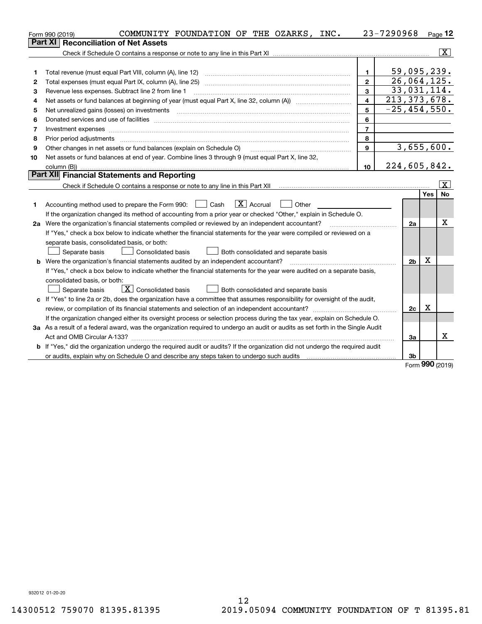|    | COMMUNITY FOUNDATION OF THE OZARKS, INC.<br>Form 990 (2019)                                                                     |                         | 23-7290968       |            | $Page$ 12 |  |  |  |  |  |
|----|---------------------------------------------------------------------------------------------------------------------------------|-------------------------|------------------|------------|-----------|--|--|--|--|--|
|    | <b>Reconciliation of Net Assets</b><br><b>Part XI</b>                                                                           |                         |                  |            |           |  |  |  |  |  |
|    |                                                                                                                                 |                         |                  |            | x         |  |  |  |  |  |
|    |                                                                                                                                 |                         |                  |            |           |  |  |  |  |  |
| 1  | Total revenue (must equal Part VIII, column (A), line 12)                                                                       | $\mathbf{1}$            | 59,095,239.      |            |           |  |  |  |  |  |
| 2  | Total expenses (must equal Part IX, column (A), line 25)                                                                        | $\mathbf{2}$            | 26,064,125.      |            |           |  |  |  |  |  |
| 3  | Revenue less expenses. Subtract line 2 from line 1                                                                              | 3                       | 33,031,114.      |            |           |  |  |  |  |  |
| 4  |                                                                                                                                 | $\overline{\mathbf{4}}$ | 213, 373, 678.   |            |           |  |  |  |  |  |
| 5  | Net unrealized gains (losses) on investments                                                                                    | 5                       | $-25, 454, 550.$ |            |           |  |  |  |  |  |
| 6  |                                                                                                                                 | 6                       |                  |            |           |  |  |  |  |  |
| 7  | Investment expenses www.communication.com/www.communication.com/www.communication.com/www.communication.com/ww                  | $\overline{7}$          |                  |            |           |  |  |  |  |  |
| 8  | Prior period adjustments                                                                                                        | 8                       |                  |            |           |  |  |  |  |  |
| 9  | Other changes in net assets or fund balances (explain on Schedule O)                                                            | 9                       | 3,655,600.       |            |           |  |  |  |  |  |
| 10 | Net assets or fund balances at end of year. Combine lines 3 through 9 (must equal Part X, line 32,                              |                         |                  |            |           |  |  |  |  |  |
|    |                                                                                                                                 | 10                      | 224,605,842.     |            |           |  |  |  |  |  |
|    | Part XII Financial Statements and Reporting                                                                                     |                         |                  |            |           |  |  |  |  |  |
|    |                                                                                                                                 |                         |                  |            | X         |  |  |  |  |  |
|    |                                                                                                                                 |                         |                  | Yes        | No        |  |  |  |  |  |
| 1  | $\boxed{\text{X}}$ Accrual<br>$\Box$ Cash<br>Other<br>Accounting method used to prepare the Form 990:                           |                         |                  |            |           |  |  |  |  |  |
|    | If the organization changed its method of accounting from a prior year or checked "Other," explain in Schedule O.               |                         |                  |            |           |  |  |  |  |  |
|    | 2a Were the organization's financial statements compiled or reviewed by an independent accountant?                              |                         | 2a               |            | x         |  |  |  |  |  |
|    | If "Yes," check a box below to indicate whether the financial statements for the year were compiled or reviewed on a            |                         |                  |            |           |  |  |  |  |  |
|    | separate basis, consolidated basis, or both:                                                                                    |                         |                  |            |           |  |  |  |  |  |
|    | Separate basis<br><b>Consolidated basis</b><br>Both consolidated and separate basis                                             |                         |                  |            |           |  |  |  |  |  |
|    | <b>b</b> Were the organization's financial statements audited by an independent accountant?                                     |                         | 2 <sub>b</sub>   | X          |           |  |  |  |  |  |
|    | If "Yes," check a box below to indicate whether the financial statements for the year were audited on a separate basis,         |                         |                  |            |           |  |  |  |  |  |
|    | consolidated basis, or both:                                                                                                    |                         |                  |            |           |  |  |  |  |  |
|    | $\boxed{\textbf{X}}$ Consolidated basis<br>Separate basis<br>Both consolidated and separate basis                               |                         |                  |            |           |  |  |  |  |  |
|    | c If "Yes" to line 2a or 2b, does the organization have a committee that assumes responsibility for oversight of the audit,     |                         |                  |            |           |  |  |  |  |  |
|    | review, or compilation of its financial statements and selection of an independent accountant?                                  |                         | 2c               | х          |           |  |  |  |  |  |
|    | If the organization changed either its oversight process or selection process during the tax year, explain on Schedule O.       |                         |                  |            |           |  |  |  |  |  |
|    | 3a As a result of a federal award, was the organization required to undergo an audit or audits as set forth in the Single Audit |                         |                  |            |           |  |  |  |  |  |
|    |                                                                                                                                 |                         | За               |            | х         |  |  |  |  |  |
|    | b If "Yes," did the organization undergo the required audit or audits? If the organization did not undergo the required audit   |                         |                  |            |           |  |  |  |  |  |
|    |                                                                                                                                 |                         | 3b               | <u>nnn</u> |           |  |  |  |  |  |

Form (2019) **990**

932012 01-20-20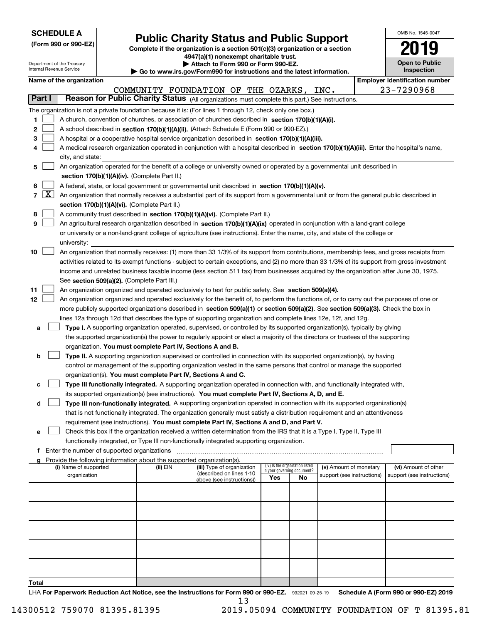| <b>SCHEDULE A</b> |
|-------------------|
|-------------------|

**Total**

| (Form 990 or 990-EZ) |  |  |  |  |
|----------------------|--|--|--|--|
|----------------------|--|--|--|--|

# **Public Charity Status and Public Support**

OMB No. 1545-0047

**2019**

**Complete if the organization is a section 501(c)(3) organization or a section 4947(a)(1) nonexempt charitable trust.**

| Department of the Treasury<br>Internal Revenue Service |                                                                                                                                                                                                                                                                                        |                                               |  | Attach to Form 990 or Form 990-EZ.<br>$\triangleright$ Go to www.irs.gov/Form990 for instructions and the latest information. |                                                                                                                                            |     |                                 |                                                      |  | <b>Open to Public</b><br>Inspection                |
|--------------------------------------------------------|----------------------------------------------------------------------------------------------------------------------------------------------------------------------------------------------------------------------------------------------------------------------------------------|-----------------------------------------------|--|-------------------------------------------------------------------------------------------------------------------------------|--------------------------------------------------------------------------------------------------------------------------------------------|-----|---------------------------------|------------------------------------------------------|--|----------------------------------------------------|
|                                                        |                                                                                                                                                                                                                                                                                        | Name of the organization                      |  |                                                                                                                               |                                                                                                                                            |     |                                 |                                                      |  | <b>Employer identification number</b>              |
|                                                        |                                                                                                                                                                                                                                                                                        |                                               |  |                                                                                                                               | COMMUNITY FOUNDATION OF THE OZARKS,                                                                                                        |     |                                 | INC.                                                 |  | 23-7290968                                         |
|                                                        | Part I                                                                                                                                                                                                                                                                                 |                                               |  |                                                                                                                               | Reason for Public Charity Status (All organizations must complete this part.) See instructions.                                            |     |                                 |                                                      |  |                                                    |
|                                                        |                                                                                                                                                                                                                                                                                        |                                               |  |                                                                                                                               | The organization is not a private foundation because it is: (For lines 1 through 12, check only one box.)                                  |     |                                 |                                                      |  |                                                    |
| 1                                                      |                                                                                                                                                                                                                                                                                        |                                               |  |                                                                                                                               | A church, convention of churches, or association of churches described in section 170(b)(1)(A)(i).                                         |     |                                 |                                                      |  |                                                    |
| 2                                                      |                                                                                                                                                                                                                                                                                        |                                               |  |                                                                                                                               | A school described in section 170(b)(1)(A)(ii). (Attach Schedule E (Form 990 or 990-EZ).)                                                  |     |                                 |                                                      |  |                                                    |
| 3                                                      |                                                                                                                                                                                                                                                                                        |                                               |  |                                                                                                                               | A hospital or a cooperative hospital service organization described in section 170(b)(1)(A)(iii).                                          |     |                                 |                                                      |  |                                                    |
| 4                                                      |                                                                                                                                                                                                                                                                                        |                                               |  |                                                                                                                               | A medical research organization operated in conjunction with a hospital described in section 170(b)(1)(A)(iii). Enter the hospital's name, |     |                                 |                                                      |  |                                                    |
|                                                        |                                                                                                                                                                                                                                                                                        | city, and state:                              |  |                                                                                                                               |                                                                                                                                            |     |                                 |                                                      |  |                                                    |
| 5                                                      |                                                                                                                                                                                                                                                                                        |                                               |  |                                                                                                                               | An organization operated for the benefit of a college or university owned or operated by a governmental unit described in                  |     |                                 |                                                      |  |                                                    |
|                                                        |                                                                                                                                                                                                                                                                                        |                                               |  | section 170(b)(1)(A)(iv). (Complete Part II.)                                                                                 |                                                                                                                                            |     |                                 |                                                      |  |                                                    |
| 6                                                      |                                                                                                                                                                                                                                                                                        |                                               |  |                                                                                                                               | A federal, state, or local government or governmental unit described in section 170(b)(1)(A)(v).                                           |     |                                 |                                                      |  |                                                    |
|                                                        | 7   X                                                                                                                                                                                                                                                                                  |                                               |  |                                                                                                                               | An organization that normally receives a substantial part of its support from a governmental unit or from the general public described in  |     |                                 |                                                      |  |                                                    |
|                                                        |                                                                                                                                                                                                                                                                                        |                                               |  | section 170(b)(1)(A)(vi). (Complete Part II.)                                                                                 |                                                                                                                                            |     |                                 |                                                      |  |                                                    |
| 8                                                      |                                                                                                                                                                                                                                                                                        |                                               |  |                                                                                                                               | A community trust described in section 170(b)(1)(A)(vi). (Complete Part II.)                                                               |     |                                 |                                                      |  |                                                    |
| 9                                                      |                                                                                                                                                                                                                                                                                        |                                               |  |                                                                                                                               | An agricultural research organization described in section 170(b)(1)(A)(ix) operated in conjunction with a land-grant college              |     |                                 |                                                      |  |                                                    |
|                                                        |                                                                                                                                                                                                                                                                                        |                                               |  |                                                                                                                               | or university or a non-land-grant college of agriculture (see instructions). Enter the name, city, and state of the college or             |     |                                 |                                                      |  |                                                    |
|                                                        |                                                                                                                                                                                                                                                                                        | university:                                   |  |                                                                                                                               |                                                                                                                                            |     |                                 |                                                      |  |                                                    |
| 10                                                     |                                                                                                                                                                                                                                                                                        |                                               |  |                                                                                                                               | An organization that normally receives: (1) more than 33 1/3% of its support from contributions, membership fees, and gross receipts from  |     |                                 |                                                      |  |                                                    |
|                                                        |                                                                                                                                                                                                                                                                                        |                                               |  |                                                                                                                               |                                                                                                                                            |     |                                 |                                                      |  |                                                    |
|                                                        | activities related to its exempt functions - subject to certain exceptions, and (2) no more than 33 1/3% of its support from gross investment<br>income and unrelated business taxable income (less section 511 tax) from businesses acquired by the organization after June 30, 1975. |                                               |  |                                                                                                                               |                                                                                                                                            |     |                                 |                                                      |  |                                                    |
|                                                        | See section 509(a)(2). (Complete Part III.)                                                                                                                                                                                                                                            |                                               |  |                                                                                                                               |                                                                                                                                            |     |                                 |                                                      |  |                                                    |
| 11                                                     |                                                                                                                                                                                                                                                                                        |                                               |  |                                                                                                                               | An organization organized and operated exclusively to test for public safety. See section 509(a)(4).                                       |     |                                 |                                                      |  |                                                    |
| 12                                                     |                                                                                                                                                                                                                                                                                        |                                               |  |                                                                                                                               | An organization organized and operated exclusively for the benefit of, to perform the functions of, or to carry out the purposes of one or |     |                                 |                                                      |  |                                                    |
|                                                        |                                                                                                                                                                                                                                                                                        |                                               |  |                                                                                                                               | more publicly supported organizations described in section 509(a)(1) or section 509(a)(2). See section 509(a)(3). Check the box in         |     |                                 |                                                      |  |                                                    |
|                                                        |                                                                                                                                                                                                                                                                                        |                                               |  |                                                                                                                               | lines 12a through 12d that describes the type of supporting organization and complete lines 12e, 12f, and 12g.                             |     |                                 |                                                      |  |                                                    |
| а                                                      |                                                                                                                                                                                                                                                                                        |                                               |  |                                                                                                                               | Type I. A supporting organization operated, supervised, or controlled by its supported organization(s), typically by giving                |     |                                 |                                                      |  |                                                    |
|                                                        |                                                                                                                                                                                                                                                                                        |                                               |  |                                                                                                                               | the supported organization(s) the power to regularly appoint or elect a majority of the directors or trustees of the supporting            |     |                                 |                                                      |  |                                                    |
|                                                        |                                                                                                                                                                                                                                                                                        |                                               |  | organization. You must complete Part IV, Sections A and B.                                                                    |                                                                                                                                            |     |                                 |                                                      |  |                                                    |
| b                                                      |                                                                                                                                                                                                                                                                                        |                                               |  |                                                                                                                               | Type II. A supporting organization supervised or controlled in connection with its supported organization(s), by having                    |     |                                 |                                                      |  |                                                    |
|                                                        |                                                                                                                                                                                                                                                                                        |                                               |  |                                                                                                                               | control or management of the supporting organization vested in the same persons that control or manage the supported                       |     |                                 |                                                      |  |                                                    |
|                                                        |                                                                                                                                                                                                                                                                                        |                                               |  | organization(s). You must complete Part IV, Sections A and C.                                                                 |                                                                                                                                            |     |                                 |                                                      |  |                                                    |
| с                                                      |                                                                                                                                                                                                                                                                                        |                                               |  |                                                                                                                               | Type III functionally integrated. A supporting organization operated in connection with, and functionally integrated with,                 |     |                                 |                                                      |  |                                                    |
|                                                        |                                                                                                                                                                                                                                                                                        |                                               |  |                                                                                                                               | its supported organization(s) (see instructions). You must complete Part IV, Sections A, D, and E.                                         |     |                                 |                                                      |  |                                                    |
| d                                                      |                                                                                                                                                                                                                                                                                        |                                               |  |                                                                                                                               | Type III non-functionally integrated. A supporting organization operated in connection with its supported organization(s)                  |     |                                 |                                                      |  |                                                    |
|                                                        |                                                                                                                                                                                                                                                                                        |                                               |  |                                                                                                                               | that is not functionally integrated. The organization generally must satisfy a distribution requirement and an attentiveness               |     |                                 |                                                      |  |                                                    |
|                                                        |                                                                                                                                                                                                                                                                                        |                                               |  |                                                                                                                               | requirement (see instructions). You must complete Part IV, Sections A and D, and Part V.                                                   |     |                                 |                                                      |  |                                                    |
| е                                                      |                                                                                                                                                                                                                                                                                        |                                               |  |                                                                                                                               | Check this box if the organization received a written determination from the IRS that it is a Type I, Type II, Type III                    |     |                                 |                                                      |  |                                                    |
|                                                        |                                                                                                                                                                                                                                                                                        |                                               |  |                                                                                                                               | functionally integrated, or Type III non-functionally integrated supporting organization.                                                  |     |                                 |                                                      |  |                                                    |
|                                                        |                                                                                                                                                                                                                                                                                        | f Enter the number of supported organizations |  |                                                                                                                               |                                                                                                                                            |     |                                 |                                                      |  |                                                    |
|                                                        |                                                                                                                                                                                                                                                                                        |                                               |  | Provide the following information about the supported organization(s).                                                        |                                                                                                                                            |     | (iv) Is the organization listed |                                                      |  |                                                    |
|                                                        |                                                                                                                                                                                                                                                                                        | (i) Name of supported<br>organization         |  | (ii) EIN                                                                                                                      | (iii) Type of organization<br>(described on lines 1-10                                                                                     |     | in your governing document?     | (v) Amount of monetary<br>support (see instructions) |  | (vi) Amount of other<br>support (see instructions) |
|                                                        |                                                                                                                                                                                                                                                                                        |                                               |  |                                                                                                                               | above (see instructions))                                                                                                                  | Yes | No.                             |                                                      |  |                                                    |
|                                                        |                                                                                                                                                                                                                                                                                        |                                               |  |                                                                                                                               |                                                                                                                                            |     |                                 |                                                      |  |                                                    |
|                                                        |                                                                                                                                                                                                                                                                                        |                                               |  |                                                                                                                               |                                                                                                                                            |     |                                 |                                                      |  |                                                    |
|                                                        |                                                                                                                                                                                                                                                                                        |                                               |  |                                                                                                                               |                                                                                                                                            |     |                                 |                                                      |  |                                                    |
|                                                        |                                                                                                                                                                                                                                                                                        |                                               |  |                                                                                                                               |                                                                                                                                            |     |                                 |                                                      |  |                                                    |
|                                                        |                                                                                                                                                                                                                                                                                        |                                               |  |                                                                                                                               |                                                                                                                                            |     |                                 |                                                      |  |                                                    |
|                                                        |                                                                                                                                                                                                                                                                                        |                                               |  |                                                                                                                               |                                                                                                                                            |     |                                 |                                                      |  |                                                    |
|                                                        |                                                                                                                                                                                                                                                                                        |                                               |  |                                                                                                                               |                                                                                                                                            |     |                                 |                                                      |  |                                                    |
|                                                        |                                                                                                                                                                                                                                                                                        |                                               |  |                                                                                                                               |                                                                                                                                            |     |                                 |                                                      |  |                                                    |
|                                                        |                                                                                                                                                                                                                                                                                        |                                               |  |                                                                                                                               |                                                                                                                                            |     |                                 |                                                      |  |                                                    |
|                                                        |                                                                                                                                                                                                                                                                                        |                                               |  |                                                                                                                               |                                                                                                                                            |     |                                 |                                                      |  |                                                    |
| Total                                                  |                                                                                                                                                                                                                                                                                        |                                               |  |                                                                                                                               |                                                                                                                                            |     |                                 |                                                      |  |                                                    |

LHA For Paperwork Reduction Act Notice, see the Instructions for Form 990 or 990-EZ. 932021 09-25-19 Schedule A (Form 990 or 990-EZ) 2019 13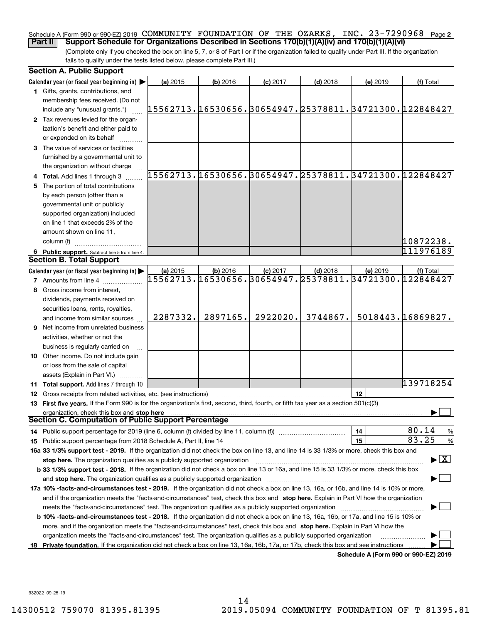#### Schedule A (Form 990 or 990-EZ) 2019 **COMMUNITY FOUNDATION OF THE OZARKS, INC. 23-7290968** Page **2 Part II Support Schedule for Organizations Described in Sections 170(b)(1)(A)(iv) and 170(b)(1)(A)(vi)**

(Complete only if you checked the box on line 5, 7, or 8 of Part I or if the organization failed to qualify under Part III. If the organization fails to qualify under the tests listed below, please complete Part III.)

|    | <b>Section A. Public Support</b>                                                                                                                                                                                               |                                                        |            |            |            |          |                                          |
|----|--------------------------------------------------------------------------------------------------------------------------------------------------------------------------------------------------------------------------------|--------------------------------------------------------|------------|------------|------------|----------|------------------------------------------|
|    | Calendar year (or fiscal year beginning in) $\blacktriangleright$                                                                                                                                                              | (a) 2015                                               | $(b)$ 2016 | $(c)$ 2017 | $(d)$ 2018 | (e) 2019 | (f) Total                                |
|    | <b>1</b> Gifts, grants, contributions, and                                                                                                                                                                                     |                                                        |            |            |            |          |                                          |
|    | membership fees received. (Do not                                                                                                                                                                                              |                                                        |            |            |            |          |                                          |
|    | include any "unusual grants.")                                                                                                                                                                                                 | 15562713.16530656.30654947.25378811.34721300.122848427 |            |            |            |          |                                          |
|    | 2 Tax revenues levied for the organ-                                                                                                                                                                                           |                                                        |            |            |            |          |                                          |
|    | ization's benefit and either paid to                                                                                                                                                                                           |                                                        |            |            |            |          |                                          |
|    | or expended on its behalf                                                                                                                                                                                                      |                                                        |            |            |            |          |                                          |
|    | 3 The value of services or facilities                                                                                                                                                                                          |                                                        |            |            |            |          |                                          |
|    | furnished by a governmental unit to                                                                                                                                                                                            |                                                        |            |            |            |          |                                          |
|    | the organization without charge                                                                                                                                                                                                |                                                        |            |            |            |          |                                          |
|    | 4 Total. Add lines 1 through 3                                                                                                                                                                                                 | 15562713.16530656.30654947.25378811.34721300.122848427 |            |            |            |          |                                          |
|    | 5 The portion of total contributions                                                                                                                                                                                           |                                                        |            |            |            |          |                                          |
|    | by each person (other than a                                                                                                                                                                                                   |                                                        |            |            |            |          |                                          |
|    | governmental unit or publicly                                                                                                                                                                                                  |                                                        |            |            |            |          |                                          |
|    | supported organization) included                                                                                                                                                                                               |                                                        |            |            |            |          |                                          |
|    | on line 1 that exceeds 2% of the                                                                                                                                                                                               |                                                        |            |            |            |          |                                          |
|    | amount shown on line 11,                                                                                                                                                                                                       |                                                        |            |            |            |          |                                          |
|    | column (f)                                                                                                                                                                                                                     |                                                        |            |            |            |          | 10872238.                                |
|    | 6 Public support. Subtract line 5 from line 4.                                                                                                                                                                                 |                                                        |            |            |            |          | 111976189                                |
|    | <b>Section B. Total Support</b>                                                                                                                                                                                                |                                                        |            |            |            |          |                                          |
|    | Calendar year (or fiscal year beginning in)                                                                                                                                                                                    | (a) 2015                                               | $(b)$ 2016 | $(c)$ 2017 | $(d)$ 2018 | (e) 2019 | (f) Total                                |
|    | <b>7</b> Amounts from line 4                                                                                                                                                                                                   | 15562713.16530656.30654947.25378811.34721300.122848427 |            |            |            |          |                                          |
|    | 8 Gross income from interest,                                                                                                                                                                                                  |                                                        |            |            |            |          |                                          |
|    | dividends, payments received on                                                                                                                                                                                                |                                                        |            |            |            |          |                                          |
|    | securities loans, rents, royalties,                                                                                                                                                                                            |                                                        |            |            |            |          |                                          |
|    | and income from similar sources                                                                                                                                                                                                | 2287332.                                               | 2897165.   | 2922020.   | 3744867.   |          | 5018443.16869827.                        |
|    | <b>9</b> Net income from unrelated business                                                                                                                                                                                    |                                                        |            |            |            |          |                                          |
|    | activities, whether or not the                                                                                                                                                                                                 |                                                        |            |            |            |          |                                          |
|    | business is regularly carried on                                                                                                                                                                                               |                                                        |            |            |            |          |                                          |
|    | <b>10</b> Other income. Do not include gain                                                                                                                                                                                    |                                                        |            |            |            |          |                                          |
|    | or loss from the sale of capital                                                                                                                                                                                               |                                                        |            |            |            |          |                                          |
|    | assets (Explain in Part VI.)                                                                                                                                                                                                   |                                                        |            |            |            |          |                                          |
|    | 11 Total support. Add lines 7 through 10                                                                                                                                                                                       |                                                        |            |            |            |          | 139718254                                |
|    | 12 Gross receipts from related activities, etc. (see instructions)                                                                                                                                                             |                                                        |            |            |            | 12       |                                          |
|    | 13 First five years. If the Form 990 is for the organization's first, second, third, fourth, or fifth tax year as a section 501(c)(3)                                                                                          |                                                        |            |            |            |          |                                          |
|    | organization, check this box and stop here<br>Section C. Computation of Public Support Percentage                                                                                                                              |                                                        |            |            |            |          |                                          |
|    |                                                                                                                                                                                                                                |                                                        |            |            |            |          |                                          |
|    |                                                                                                                                                                                                                                |                                                        |            |            |            | 14       | 80.14<br>%<br>83.25                      |
|    | 15 Public support percentage from 2018 Schedule A, Part II, line 14 [11] [11] manument continuum manument of Public support percentage from 2018 Schedule A, Part II, line 14 [11] manument continuum manument of Public suppo |                                                        |            |            |            | 15       | $\%$                                     |
|    | 16a 33 1/3% support test - 2019. If the organization did not check the box on line 13, and line 14 is 33 1/3% or more, check this box and                                                                                      |                                                        |            |            |            |          | $\blacktriangleright$ $\boxed{\text{X}}$ |
|    | stop here. The organization qualifies as a publicly supported organization                                                                                                                                                     |                                                        |            |            |            |          |                                          |
|    | b 33 1/3% support test - 2018. If the organization did not check a box on line 13 or 16a, and line 15 is 33 1/3% or more, check this box                                                                                       |                                                        |            |            |            |          |                                          |
|    | and stop here. The organization qualifies as a publicly supported organization                                                                                                                                                 |                                                        |            |            |            |          |                                          |
|    | 17a 10% -facts-and-circumstances test - 2019. If the organization did not check a box on line 13, 16a, or 16b, and line 14 is 10% or more,                                                                                     |                                                        |            |            |            |          |                                          |
|    | and if the organization meets the "facts-and-circumstances" test, check this box and stop here. Explain in Part VI how the organization                                                                                        |                                                        |            |            |            |          |                                          |
|    | meets the "facts-and-circumstances" test. The organization qualifies as a publicly supported organization                                                                                                                      |                                                        |            |            |            |          |                                          |
|    | <b>b 10% -facts-and-circumstances test - 2018.</b> If the organization did not check a box on line 13, 16a, 16b, or 17a, and line 15 is 10% or                                                                                 |                                                        |            |            |            |          |                                          |
|    | more, and if the organization meets the "facts-and-circumstances" test, check this box and stop here. Explain in Part VI how the                                                                                               |                                                        |            |            |            |          |                                          |
|    | organization meets the "facts-and-circumstances" test. The organization qualifies as a publicly supported organization                                                                                                         |                                                        |            |            |            |          |                                          |
| 18 | Private foundation. If the organization did not check a box on line 13, 16a, 16b, 17a, or 17b, check this box and see instructions                                                                                             |                                                        |            |            |            |          | Schedule A (Form 990 or 990-EZ) 2019     |

**Schedule A (Form 990 or 990-EZ) 2019**

932022 09-25-19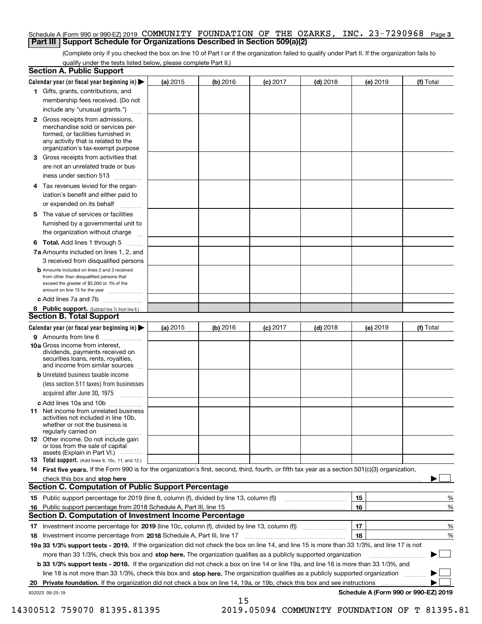#### Schedule A (Form 990 or 990-EZ) 2019 **COMMUNITY FOUNDATION OF THE OZARKS, INC. 23-7290968** Page **3 Part III Support Schedule for Organizations Described in Section 509(a)(2)**

(Complete only if you checked the box on line 10 of Part I or if the organization failed to qualify under Part II. If the organization fails to qualify under the tests listed below, please complete Part II.)

|    | <b>Section A. Public Support</b>                                                                                                                                                                                               |          |            |            |            |          |                                      |
|----|--------------------------------------------------------------------------------------------------------------------------------------------------------------------------------------------------------------------------------|----------|------------|------------|------------|----------|--------------------------------------|
|    | Calendar year (or fiscal year beginning in) $\blacktriangleright$                                                                                                                                                              | (a) 2015 | $(b)$ 2016 | $(c)$ 2017 | $(d)$ 2018 | (e) 2019 | (f) Total                            |
|    | 1 Gifts, grants, contributions, and                                                                                                                                                                                            |          |            |            |            |          |                                      |
|    | membership fees received. (Do not                                                                                                                                                                                              |          |            |            |            |          |                                      |
|    | include any "unusual grants.")                                                                                                                                                                                                 |          |            |            |            |          |                                      |
|    | 2 Gross receipts from admissions,<br>merchandise sold or services per-<br>formed, or facilities furnished in<br>any activity that is related to the<br>organization's tax-exempt purpose                                       |          |            |            |            |          |                                      |
|    | 3 Gross receipts from activities that<br>are not an unrelated trade or bus-                                                                                                                                                    |          |            |            |            |          |                                      |
|    | iness under section 513                                                                                                                                                                                                        |          |            |            |            |          |                                      |
|    | 4 Tax revenues levied for the organ-                                                                                                                                                                                           |          |            |            |            |          |                                      |
|    | ization's benefit and either paid to<br>or expended on its behalf<br>.                                                                                                                                                         |          |            |            |            |          |                                      |
|    | 5 The value of services or facilities                                                                                                                                                                                          |          |            |            |            |          |                                      |
|    | furnished by a governmental unit to                                                                                                                                                                                            |          |            |            |            |          |                                      |
|    | the organization without charge                                                                                                                                                                                                |          |            |            |            |          |                                      |
|    | <b>6 Total.</b> Add lines 1 through 5                                                                                                                                                                                          |          |            |            |            |          |                                      |
|    | 7a Amounts included on lines 1, 2, and                                                                                                                                                                                         |          |            |            |            |          |                                      |
|    | 3 received from disqualified persons<br><b>b</b> Amounts included on lines 2 and 3 received                                                                                                                                    |          |            |            |            |          |                                      |
|    | from other than disqualified persons that<br>exceed the greater of \$5,000 or 1% of the<br>amount on line 13 for the year                                                                                                      |          |            |            |            |          |                                      |
|    | c Add lines 7a and 7b                                                                                                                                                                                                          |          |            |            |            |          |                                      |
|    | 8 Public support. (Subtract line 7c from line 6.)<br><b>Section B. Total Support</b>                                                                                                                                           |          |            |            |            |          |                                      |
|    | Calendar year (or fiscal year beginning in) $\blacktriangleright$                                                                                                                                                              | (a) 2015 | (b) 2016   | $(c)$ 2017 | $(d)$ 2018 | (e) 2019 | (f) Total                            |
|    | 9 Amounts from line 6                                                                                                                                                                                                          |          |            |            |            |          |                                      |
|    | 10a Gross income from interest,<br>dividends, payments received on<br>securities loans, rents, royalties,<br>and income from similar sources                                                                                   |          |            |            |            |          |                                      |
|    | <b>b</b> Unrelated business taxable income<br>(less section 511 taxes) from businesses                                                                                                                                         |          |            |            |            |          |                                      |
|    | acquired after June 30, 1975                                                                                                                                                                                                   |          |            |            |            |          |                                      |
|    | c Add lines 10a and 10b<br>11 Net income from unrelated business<br>activities not included in line 10b,<br>whether or not the business is<br>regularly carried on                                                             |          |            |            |            |          |                                      |
|    | 12 Other income. Do not include gain<br>or loss from the sale of capital<br>assets (Explain in Part VI.)                                                                                                                       |          |            |            |            |          |                                      |
|    | <b>13</b> Total support. (Add lines 9, 10c, 11, and 12.)                                                                                                                                                                       |          |            |            |            |          |                                      |
|    | 14 First five years. If the Form 990 is for the organization's first, second, third, fourth, or fifth tax year as a section 501(c)(3) organization,                                                                            |          |            |            |            |          |                                      |
|    | check this box and stop here measurements are all the state of the state of the state of the state of the state of the state of the state of the state of the state of the state of the state of the state of the state of the |          |            |            |            |          |                                      |
|    | Section C. Computation of Public Support Percentage                                                                                                                                                                            |          |            |            |            |          |                                      |
|    | 15 Public support percentage for 2019 (line 8, column (f), divided by line 13, column (f))                                                                                                                                     |          |            |            |            | 15       | %                                    |
|    | 16 Public support percentage from 2018 Schedule A, Part III, line 15                                                                                                                                                           |          |            |            |            | 16       | %                                    |
|    | <b>Section D. Computation of Investment Income Percentage</b>                                                                                                                                                                  |          |            |            |            |          |                                      |
|    | 17 Investment income percentage for 2019 (line 10c, column (f), divided by line 13, column (f))<br><b>18</b> Investment income percentage from <b>2018</b> Schedule A, Part III, line 17                                       |          |            |            |            | 17<br>18 | %<br>%                               |
|    | 19a 33 1/3% support tests - 2019. If the organization did not check the box on line 14, and line 15 is more than 33 1/3%, and line 17 is not                                                                                   |          |            |            |            |          |                                      |
|    | more than 33 1/3%, check this box and stop here. The organization qualifies as a publicly supported organization                                                                                                               |          |            |            |            |          | ▶                                    |
|    | b 33 1/3% support tests - 2018. If the organization did not check a box on line 14 or line 19a, and line 16 is more than 33 1/3%, and                                                                                          |          |            |            |            |          |                                      |
|    | line 18 is not more than 33 1/3%, check this box and stop here. The organization qualifies as a publicly supported organization                                                                                                |          |            |            |            |          |                                      |
| 20 | <b>Private foundation.</b> If the organization did not check a box on line 14, 19a, or 19b, check this box and see instructions                                                                                                |          |            |            |            |          |                                      |
|    | 932023 09-25-19                                                                                                                                                                                                                |          |            |            |            |          | Schedule A (Form 990 or 990-EZ) 2019 |
|    |                                                                                                                                                                                                                                |          | 15         |            |            |          |                                      |

 <sup>14300512 759070 81395.81395 2019.05094</sup> COMMUNITY FOUNDATION OF T 81395.81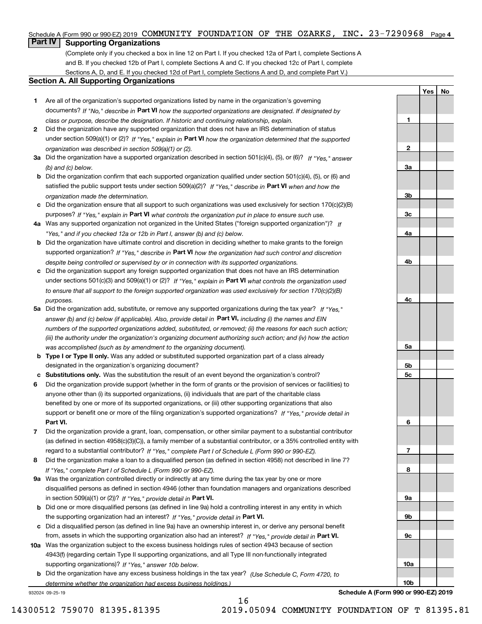#### Schedule A (Form 990 or 990-EZ) 2019  $\,$  **COMMUNITY**  $\,$  **FOUNDATION OF THE OZARKS,**  $\,$  **INC**  $\,$  **23-7290968**  $\,$  **Page 4**  $\,$

## **Part IV Supporting Organizations**

(Complete only if you checked a box in line 12 on Part I. If you checked 12a of Part I, complete Sections A and B. If you checked 12b of Part I, complete Sections A and C. If you checked 12c of Part I, complete Sections A, D, and E. If you checked 12d of Part I, complete Sections A and D, and complete Part V.)

#### **Section A. All Supporting Organizations**

- **1** Are all of the organization's supported organizations listed by name in the organization's governing documents? If "No," describe in **Part VI** how the supported organizations are designated. If designated by *class or purpose, describe the designation. If historic and continuing relationship, explain.*
- **2** Did the organization have any supported organization that does not have an IRS determination of status under section 509(a)(1) or (2)? If "Yes," explain in Part VI how the organization determined that the supported *organization was described in section 509(a)(1) or (2).*
- **3a** Did the organization have a supported organization described in section 501(c)(4), (5), or (6)? If "Yes," answer *(b) and (c) below.*
- **b** Did the organization confirm that each supported organization qualified under section 501(c)(4), (5), or (6) and satisfied the public support tests under section 509(a)(2)? If "Yes," describe in **Part VI** when and how the *organization made the determination.*
- **c**Did the organization ensure that all support to such organizations was used exclusively for section 170(c)(2)(B) purposes? If "Yes," explain in **Part VI** what controls the organization put in place to ensure such use.
- **4a***If* Was any supported organization not organized in the United States ("foreign supported organization")? *"Yes," and if you checked 12a or 12b in Part I, answer (b) and (c) below.*
- **b** Did the organization have ultimate control and discretion in deciding whether to make grants to the foreign supported organization? If "Yes," describe in **Part VI** how the organization had such control and discretion *despite being controlled or supervised by or in connection with its supported organizations.*
- **c** Did the organization support any foreign supported organization that does not have an IRS determination under sections 501(c)(3) and 509(a)(1) or (2)? If "Yes," explain in **Part VI** what controls the organization used *to ensure that all support to the foreign supported organization was used exclusively for section 170(c)(2)(B) purposes.*
- **5a** Did the organization add, substitute, or remove any supported organizations during the tax year? If "Yes," answer (b) and (c) below (if applicable). Also, provide detail in **Part VI,** including (i) the names and EIN *numbers of the supported organizations added, substituted, or removed; (ii) the reasons for each such action; (iii) the authority under the organization's organizing document authorizing such action; and (iv) how the action was accomplished (such as by amendment to the organizing document).*
- **b** Type I or Type II only. Was any added or substituted supported organization part of a class already designated in the organization's organizing document?
- **cSubstitutions only.**  Was the substitution the result of an event beyond the organization's control?
- **6** Did the organization provide support (whether in the form of grants or the provision of services or facilities) to **Part VI.** *If "Yes," provide detail in* support or benefit one or more of the filing organization's supported organizations? anyone other than (i) its supported organizations, (ii) individuals that are part of the charitable class benefited by one or more of its supported organizations, or (iii) other supporting organizations that also
- **7**Did the organization provide a grant, loan, compensation, or other similar payment to a substantial contributor *If "Yes," complete Part I of Schedule L (Form 990 or 990-EZ).* regard to a substantial contributor? (as defined in section 4958(c)(3)(C)), a family member of a substantial contributor, or a 35% controlled entity with
- **8** Did the organization make a loan to a disqualified person (as defined in section 4958) not described in line 7? *If "Yes," complete Part I of Schedule L (Form 990 or 990-EZ).*
- **9a** Was the organization controlled directly or indirectly at any time during the tax year by one or more in section 509(a)(1) or (2))? If "Yes," *provide detail in* <code>Part VI.</code> disqualified persons as defined in section 4946 (other than foundation managers and organizations described
- **b** Did one or more disqualified persons (as defined in line 9a) hold a controlling interest in any entity in which the supporting organization had an interest? If "Yes," provide detail in P**art VI**.
- **c**Did a disqualified person (as defined in line 9a) have an ownership interest in, or derive any personal benefit from, assets in which the supporting organization also had an interest? If "Yes," provide detail in P**art VI.**
- **10a** Was the organization subject to the excess business holdings rules of section 4943 because of section supporting organizations)? If "Yes," answer 10b below. 4943(f) (regarding certain Type II supporting organizations, and all Type III non-functionally integrated
- **b** Did the organization have any excess business holdings in the tax year? (Use Schedule C, Form 4720, to *determine whether the organization had excess business holdings.)*

16

932024 09-25-19

**Schedule A (Form 990 or 990-EZ) 2019**

**YesNo**

**1**

**2**

**3a**

**3b**

**3c**

**4a**

**4b**

**4c**

**5a**

**5b5c**

**6**

**7**

**8**

**9a**

**9b**

**9c**

**10a**

**10b**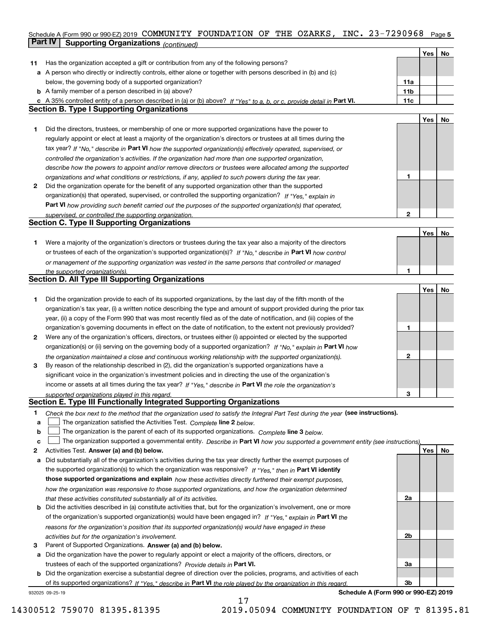#### **5** Schedule A (Form 990 or 990-EZ) 2019 Page COMMUNITY FOUNDATION OF THE OZARKS, INC. 23-7290968 **Part IV Supporting Organizations** *(continued)*

|    |                                                                                                                                                                       |                 | Yes        | No |
|----|-----------------------------------------------------------------------------------------------------------------------------------------------------------------------|-----------------|------------|----|
| 11 | Has the organization accepted a gift or contribution from any of the following persons?                                                                               |                 |            |    |
|    | a A person who directly or indirectly controls, either alone or together with persons described in (b) and (c)                                                        |                 |            |    |
|    | below, the governing body of a supported organization?                                                                                                                | 11a             |            |    |
|    | <b>b</b> A family member of a person described in (a) above?                                                                                                          | 11 <sub>b</sub> |            |    |
|    | c A 35% controlled entity of a person described in (a) or (b) above? If "Yes" to a, b, or c, provide detail in Part VI.                                               | 11c             |            |    |
|    | <b>Section B. Type I Supporting Organizations</b>                                                                                                                     |                 |            |    |
|    |                                                                                                                                                                       |                 | Yes        | No |
| 1  | Did the directors, trustees, or membership of one or more supported organizations have the power to                                                                   |                 |            |    |
|    | regularly appoint or elect at least a majority of the organization's directors or trustees at all times during the                                                    |                 |            |    |
|    | tax year? If "No," describe in Part VI how the supported organization(s) effectively operated, supervised, or                                                         |                 |            |    |
|    | controlled the organization's activities. If the organization had more than one supported organization,                                                               |                 |            |    |
|    | describe how the powers to appoint and/or remove directors or trustees were allocated among the supported                                                             |                 |            |    |
|    | organizations and what conditions or restrictions, if any, applied to such powers during the tax year.                                                                | 1               |            |    |
| 2  | Did the organization operate for the benefit of any supported organization other than the supported                                                                   |                 |            |    |
|    | organization(s) that operated, supervised, or controlled the supporting organization? If "Yes," explain in                                                            |                 |            |    |
|    |                                                                                                                                                                       |                 |            |    |
|    | Part VI how providing such benefit carried out the purposes of the supported organization(s) that operated,<br>supervised, or controlled the supporting organization. | $\mathbf{2}$    |            |    |
|    | <b>Section C. Type II Supporting Organizations</b>                                                                                                                    |                 |            |    |
|    |                                                                                                                                                                       |                 | Yes        | No |
| 1. | Were a majority of the organization's directors or trustees during the tax year also a majority of the directors                                                      |                 |            |    |
|    | or trustees of each of the organization's supported organization(s)? If "No," describe in Part VI how control                                                         |                 |            |    |
|    | or management of the supporting organization was vested in the same persons that controlled or managed                                                                |                 |            |    |
|    | the supported organization(s).                                                                                                                                        | 1               |            |    |
|    | <b>Section D. All Type III Supporting Organizations</b>                                                                                                               |                 |            |    |
|    |                                                                                                                                                                       |                 | Yes        | No |
| 1  | Did the organization provide to each of its supported organizations, by the last day of the fifth month of the                                                        |                 |            |    |
|    | organization's tax year, (i) a written notice describing the type and amount of support provided during the prior tax                                                 |                 |            |    |
|    | year, (ii) a copy of the Form 990 that was most recently filed as of the date of notification, and (iii) copies of the                                                |                 |            |    |
|    | organization's governing documents in effect on the date of notification, to the extent not previously provided?                                                      | 1               |            |    |
| 2  | Were any of the organization's officers, directors, or trustees either (i) appointed or elected by the supported                                                      |                 |            |    |
|    | organization(s) or (ii) serving on the governing body of a supported organization? If "No," explain in Part VI how                                                    |                 |            |    |
|    | the organization maintained a close and continuous working relationship with the supported organization(s).                                                           | $\mathbf{2}$    |            |    |
| 3  | By reason of the relationship described in (2), did the organization's supported organizations have a                                                                 |                 |            |    |
|    | significant voice in the organization's investment policies and in directing the use of the organization's                                                            |                 |            |    |
|    | income or assets at all times during the tax year? If "Yes," describe in Part VI the role the organization's                                                          |                 |            |    |
|    | supported organizations played in this regard.                                                                                                                        | 3               |            |    |
|    | Section E. Type III Functionally Integrated Supporting Organizations                                                                                                  |                 |            |    |
| 1  | Check the box next to the method that the organization used to satisfy the Integral Part Test during the year (see instructions).                                     |                 |            |    |
| а  | The organization satisfied the Activities Test. Complete line 2 below.                                                                                                |                 |            |    |
| b  | The organization is the parent of each of its supported organizations. Complete line 3 below.                                                                         |                 |            |    |
| с  | The organization supported a governmental entity. Describe in Part VI how you supported a government entity (see instructions),                                       |                 |            |    |
| 2  | Activities Test. Answer (a) and (b) below.                                                                                                                            |                 | <b>Yes</b> | No |
| а  | Did substantially all of the organization's activities during the tax year directly further the exempt purposes of                                                    |                 |            |    |
|    | the supported organization(s) to which the organization was responsive? If "Yes," then in Part VI identify                                                            |                 |            |    |
|    | those supported organizations and explain how these activities directly furthered their exempt purposes,                                                              |                 |            |    |
|    | how the organization was responsive to those supported organizations, and how the organization determined                                                             |                 |            |    |
|    | that these activities constituted substantially all of its activities.                                                                                                | 2a              |            |    |
|    | <b>b</b> Did the activities described in (a) constitute activities that, but for the organization's involvement, one or more                                          |                 |            |    |
|    | of the organization's supported organization(s) would have been engaged in? If "Yes," explain in Part VI the                                                          |                 |            |    |
|    | reasons for the organization's position that its supported organization(s) would have engaged in these                                                                |                 |            |    |
|    | activities but for the organization's involvement.                                                                                                                    | 2b              |            |    |
| 3  | Parent of Supported Organizations. Answer (a) and (b) below.                                                                                                          |                 |            |    |
|    | a Did the organization have the power to regularly appoint or elect a majority of the officers, directors, or                                                         |                 |            |    |
|    | trustees of each of the supported organizations? Provide details in Part VI.                                                                                          | За              |            |    |
|    | <b>b</b> Did the organization exercise a substantial degree of direction over the policies, programs, and activities of each                                          |                 |            |    |
|    | of its supported organizations? If "Yes." describe in Part VI the role played by the organization in this regard.                                                     | 3b              |            |    |
|    | Schedule A (Form 990 or 990-EZ) 2019<br>932025 09-25-19                                                                                                               |                 |            |    |

17

**Schedule A (Form 990 or 990-EZ) 2019**

14300512 759070 81395.81395 2019.05094 COMMUNITY FOUNDATION OF T 81395.81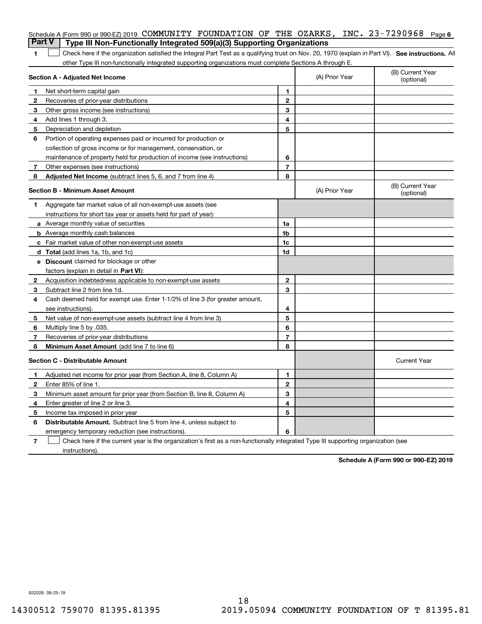|                | Schedule A (Form 990 or 990-EZ) 2019 COMMUNITY FOUNDATION OF THE OZARKS, INC. $23-7290968$<br><b>Part V</b><br>Type III Non-Functionally Integrated 509(a)(3) Supporting Organizations |                |                | Page 6                         |
|----------------|----------------------------------------------------------------------------------------------------------------------------------------------------------------------------------------|----------------|----------------|--------------------------------|
| 1              | Check here if the organization satisfied the Integral Part Test as a qualifying trust on Nov. 20, 1970 (explain in Part VI). See instructions. All                                     |                |                |                                |
|                | other Type III non-functionally integrated supporting organizations must complete Sections A through E.                                                                                |                |                |                                |
|                | Section A - Adjusted Net Income                                                                                                                                                        |                | (A) Prior Year | (B) Current Year<br>(optional) |
| 1              | Net short-term capital gain                                                                                                                                                            | 1.             |                |                                |
| $\overline{2}$ | Recoveries of prior-year distributions                                                                                                                                                 | $\mathbf{2}$   |                |                                |
| З              | Other gross income (see instructions)                                                                                                                                                  | 3              |                |                                |
| 4              | Add lines 1 through 3.                                                                                                                                                                 | 4              |                |                                |
| 5              | Depreciation and depletion                                                                                                                                                             | 5              |                |                                |
| 6              | Portion of operating expenses paid or incurred for production or                                                                                                                       |                |                |                                |
|                | collection of gross income or for management, conservation, or                                                                                                                         |                |                |                                |
|                | maintenance of property held for production of income (see instructions)                                                                                                               | 6              |                |                                |
| 7              | Other expenses (see instructions)                                                                                                                                                      | $\overline{7}$ |                |                                |
| 8              | Adjusted Net Income (subtract lines 5, 6, and 7 from line 4)                                                                                                                           | 8              |                |                                |
|                | Section B - Minimum Asset Amount                                                                                                                                                       |                | (A) Prior Year | (B) Current Year<br>(optional) |
| 1              | Aggregate fair market value of all non-exempt-use assets (see                                                                                                                          |                |                |                                |
|                | instructions for short tax year or assets held for part of year):                                                                                                                      |                |                |                                |
|                | <b>a</b> Average monthly value of securities                                                                                                                                           | 1a             |                |                                |
|                | <b>b</b> Average monthly cash balances                                                                                                                                                 | 1b             |                |                                |
|                | c Fair market value of other non-exempt-use assets                                                                                                                                     | 1c             |                |                                |
|                | d Total (add lines 1a, 1b, and 1c)                                                                                                                                                     | 1d             |                |                                |
|                | <b>e</b> Discount claimed for blockage or other                                                                                                                                        |                |                |                                |
|                | factors (explain in detail in Part VI):                                                                                                                                                |                |                |                                |
| 2              | Acquisition indebtedness applicable to non-exempt-use assets                                                                                                                           | $\mathbf{2}$   |                |                                |
| 3              | Subtract line 2 from line 1d.                                                                                                                                                          | 3              |                |                                |
| 4              | Cash deemed held for exempt use. Enter 1-1/2% of line 3 (for greater amount,                                                                                                           |                |                |                                |
|                | see instructions).                                                                                                                                                                     | 4              |                |                                |
| 5              | Net value of non-exempt-use assets (subtract line 4 from line 3)                                                                                                                       | 5              |                |                                |
| 6              | Multiply line 5 by .035.                                                                                                                                                               | 6              |                |                                |
| 7              | Recoveries of prior-year distributions                                                                                                                                                 | $\overline{7}$ |                |                                |
| 8              | Minimum Asset Amount (add line 7 to line 6)                                                                                                                                            | 8              |                |                                |
|                | <b>Section C - Distributable Amount</b>                                                                                                                                                |                |                | <b>Current Year</b>            |
|                | Adjusted net income for prior year (from Section A, line 8, Column A)                                                                                                                  | 1              |                |                                |
|                | Enter 85% of line 1.                                                                                                                                                                   | 2              |                |                                |
| З              | Minimum asset amount for prior year (from Section B, line 8, Column A)                                                                                                                 | 3              |                |                                |
| 4              | Enter greater of line 2 or line 3.                                                                                                                                                     | 4              |                |                                |
| 5              | Income tax imposed in prior year                                                                                                                                                       | 5              |                |                                |
| 6              | <b>Distributable Amount.</b> Subtract line 5 from line 4, unless subject to                                                                                                            |                |                |                                |
|                | emergency temporary reduction (see instructions).                                                                                                                                      | 6              |                |                                |
| 7              | Check here if the current year is the organization's first as a non-functionally integrated Type III supporting organization (see                                                      |                |                |                                |

instructions).

**Schedule A (Form 990 or 990-EZ) 2019**

932026 09-25-19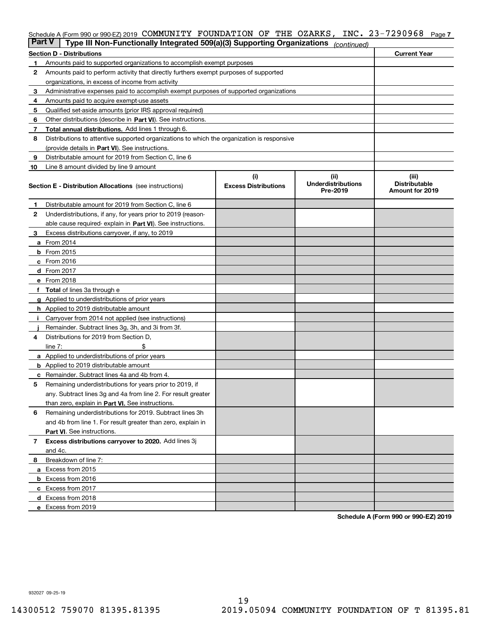## Schedule A (Form 990 or 990-EZ) 2019 **COMMUNITY FOUNDATION OF THE OZARKS, INC. 23-7290968** Page **7**

| <b>Part V</b> | Type III Non-Functionally Integrated 509(a)(3) Supporting Organizations                    |                                    | (continued)                                    |                                                  |
|---------------|--------------------------------------------------------------------------------------------|------------------------------------|------------------------------------------------|--------------------------------------------------|
|               | <b>Section D - Distributions</b>                                                           |                                    |                                                | <b>Current Year</b>                              |
| 1             |                                                                                            |                                    |                                                |                                                  |
| 2             | Amounts paid to perform activity that directly furthers exempt purposes of supported       |                                    |                                                |                                                  |
|               | organizations, in excess of income from activity                                           |                                    |                                                |                                                  |
| 3             | Administrative expenses paid to accomplish exempt purposes of supported organizations      |                                    |                                                |                                                  |
| 4             | Amounts paid to acquire exempt-use assets                                                  |                                    |                                                |                                                  |
| 5             | Qualified set-aside amounts (prior IRS approval required)                                  |                                    |                                                |                                                  |
| 6             | Other distributions (describe in Part VI). See instructions.                               |                                    |                                                |                                                  |
| 7             | <b>Total annual distributions.</b> Add lines 1 through 6.                                  |                                    |                                                |                                                  |
| 8             | Distributions to attentive supported organizations to which the organization is responsive |                                    |                                                |                                                  |
|               | (provide details in Part VI). See instructions.                                            |                                    |                                                |                                                  |
| 9             | Distributable amount for 2019 from Section C, line 6                                       |                                    |                                                |                                                  |
| 10            | Line 8 amount divided by line 9 amount                                                     |                                    |                                                |                                                  |
|               | <b>Section E - Distribution Allocations</b> (see instructions)                             | (i)<br><b>Excess Distributions</b> | (iii)<br><b>Underdistributions</b><br>Pre-2019 | (iii)<br><b>Distributable</b><br>Amount for 2019 |
| 1             | Distributable amount for 2019 from Section C, line 6                                       |                                    |                                                |                                                  |
| 2             | Underdistributions, if any, for years prior to 2019 (reason-                               |                                    |                                                |                                                  |
|               | able cause required- explain in Part VI). See instructions.                                |                                    |                                                |                                                  |
| З             | Excess distributions carryover, if any, to 2019                                            |                                    |                                                |                                                  |
|               | <b>a</b> From 2014                                                                         |                                    |                                                |                                                  |
|               | <b>b</b> From 2015                                                                         |                                    |                                                |                                                  |
|               | $c$ From 2016                                                                              |                                    |                                                |                                                  |
|               | d From 2017                                                                                |                                    |                                                |                                                  |
|               | e From 2018                                                                                |                                    |                                                |                                                  |
|               | Total of lines 3a through e                                                                |                                    |                                                |                                                  |
| g             | Applied to underdistributions of prior years                                               |                                    |                                                |                                                  |
|               | <b>h</b> Applied to 2019 distributable amount                                              |                                    |                                                |                                                  |
|               | Carryover from 2014 not applied (see instructions)                                         |                                    |                                                |                                                  |
|               | Remainder. Subtract lines 3g, 3h, and 3i from 3f.                                          |                                    |                                                |                                                  |
| 4             | Distributions for 2019 from Section D,                                                     |                                    |                                                |                                                  |
|               | line $7:$                                                                                  |                                    |                                                |                                                  |
|               | <b>a</b> Applied to underdistributions of prior years                                      |                                    |                                                |                                                  |
|               | <b>b</b> Applied to 2019 distributable amount                                              |                                    |                                                |                                                  |
|               | c Remainder. Subtract lines 4a and 4b from 4.                                              |                                    |                                                |                                                  |
| 5             | Remaining underdistributions for years prior to 2019, if                                   |                                    |                                                |                                                  |
|               | any. Subtract lines 3g and 4a from line 2. For result greater                              |                                    |                                                |                                                  |
|               | than zero, explain in Part VI. See instructions.                                           |                                    |                                                |                                                  |
| 6             | Remaining underdistributions for 2019. Subtract lines 3h                                   |                                    |                                                |                                                  |
|               | and 4b from line 1. For result greater than zero, explain in                               |                                    |                                                |                                                  |
|               | Part VI. See instructions.                                                                 |                                    |                                                |                                                  |
| 7             | Excess distributions carryover to 2020. Add lines 3j                                       |                                    |                                                |                                                  |
|               | and 4c.                                                                                    |                                    |                                                |                                                  |
| 8             | Breakdown of line 7:                                                                       |                                    |                                                |                                                  |
|               | a Excess from 2015                                                                         |                                    |                                                |                                                  |
|               | <b>b</b> Excess from 2016                                                                  |                                    |                                                |                                                  |
|               | c Excess from 2017                                                                         |                                    |                                                |                                                  |
|               | d Excess from 2018                                                                         |                                    |                                                |                                                  |
|               | e Excess from 2019                                                                         |                                    |                                                |                                                  |

**Schedule A (Form 990 or 990-EZ) 2019**

932027 09-25-19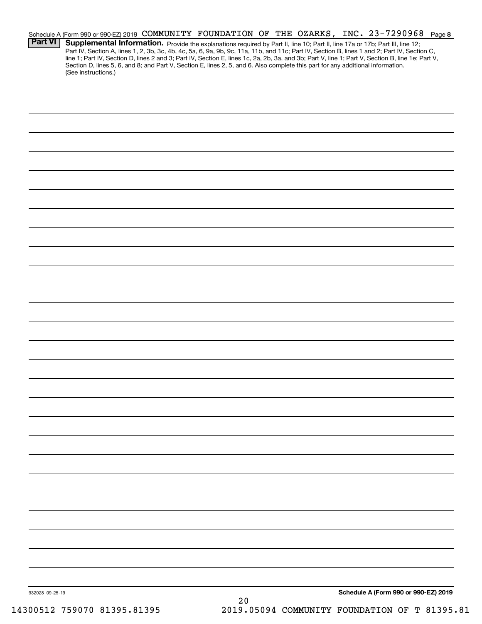| <b>Part VI</b>  | Supplemental Information. Provide the explanations required by Part II, line 10; Part II, line 17a or 17b; Part III, line 12;<br>Part IV, Section A, lines 1, 2, 3b, 3c, 4b, 4c, 5a, 6, 9a, 9b, 9c, 11a, 11b, and 11c; Part IV, Section B, lines 1 and 2; Part IV, Section C,                              |    | Schedule A (Form 990 or 990-EZ) 2019 COMMUNITY FOUNDATION OF THE OZARKS, INC. 23-7290968 Page 8 |
|-----------------|------------------------------------------------------------------------------------------------------------------------------------------------------------------------------------------------------------------------------------------------------------------------------------------------------------|----|-------------------------------------------------------------------------------------------------|
|                 | line 1; Part IV, Section D, lines 2 and 3; Part IV, Section E, lines 1c, 2a, 2b, 3a, and 3b; Part V, line 1; Part V, Section B, line 1e; Part V,<br>Section D, lines 5, 6, and 8; and Part V, Section E, lines 2, 5, and 6. Also complete this part for any additional information.<br>(See instructions.) |    |                                                                                                 |
|                 |                                                                                                                                                                                                                                                                                                            |    |                                                                                                 |
|                 |                                                                                                                                                                                                                                                                                                            |    |                                                                                                 |
|                 |                                                                                                                                                                                                                                                                                                            |    |                                                                                                 |
|                 |                                                                                                                                                                                                                                                                                                            |    |                                                                                                 |
|                 |                                                                                                                                                                                                                                                                                                            |    |                                                                                                 |
|                 |                                                                                                                                                                                                                                                                                                            |    |                                                                                                 |
|                 |                                                                                                                                                                                                                                                                                                            |    |                                                                                                 |
|                 |                                                                                                                                                                                                                                                                                                            |    |                                                                                                 |
|                 |                                                                                                                                                                                                                                                                                                            |    |                                                                                                 |
|                 |                                                                                                                                                                                                                                                                                                            |    |                                                                                                 |
|                 |                                                                                                                                                                                                                                                                                                            |    |                                                                                                 |
|                 |                                                                                                                                                                                                                                                                                                            |    |                                                                                                 |
|                 |                                                                                                                                                                                                                                                                                                            |    |                                                                                                 |
|                 |                                                                                                                                                                                                                                                                                                            |    |                                                                                                 |
|                 |                                                                                                                                                                                                                                                                                                            |    |                                                                                                 |
|                 |                                                                                                                                                                                                                                                                                                            |    |                                                                                                 |
|                 |                                                                                                                                                                                                                                                                                                            |    |                                                                                                 |
|                 |                                                                                                                                                                                                                                                                                                            |    |                                                                                                 |
|                 |                                                                                                                                                                                                                                                                                                            |    |                                                                                                 |
|                 |                                                                                                                                                                                                                                                                                                            |    |                                                                                                 |
|                 |                                                                                                                                                                                                                                                                                                            |    |                                                                                                 |
|                 |                                                                                                                                                                                                                                                                                                            |    |                                                                                                 |
|                 |                                                                                                                                                                                                                                                                                                            |    |                                                                                                 |
|                 |                                                                                                                                                                                                                                                                                                            |    |                                                                                                 |
|                 |                                                                                                                                                                                                                                                                                                            |    |                                                                                                 |
| 932028 09-25-19 |                                                                                                                                                                                                                                                                                                            | 20 | Schedule A (Form 990 or 990-EZ) 2019                                                            |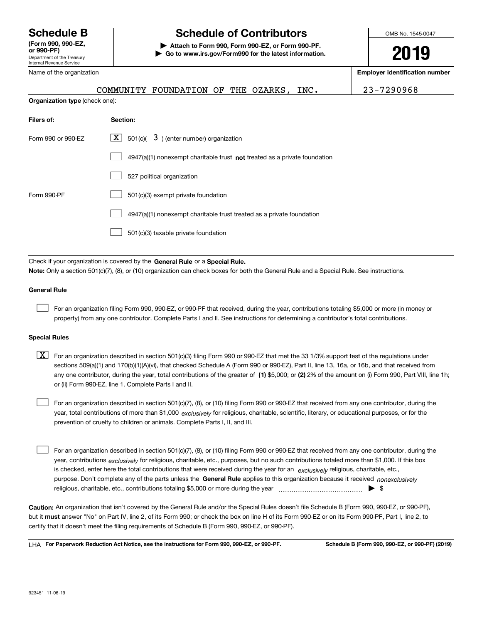Department of the Treasury Internal Revenue Service **(Form 990, 990-EZ, or 990-PF)** Name of the organization

**Organization type** (check one):

# **Schedule B Schedule of Contributors**

**| Attach to Form 990, Form 990-EZ, or Form 990-PF. | Go to www.irs.gov/Form990 for the latest information.** OMB No. 1545-0047

**2019**

**Employer identification number**

|  |  |  | COMMUNITY FOUNDATION OF THE OZARKS, INC. |  |  |  |  |  |
|--|--|--|------------------------------------------|--|--|--|--|--|
|--|--|--|------------------------------------------|--|--|--|--|--|

23-7290968

| Filers of:         | Section:                                                                    |
|--------------------|-----------------------------------------------------------------------------|
| Form 990 or 990-EZ | $X$ 501(c)( 3) (enter number) organization                                  |
|                    | $4947(a)(1)$ nonexempt charitable trust not treated as a private foundation |
|                    | 527 political organization                                                  |
| Form 990-PF        | 501(c)(3) exempt private foundation                                         |
|                    | 4947(a)(1) nonexempt charitable trust treated as a private foundation       |
|                    | 501(c)(3) taxable private foundation                                        |

Check if your organization is covered by the **General Rule** or a **Special Rule. Note:**  Only a section 501(c)(7), (8), or (10) organization can check boxes for both the General Rule and a Special Rule. See instructions.

#### **General Rule**

 $\mathcal{L}^{\text{max}}$ 

For an organization filing Form 990, 990-EZ, or 990-PF that received, during the year, contributions totaling \$5,000 or more (in money or property) from any one contributor. Complete Parts I and II. See instructions for determining a contributor's total contributions.

#### **Special Rules**

any one contributor, during the year, total contributions of the greater of  $\,$  (1) \$5,000; or **(2)** 2% of the amount on (i) Form 990, Part VIII, line 1h;  $\boxed{\textbf{X}}$  For an organization described in section 501(c)(3) filing Form 990 or 990-EZ that met the 33 1/3% support test of the regulations under sections 509(a)(1) and 170(b)(1)(A)(vi), that checked Schedule A (Form 990 or 990-EZ), Part II, line 13, 16a, or 16b, and that received from or (ii) Form 990-EZ, line 1. Complete Parts I and II.

year, total contributions of more than \$1,000 *exclusively* for religious, charitable, scientific, literary, or educational purposes, or for the For an organization described in section 501(c)(7), (8), or (10) filing Form 990 or 990-EZ that received from any one contributor, during the prevention of cruelty to children or animals. Complete Parts I, II, and III.  $\mathcal{L}^{\text{max}}$ 

purpose. Don't complete any of the parts unless the **General Rule** applies to this organization because it received *nonexclusively* year, contributions <sub>exclusively</sub> for religious, charitable, etc., purposes, but no such contributions totaled more than \$1,000. If this box is checked, enter here the total contributions that were received during the year for an  $\;$ exclusively religious, charitable, etc., For an organization described in section 501(c)(7), (8), or (10) filing Form 990 or 990-EZ that received from any one contributor, during the religious, charitable, etc., contributions totaling \$5,000 or more during the year  $\Box$ — $\Box$   $\Box$  $\mathcal{L}^{\text{max}}$ 

**Caution:**  An organization that isn't covered by the General Rule and/or the Special Rules doesn't file Schedule B (Form 990, 990-EZ, or 990-PF),  **must** but it answer "No" on Part IV, line 2, of its Form 990; or check the box on line H of its Form 990-EZ or on its Form 990-PF, Part I, line 2, to certify that it doesn't meet the filing requirements of Schedule B (Form 990, 990-EZ, or 990-PF).

**For Paperwork Reduction Act Notice, see the instructions for Form 990, 990-EZ, or 990-PF. Schedule B (Form 990, 990-EZ, or 990-PF) (2019)** LHA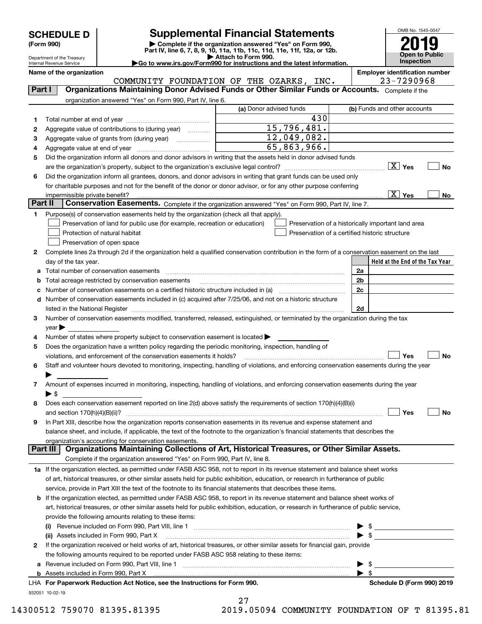|  | <b>SCHEDULE D</b> |  |  |  |
|--|-------------------|--|--|--|
|--|-------------------|--|--|--|

Department of the Treasury

# **Supplemental Financial Statements**

(Form 990)<br>
Pepartment of the Treasury<br>
Department of the Treasury<br>
Department of the Treasury<br>
Department of the Treasury<br> **Co to www.irs.gov/Form990 for instructions and the latest information.**<br> **Co to www.irs.gov/Form9** 



Internal Revenue Service

**Name of the organization Employer identification number**

|          |                                                                                                                                                | COMMUNITY FOUNDATION OF THE OZARKS, INC. | 23-7290968                                                                                                                                                                                                                                                                                                               |  |  |  |  |
|----------|------------------------------------------------------------------------------------------------------------------------------------------------|------------------------------------------|--------------------------------------------------------------------------------------------------------------------------------------------------------------------------------------------------------------------------------------------------------------------------------------------------------------------------|--|--|--|--|
| Part I   | Organizations Maintaining Donor Advised Funds or Other Similar Funds or Accounts. Complete if the                                              |                                          |                                                                                                                                                                                                                                                                                                                          |  |  |  |  |
|          | organization answered "Yes" on Form 990, Part IV, line 6.                                                                                      |                                          |                                                                                                                                                                                                                                                                                                                          |  |  |  |  |
|          |                                                                                                                                                | (a) Donor advised funds                  | (b) Funds and other accounts                                                                                                                                                                                                                                                                                             |  |  |  |  |
| 1        |                                                                                                                                                | 430                                      |                                                                                                                                                                                                                                                                                                                          |  |  |  |  |
| 2        | Aggregate value of contributions to (during year)                                                                                              | 15,796,481.                              |                                                                                                                                                                                                                                                                                                                          |  |  |  |  |
| з        |                                                                                                                                                | 12,049,082.                              |                                                                                                                                                                                                                                                                                                                          |  |  |  |  |
| 4        |                                                                                                                                                | 65,863,966.                              |                                                                                                                                                                                                                                                                                                                          |  |  |  |  |
| 5        | Did the organization inform all donors and donor advisors in writing that the assets held in donor advised funds                               |                                          |                                                                                                                                                                                                                                                                                                                          |  |  |  |  |
|          |                                                                                                                                                |                                          | $X$ Yes<br>No                                                                                                                                                                                                                                                                                                            |  |  |  |  |
| 6        | Did the organization inform all grantees, donors, and donor advisors in writing that grant funds can be used only                              |                                          |                                                                                                                                                                                                                                                                                                                          |  |  |  |  |
|          | for charitable purposes and not for the benefit of the donor or donor advisor, or for any other purpose conferring                             |                                          |                                                                                                                                                                                                                                                                                                                          |  |  |  |  |
|          | impermissible private benefit?                                                                                                                 |                                          | $\boxed{\text{X}}$ Yes<br>No                                                                                                                                                                                                                                                                                             |  |  |  |  |
| Part II  | Conservation Easements. Complete if the organization answered "Yes" on Form 990, Part IV, line 7.                                              |                                          |                                                                                                                                                                                                                                                                                                                          |  |  |  |  |
| 1        | Purpose(s) of conservation easements held by the organization (check all that apply).                                                          |                                          |                                                                                                                                                                                                                                                                                                                          |  |  |  |  |
|          | Preservation of land for public use (for example, recreation or education)                                                                     |                                          | Preservation of a historically important land area                                                                                                                                                                                                                                                                       |  |  |  |  |
|          | Protection of natural habitat                                                                                                                  |                                          | Preservation of a certified historic structure                                                                                                                                                                                                                                                                           |  |  |  |  |
|          | Preservation of open space                                                                                                                     |                                          |                                                                                                                                                                                                                                                                                                                          |  |  |  |  |
| 2        | Complete lines 2a through 2d if the organization held a qualified conservation contribution in the form of a conservation easement on the last |                                          |                                                                                                                                                                                                                                                                                                                          |  |  |  |  |
|          | day of the tax year.                                                                                                                           |                                          | Held at the End of the Tax Year                                                                                                                                                                                                                                                                                          |  |  |  |  |
| а        | Total number of conservation easements                                                                                                         |                                          | 2a                                                                                                                                                                                                                                                                                                                       |  |  |  |  |
| b        | Total acreage restricted by conservation easements                                                                                             |                                          | 2 <sub>b</sub>                                                                                                                                                                                                                                                                                                           |  |  |  |  |
| с        | Number of conservation easements on a certified historic structure included in (a) <i>mummumumumum</i>                                         |                                          | 2c                                                                                                                                                                                                                                                                                                                       |  |  |  |  |
| d        | Number of conservation easements included in (c) acquired after 7/25/06, and not on a historic structure                                       |                                          |                                                                                                                                                                                                                                                                                                                          |  |  |  |  |
|          |                                                                                                                                                |                                          | 2d                                                                                                                                                                                                                                                                                                                       |  |  |  |  |
| з        | Number of conservation easements modified, transferred, released, extinguished, or terminated by the organization during the tax               |                                          |                                                                                                                                                                                                                                                                                                                          |  |  |  |  |
|          | year                                                                                                                                           |                                          |                                                                                                                                                                                                                                                                                                                          |  |  |  |  |
| 4        | Number of states where property subject to conservation easement is located >                                                                  |                                          |                                                                                                                                                                                                                                                                                                                          |  |  |  |  |
| 5        | Does the organization have a written policy regarding the periodic monitoring, inspection, handling of                                         |                                          |                                                                                                                                                                                                                                                                                                                          |  |  |  |  |
|          | violations, and enforcement of the conservation easements it holds?                                                                            |                                          | Yes<br>No                                                                                                                                                                                                                                                                                                                |  |  |  |  |
| 6        | Staff and volunteer hours devoted to monitoring, inspecting, handling of violations, and enforcing conservation easements during the year      |                                          |                                                                                                                                                                                                                                                                                                                          |  |  |  |  |
|          |                                                                                                                                                |                                          |                                                                                                                                                                                                                                                                                                                          |  |  |  |  |
| 7        | Amount of expenses incurred in monitoring, inspecting, handling of violations, and enforcing conservation easements during the year            |                                          |                                                                                                                                                                                                                                                                                                                          |  |  |  |  |
|          | ► \$                                                                                                                                           |                                          |                                                                                                                                                                                                                                                                                                                          |  |  |  |  |
| 8        | Does each conservation easement reported on line 2(d) above satisfy the requirements of section 170(h)(4)(B)(i)                                |                                          |                                                                                                                                                                                                                                                                                                                          |  |  |  |  |
|          | and section $170(h)(4)(B)(ii)?$                                                                                                                |                                          | Yes<br>No                                                                                                                                                                                                                                                                                                                |  |  |  |  |
| 9        | In Part XIII, describe how the organization reports conservation easements in its revenue and expense statement and                            |                                          |                                                                                                                                                                                                                                                                                                                          |  |  |  |  |
|          | balance sheet, and include, if applicable, the text of the footnote to the organization's financial statements that describes the              |                                          |                                                                                                                                                                                                                                                                                                                          |  |  |  |  |
|          | organization's accounting for conservation easements.                                                                                          |                                          |                                                                                                                                                                                                                                                                                                                          |  |  |  |  |
| Part III | Organizations Maintaining Collections of Art, Historical Treasures, or Other Similar Assets.                                                   |                                          |                                                                                                                                                                                                                                                                                                                          |  |  |  |  |
|          | Complete if the organization answered "Yes" on Form 990, Part IV, line 8.                                                                      |                                          |                                                                                                                                                                                                                                                                                                                          |  |  |  |  |
|          | 1a If the organization elected, as permitted under FASB ASC 958, not to report in its revenue statement and balance sheet works                |                                          |                                                                                                                                                                                                                                                                                                                          |  |  |  |  |
|          | of art, historical treasures, or other similar assets held for public exhibition, education, or research in furtherance of public              |                                          |                                                                                                                                                                                                                                                                                                                          |  |  |  |  |
|          | service, provide in Part XIII the text of the footnote to its financial statements that describes these items.                                 |                                          |                                                                                                                                                                                                                                                                                                                          |  |  |  |  |
|          | <b>b</b> If the organization elected, as permitted under FASB ASC 958, to report in its revenue statement and balance sheet works of           |                                          |                                                                                                                                                                                                                                                                                                                          |  |  |  |  |
|          | art, historical treasures, or other similar assets held for public exhibition, education, or research in furtherance of public service,        |                                          |                                                                                                                                                                                                                                                                                                                          |  |  |  |  |
|          | provide the following amounts relating to these items:                                                                                         |                                          |                                                                                                                                                                                                                                                                                                                          |  |  |  |  |
|          | (i)                                                                                                                                            |                                          | $\frac{1}{2}$ $\frac{1}{2}$ $\frac{1}{2}$ $\frac{1}{2}$ $\frac{1}{2}$ $\frac{1}{2}$ $\frac{1}{2}$ $\frac{1}{2}$ $\frac{1}{2}$ $\frac{1}{2}$ $\frac{1}{2}$ $\frac{1}{2}$ $\frac{1}{2}$ $\frac{1}{2}$ $\frac{1}{2}$ $\frac{1}{2}$ $\frac{1}{2}$ $\frac{1}{2}$ $\frac{1}{2}$ $\frac{1}{2}$ $\frac{1}{2}$ $\frac{1}{2}$<br>▶ |  |  |  |  |
|          | (ii) Assets included in Form 990, Part X                                                                                                       |                                          | $\triangleright$ \$                                                                                                                                                                                                                                                                                                      |  |  |  |  |
| 2        | If the organization received or held works of art, historical treasures, or other similar assets for financial gain, provide                   |                                          |                                                                                                                                                                                                                                                                                                                          |  |  |  |  |
|          | the following amounts required to be reported under FASB ASC 958 relating to these items:                                                      |                                          |                                                                                                                                                                                                                                                                                                                          |  |  |  |  |
| а        |                                                                                                                                                |                                          | -\$<br>▶                                                                                                                                                                                                                                                                                                                 |  |  |  |  |
|          |                                                                                                                                                |                                          | $\blacktriangleright$ s                                                                                                                                                                                                                                                                                                  |  |  |  |  |
|          | LHA For Paperwork Reduction Act Notice, see the Instructions for Form 990.                                                                     |                                          | Schedule D (Form 990) 2019                                                                                                                                                                                                                                                                                               |  |  |  |  |
|          | 932051 10-02-19                                                                                                                                |                                          |                                                                                                                                                                                                                                                                                                                          |  |  |  |  |
|          |                                                                                                                                                |                                          |                                                                                                                                                                                                                                                                                                                          |  |  |  |  |



14300512 759070 81395.81395 2019.05094 COMMUNITY FOUNDATION OF T 81395.81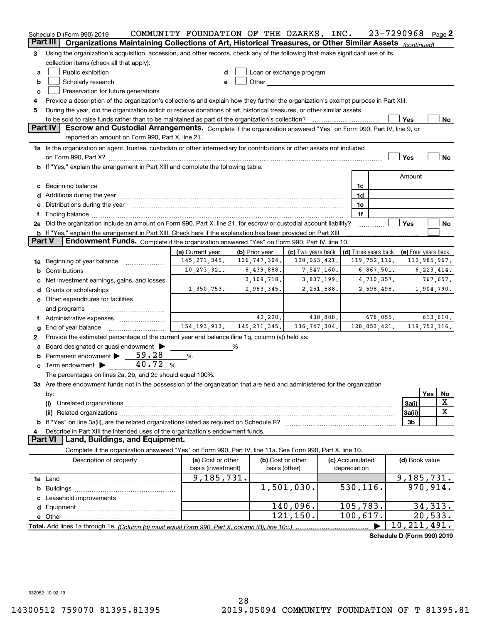|               | Schedule D (Form 990) 2019                                                                                                                                                                                                                                | COMMUNITY FOUNDATION OF THE OZARKS, INC. |                |                          |  |                                        |          | 23-7290968                 |                | Page 2      |
|---------------|-----------------------------------------------------------------------------------------------------------------------------------------------------------------------------------------------------------------------------------------------------------|------------------------------------------|----------------|--------------------------|--|----------------------------------------|----------|----------------------------|----------------|-------------|
|               | Part III<br>Organizations Maintaining Collections of Art, Historical Treasures, or Other Similar Assets (continued)                                                                                                                                       |                                          |                |                          |  |                                        |          |                            |                |             |
| 3             | Using the organization's acquisition, accession, and other records, check any of the following that make significant use of its                                                                                                                           |                                          |                |                          |  |                                        |          |                            |                |             |
|               | collection items (check all that apply):                                                                                                                                                                                                                  |                                          |                |                          |  |                                        |          |                            |                |             |
| a             | Public exhibition                                                                                                                                                                                                                                         | d                                        |                | Loan or exchange program |  |                                        |          |                            |                |             |
| b             | Scholarly research<br>Other and the control of the control of the control of the control of the control of the control of the control of the control of the control of the control of the control of the control of the control of the control of th<br>e |                                          |                |                          |  |                                        |          |                            |                |             |
| c             | Preservation for future generations                                                                                                                                                                                                                       |                                          |                |                          |  |                                        |          |                            |                |             |
| 4             | Provide a description of the organization's collections and explain how they further the organization's exempt purpose in Part XIII.                                                                                                                      |                                          |                |                          |  |                                        |          |                            |                |             |
| 5             | During the year, did the organization solicit or receive donations of art, historical treasures, or other similar assets                                                                                                                                  |                                          |                |                          |  |                                        |          |                            |                |             |
|               |                                                                                                                                                                                                                                                           |                                          |                |                          |  |                                        |          | Yes                        |                | No          |
|               | Part IV<br>Escrow and Custodial Arrangements. Complete if the organization answered "Yes" on Form 990, Part IV, line 9, or                                                                                                                                |                                          |                |                          |  |                                        |          |                            |                |             |
|               | reported an amount on Form 990, Part X, line 21.                                                                                                                                                                                                          |                                          |                |                          |  |                                        |          |                            |                |             |
|               | 1a Is the organization an agent, trustee, custodian or other intermediary for contributions or other assets not included                                                                                                                                  |                                          |                |                          |  |                                        |          |                            |                |             |
|               |                                                                                                                                                                                                                                                           |                                          |                |                          |  |                                        |          | Yes                        |                | No          |
|               | b If "Yes," explain the arrangement in Part XIII and complete the following table:                                                                                                                                                                        |                                          |                |                          |  |                                        |          |                            |                |             |
|               |                                                                                                                                                                                                                                                           |                                          |                |                          |  |                                        |          | Amount                     |                |             |
|               |                                                                                                                                                                                                                                                           |                                          |                |                          |  | 1c                                     |          |                            |                |             |
|               | c Beginning balance measurements and the contract of the contract of the contract of the contract of the contract of the contract of the contract of the contract of the contract of the contract of the contract of the contr                            |                                          |                |                          |  | 1d                                     |          |                            |                |             |
|               |                                                                                                                                                                                                                                                           |                                          |                |                          |  | 1e                                     |          |                            |                |             |
|               | e Distributions during the year manufactured and a control of the year manufactured and the year manufactured and the year manufactured and the year manufactured and the year manufactured and the year manufactured and the                             |                                          |                |                          |  | 1f                                     |          |                            |                |             |
| f             | 2a Did the organization include an amount on Form 990, Part X, line 21, for escrow or custodial account liability?                                                                                                                                        |                                          |                |                          |  |                                        |          | Yes                        |                | No          |
|               |                                                                                                                                                                                                                                                           |                                          |                |                          |  |                                        |          |                            |                |             |
| <b>Part V</b> | <b>b</b> If "Yes," explain the arrangement in Part XIII. Check here if the explanation has been provided on Part XIII<br>Endowment Funds. Complete if the organization answered "Yes" on Form 990, Part IV, line 10.                                      |                                          |                |                          |  |                                        |          |                            |                |             |
|               |                                                                                                                                                                                                                                                           | (a) Current year                         | (b) Prior year | (c) Two years back       |  |                                        |          |                            |                |             |
|               |                                                                                                                                                                                                                                                           | 145, 271, 345.                           | 136, 747, 304. | 128,053,421.             |  | (d) Three years back<br>119, 752, 116. |          | (e) Four years back        | 112,985,967.   |             |
|               | 1a Beginning of year balance                                                                                                                                                                                                                              | 10, 273, 321.                            | 8,439,888.     | 7,547,160.               |  | 6,867,501.                             |          |                            | 6, 223, 414.   |             |
| b             |                                                                                                                                                                                                                                                           |                                          | 3,109,718.     | 3,837,199.               |  |                                        |          |                            | 767,657.       |             |
|               | Net investment earnings, gains, and losses                                                                                                                                                                                                                |                                          | 2,983,345.     |                          |  | 4,710,357.                             |          |                            |                |             |
|               |                                                                                                                                                                                                                                                           | 1,350,753.                               |                | 2,251,588.               |  | 2,598,498.                             |          |                            | 1,904,790.     |             |
|               | e Other expenditures for facilities                                                                                                                                                                                                                       |                                          |                |                          |  |                                        |          |                            |                |             |
|               | and programs                                                                                                                                                                                                                                              |                                          |                |                          |  |                                        |          |                            |                |             |
|               |                                                                                                                                                                                                                                                           |                                          | 42,220.        | 438,888.                 |  |                                        | 678,055. |                            | 613,610.       |             |
| g             | End of year balance                                                                                                                                                                                                                                       | 154, 193, 913.                           | 145, 271, 345. | 136,747,304.             |  | 128,053,421.                           |          |                            | 119, 752, 116. |             |
| 2             | Provide the estimated percentage of the current year end balance (line 1g, column (a)) held as:                                                                                                                                                           |                                          |                |                          |  |                                        |          |                            |                |             |
| а             | Board designated or quasi-endowment                                                                                                                                                                                                                       |                                          | %              |                          |  |                                        |          |                            |                |             |
| b             | 59.28<br>Permanent endowment                                                                                                                                                                                                                              | %                                        |                |                          |  |                                        |          |                            |                |             |
|               | 40.72%<br>$\mathbf c$ Term endowment $\blacktriangleright$                                                                                                                                                                                                |                                          |                |                          |  |                                        |          |                            |                |             |
|               | The percentages on lines 2a, 2b, and 2c should equal 100%.                                                                                                                                                                                                |                                          |                |                          |  |                                        |          |                            |                |             |
|               | 3a Are there endowment funds not in the possession of the organization that are held and administered for the organization                                                                                                                                |                                          |                |                          |  |                                        |          |                            |                |             |
|               | by:                                                                                                                                                                                                                                                       |                                          |                |                          |  |                                        |          |                            | Yes            | No          |
|               | (i)                                                                                                                                                                                                                                                       |                                          |                |                          |  |                                        |          | 3a(i)                      |                | X           |
|               |                                                                                                                                                                                                                                                           |                                          |                |                          |  |                                        |          | 3a(ii)                     |                | $\mathbf X$ |
|               |                                                                                                                                                                                                                                                           |                                          |                |                          |  |                                        |          | 3 <sub>b</sub>             |                |             |
|               | Describe in Part XIII the intended uses of the organization's endowment funds.                                                                                                                                                                            |                                          |                |                          |  |                                        |          |                            |                |             |
|               | Land, Buildings, and Equipment.<br><b>Part VI</b>                                                                                                                                                                                                         |                                          |                |                          |  |                                        |          |                            |                |             |
|               | Complete if the organization answered "Yes" on Form 990, Part IV, line 11a. See Form 990, Part X, line 10.                                                                                                                                                |                                          |                |                          |  |                                        |          |                            |                |             |
|               | Description of property                                                                                                                                                                                                                                   | (a) Cost or other                        |                | (b) Cost or other        |  | (c) Accumulated                        |          | (d) Book value             |                |             |
|               |                                                                                                                                                                                                                                                           | basis (investment)                       |                | basis (other)            |  | depreciation                           |          |                            |                |             |
|               |                                                                                                                                                                                                                                                           | 9,185,731.                               |                |                          |  |                                        |          | 9, 185, 731.               |                |             |
|               |                                                                                                                                                                                                                                                           |                                          |                | 1,501,030.               |  | 530, 116.                              |          |                            | 970,914.       |             |
| c             |                                                                                                                                                                                                                                                           |                                          |                |                          |  |                                        |          |                            |                |             |
|               |                                                                                                                                                                                                                                                           |                                          |                | 140,096.                 |  | 105,783.                               |          |                            | 34,313.        |             |
|               |                                                                                                                                                                                                                                                           |                                          |                | 121, 150.                |  | 100,617.                               |          |                            | 20,533.        |             |
|               |                                                                                                                                                                                                                                                           |                                          |                |                          |  |                                        |          | 10, 211, 491.              |                |             |
|               |                                                                                                                                                                                                                                                           |                                          |                |                          |  |                                        |          | Schedule D (Form 990) 2019 |                |             |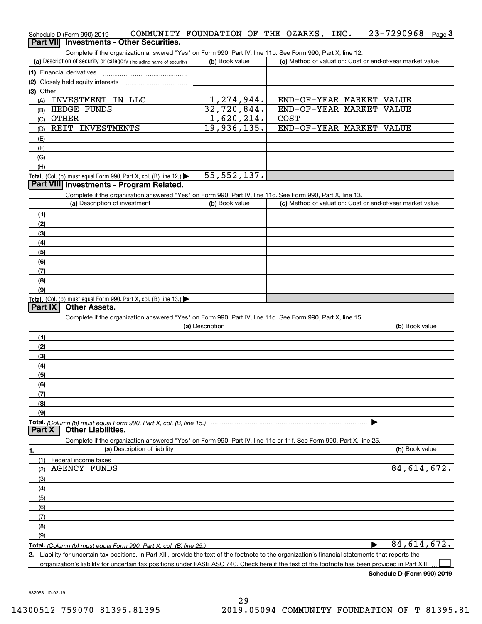| Schedule D (Form 990) 2019 |  |                                                 | COMMUNITY FOUNDATION OF THE OZARKS, INC. |  |  | $23 - 7290968$ Page 3 |  |
|----------------------------|--|-------------------------------------------------|------------------------------------------|--|--|-----------------------|--|
|                            |  | <b>Part VII</b> Investments - Other Securities. |                                          |  |  |                       |  |

Complete if the organization answered "Yes" on Form 990, Part IV, line 11b. See Form 990, Part X, line 12.

| (a) Description of security or category (including name of security) | (b) Book value | (c) Method of valuation: Cost or end-of-year market value |
|----------------------------------------------------------------------|----------------|-----------------------------------------------------------|
| (1) Financial derivatives                                            |                |                                                           |
| (2) Closely held equity interests                                    |                |                                                           |
| $(3)$ Other                                                          |                |                                                           |
| INVESTMENT IN LLC<br>(A)                                             | 1,274,944.     | END-OF-YEAR MARKET VALUE                                  |
| HEDGE FUNDS<br>(B)                                                   | 32,720,844.    | END-OF-YEAR MARKET VALUE                                  |
| <b>OTHER</b><br>(C)                                                  | 1,620,214.     | <b>COST</b>                                               |
| REIT INVESTMENTS<br>(D)                                              | 19,936,135.    | END-OF-YEAR MARKET VALUE                                  |
| (E)                                                                  |                |                                                           |
| (F)                                                                  |                |                                                           |
| (G)                                                                  |                |                                                           |
| (H)                                                                  |                |                                                           |
| Total. (Col. (b) must equal Form 990, Part X, col. (B) line 12.)     | 55, 552, 137.  |                                                           |

#### **Part VIII Investments - Program Related.**

Complete if the organization answered "Yes" on Form 990, Part IV, line 11c. See Form 990, Part X, line 13.

| (a) Description of investment                                       | (b) Book value | (c) Method of valuation: Cost or end-of-year market value |
|---------------------------------------------------------------------|----------------|-----------------------------------------------------------|
| (1)                                                                 |                |                                                           |
| (2)                                                                 |                |                                                           |
| $\frac{1}{2}$                                                       |                |                                                           |
| (4)                                                                 |                |                                                           |
| $\frac{1}{2}$                                                       |                |                                                           |
| (6)                                                                 |                |                                                           |
| (7)                                                                 |                |                                                           |
| (8)                                                                 |                |                                                           |
| (9)                                                                 |                |                                                           |
| Total. (Col. (b) must equal Form 990, Part X, col. (B) line $13.$ ) |                |                                                           |

#### **Part IX Other Assets.**

Complete if the organization answered "Yes" on Form 990, Part IV, line 11d. See Form 990, Part X, line 15.

| (a) Description                                                                                                                                                                                  | (b) Book value |
|--------------------------------------------------------------------------------------------------------------------------------------------------------------------------------------------------|----------------|
| (1)                                                                                                                                                                                              |                |
| (2)                                                                                                                                                                                              |                |
| (3)                                                                                                                                                                                              |                |
| (4)                                                                                                                                                                                              |                |
| $\frac{1}{2}$                                                                                                                                                                                    |                |
| (6)                                                                                                                                                                                              |                |
|                                                                                                                                                                                                  |                |
| (8)                                                                                                                                                                                              |                |
| (9)                                                                                                                                                                                              |                |
| Total. (Column (b) must equal Form 990, Part X, col. (B) line 15.) $\ldots$ $\ldots$ $\ldots$ $\ldots$ $\ldots$ $\ldots$ $\ldots$ $\ldots$ $\ldots$ $\ldots$ $\ldots$ $\ldots$ $\ldots$ $\ldots$ |                |
|                                                                                                                                                                                                  |                |

#### **Part X Other Liabilities.**

Complete if the organization answered "Yes" on Form 990, Part IV, line 11e or 11f. See Form 990, Part X, line 25.

| 1.  | (a) Description of liability | (b) Book value |
|-----|------------------------------|----------------|
|     | (1) Federal income taxes     |                |
| (2) | <b>AGENCY FUNDS</b>          | 84,614,672.    |
| (3) |                              |                |
| (4) |                              |                |
| (5) |                              |                |
| (6) |                              |                |
| (7) |                              |                |
| (8) |                              |                |
| (9) |                              |                |
|     |                              | 84,614,672.    |

*(Column (b) must equal Form 990, Part X, col. (B) line 25.)* 

**2.**Liability for uncertain tax positions. In Part XIII, provide the text of the footnote to the organization's financial statements that reports the organization's liability for uncertain tax positions under FASB ASC 740. Check here if the text of the footnote has been provided in Part XIII  $\mathcal{L}^{\text{max}}$ 

**Schedule D (Form 990) 2019**

932053 10-02-19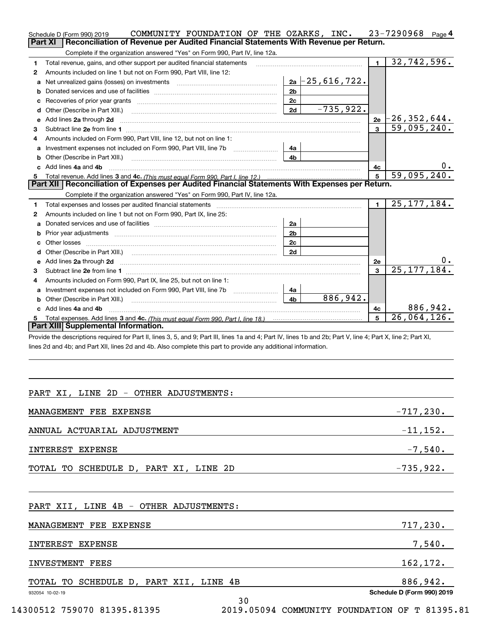|    | COMMUNITY FOUNDATION OF THE OZARKS, INC.<br>Schedule D (Form 990) 2019                                                                                                                                                              |                |                      |                | $23 - 7290968$ Page 4     |
|----|-------------------------------------------------------------------------------------------------------------------------------------------------------------------------------------------------------------------------------------|----------------|----------------------|----------------|---------------------------|
|    | Reconciliation of Revenue per Audited Financial Statements With Revenue per Return.<br><b>Part XI</b>                                                                                                                               |                |                      |                |                           |
|    | Complete if the organization answered "Yes" on Form 990, Part IV, line 12a.                                                                                                                                                         |                |                      |                |                           |
| 1  | Total revenue, gains, and other support per audited financial statements                                                                                                                                                            |                |                      | $\blacksquare$ | $\overline{32,742,596}$ . |
| 2  | Amounts included on line 1 but not on Form 990, Part VIII, line 12:                                                                                                                                                                 |                |                      |                |                           |
| a  |                                                                                                                                                                                                                                     |                | $2a - 25, 616, 722.$ |                |                           |
| b  |                                                                                                                                                                                                                                     | 2 <sub>b</sub> |                      |                |                           |
|    |                                                                                                                                                                                                                                     | 2c             |                      |                |                           |
| d  | Other (Describe in Part XIII.) <b>Construction Construction</b> Chern Construction Chern Chern Chern Chern Chern Chern                                                                                                              | 2d             | $-735,922.$          |                |                           |
| е  | Add lines 2a through 2d                                                                                                                                                                                                             |                |                      | 2e             | $-26$ ,352,644.           |
| 3  |                                                                                                                                                                                                                                     |                |                      | $\mathbf{a}$   | 59,095,240.               |
| 4  | Amounts included on Form 990, Part VIII, line 12, but not on line 1:                                                                                                                                                                |                |                      |                |                           |
| a  | Investment expenses not included on Form 990, Part VIII, line 7b [1000000000000000000000000000000000                                                                                                                                | 4a             |                      |                |                           |
| b  |                                                                                                                                                                                                                                     | 4b.            |                      |                |                           |
|    | c Add lines 4a and 4b                                                                                                                                                                                                               |                |                      | 4с             | 0.                        |
| 5  |                                                                                                                                                                                                                                     |                |                      |                | 59,095,240.               |
|    | Part XII   Reconciliation of Expenses per Audited Financial Statements With Expenses per Return.                                                                                                                                    |                |                      |                |                           |
|    | Complete if the organization answered "Yes" on Form 990, Part IV, line 12a.                                                                                                                                                         |                |                      |                |                           |
| 1  | Total expenses and losses per audited financial statements [11] [12] contain an intervention and contain a statements [13] [13] and the statements [13] [13] and the statements [13] and the statements [13] and the statement      |                |                      | $\blacksquare$ | $\overline{25,177,184}$ . |
| 2  | Amounts included on line 1 but not on Form 990, Part IX, line 25:                                                                                                                                                                   |                |                      |                |                           |
|    |                                                                                                                                                                                                                                     | 2a             |                      |                |                           |
| b  |                                                                                                                                                                                                                                     | 2 <sub>b</sub> |                      |                |                           |
| c. |                                                                                                                                                                                                                                     | 2c             |                      |                |                           |
| d  |                                                                                                                                                                                                                                     | 2d             |                      |                |                           |
| e  | Add lines 2a through 2d <b>contained a contained a contained a contained a</b> contained a contact the set of the set of the set of the set of the set of the set of the set of the set of the set of the set of the set of the set |                |                      | 2е             | υ.                        |
| 3  |                                                                                                                                                                                                                                     |                |                      | 3              | 25, 177, 184.             |
| 4  | Amounts included on Form 990, Part IX, line 25, but not on line 1:                                                                                                                                                                  |                |                      |                |                           |
|    |                                                                                                                                                                                                                                     | 4a             |                      |                |                           |
|    |                                                                                                                                                                                                                                     | 4 <sub>b</sub> | 886, 942.            |                |                           |
|    | c Add lines 4a and 4b                                                                                                                                                                                                               |                |                      | 4с             | 886,942.                  |
|    |                                                                                                                                                                                                                                     |                |                      | 5              | 26,064,126.               |
|    | Part XIII Supplemental Information.                                                                                                                                                                                                 |                |                      |                |                           |
|    | Provide the descriptions required for Part II lines 3, 5, and 9: Part III lines 1a and 4: Part IV lines 1h and 2h: Part V, line 4: Part X, line 2: Part XI                                                                          |                |                      |                |                           |

the descriptions required for Part II, lines 3, 5, and 9; Part III, lines 1a and 4; Part IV, lines 1b and 2b; Part V, line 4; Part X, line 2; Part XI, lines 2d and 4b; and Part XII, lines 2d and 4b. Also complete this part to provide any additional information.

# PART XI, LINE 2D - OTHER ADJUSTMENTS:

| MANAGEMENT FEE EXPENSE                | $-717,230.$ |
|---------------------------------------|-------------|
| ANNUAL ACTUARIAL ADJUSTMENT           | $-11,152.$  |
| INTEREST EXPENSE                      | $-7,540.$   |
|                                       | $-735,922.$ |
| TOTAL TO SCHEDULE D, PART XI, LINE 2D |             |

| PART XII, LINE 4B - OTHER ADJUSTMENTS: |                            |
|----------------------------------------|----------------------------|
| MANAGEMENT FEE EXPENSE                 | 717,230.                   |
| INTEREST EXPENSE                       | 7,540.                     |
| INVESTMENT FEES                        | 162, 172.                  |
| TOTAL TO SCHEDULE D, PART XII, LINE 4B | 886,942.                   |
| 932054 10-02-19<br>30                  | Schedule D (Form 990) 2019 |

14300512 759070 81395.81395 2019.05094 COMMUNITY FOUNDATION OF T 81395.81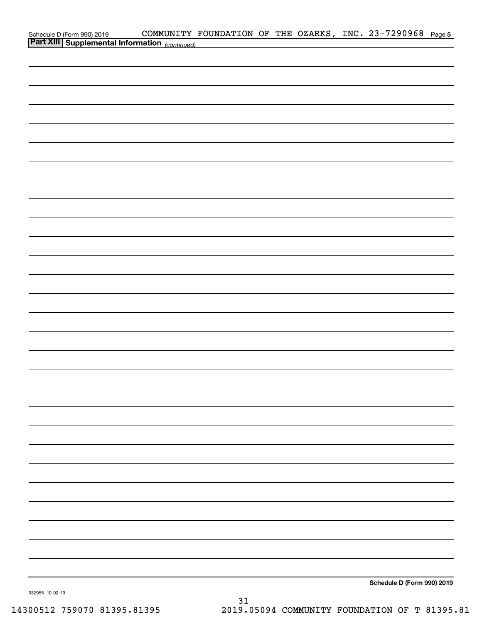| Schedule D (Form 990) 2019 COMMUNITY FOUNDATION OF THE UZARE<br>Part XIII Supplemental Information (continued) |  |  |  | COMMUNITY FOUNDATION OF THE OZARKS, INC. 23-7290968 Page 5 |  |
|----------------------------------------------------------------------------------------------------------------|--|--|--|------------------------------------------------------------|--|
|                                                                                                                |  |  |  |                                                            |  |
|                                                                                                                |  |  |  |                                                            |  |
|                                                                                                                |  |  |  |                                                            |  |
|                                                                                                                |  |  |  |                                                            |  |
|                                                                                                                |  |  |  |                                                            |  |
|                                                                                                                |  |  |  |                                                            |  |
|                                                                                                                |  |  |  |                                                            |  |
|                                                                                                                |  |  |  |                                                            |  |
|                                                                                                                |  |  |  |                                                            |  |
|                                                                                                                |  |  |  |                                                            |  |
|                                                                                                                |  |  |  |                                                            |  |
|                                                                                                                |  |  |  |                                                            |  |
|                                                                                                                |  |  |  |                                                            |  |
|                                                                                                                |  |  |  |                                                            |  |
|                                                                                                                |  |  |  |                                                            |  |
|                                                                                                                |  |  |  |                                                            |  |
|                                                                                                                |  |  |  |                                                            |  |
|                                                                                                                |  |  |  |                                                            |  |
|                                                                                                                |  |  |  |                                                            |  |
|                                                                                                                |  |  |  |                                                            |  |
|                                                                                                                |  |  |  |                                                            |  |
|                                                                                                                |  |  |  |                                                            |  |
|                                                                                                                |  |  |  |                                                            |  |
|                                                                                                                |  |  |  |                                                            |  |
|                                                                                                                |  |  |  |                                                            |  |
|                                                                                                                |  |  |  |                                                            |  |
|                                                                                                                |  |  |  |                                                            |  |
|                                                                                                                |  |  |  |                                                            |  |
|                                                                                                                |  |  |  |                                                            |  |
|                                                                                                                |  |  |  |                                                            |  |
|                                                                                                                |  |  |  |                                                            |  |
|                                                                                                                |  |  |  |                                                            |  |
|                                                                                                                |  |  |  |                                                            |  |
|                                                                                                                |  |  |  |                                                            |  |
|                                                                                                                |  |  |  |                                                            |  |
|                                                                                                                |  |  |  |                                                            |  |
| 932055 10-02-19                                                                                                |  |  |  | Schedule D (Form 990) 2019                                 |  |

932055 10-02-19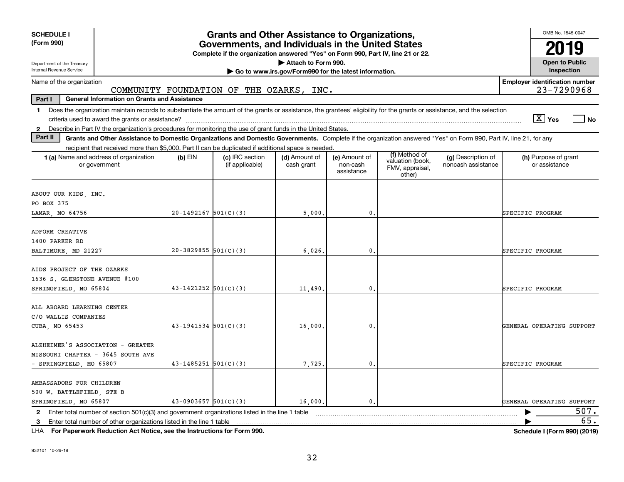| <b>SCHEDULE I</b><br><b>Grants and Other Assistance to Organizations,</b><br>(Form 990)<br>Governments, and Individuals in the United States                                   |                            |                                                                                  |                                                                              |                                         |                                               |                                          |                                                     |  |  |  |
|--------------------------------------------------------------------------------------------------------------------------------------------------------------------------------|----------------------------|----------------------------------------------------------------------------------|------------------------------------------------------------------------------|-----------------------------------------|-----------------------------------------------|------------------------------------------|-----------------------------------------------------|--|--|--|
|                                                                                                                                                                                |                            | Complete if the organization answered "Yes" on Form 990, Part IV, line 21 or 22. |                                                                              |                                         |                                               |                                          |                                                     |  |  |  |
| Department of the Treasury<br>Internal Revenue Service                                                                                                                         |                            |                                                                                  | Attach to Form 990.<br>Go to www.irs.gov/Form990 for the latest information. |                                         |                                               |                                          | <b>Open to Public</b><br>Inspection                 |  |  |  |
| Name of the organization                                                                                                                                                       |                            |                                                                                  |                                                                              |                                         |                                               |                                          | <b>Employer identification number</b><br>23-7290968 |  |  |  |
| COMMUNITY FOUNDATION OF THE OZARKS, INC.<br>Part I<br><b>General Information on Grants and Assistance</b>                                                                      |                            |                                                                                  |                                                                              |                                         |                                               |                                          |                                                     |  |  |  |
| Does the organization maintain records to substantiate the amount of the grants or assistance, the grantees' eligibility for the grants or assistance, and the selection<br>1. |                            |                                                                                  |                                                                              |                                         |                                               |                                          | $\boxed{\text{X}}$ Yes<br>  No                      |  |  |  |
| 2 Describe in Part IV the organization's procedures for monitoring the use of grant funds in the United States.                                                                |                            |                                                                                  |                                                                              |                                         |                                               |                                          |                                                     |  |  |  |
| Part II<br>Grants and Other Assistance to Domestic Organizations and Domestic Governments. Complete if the organization answered "Yes" on Form 990, Part IV, line 21, for any  |                            |                                                                                  |                                                                              |                                         |                                               |                                          |                                                     |  |  |  |
| recipient that received more than \$5,000. Part II can be duplicated if additional space is needed.                                                                            |                            |                                                                                  |                                                                              |                                         | (f) Method of                                 |                                          |                                                     |  |  |  |
| 1 (a) Name and address of organization<br>or government                                                                                                                        | $(b)$ EIN                  | (c) IRC section<br>(if applicable)                                               | (d) Amount of<br>cash grant                                                  | (e) Amount of<br>non-cash<br>assistance | valuation (book,<br>FMV, appraisal,<br>other) | (g) Description of<br>noncash assistance | (h) Purpose of grant<br>or assistance               |  |  |  |
| ABOUT OUR KIDS, INC.                                                                                                                                                           |                            |                                                                                  |                                                                              |                                         |                                               |                                          |                                                     |  |  |  |
| PO BOX 375                                                                                                                                                                     |                            |                                                                                  |                                                                              |                                         |                                               |                                          |                                                     |  |  |  |
| LAMAR, MO 64756                                                                                                                                                                | $20-1492167$ 501(C)(3)     |                                                                                  | 5,000.                                                                       | $\mathbf{0}$ .                          |                                               |                                          | SPECIFIC PROGRAM                                    |  |  |  |
| ADFORM CREATIVE<br>1400 PARKER RD                                                                                                                                              |                            |                                                                                  |                                                                              |                                         |                                               |                                          |                                                     |  |  |  |
| BALTIMORE, MD 21227                                                                                                                                                            | $20-3829855$ 501(C)(3)     |                                                                                  | 6,026,                                                                       | 0.                                      |                                               |                                          | SPECIFIC PROGRAM                                    |  |  |  |
| AIDS PROJECT OF THE OZARKS<br>1636 S. GLENSTONE AVENUE #100<br>SPRINGFIELD, MO 65804                                                                                           | $43 - 1421252$ $501(C)(3)$ |                                                                                  | 11,490.                                                                      | $\mathbf{0}$ .                          |                                               |                                          | SPECIFIC PROGRAM                                    |  |  |  |
| ALL ABOARD LEARNING CENTER<br>C/O WALLIS COMPANIES<br>CUBA, MO 65453                                                                                                           | $43-1941534$ $501(C)(3)$   |                                                                                  | 16,000,                                                                      | 0.                                      |                                               |                                          | GENERAL OPERATING SUPPORT                           |  |  |  |
| ALZHEIMER'S ASSOCIATION - GREATER<br>MISSOURI CHAPTER - 3645 SOUTH AVE<br>- SPRINGFIELD, MO 65807                                                                              | $43 - 1485251$ $501(C)(3)$ |                                                                                  | 7,725.                                                                       | 0.                                      |                                               |                                          | SPECIFIC PROGRAM                                    |  |  |  |
| AMBASSADORS FOR CHILDREN<br>500 W. BATTLEFIELD, STE B<br>SPRINGFIELD, MO 65807                                                                                                 | $43-0903657$ $501(C)(3)$   |                                                                                  | 16,000.                                                                      | 0.                                      |                                               |                                          | GENERAL OPERATING SUPPORT                           |  |  |  |
| Enter total number of section $501(c)(3)$ and government organizations listed in the line 1 table<br>$\mathbf{2}$                                                              |                            |                                                                                  |                                                                              |                                         |                                               |                                          | 507.<br>▶                                           |  |  |  |
|                                                                                                                                                                                |                            |                                                                                  |                                                                              |                                         |                                               |                                          | 65.                                                 |  |  |  |

**For Paperwork Reduction Act Notice, see the Instructions for Form 990. Schedule I (Form 990) (2019)** LHA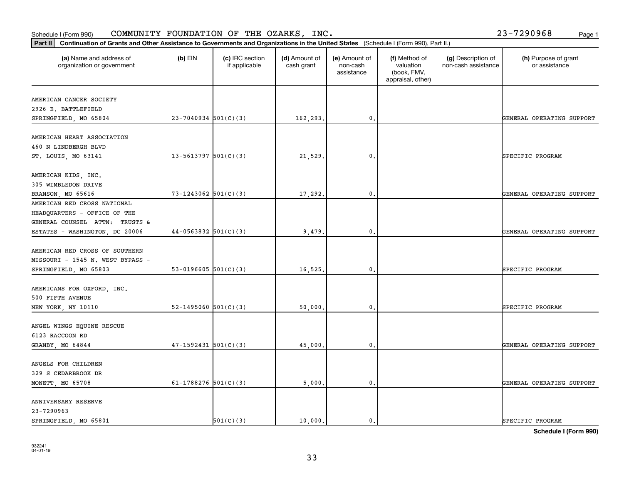### SPRINGFIELD, MO 65801  $\begin{vmatrix} 501(C)(3) & 10,000 \end{vmatrix}$  0. SPECIFIC PROGRAM

|                                  |                          |          | assistance     | (book, FMV,<br>appraisal, other) |                           |
|----------------------------------|--------------------------|----------|----------------|----------------------------------|---------------------------|
| AMERICAN CANCER SOCIETY          |                          |          |                |                                  |                           |
| 2926 E. BATTLEFIELD              |                          |          |                |                                  |                           |
| SPRINGFIELD, MO 65804            | $23 - 7040934$ 501(C)(3) | 162,293. | 0.             |                                  | GENERAL OPERATING SUPPORT |
| AMERICAN HEART ASSOCIATION       |                          |          |                |                                  |                           |
| 460 N LINDBERGH BLVD             |                          |          |                |                                  |                           |
| ST. LOUIS, MO 63141              | $13 - 5613797$ 501(C)(3) | 21,529.  | 0.             |                                  | SPECIFIC PROGRAM          |
| AMERICAN KIDS, INC.              |                          |          |                |                                  |                           |
| 305 WIMBLEDON DRIVE              |                          |          |                |                                  |                           |
| BRANSON, MO 65616                | 73-1243062 $501(C)(3)$   | 17,292.  | 0.             |                                  | GENERAL OPERATING SUPPORT |
| AMERICAN RED CROSS NATIONAL      |                          |          |                |                                  |                           |
| HEADQUARTERS - OFFICE OF THE     |                          |          |                |                                  |                           |
| GENERAL COUNSEL ATTN: TRUSTS &   |                          |          |                |                                  |                           |
| ESTATES - WASHINGTON, DC 20006   | $44-0563832$ $501(C)(3)$ | 9,479.   | $\mathbf{0}$ . |                                  | GENERAL OPERATING SUPPORT |
| AMERICAN RED CROSS OF SOUTHERN   |                          |          |                |                                  |                           |
| MISSOURI - 1545 N. WEST BYPASS - |                          |          |                |                                  |                           |
| SPRINGFIELD, MO 65803            | 53-0196605 $501(C)(3)$   | 16,525.  | 0.             |                                  | SPECIFIC PROGRAM          |
|                                  |                          |          |                |                                  |                           |
| AMERICANS FOR OXFORD, INC.       |                          |          |                |                                  |                           |
| 500 FIFTH AVENUE                 |                          |          |                |                                  |                           |
| NEW YORK, NY 10110               | 52-1495060 $501(C)(3)$   | 50,000.  | 0.             |                                  | SPECIFIC PROGRAM          |
| ANGEL WINGS EQUINE RESCUE        |                          |          |                |                                  |                           |
| 6123 RACCOON RD                  |                          |          |                |                                  |                           |
| GRANBY, MO 64844                 | $47-1592431$ $501(C)(3)$ | 45,000.  | 0.             |                                  | GENERAL OPERATING SUPPORT |
|                                  |                          |          |                |                                  |                           |
| ANGELS FOR CHILDREN              |                          |          |                |                                  |                           |
| 329 S CEDARBROOK DR              |                          |          |                |                                  |                           |
| MONETT, MO 65708                 | 61-1788276 $501(C)(3)$   | 5,000.   | $\mathbf{0}$   |                                  | GENERAL OPERATING SUPPORT |
| ANNIVERSARY RESERVE              |                          |          |                |                                  |                           |
| 23-7290963                       |                          |          |                |                                  |                           |

Schedule I (Form 990)  ${\tt COMMUNITY}$  <code>FOUNDATION OF THE OZARKS, INC</code> .  $23-7290968$  Page 1

organization or government

**Part II Continuation of Grants and Other Assistance to Governments and Organizations in the United States**  (Schedule I (Form 990), Part II.)

if applicable

 $(b)$  EIN  $(c)$  IRC section

**(a) (b) (c) (d) (e) (f) (g) (h)** Name and address of

(d) Amount of cash grant

(e) Amount of non-cash

(f) Method of valuation

(h) Purpose of grant or assistance

**Schedule I (Form 990)**

(g) Description of non-cash assistance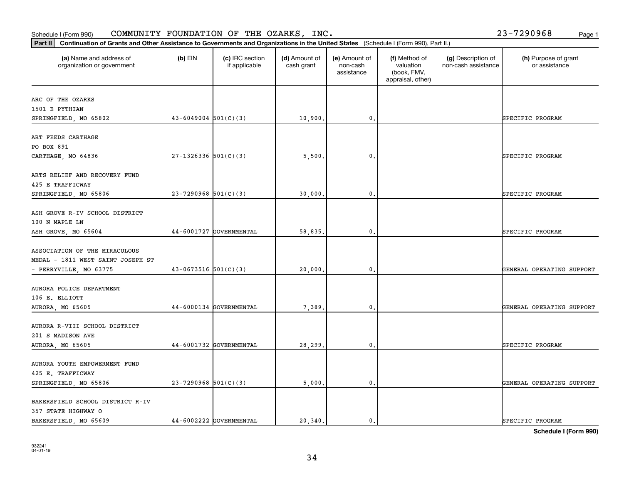# 932241 04-01-19

| BAKERSFIELD SCHOOL DISTRICT R-IV |                         |        |  |                  |
|----------------------------------|-------------------------|--------|--|------------------|
| 357 STATE HIGHWAY O              |                         |        |  |                  |
| BAKERSFIELD MO 65609             | 44-6002222 GOVERNMENTAL | 20.340 |  | SPECIFIC PROGRAM |

34

**Schedule I (Form 990)**

| (a) Name and address of<br>organization or government                       | $(b)$ EIN                  | (c) IRC section<br>if applicable | (d) Amount of<br>cash grant | (e) Amount of<br>non-cash<br>assistance | (f) Method of<br>valuation<br>(book, FMV,<br>appraisal, other) | (g) Description of<br>non-cash assistance | (h) Purpose of grant<br>or assistance |
|-----------------------------------------------------------------------------|----------------------------|----------------------------------|-----------------------------|-----------------------------------------|----------------------------------------------------------------|-------------------------------------------|---------------------------------------|
| ARC OF THE OZARKS                                                           |                            |                                  |                             |                                         |                                                                |                                           |                                       |
| 1501 E PYTHIAN                                                              |                            |                                  |                             |                                         |                                                                |                                           |                                       |
| SPRINGFIELD, MO 65802                                                       | $43 - 6049004$ 501(C)(3)   |                                  | 10,900.                     | $\mathbf{0}$ .                          |                                                                |                                           | SPECIFIC PROGRAM                      |
| ART FEEDS CARTHAGE<br>PO BOX 891                                            |                            |                                  |                             |                                         |                                                                |                                           |                                       |
| CARTHAGE, MO 64836                                                          | $27-1326336$ 501(C)(3)     |                                  | 5,500.                      | $\mathbf{0}$ .                          |                                                                |                                           | SPECIFIC PROGRAM                      |
| ARTS RELIEF AND RECOVERY FUND<br>425 E TRAFFICWAY                           |                            |                                  |                             |                                         |                                                                |                                           |                                       |
| SPRINGFIELD, MO 65806                                                       | $23 - 7290968$ 501(C)(3)   |                                  | 30,000.                     | $\mathbf{0}$ .                          |                                                                |                                           | SPECIFIC PROGRAM                      |
| ASH GROVE R-IV SCHOOL DISTRICT<br>100 N MAPLE LN                            |                            |                                  |                             |                                         |                                                                |                                           |                                       |
| ASH GROVE, MO 65604                                                         |                            | 44-6001727 GOVERNMENTAL          | 58,835.                     | $\mathbf{0}$ .                          |                                                                |                                           | SPECIFIC PROGRAM                      |
| ASSOCIATION OF THE MIRACULOUS<br>MEDAL - 1811 WEST SAINT JOSEPH ST          |                            |                                  |                             |                                         |                                                                |                                           |                                       |
| - PERRYVILLE, MO 63775                                                      | $43 - 0673516$ $501(C)(3)$ |                                  | 20,000.                     | $\mathbf{0}$ .                          |                                                                |                                           | GENERAL OPERATING SUPPORT             |
| AURORA POLICE DEPARTMENT<br>106 E. ELLIOTT<br>AURORA, MO 65605              |                            | 44-6000134 GOVERNMENTAL          | 7,389.                      | 0.                                      |                                                                |                                           | GENERAL OPERATING SUPPORT             |
|                                                                             |                            |                                  |                             |                                         |                                                                |                                           |                                       |
| AURORA R-VIII SCHOOL DISTRICT<br>201 S MADISON AVE                          |                            |                                  |                             |                                         |                                                                |                                           |                                       |
| AURORA, MO 65605                                                            |                            | 44-6001732 GOVERNMENTAL          | 28,299.                     | $\mathbf{0}$ .                          |                                                                |                                           | SPECIFIC PROGRAM                      |
| AURORA YOUTH EMPOWERMENT FUND<br>425 E. TRAFFICWAY<br>SPRINGFIELD, MO 65806 | $23 - 7290968$ 501(C)(3)   |                                  | 5,000.                      | $\mathbf{0}$ .                          |                                                                |                                           | GENERAL OPERATING SUPPORT             |
| BAKERSFIELD SCHOOL DISTRICT R-IV<br>357 STATE HIGHWAY O                     |                            |                                  |                             |                                         |                                                                |                                           |                                       |

### Schedule I (Form 990)  ${\tt COMMUNITY}$  <code>FOUNDATION OF THE OZARKS, INC</code> .  $23-7290968$  Page 1

**Part II Continuation of Grants and Other Assistance to Governments and Organizations in the United States**  (Schedule I (Form 990), Part II.)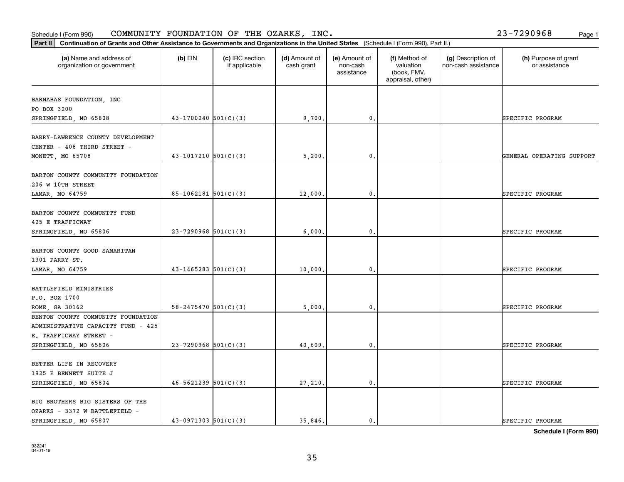#### Schedule I (Form 990) COMMUNITY FOUNDATION OF THE OZARKS, INC。 Page 1 COMMUNITY FOUNDATION OF THE OZARKS, INC. 23-7290968

| (a) Name and address of<br>organization or government                                     | $(b)$ EIN                  | (c) IRC section<br>if applicable | (d) Amount of<br>cash grant | (e) Amount of<br>non-cash<br>assistance | (f) Method of<br>valuation<br>(book, FMV,<br>appraisal, other) | (g) Description of<br>non-cash assistance | (h) Purpose of grant<br>or assistance |
|-------------------------------------------------------------------------------------------|----------------------------|----------------------------------|-----------------------------|-----------------------------------------|----------------------------------------------------------------|-------------------------------------------|---------------------------------------|
| BARNABAS FOUNDATION, INC                                                                  |                            |                                  |                             |                                         |                                                                |                                           |                                       |
| PO BOX 3200                                                                               |                            |                                  |                             |                                         |                                                                |                                           |                                       |
| SPRINGFIELD, MO 65808                                                                     | $43-1700240$ 501(C)(3)     |                                  | 9,700.                      | $\mathfrak{o}$ .                        |                                                                |                                           | SPECIFIC PROGRAM                      |
| BARRY-LAWRENCE COUNTY DEVELOPMENT<br>CENTER - 408 THIRD STREET -                          |                            |                                  |                             |                                         |                                                                |                                           |                                       |
| MONETT, MO 65708                                                                          | $43-1017210$ 501(C)(3)     |                                  | 5,200                       | 0.                                      |                                                                |                                           | GENERAL OPERATING SUPPORT             |
| BARTON COUNTY COMMUNITY FOUNDATION<br>206 W 10TH STREET                                   |                            |                                  |                             |                                         |                                                                |                                           |                                       |
| LAMAR, MO 64759                                                                           | $85-1062181$ $501(C)(3)$   |                                  | 12,000.                     | $\mathfrak o$ .                         |                                                                |                                           | SPECIFIC PROGRAM                      |
| BARTON COUNTY COMMUNITY FUND<br>425 E TRAFFICWAY<br>SPRINGFIELD, MO 65806                 | $23 - 7290968$ 501(C)(3)   |                                  | 6,000                       | 0.                                      |                                                                |                                           | SPECIFIC PROGRAM                      |
| BARTON COUNTY GOOD SAMARITAN<br>1301 PARRY ST.                                            |                            |                                  |                             |                                         |                                                                |                                           |                                       |
| LAMAR, MO 64759                                                                           | $43 - 1465283$ $501(C)(3)$ |                                  | 10,000                      | 0.                                      |                                                                |                                           | SPECIFIC PROGRAM                      |
| BATTLEFIELD MINISTRIES<br>P.O. BOX 1700<br>ROME, GA 30162                                 | $58 - 2475470$ $501(C)(3)$ |                                  | 5,000                       | 0.                                      |                                                                |                                           | SPECIFIC PROGRAM                      |
| BENTON COUNTY COMMUNITY FOUNDATION<br>ADMINISTRATIVE CAPACITY FUND - 425                  |                            |                                  |                             |                                         |                                                                |                                           |                                       |
| E. TRAFFICWAY STREET -<br>SPRINGFIELD, MO 65806                                           | $23 - 7290968$ 501(C)(3)   |                                  | 40,609                      | $\mathbf{0}$ .                          |                                                                |                                           | SPECIFIC PROGRAM                      |
| BETTER LIFE IN RECOVERY<br>1925 E BENNETT SUITE J<br>SPRINGFIELD, MO 65804                | $46 - 5621239$ $501(C)(3)$ |                                  | 27,210.                     | $\mathsf{o}\,$ .                        |                                                                |                                           | SPECIFIC PROGRAM                      |
| BIG BROTHERS BIG SISTERS OF THE<br>OZARKS - 3372 W BATTLEFIELD -<br>SPRINGFIELD, MO 65807 | $43-0971303$ $501(C)(3)$   |                                  | 35.846.                     | 0.                                      |                                                                |                                           | SPECIFIC PROGRAM                      |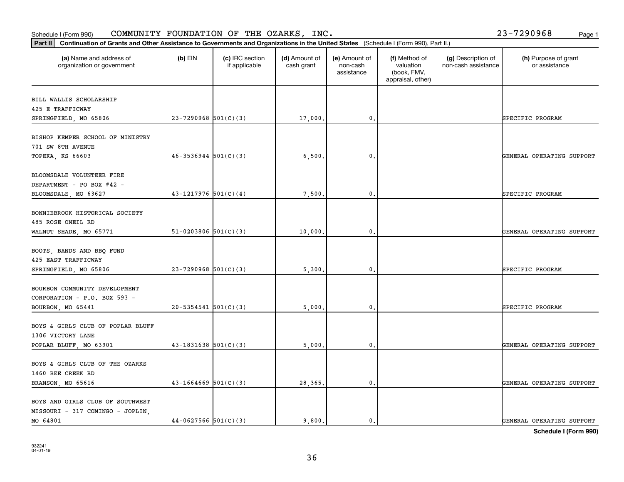# 932241 04-01-19

| BILL WALLIS SCHOLARSHIP                                       |                            |        |              |                           |
|---------------------------------------------------------------|----------------------------|--------|--------------|---------------------------|
| 425 E TRAFFICWAY                                              | $23 - 7290968$ 501(C)(3)   |        | 0.           | SPECIFIC PROGRAM          |
| SPRINGFIELD, MO 65806                                         |                            | 17,000 |              |                           |
| BISHOP KEMPER SCHOOL OF MINISTRY                              |                            |        |              |                           |
| 701 SW 8TH AVENUE                                             |                            |        |              |                           |
| TOPEKA, KS 66603                                              | $46 - 3536944$ $501(C)(3)$ | 6,500  | 0.           | GENERAL OPERATING SUPPORT |
|                                                               |                            |        |              |                           |
| BLOOMSDALE VOLUNTEER FIRE                                     |                            |        |              |                           |
| DEPARTMENT - PO BOX #42 -                                     |                            |        |              |                           |
| BLOOMSDALE, MO 63627                                          | $43-1217976$ 501(C)(4)     | 7,500  | 0.           | SPECIFIC PROGRAM          |
| BONNIEBROOK HISTORICAL SOCIETY                                |                            |        |              |                           |
| 485 ROSE ONEIL RD                                             |                            |        |              |                           |
| WALNUT SHADE, MO 65771                                        | $51-0203806$ $501(C)(3)$   | 10,000 | 0.           | GENERAL OPERATING SUPPORT |
|                                                               |                            |        |              |                           |
| BOOTS, BANDS AND BBQ FUND                                     |                            |        |              |                           |
| 425 EAST TRAFFICWAY                                           |                            |        |              |                           |
| SPRINGFIELD, MO 65806                                         | $23 - 7290968$ 501(C)(3)   | 5,300. | $\mathbf{0}$ | SPECIFIC PROGRAM          |
|                                                               |                            |        |              |                           |
| BOURBON COMMUNITY DEVELOPMENT<br>CORPORATION - P.O. BOX 593 - |                            |        |              |                           |
| BOURBON, MO 65441                                             | $20 - 5354541$ $501(C)(3)$ | 5,000  | 0.           | SPECIFIC PROGRAM          |
|                                                               |                            |        |              |                           |
| BOYS & GIRLS CLUB OF POPLAR BLUFF                             |                            |        |              |                           |
| 1306 VICTORY LANE                                             |                            |        |              |                           |
| POPLAR BLUFF, MO 63901                                        | $43 - 1831638$ $501(C)(3)$ | 5,000  | $\mathbf{0}$ | GENERAL OPERATING SUPPORT |
|                                                               |                            |        |              |                           |
| BOYS & GIRLS CLUB OF THE OZARKS                               |                            |        |              |                           |
| 1460 BEE CREEK RD                                             |                            |        |              |                           |
| BRANSON, MO 65616                                             | $43 - 1664669$ 501(C)(3)   | 28,365 | 0.           | GENERAL OPERATING SUPPORT |
| BOYS AND GIRLS CLUB OF SOUTHWEST                              |                            |        |              |                           |
| MISSOURI - 317 COMINGO - JOPLIN,                              |                            |        |              |                           |
| MO 64801                                                      | $44-0627566$ $501(C)(3)$   | 9,800. | 0.           | GENERAL OPERATING SUPPORT |

#### Schedule I (Form 990)  ${\tt COMMUNITY}$  <code>FOUNDATION OF THE OZARKS, INC</code> .  $23-7290968$  Page 1

organization or government

**Part II Continuation of Grants and Other Assistance to Governments and Organizations in the United States**  (Schedule I (Form 990), Part II.)

if applicable

 $(b)$  EIN  $(c)$  IRC section

**(a) (b) (c) (d) (e) (f) (g) (h)** Name and address of

(d) Amount of cash grant

(e) Amount of non-cashassistance

(f) Method of valuation (book, FMV, appraisal, other)

(g) Description of non-cash assistance

(h) Purpose of grant or assistance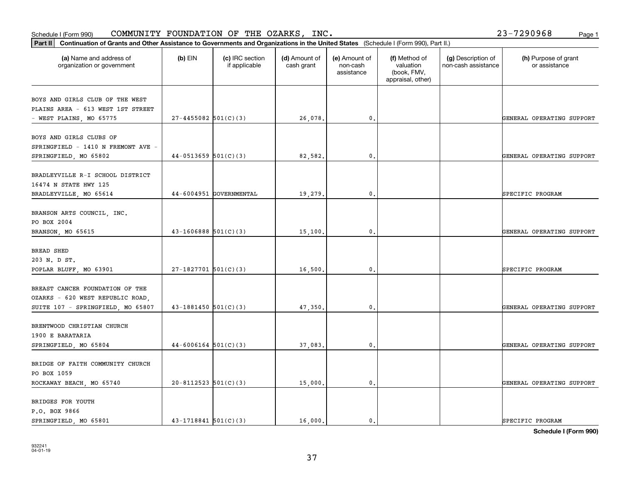#### Schedule I (Form 990) COMMUNITY FOUNDATION OF THE OZARKS, INC。 Page 1 COMMUNITY FOUNDATION OF THE OZARKS, INC. 23-7290968

| $(b)$ EIN | (c) IRC section<br>if applicable | (d) Amount of<br>cash grant                                                                                                                                                                                                                         | (e) Amount of<br>non-cash<br>assistance | (f) Method of<br>valuation<br>(book, FMV,<br>appraisal, other) | (g) Description of<br>non-cash assistance | (h) Purpose of grant<br>or assistance |
|-----------|----------------------------------|-----------------------------------------------------------------------------------------------------------------------------------------------------------------------------------------------------------------------------------------------------|-----------------------------------------|----------------------------------------------------------------|-------------------------------------------|---------------------------------------|
|           |                                  |                                                                                                                                                                                                                                                     |                                         |                                                                |                                           |                                       |
|           |                                  |                                                                                                                                                                                                                                                     |                                         |                                                                |                                           |                                       |
|           |                                  | 26,078.                                                                                                                                                                                                                                             | 0.                                      |                                                                |                                           | GENERAL OPERATING SUPPORT             |
|           |                                  |                                                                                                                                                                                                                                                     |                                         |                                                                |                                           |                                       |
|           |                                  | 82,582.                                                                                                                                                                                                                                             | 0.                                      |                                                                |                                           | GENERAL OPERATING SUPPORT             |
|           |                                  |                                                                                                                                                                                                                                                     |                                         |                                                                |                                           |                                       |
|           |                                  | 19,279.                                                                                                                                                                                                                                             |                                         |                                                                |                                           | SPECIFIC PROGRAM                      |
|           |                                  |                                                                                                                                                                                                                                                     |                                         |                                                                |                                           | GENERAL OPERATING SUPPORT             |
|           |                                  |                                                                                                                                                                                                                                                     |                                         |                                                                |                                           |                                       |
|           |                                  |                                                                                                                                                                                                                                                     |                                         |                                                                |                                           |                                       |
|           |                                  | 16,500.                                                                                                                                                                                                                                             | 0.                                      |                                                                |                                           | SPECIFIC PROGRAM                      |
|           |                                  | 47,350.                                                                                                                                                                                                                                             | $\mathbf{0}$ .                          |                                                                |                                           | GENERAL OPERATING SUPPORT             |
|           |                                  |                                                                                                                                                                                                                                                     |                                         |                                                                |                                           |                                       |
|           |                                  | 37,083.                                                                                                                                                                                                                                             | $\mathfrak{o}$ .                        |                                                                |                                           | GENERAL OPERATING SUPPORT             |
|           |                                  |                                                                                                                                                                                                                                                     |                                         |                                                                |                                           |                                       |
|           |                                  | 15,000.                                                                                                                                                                                                                                             | $\mathfrak o$ .                         |                                                                |                                           | GENERAL OPERATING SUPPORT             |
|           |                                  |                                                                                                                                                                                                                                                     |                                         |                                                                |                                           | SPECIFIC PROGRAM                      |
|           |                                  | $27 - 4455082$ 501(C)(3)<br>$44-0513659$ $501(C)(3)$<br>44-6004951 GOVERNMENTAL<br>$43-1606888$ 501(C)(3)<br>$27-1827701$ 501(C)(3)<br>$43-1881450$ $501(C)(3)$<br>$44-6006164$ 501(C)(3)<br>$20 - 8112523$ 501(C)(3)<br>$43 - 1718841$ $501(C)(3)$ | 15,100.                                 | $\mathbf{0}$ .<br>0.<br>16,000.<br>$\mathbf{0}$ .              |                                           |                                       |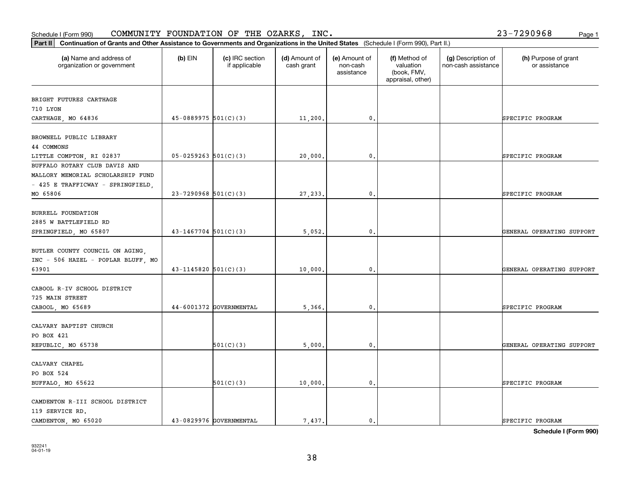#### **Part II Continuation of Grants and Other Assistance to Governments and Organization of Grants and Organization of Grants and Organizations of Grants and Organization of Grants and Organizations of United States <b>Propert** Schedule I (Form 990)  ${\tt COMMUNITY}$  <code>FOUNDATION OF THE OZARKS, INC</code> .  $23-7290968$  Page 1

| Continuation of Grants and Other Assistance to Governments and Organizations in the United States (Schedule I (Form 990), Part II.)<br>Part II |                          |                                  |                             |                                         |                                                                |                                           |                                       |  |  |
|------------------------------------------------------------------------------------------------------------------------------------------------|--------------------------|----------------------------------|-----------------------------|-----------------------------------------|----------------------------------------------------------------|-------------------------------------------|---------------------------------------|--|--|
| (a) Name and address of<br>organization or government                                                                                          | $(b)$ EIN                | (c) IRC section<br>if applicable | (d) Amount of<br>cash grant | (e) Amount of<br>non-cash<br>assistance | (f) Method of<br>valuation<br>(book, FMV,<br>appraisal, other) | (g) Description of<br>non-cash assistance | (h) Purpose of grant<br>or assistance |  |  |
| BRIGHT FUTURES CARTHAGE                                                                                                                        |                          |                                  |                             |                                         |                                                                |                                           |                                       |  |  |
| 710 LYON                                                                                                                                       |                          |                                  |                             |                                         |                                                                |                                           |                                       |  |  |
| CARTHAGE, MO 64836                                                                                                                             | $45-0889975$ $501(C)(3)$ |                                  | 11,200.                     | 0.                                      |                                                                |                                           | SPECIFIC PROGRAM                      |  |  |
|                                                                                                                                                |                          |                                  |                             |                                         |                                                                |                                           |                                       |  |  |
| BROWNELL PUBLIC LIBRARY                                                                                                                        |                          |                                  |                             |                                         |                                                                |                                           |                                       |  |  |
| 44 COMMONS                                                                                                                                     |                          |                                  |                             |                                         |                                                                |                                           |                                       |  |  |
| LITTLE COMPTON, RI 02837                                                                                                                       | $05-0259263$ 501(C)(3)   |                                  | 20,000.                     | $\mathfrak{o}$ .                        |                                                                |                                           | SPECIFIC PROGRAM                      |  |  |
| BUFFALO ROTARY CLUB DAVIS AND                                                                                                                  |                          |                                  |                             |                                         |                                                                |                                           |                                       |  |  |
| MALLORY MEMORIAL SCHOLARSHIP FUND                                                                                                              |                          |                                  |                             |                                         |                                                                |                                           |                                       |  |  |
| - 425 E TRAFFICWAY - SPRINGFIELD,                                                                                                              |                          |                                  |                             |                                         |                                                                |                                           |                                       |  |  |
| MO 65806                                                                                                                                       | $23 - 7290968$ 501(C)(3) |                                  | 27, 233.                    | $\mathbf{0}$                            |                                                                |                                           | SPECIFIC PROGRAM                      |  |  |
|                                                                                                                                                |                          |                                  |                             |                                         |                                                                |                                           |                                       |  |  |
| BURRELL FOUNDATION                                                                                                                             |                          |                                  |                             |                                         |                                                                |                                           |                                       |  |  |
| 2885 W BATTLEFIELD RD                                                                                                                          |                          |                                  |                             |                                         |                                                                |                                           |                                       |  |  |
| SPRINGFIELD, MO 65807                                                                                                                          | $43-1467704$ 501(C)(3)   |                                  | 5,052.                      | 0.                                      |                                                                |                                           | GENERAL OPERATING SUPPORT             |  |  |
| BUTLER COUNTY COUNCIL ON AGING,                                                                                                                |                          |                                  |                             |                                         |                                                                |                                           |                                       |  |  |
| INC - 506 HAZEL - POPLAR BLUFF, MO                                                                                                             |                          |                                  |                             |                                         |                                                                |                                           |                                       |  |  |
| 63901                                                                                                                                          | $43 - 1145820$ 501(C)(3) |                                  | 10,000.                     | $\mathfrak{o}$ .                        |                                                                |                                           | GENERAL OPERATING SUPPORT             |  |  |
|                                                                                                                                                |                          |                                  |                             |                                         |                                                                |                                           |                                       |  |  |
| CABOOL R-IV SCHOOL DISTRICT                                                                                                                    |                          |                                  |                             |                                         |                                                                |                                           |                                       |  |  |
| 725 MAIN STREET                                                                                                                                |                          |                                  |                             |                                         |                                                                |                                           |                                       |  |  |
| CABOOL, MO 65689                                                                                                                               |                          | 44-6001372 GOVERNMENTAL          | 5,366.                      | $\mathbf{0}$                            |                                                                |                                           | SPECIFIC PROGRAM                      |  |  |
|                                                                                                                                                |                          |                                  |                             |                                         |                                                                |                                           |                                       |  |  |
| CALVARY BAPTIST CHURCH                                                                                                                         |                          |                                  |                             |                                         |                                                                |                                           |                                       |  |  |
| PO BOX 421                                                                                                                                     |                          |                                  |                             |                                         |                                                                |                                           |                                       |  |  |
| REPUBLIC, MO 65738                                                                                                                             |                          | 501(C)(3)                        | 5,000.                      | 0.                                      |                                                                |                                           | GENERAL OPERATING SUPPORT             |  |  |
|                                                                                                                                                |                          |                                  |                             |                                         |                                                                |                                           |                                       |  |  |
| CALVARY CHAPEL                                                                                                                                 |                          |                                  |                             |                                         |                                                                |                                           |                                       |  |  |
| PO BOX 524                                                                                                                                     |                          |                                  |                             |                                         |                                                                |                                           |                                       |  |  |
| BUFFALO, MO 65622                                                                                                                              |                          | 501(C)(3)                        | 10,000.                     | $\mathbf{0}$ .                          |                                                                |                                           | SPECIFIC PROGRAM                      |  |  |
|                                                                                                                                                |                          |                                  |                             |                                         |                                                                |                                           |                                       |  |  |
| CAMDENTON R-III SCHOOL DISTRICT                                                                                                                |                          |                                  |                             |                                         |                                                                |                                           |                                       |  |  |
| 119 SERVICE RD.                                                                                                                                |                          |                                  |                             |                                         |                                                                |                                           |                                       |  |  |
| CAMDENTON, MO 65020                                                                                                                            |                          | 43-0829976 GOVERNMENTAL          | 7.437.                      | $\mathbf{0}$ .                          |                                                                |                                           | SPECIFIC PROGRAM                      |  |  |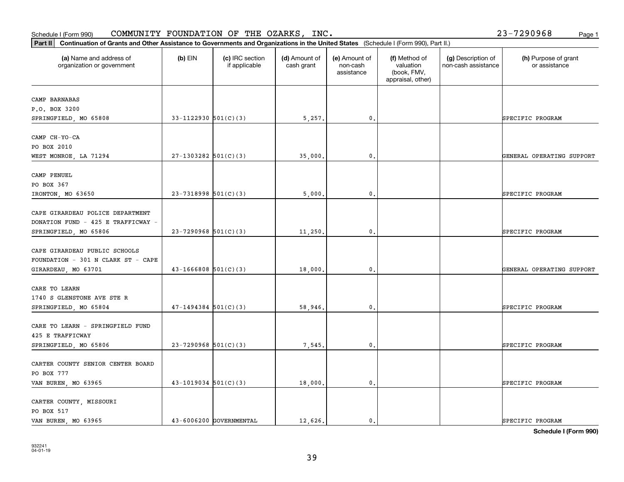# 932241 04-01-19

| (a) Name and address of<br>organization or government                  | $(b)$ EIN                  | (c) IRC section<br>if applicable | (d) Amount of<br>cash grant | (e) Amount of<br>non-cash<br>assistance | (f) Method of<br>valuation<br>(book, FMV,<br>appraisal, other) | (g) Description of<br>non-cash assistance | (h) Purpose of grant<br>or assistance |
|------------------------------------------------------------------------|----------------------------|----------------------------------|-----------------------------|-----------------------------------------|----------------------------------------------------------------|-------------------------------------------|---------------------------------------|
| CAMP BARNABAS                                                          |                            |                                  |                             |                                         |                                                                |                                           |                                       |
| P.O. BOX 3200                                                          |                            |                                  |                             |                                         |                                                                |                                           |                                       |
| SPRINGFIELD, MO 65808                                                  | $33-1122930$ 501(C)(3)     |                                  | 5,257.                      | $\mathbf{0}$ .                          |                                                                |                                           | SPECIFIC PROGRAM                      |
| CAMP CH-YO-CA                                                          |                            |                                  |                             |                                         |                                                                |                                           |                                       |
| PO BOX 2010                                                            |                            |                                  |                             |                                         |                                                                |                                           |                                       |
| WEST MONROE, LA 71294                                                  | $27-1303282$ 501(C)(3)     |                                  | 35,000.                     | $\mathbf{0}$ .                          |                                                                |                                           | GENERAL OPERATING SUPPORT             |
| CAMP PENUEL                                                            |                            |                                  |                             |                                         |                                                                |                                           |                                       |
| PO BOX 367                                                             |                            |                                  |                             |                                         |                                                                |                                           |                                       |
| IRONTON, MO 63650                                                      | $23-7318998$ 501(C)(3)     |                                  | 5,000.                      | $^{\rm 0}$ .                            |                                                                |                                           | SPECIFIC PROGRAM                      |
| CAPE GIRARDEAU POLICE DEPARTMENT<br>DONATION FUND - 425 E TRAFFICWAY - |                            |                                  |                             |                                         |                                                                |                                           |                                       |
| SPRINGFIELD, MO 65806                                                  | $23 - 7290968$ 501(C)(3)   |                                  | 11,250.                     | $\mathbf{0}$ .                          |                                                                |                                           | SPECIFIC PROGRAM                      |
| CAPE GIRARDEAU PUBLIC SCHOOLS<br>FOUNDATION - 301 N CLARK ST - CAPE    |                            |                                  |                             |                                         |                                                                |                                           |                                       |
| GIRARDEAU, MO 63701                                                    | $43 - 1666808$ 501(C)(3)   |                                  | 18,000.                     | $\mathbf{0}$ .                          |                                                                |                                           | GENERAL OPERATING SUPPORT             |
| CARE TO LEARN<br>1740 S GLENSTONE AVE STE R                            |                            |                                  |                             |                                         |                                                                |                                           |                                       |
| SPRINGFIELD, MO 65804                                                  | $47 - 1494384$ $501(C)(3)$ |                                  | 58,946.                     | $\mathfrak{o}$ .                        |                                                                |                                           | SPECIFIC PROGRAM                      |
| CARE TO LEARN - SPRINGFIELD FUND<br>425 E TRAFFICWAY                   |                            |                                  |                             |                                         |                                                                |                                           |                                       |
| SPRINGFIELD, MO 65806                                                  | $23 - 7290968$ 501(C)(3)   |                                  | 7,545.                      | $\mathfrak o$ .                         |                                                                |                                           | SPECIFIC PROGRAM                      |
| CARTER COUNTY SENIOR CENTER BOARD<br>PO BOX 777                        |                            |                                  |                             |                                         |                                                                |                                           |                                       |
| VAN BUREN, MO 63965                                                    | $43-1019034$ 501(C)(3)     |                                  | 18,000.                     | $\mathbf{0}$ .                          |                                                                |                                           | SPECIFIC PROGRAM                      |
| CARTER COUNTY, MISSOURI<br>PO BOX 517                                  |                            |                                  |                             |                                         |                                                                |                                           |                                       |
| VAN BUREN, MO 63965                                                    |                            | 43-6006200 GOVERNMENTAL          | 12,626.                     | $\mathfrak{o}$ .                        |                                                                |                                           | SPECIFIC PROGRAM                      |

**Schedule I (Form 990)**

# Schedule I (Form 990)  ${\tt COMMUNITY}$  <code>FOUNDATION OF THE OZARKS, INC</code> .  $23-7290968$  Page 1

**Part II Continuation of Grants and Other Assistance to Governments and Organizations in the United States**  (Schedule I (Form 990), Part II.)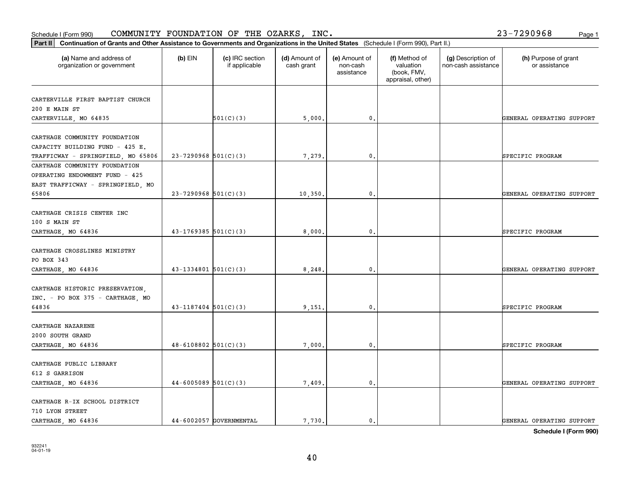#### Schedule I (Form 990)  ${\tt COMMUNITY}$  <code>FOUNDATION OF THE OZARKS, INC</code> .  $23-7290968$  Page 1

| Part II   Continuation of Grants and Other Assistance to Governments and Organizations in the United States (Schedule I (Form 990), Part II.) |                          |                                  |                             |                                         |                                                                |                                           |                                       |  |
|-----------------------------------------------------------------------------------------------------------------------------------------------|--------------------------|----------------------------------|-----------------------------|-----------------------------------------|----------------------------------------------------------------|-------------------------------------------|---------------------------------------|--|
| (a) Name and address of<br>organization or government                                                                                         | $(b)$ EIN                | (c) IRC section<br>if applicable | (d) Amount of<br>cash grant | (e) Amount of<br>non-cash<br>assistance | (f) Method of<br>valuation<br>(book, FMV,<br>appraisal, other) | (g) Description of<br>non-cash assistance | (h) Purpose of grant<br>or assistance |  |
|                                                                                                                                               |                          |                                  |                             |                                         |                                                                |                                           |                                       |  |
| CARTERVILLE FIRST BAPTIST CHURCH                                                                                                              |                          |                                  |                             |                                         |                                                                |                                           |                                       |  |
| 200 E MAIN ST                                                                                                                                 |                          | 501(C)(3)                        |                             | 0.                                      |                                                                |                                           | GENERAL OPERATING SUPPORT             |  |
| CARTERVILLE, MO 64835                                                                                                                         |                          |                                  | 5,000                       |                                         |                                                                |                                           |                                       |  |
| CARTHAGE COMMUNITY FOUNDATION                                                                                                                 |                          |                                  |                             |                                         |                                                                |                                           |                                       |  |
| CAPACITY BUILDING FUND - 425 E.                                                                                                               |                          |                                  |                             |                                         |                                                                |                                           |                                       |  |
| TRAFFICWAY - SPRINGFIELD, MO 65806                                                                                                            | $23 - 7290968$ 501(C)(3) |                                  | 7,279                       | 0.                                      |                                                                |                                           | SPECIFIC PROGRAM                      |  |
| CARTHAGE COMMUNITY FOUNDATION                                                                                                                 |                          |                                  |                             |                                         |                                                                |                                           |                                       |  |
| OPERATING ENDOWMENT FUND - 425                                                                                                                |                          |                                  |                             |                                         |                                                                |                                           |                                       |  |
| EAST TRAFFICWAY - SPRINGFIELD, MO                                                                                                             |                          |                                  |                             |                                         |                                                                |                                           |                                       |  |
| 65806                                                                                                                                         | $23 - 7290968$ 501(C)(3) |                                  | 10,350                      | 0.                                      |                                                                |                                           | GENERAL OPERATING SUPPORT             |  |
|                                                                                                                                               |                          |                                  |                             |                                         |                                                                |                                           |                                       |  |
| CARTHAGE CRISIS CENTER INC                                                                                                                    |                          |                                  |                             |                                         |                                                                |                                           |                                       |  |
| 100 S MAIN ST                                                                                                                                 |                          |                                  |                             |                                         |                                                                |                                           |                                       |  |
| CARTHAGE, MO 64836                                                                                                                            | $43 - 1769385$ 501(C)(3) |                                  | 8,000                       | 0.                                      |                                                                |                                           | SPECIFIC PROGRAM                      |  |
|                                                                                                                                               |                          |                                  |                             |                                         |                                                                |                                           |                                       |  |
| CARTHAGE CROSSLINES MINISTRY                                                                                                                  |                          |                                  |                             |                                         |                                                                |                                           |                                       |  |
| PO BOX 343                                                                                                                                    |                          |                                  |                             |                                         |                                                                |                                           |                                       |  |
| CARTHAGE, MO 64836                                                                                                                            | $43 - 1334801$ 501(C)(3) |                                  | 8,248                       | 0.                                      |                                                                |                                           | GENERAL OPERATING SUPPORT             |  |
|                                                                                                                                               |                          |                                  |                             |                                         |                                                                |                                           |                                       |  |
| CARTHAGE HISTORIC PRESERVATION,                                                                                                               |                          |                                  |                             |                                         |                                                                |                                           |                                       |  |
| INC. - PO BOX 375 - CARTHAGE, MO                                                                                                              |                          |                                  |                             |                                         |                                                                |                                           |                                       |  |
| 64836                                                                                                                                         | $43 - 1187404$ 501(C)(3) |                                  | 9,151                       | 0.                                      |                                                                |                                           | SPECIFIC PROGRAM                      |  |
|                                                                                                                                               |                          |                                  |                             |                                         |                                                                |                                           |                                       |  |
| CARTHAGE NAZARENE                                                                                                                             |                          |                                  |                             |                                         |                                                                |                                           |                                       |  |
| 2000 SOUTH GRAND                                                                                                                              |                          |                                  |                             |                                         |                                                                |                                           |                                       |  |
| CARTHAGE, MO 64836                                                                                                                            | $48 - 6108802$ 501(C)(3) |                                  | 7,000                       | $\mathbf{0}$ .                          |                                                                |                                           | SPECIFIC PROGRAM                      |  |
| CARTHAGE PUBLIC LIBRARY                                                                                                                       |                          |                                  |                             |                                         |                                                                |                                           |                                       |  |
| 612 S GARRISON                                                                                                                                |                          |                                  |                             |                                         |                                                                |                                           |                                       |  |
|                                                                                                                                               | $44-6005089$ 501(C)(3)   |                                  |                             | $\mathbf{0}$ .                          |                                                                |                                           |                                       |  |
| CARTHAGE, MO 64836                                                                                                                            |                          |                                  | 7,409                       |                                         |                                                                |                                           | GENERAL OPERATING SUPPORT             |  |
| CARTHAGE R-IX SCHOOL DISTRICT                                                                                                                 |                          |                                  |                             |                                         |                                                                |                                           |                                       |  |
| 710 LYON STREET                                                                                                                               |                          |                                  |                             |                                         |                                                                |                                           |                                       |  |
| CARTHAGE, MO 64836                                                                                                                            |                          | 44-6002057 GOVERNMENTAL          | 7.730.                      | 0.                                      |                                                                |                                           | GENERAL OPERATING SUPPORT             |  |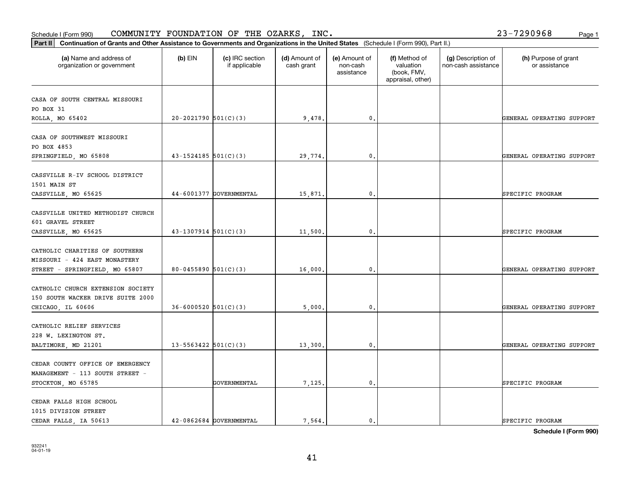# **Part III Continuation of Grants and Other Assistance to Governments and Organization of Grants and Other Assistance to Governments and Organization of Grants and Other Assistance to Governments and Organization**

Schedule I (Form 990)  ${\tt COMMUNITY}$  <code>FOUNDATION OF THE OZARKS, INC</code> .  $23-7290968$  Page 1

| Continuation of Grants and Other Assistance to Governments and Organizations in the United States (Schedule I (Form 990), Part II.)<br>Part II |                            |                                  |                             |                                         |                                                                |                                           |                                       |
|------------------------------------------------------------------------------------------------------------------------------------------------|----------------------------|----------------------------------|-----------------------------|-----------------------------------------|----------------------------------------------------------------|-------------------------------------------|---------------------------------------|
| (a) Name and address of<br>organization or government                                                                                          | $(b)$ EIN                  | (c) IRC section<br>if applicable | (d) Amount of<br>cash grant | (e) Amount of<br>non-cash<br>assistance | (f) Method of<br>valuation<br>(book, FMV,<br>appraisal, other) | (g) Description of<br>non-cash assistance | (h) Purpose of grant<br>or assistance |
| CASA OF SOUTH CENTRAL MISSOURI<br>PO BOX 31<br>ROLLA, MO 65402                                                                                 | $20-2021790$ 501(C)(3)     |                                  | 9,478.                      | $\mathbf{0}$ .                          |                                                                |                                           | GENERAL OPERATING SUPPORT             |
| CASA OF SOUTHWEST MISSOURI<br>PO BOX 4853<br>SPRINGFIELD, MO 65808                                                                             | $43 - 1524185$ 501(C)(3)   |                                  | 29,774.                     | $\mathbf{0}$ .                          |                                                                |                                           | GENERAL OPERATING SUPPORT             |
| CASSVILLE R-IV SCHOOL DISTRICT<br>1501 MAIN ST<br>CASSVILLE, MO 65625                                                                          |                            | 44-6001377 GOVERNMENTAL          | 15,871                      | $\mathbf{0}$                            |                                                                |                                           | SPECIFIC PROGRAM                      |
| CASSVILLE UNITED METHODIST CHURCH<br>601 GRAVEL STREET<br>CASSVILLE, MO 65625                                                                  | $43-1307914$ $501(C)(3)$   |                                  | 11,500.                     | 0.                                      |                                                                |                                           | SPECIFIC PROGRAM                      |
| CATHOLIC CHARITIES OF SOUTHERN<br>MISSOURI - 424 EAST MONASTERY<br>STREET - SPRINGFIELD, MO 65807                                              | 80-0455890 $501(C)(3)$     |                                  | 16,000.                     | $\mathbf{0}$ .                          |                                                                |                                           | GENERAL OPERATING SUPPORT             |
| CATHOLIC CHURCH EXTENSION SOCIETY<br>150 SOUTH WACKER DRIVE SUITE 2000<br>CHICAGO, IL 60606                                                    | $36 - 6000520$ $501(C)(3)$ |                                  | 5,000                       | $\mathbf{0}$                            |                                                                |                                           | GENERAL OPERATING SUPPORT             |
| CATHOLIC RELIEF SERVICES<br>228 W. LEXINGTON ST.<br>BALTIMORE, MD 21201                                                                        | $13 - 5563422$ $501(C)(3)$ |                                  | 13,300.                     | 0.                                      |                                                                |                                           | GENERAL OPERATING SUPPORT             |
| CEDAR COUNTY OFFICE OF EMERGENCY<br>MANAGEMENT - 113 SOUTH STREET -<br>STOCKTON, MO 65785                                                      |                            | GOVERNMENTAL                     | 7,125.                      | 0.                                      |                                                                |                                           | SPECIFIC PROGRAM                      |
| CEDAR FALLS HIGH SCHOOL<br>1015 DIVISION STREET<br>CEDAR FALLS, IA 50613                                                                       |                            | 42-0862684 GOVERNMENTAL          | 7.564.                      | $\mathbf{0}$ .                          |                                                                |                                           | SPECIFIC PROGRAM                      |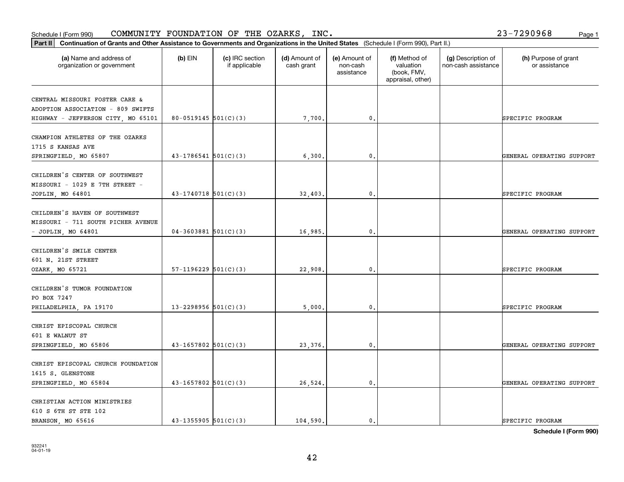### **Part III Continuation of Grants and Other Assistance to Governments and Organization of Grants and Other Assistance to Governments and Organization of Grants and Other Assistance to Governments and Organization** Schedule I (Form 990)  ${\tt COMMUNITY}$  <code>FOUNDATION OF THE OZARKS, INC</code> .  $23-7290968$  Page 1

| Continuation of Grants and Other Assistance to Governments and Organizations in the United States (Schedule I (Form 990), Part II.)<br>Part II |                            |                                  |                             |                                         |                                                                |                                           |                                       |
|------------------------------------------------------------------------------------------------------------------------------------------------|----------------------------|----------------------------------|-----------------------------|-----------------------------------------|----------------------------------------------------------------|-------------------------------------------|---------------------------------------|
| (a) Name and address of<br>organization or government                                                                                          | $(b)$ EIN                  | (c) IRC section<br>if applicable | (d) Amount of<br>cash grant | (e) Amount of<br>non-cash<br>assistance | (f) Method of<br>valuation<br>(book, FMV,<br>appraisal, other) | (g) Description of<br>non-cash assistance | (h) Purpose of grant<br>or assistance |
| CENTRAL MISSOURI FOSTER CARE &<br>ADOPTION ASSOCIATION - 809 SWIFTS<br>HIGHWAY - JEFFERSON CITY, MO 65101                                      | $80 - 0519145$ 501(C)(3)   |                                  | 7,700.                      | 0.                                      |                                                                |                                           | SPECIFIC PROGRAM                      |
| CHAMPION ATHLETES OF THE OZARKS<br>1715 S KANSAS AVE<br>SPRINGFIELD, MO 65807                                                                  | $43-1786541$ 501(C)(3)     |                                  | 6,300.                      | $\mathbf{0}$ .                          |                                                                |                                           | GENERAL OPERATING SUPPORT             |
| CHILDREN'S CENTER OF SOUTHWEST<br>MISSOURI - 1029 E 7TH STREET -<br>JOPLIN, MO 64801                                                           | $43-1740718$ 501(C)(3)     |                                  | 32,403.                     | $\mathbf{0}$                            |                                                                |                                           | SPECIFIC PROGRAM                      |
| CHILDREN'S HAVEN OF SOUTHWEST<br>MISSOURI - 711 SOUTH PICHER AVENUE<br>$-$ JOPLIN, MO 64801                                                    | $04-3603881$ 501(C)(3)     |                                  | 16,985.                     | 0.                                      |                                                                |                                           | GENERAL OPERATING SUPPORT             |
| CHILDREN'S SMILE CENTER<br>601 N. 21ST STREET<br>OZARK, MO 65721                                                                               | $57-1196229$ $501(C)(3)$   |                                  | 22,908.                     | 0.                                      |                                                                |                                           | SPECIFIC PROGRAM                      |
| CHILDREN'S TUMOR FOUNDATION<br>PO BOX 7247<br>PHILADELPHIA, PA 19170                                                                           | 13-2298956 $501(C)(3)$     |                                  | 5,000                       | $\mathbf{0}$                            |                                                                |                                           | SPECIFIC PROGRAM                      |
| CHRIST EPISCOPAL CHURCH<br>601 E WALNUT ST<br>SPRINGFIELD, MO 65806                                                                            | $43 - 1657802$ 501(C)(3)   |                                  | 23,376.                     | 0.                                      |                                                                |                                           | GENERAL OPERATING SUPPORT             |
| CHRIST EPISCOPAL CHURCH FOUNDATION<br>1615 S. GLENSTONE<br>SPRINGFIELD, MO 65804                                                               | $43 - 1657802$ 501(C)(3)   |                                  | 26,524.                     | 0.                                      |                                                                |                                           | GENERAL OPERATING SUPPORT             |
| CHRISTIAN ACTION MINISTRIES<br>610 S 6TH ST STE 102<br>BRANSON, MO 65616                                                                       | $43 - 1355905$ $501(C)(3)$ |                                  | 104,590.                    | $\mathbf{0}$ .                          |                                                                |                                           | SPECIFIC PROGRAM                      |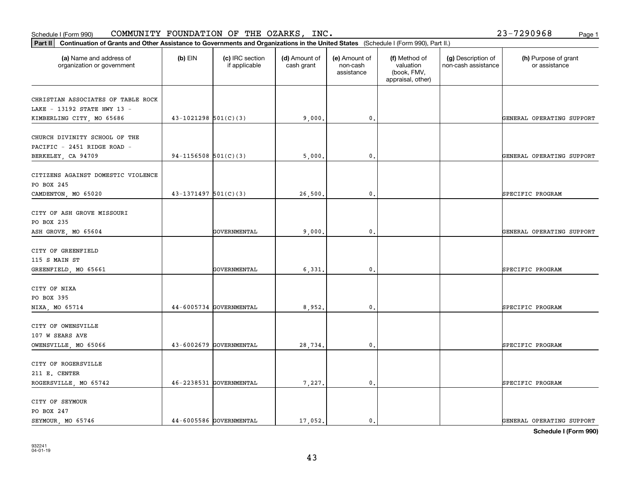### **Part III Continuation of Grants and Other Assistance to Governments and Organization of Grants and Organization of Grants and Organizations of Organizations and Organization of Grants and Organizations of Departments an** Schedule I (Form 990)  ${\tt COMMUNITY}$  <code>FOUNDATION OF THE OZARKS, INC</code> .  $23-7290968$  Page 1

| Continuation of Grants and Other Assistance to Governments and Organizations in the United States (Schedule I (Form 990), Part II.)<br>Part II |                          |                                  |                             |                                         |                                                                |                                           |                                       |
|------------------------------------------------------------------------------------------------------------------------------------------------|--------------------------|----------------------------------|-----------------------------|-----------------------------------------|----------------------------------------------------------------|-------------------------------------------|---------------------------------------|
| (a) Name and address of<br>organization or government                                                                                          | $(b)$ EIN                | (c) IRC section<br>if applicable | (d) Amount of<br>cash grant | (e) Amount of<br>non-cash<br>assistance | (f) Method of<br>valuation<br>(book, FMV,<br>appraisal, other) | (g) Description of<br>non-cash assistance | (h) Purpose of grant<br>or assistance |
| CHRISTIAN ASSOCIATES OF TABLE ROCK<br>LAKE - 13192 STATE HWY 13 -                                                                              |                          |                                  |                             |                                         |                                                                |                                           |                                       |
| KIMBERLING CITY, MO 65686                                                                                                                      | $43-1021298$ $501(C)(3)$ |                                  | 9,000.                      | 0.                                      |                                                                |                                           | GENERAL OPERATING SUPPORT             |
| CHURCH DIVINITY SCHOOL OF THE<br>PACIFIC - 2451 RIDGE ROAD -                                                                                   |                          |                                  | 5,000.                      | $\mathfrak{o}$ .                        |                                                                |                                           |                                       |
| BERKELEY, CA 94709                                                                                                                             | 94-1156508 $501(C)(3)$   |                                  |                             |                                         |                                                                |                                           | GENERAL OPERATING SUPPORT             |
| CITIZENS AGAINST DOMESTIC VIOLENCE<br>PO BOX 245                                                                                               |                          |                                  |                             |                                         |                                                                |                                           |                                       |
| CAMDENTON, MO 65020                                                                                                                            | $43 - 1371497$ 501(C)(3) |                                  | 26,500                      | $\mathbf{0}$                            |                                                                |                                           | SPECIFIC PROGRAM                      |
| CITY OF ASH GROVE MISSOURI<br>PO BOX 235                                                                                                       |                          |                                  |                             |                                         |                                                                |                                           |                                       |
| ASH GROVE, MO 65604                                                                                                                            |                          | GOVERNMENTAL                     | 9,000.                      | 0.                                      |                                                                |                                           | GENERAL OPERATING SUPPORT             |
| CITY OF GREENFIELD<br>115 S MAIN ST                                                                                                            |                          | GOVERNMENTAL                     |                             | $\mathbf{0}$ .                          |                                                                |                                           |                                       |
| GREENFIELD, MO 65661                                                                                                                           |                          |                                  | 6,331.                      |                                         |                                                                |                                           | SPECIFIC PROGRAM                      |
| CITY OF NIXA<br>PO BOX 395<br>NIXA, MO 65714                                                                                                   |                          | 44-6005734 GOVERNMENTAL          | 8,952.                      | $\mathbf{0}$                            |                                                                |                                           | SPECIFIC PROGRAM                      |
|                                                                                                                                                |                          |                                  |                             |                                         |                                                                |                                           |                                       |
| CITY OF OWENSVILLE<br>107 W SEARS AVE                                                                                                          |                          |                                  |                             |                                         |                                                                |                                           |                                       |
| OWENSVILLE, MO 65066                                                                                                                           |                          | 43-6002679 GOVERNMENTAL          | 28,734.                     | 0.                                      |                                                                |                                           | SPECIFIC PROGRAM                      |
| CITY OF ROGERSVILLE<br>211 E. CENTER                                                                                                           |                          |                                  |                             |                                         |                                                                |                                           |                                       |
| ROGERSVILLE, MO 65742                                                                                                                          |                          | 46-2238531 GOVERNMENTAL          | 7,227.                      | $\mathbf{0}$ .                          |                                                                |                                           | SPECIFIC PROGRAM                      |
| CITY OF SEYMOUR<br>PO BOX 247<br>SEYMOUR, MO 65746                                                                                             |                          | 44-6005586 GOVERNMENTAL          | 17,052.                     | $\mathbf{0}$ .                          |                                                                |                                           | GENERAL OPERATING SUPPORT             |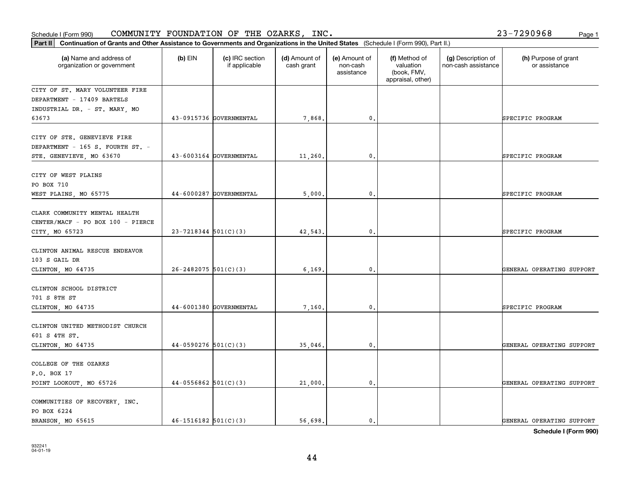| Schedule I (Form 990)                                                                                                                       |                          | COMMUNITY FOUNDATION OF THE OZARKS, | INC.                        |                                         |                                                                |                                           | 23-7290968<br>Page 1                  |
|---------------------------------------------------------------------------------------------------------------------------------------------|--------------------------|-------------------------------------|-----------------------------|-----------------------------------------|----------------------------------------------------------------|-------------------------------------------|---------------------------------------|
| Part II Continuation of Grants and Other Assistance to Governments and Organizations in the United States (Schedule I (Form 990), Part II.) |                          |                                     |                             |                                         |                                                                |                                           |                                       |
| (a) Name and address of<br>organization or government                                                                                       | $(b)$ EIN                | (c) IRC section<br>if applicable    | (d) Amount of<br>cash grant | (e) Amount of<br>non-cash<br>assistance | (f) Method of<br>valuation<br>(book, FMV,<br>appraisal, other) | (g) Description of<br>non-cash assistance | (h) Purpose of grant<br>or assistance |
| CITY OF ST. MARY VOLUNTEER FIRE<br>DEPARTMENT - 17409 BARTELS<br>INDUSTRIAL DR. - ST. MARY, MO                                              |                          |                                     |                             |                                         |                                                                |                                           |                                       |
| 63673                                                                                                                                       |                          | 43-0915736 GOVERNMENTAL             | 7,868                       | $\mathbf 0$ .                           |                                                                |                                           | SPECIFIC PROGRAM                      |
| CITY OF STE. GENEVIEVE FIRE<br>DEPARTMENT - 165 S. FOURTH ST. -<br>STE. GENEVIEVE, MO 63670                                                 |                          | 43-6003164 GOVERNMENTAL             | 11,260.                     | 0.                                      |                                                                |                                           | SPECIFIC PROGRAM                      |
| CITY OF WEST PLAINS<br>PO BOX 710                                                                                                           |                          |                                     |                             |                                         |                                                                |                                           |                                       |
| WEST PLAINS, MO 65775                                                                                                                       |                          | 44-6000287 GOVERNMENTAL             | 5,000                       | 0.                                      |                                                                |                                           | SPECIFIC PROGRAM                      |
| CLARK COMMUNITY MENTAL HEALTH<br>CENTER/MACF - PO BOX 100 - PIERCE<br>CITY, MO 65723                                                        | $23 - 7218344$ 501(C)(3) |                                     | 42,543                      | $\mathbf 0$ .                           |                                                                |                                           | SPECIFIC PROGRAM                      |
| CLINTON ANIMAL RESCUE ENDEAVOR<br>103 S GAIL DR<br>CLINTON, MO 64735                                                                        | $26 - 2482075$ 501(C)(3) |                                     | 6, 169                      | $\mathbf{0}$ .                          |                                                                |                                           | GENERAL OPERATING SUPPORT             |
| CLINTON SCHOOL DISTRICT<br>701 S 8TH ST<br>CLINTON, MO 64735                                                                                |                          | 44-6001380 GOVERNMENTAL             | 7,160                       | 0.                                      |                                                                |                                           | SPECIFIC PROGRAM                      |
| CLINTON UNITED METHODIST CHURCH<br>601 S 4TH ST.<br>CLINTON, MO 64735                                                                       | $44-0590276$ 501(C)(3)   |                                     | 35,046                      | 0.                                      |                                                                |                                           | GENERAL OPERATING SUPPORT             |
| COLLEGE OF THE OZARKS<br>P.O. BOX 17<br>POINT LOOKOUT, MO 65726                                                                             | $44-0556862$ 501(C)(3)   |                                     | 21,000                      | $\mathbf{0}$ .                          |                                                                |                                           | GENERAL OPERATING SUPPORT             |
| COMMUNITIES OF RECOVERY, INC.<br>PO BOX 6224<br>BRANSON, MO 65615                                                                           | $46 - 1516182$ 501(C)(3) |                                     | 56,698.                     | $\mathbf{0}$ .                          |                                                                |                                           | GENERAL OPERATING SUPPORT             |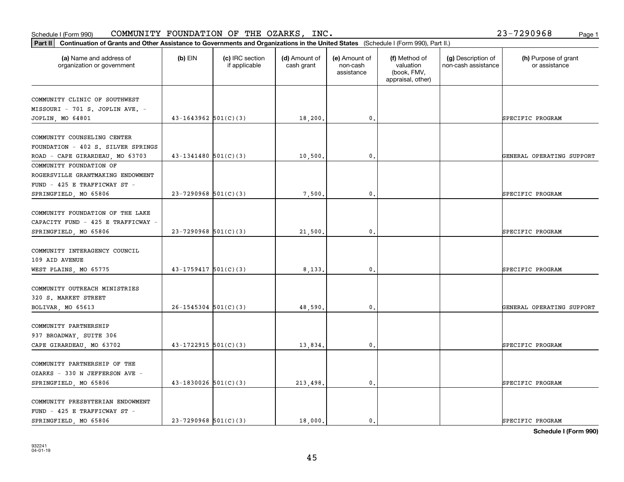### **Part II Continuation of Grants and Other Assistance to Governments and Organization of Grants and Organization of Grants and Organizations of United States** *and Organization* **of Grants and Organizations of United States** Schedule I (Form 990)  ${\tt COMMUNITY}$  <code>FOUNDATION OF THE OZARKS, INC</code> .  $23-7290968$  Page 1

| Continuation of Grants and Other Assistance to Governments and Organizations in the United States (Schedule I (Form 990), Part II.)<br>Part II |                            |                                  |                             |                                         |                                                                |                                           |                                       |
|------------------------------------------------------------------------------------------------------------------------------------------------|----------------------------|----------------------------------|-----------------------------|-----------------------------------------|----------------------------------------------------------------|-------------------------------------------|---------------------------------------|
| (a) Name and address of<br>organization or government                                                                                          | $(b)$ EIN                  | (c) IRC section<br>if applicable | (d) Amount of<br>cash grant | (e) Amount of<br>non-cash<br>assistance | (f) Method of<br>valuation<br>(book, FMV,<br>appraisal, other) | (g) Description of<br>non-cash assistance | (h) Purpose of grant<br>or assistance |
| COMMUNITY CLINIC OF SOUTHWEST<br>MISSOURI - 701 S. JOPLIN AVE. -<br>JOPLIN, MO 64801                                                           | $43-1643962$ $501(C)(3)$   |                                  | 18,200.                     | 0.                                      |                                                                |                                           | SPECIFIC PROGRAM                      |
| COMMUNITY COUNSELING CENTER<br>FOUNDATION - 402 S. SILVER SPRINGS<br>ROAD - CAPE GIRARDEAU, MO 63703                                           | $43 - 1341480$ 501(C)(3)   |                                  | 10,500.                     | $\mathbf{0}$ .                          |                                                                |                                           | GENERAL OPERATING SUPPORT             |
| COMMUNITY FOUNDATION OF<br>ROGERSVILLE GRANTMAKING ENDOWMENT<br>FUND - 425 E TRAFFICWAY ST -<br>SPRINGFIELD, MO 65806                          | $23 - 7290968$ 501(C)(3)   |                                  | 7,500                       | $\mathbf{0}$                            |                                                                |                                           | SPECIFIC PROGRAM                      |
| COMMUNITY FOUNDATION OF THE LAKE<br>CAPACITY FUND - 425 E TRAFFICWAY -<br>SPRINGFIELD, MO 65806                                                | $23 - 7290968$ 501(C)(3)   |                                  | 21,500.                     | 0.                                      |                                                                |                                           | SPECIFIC PROGRAM                      |
| COMMUNITY INTERAGENCY COUNCIL<br>109 AID AVENUE<br>WEST PLAINS, MO 65775                                                                       | $43 - 1759417$ 501(C)(3)   |                                  | 8,133.                      | $\mathbf{0}$ .                          |                                                                |                                           | SPECIFIC PROGRAM                      |
| COMMUNITY OUTREACH MINISTRIES<br>320 S. MARKET STREET<br>BOLIVAR, MO 65613                                                                     | $26 - 1545304$ 501(C)(3)   |                                  | 48,590                      | $\mathbf{0}$                            |                                                                |                                           | GENERAL OPERATING SUPPORT             |
| COMMUNITY PARTNERSHIP<br>937 BROADWAY, SUITE 306<br>CAPE GIRARDEAU, MO 63702                                                                   | $43 - 1722915$ $501(C)(3)$ |                                  | 13,834.                     | 0.                                      |                                                                |                                           | SPECIFIC PROGRAM                      |
| COMMUNITY PARTNERSHIP OF THE<br>OZARKS - 330 N JEFFERSON AVE -<br>SPRINGFIELD, MO 65806                                                        | $43-1830026$ 501(C)(3)     |                                  | 213,498.                    | 0.                                      |                                                                |                                           | SPECIFIC PROGRAM                      |
| COMMUNITY PRESBYTERIAN ENDOWMENT<br>FUND - 425 E TRAFFICWAY ST -<br>SPRINGFIELD MO 65806                                                       | $23 - 7290968$ 501(C)(3)   |                                  | 18,000.                     | $\mathbf{0}$ .                          |                                                                |                                           | SPECIFIC PROGRAM                      |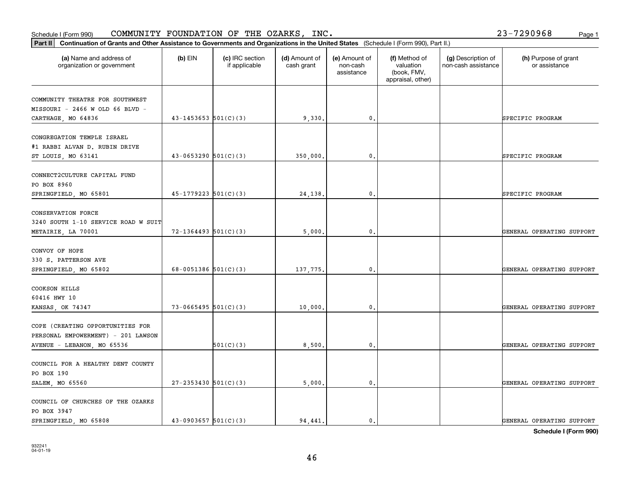PO BOX 3947

COUNCIL OF CHURCHES OF THE OZARKS

| MISSOURI - 2466 W OLD 66 BLVD -                                                        |                            |           |          |                   |                           |
|----------------------------------------------------------------------------------------|----------------------------|-----------|----------|-------------------|---------------------------|
| CARTHAGE, MO 64836                                                                     | $43 - 1453653$ $501(C)(3)$ |           | 9,330.   | $\mathbf{0}$ .    | SPECIFIC PROGRAM          |
| CONGREGATION TEMPLE ISRAEL<br>#1 RABBI ALVAN D. RUBIN DRIVE                            |                            |           |          |                   |                           |
| ST LOUIS, MO 63141                                                                     | $43 - 0653290$ $501(C)(3)$ |           | 350,000. | $\,$ 0 $_\bullet$ | SPECIFIC PROGRAM          |
| CONNECT2CULTURE CAPITAL FUND<br>PO BOX 8960<br>SPRINGFIELD, MO 65801                   | $45-1779223$ $501(C)(3)$   |           | 24,138.  | $\mathfrak o$ .   | SPECIFIC PROGRAM          |
|                                                                                        |                            |           |          |                   |                           |
| <b>CONSERVATION FORCE</b><br>3240 SOUTH 1-10 SERVICE ROAD W SUIT<br>METAIRIE, LA 70001 | $72 - 1364493$ 501(C)(3)   |           | 5,000.   | $\mathfrak{o}$ .  | GENERAL OPERATING SUPPORT |
|                                                                                        |                            |           |          |                   |                           |
| CONVOY OF HOPE<br>330 S. PATTERSON AVE                                                 |                            |           |          |                   |                           |
| SPRINGFIELD, MO 65802                                                                  | $68-0051386$ $501(C)(3)$   |           | 137,775. | $\,$ 0 $_\bullet$ | GENERAL OPERATING SUPPORT |
| COOKSON HILLS<br>60416 HWY 10                                                          |                            |           |          |                   |                           |
| KANSAS, OK 74347                                                                       | $73-0665495$ $501(C)(3)$   |           | 10,000.  | $\mathbf{0}$ .    | GENERAL OPERATING SUPPORT |
| COPE (CREATING OPPORTUNITIES FOR<br>PERSONAL EMPOWERMENT) - 201 LAWSON                 |                            |           |          |                   |                           |
| AVENUE - LEBANON, MO 65536                                                             |                            | 501(C)(3) | 8,500.   | $\mathbf{0}$ .    | GENERAL OPERATING SUPPORT |
| COUNCIL FOR A HEALTHY DENT COUNTY<br>PO BOX 190                                        |                            |           |          |                   |                           |
| SALEM, MO 65560                                                                        | $27 - 2353430$ 501(C)(3)   |           | 5,000.   | $\mathbf{0}$ .    | GENERAL OPERATING SUPPORT |
|                                                                                        |                            |           |          |                   |                           |

## Schedule I (Form 990)  ${\tt COMMUNITY}$  <code>FOUNDATION OF THE OZARKS, INC</code> .  $23-7290968$  Page 1

organization or government

COMMUNITY THEATRE FOR SOUTHWEST

**Part II Continuation of Grants and Other Assistance to Governments and Organizations in the United States**  (Schedule I (Form 990), Part II.)

if applicable

 $(b)$  EIN  $(c)$  IRC section

**(a) (b) (c) (d) (e) (f) (g) (h)** Name and address of

(d) Amount of cash grant

(e) Amount of non-cashassistance

(f) Method of valuation (book, FMV, appraisal, other)

(g) Description of non-cash assistance

(h) Purpose of grant or assistance

**Schedule I (Form 990)**

SPRINGFIELD, MO 65808  $\begin{vmatrix} 43-0903657 & 501(C)(3) \end{vmatrix}$  94,441. 0. 0.  $\begin{vmatrix} 9 & 0 & 0 \end{vmatrix}$  SENERAL OPERATING SUPPORT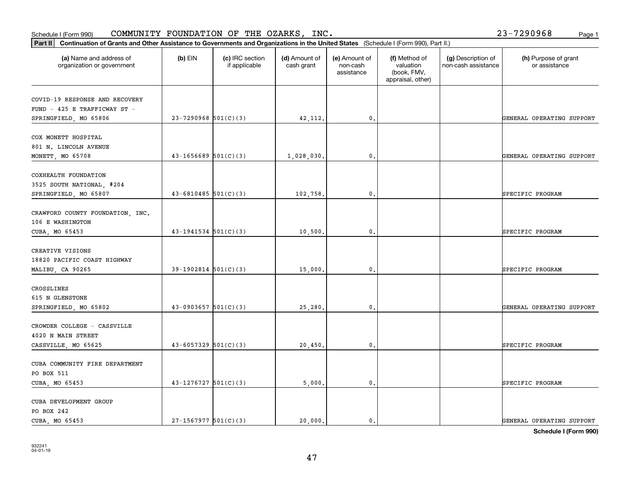## Schedule I (Form 990)  ${\tt COMMUNITY}$  <code>FOUNDATION OF THE OZARKS, INC</code> .  $23-7290968$  Page 1

**Part II Continuation of Grants and Other Assistance to Governments and Organizations in the United States**  (Schedule I (Form 990), Part II.)

| (a) Name and address of<br>organization or government               | $(b)$ EIN                  | (c) IRC section<br>if applicable | (d) Amount of<br>cash grant | (e) Amount of<br>non-cash<br>assistance | (f) Method of<br>valuation<br>(book, FMV,<br>appraisal, other) | (g) Description of<br>non-cash assistance | (h) Purpose of grant<br>or assistance |
|---------------------------------------------------------------------|----------------------------|----------------------------------|-----------------------------|-----------------------------------------|----------------------------------------------------------------|-------------------------------------------|---------------------------------------|
| COVID-19 RESPONSE AND RECOVERY<br>FUND - 425 E TRAFFICWAY ST -      |                            |                                  |                             |                                         |                                                                |                                           |                                       |
| SPRINGFIELD, MO 65806                                               | $23 - 7290968$ 501(C)(3)   |                                  | 42, 112.                    | $\mathbf{0}$ .                          |                                                                |                                           | GENERAL OPERATING SUPPORT             |
| COX MONETT HOSPITAL<br>801 N. LINCOLN AVENUE                        |                            |                                  |                             |                                         |                                                                |                                           |                                       |
| MONETT, MO 65708                                                    | $43 - 1656689$ 501(C)(3)   |                                  | 1,028,030.                  | $\mathfrak o$ .                         |                                                                |                                           | GENERAL OPERATING SUPPORT             |
| COXHEALTH FOUNDATION<br>3525 SOUTH NATIONAL, #204                   | $43 - 6810485$ 501(C)(3)   |                                  |                             | $\mathbf{0}$ .                          |                                                                |                                           |                                       |
| SPRINGFIELD, MO 65807                                               |                            |                                  | 102,758.                    |                                         |                                                                |                                           | SPECIFIC PROGRAM                      |
| CRAWFORD COUNTY FOUNDATION, INC.<br>106 E WASHINGTON                |                            |                                  |                             |                                         |                                                                |                                           |                                       |
| CUBA, MO 65453                                                      | $43-1941534$ $501(C)(3)$   |                                  | 10,500.                     | $\mathfrak{o}$ .                        |                                                                |                                           | SPECIFIC PROGRAM                      |
| CREATIVE VISIONS<br>18820 PACIFIC COAST HIGHWAY<br>MALIBU, CA 90265 | $39-1902814$ $501(C)(3)$   |                                  | 15,000.                     | $\mathbf{0}$ .                          |                                                                |                                           | SPECIFIC PROGRAM                      |
|                                                                     |                            |                                  |                             |                                         |                                                                |                                           |                                       |
| CROSSLINES<br>615 N GLENSTONE<br>SPRINGFIELD, MO 65802              | $43-0903657$ $501(C)(3)$   |                                  | 25,280.                     | $\mathbf{0}$ .                          |                                                                |                                           | GENERAL OPERATING SUPPORT             |
| CROWDER COLLEGE - CASSVILLE<br>4020 N MAIN STREET                   |                            |                                  |                             |                                         |                                                                |                                           |                                       |
| CASSVILLE, MO 65625                                                 | $43 - 6057329$ $501(C)(3)$ |                                  | 20,450.                     | $\mathbf{0}$ .                          |                                                                |                                           | SPECIFIC PROGRAM                      |
| CUBA COMMUNITY FIRE DEPARTMENT<br>PO BOX 511                        |                            |                                  |                             |                                         |                                                                |                                           |                                       |
| CUBA, MO 65453                                                      | $43-1276727$ 501(C)(3)     |                                  | 5,000.                      | 0.                                      |                                                                |                                           | SPECIFIC PROGRAM                      |
| CUBA DEVELOPMENT GROUP<br>PO BOX 242<br>CUBA, MO 65453              | $27-1567977$ 501(C)(3)     |                                  | 20,000.                     | $\mathbf{0}$ .                          |                                                                |                                           | GENERAL OPERATING SUPPORT             |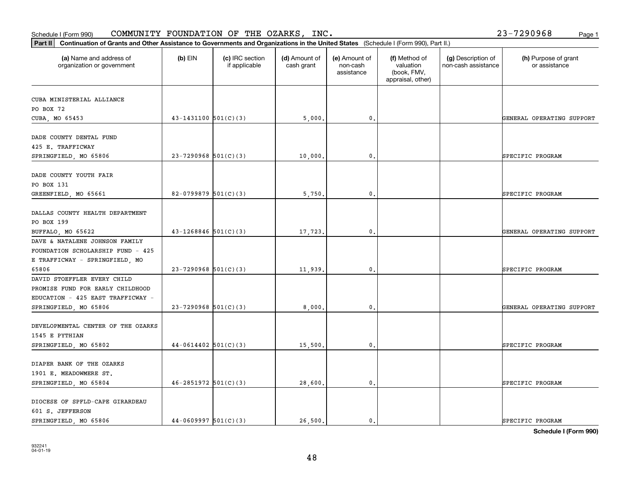| (a) Name and address of<br>organization or government | $(b)$ EIN                  | (c) IRC section<br>if applicable | (d) Amount of<br>cash grant | (e) Amount of<br>non-cash<br>assistance | (f) Method of<br>valuation<br>(book, FMV,<br>appraisal, other) | (g) Description of<br>non-cash assistance | (h) Purpose of grant<br>or assistance |
|-------------------------------------------------------|----------------------------|----------------------------------|-----------------------------|-----------------------------------------|----------------------------------------------------------------|-------------------------------------------|---------------------------------------|
| CUBA MINISTERIAL ALLIANCE                             |                            |                                  |                             |                                         |                                                                |                                           |                                       |
| PO BOX 72                                             |                            |                                  |                             |                                         |                                                                |                                           |                                       |
| CUBA, MO 65453                                        | $43 - 1431100$ $501(C)(3)$ |                                  | 5,000.                      | 0.                                      |                                                                |                                           | GENERAL OPERATING SUPPORT             |
| DADE COUNTY DENTAL FUND                               |                            |                                  |                             |                                         |                                                                |                                           |                                       |
| 425 E. TRAFFICWAY                                     |                            |                                  |                             |                                         |                                                                |                                           |                                       |
| SPRINGFIELD, MO 65806                                 | $23 - 7290968$ 501(C)(3)   |                                  | 10,000.                     | 0.                                      |                                                                |                                           | SPECIFIC PROGRAM                      |
| DADE COUNTY YOUTH FAIR                                |                            |                                  |                             |                                         |                                                                |                                           |                                       |
| PO BOX 131                                            |                            |                                  |                             |                                         |                                                                |                                           |                                       |
| GREENFIELD, MO 65661                                  | 82-0799879 $501(C)(3)$     |                                  | 5,750.                      | $\mathbf{0}$ .                          |                                                                |                                           | SPECIFIC PROGRAM                      |
| DALLAS COUNTY HEALTH DEPARTMENT                       |                            |                                  |                             |                                         |                                                                |                                           |                                       |
| PO BOX 199                                            |                            |                                  |                             |                                         |                                                                |                                           |                                       |
| BUFFALO, MO 65622                                     | $43 - 1268846$ $501(C)(3)$ |                                  | 17,723.                     | 0.                                      |                                                                |                                           | GENERAL OPERATING SUPPORT             |
| DAVE & NATALENE JOHNSON FAMILY                        |                            |                                  |                             |                                         |                                                                |                                           |                                       |
| FOUNDATION SCHOLARSHIP FUND - 425                     |                            |                                  |                             |                                         |                                                                |                                           |                                       |
| E TRAFFICWAY - SPRINGFIELD, MO                        |                            |                                  |                             |                                         |                                                                |                                           |                                       |
| 65806                                                 | $23 - 7290968$ 501(C)(3)   |                                  | 11,939.                     | $\mathbf{0}$ .                          |                                                                |                                           | SPECIFIC PROGRAM                      |
| DAVID STOEFFLER EVERY CHILD                           |                            |                                  |                             |                                         |                                                                |                                           |                                       |
| PROMISE FUND FOR EARLY CHILDHOOD                      |                            |                                  |                             |                                         |                                                                |                                           |                                       |
| EDUCATION - 425 EAST TRAFFICWAY -                     |                            |                                  |                             |                                         |                                                                |                                           |                                       |
| SPRINGFIELD, MO 65806                                 | $23 - 7290968$ 501(C)(3)   |                                  | 8,000,                      | 0.                                      |                                                                |                                           | GENERAL OPERATING SUPPORT             |
| DEVELOPMENTAL CENTER OF THE OZARKS                    |                            |                                  |                             |                                         |                                                                |                                           |                                       |
| 1545 E PYTHIAN                                        |                            |                                  |                             |                                         |                                                                |                                           |                                       |
| SPRINGFIELD, MO 65802                                 | $44-0614402$ 501(C)(3)     |                                  | 15,500.                     | 0.                                      |                                                                |                                           | SPECIFIC PROGRAM                      |
| DIAPER BANK OF THE OZARKS                             |                            |                                  |                             |                                         |                                                                |                                           |                                       |
| 1901 E. MEADOWMERE ST.                                |                            |                                  |                             |                                         |                                                                |                                           |                                       |
| SPRINGFIELD, MO 65804                                 | $46 - 2851972$ 501(C)(3)   |                                  | 28,600.                     | 0.                                      |                                                                |                                           | SPECIFIC PROGRAM                      |
| DIOCESE OF SPFLD-CAPE GIRARDEAU                       |                            |                                  |                             |                                         |                                                                |                                           |                                       |
| 601 S. JEFFERSON                                      |                            |                                  |                             |                                         |                                                                |                                           |                                       |
| SPRINGFIELD, MO 65806                                 | $44-0609997$ 501(C)(3)     |                                  | 26,500.                     | $\mathbf{0}$ .                          |                                                                |                                           | SPECIFIC PROGRAM                      |

**Part II Continuation of Grants and Other Assistance to Governments and Organizations in the United States**  (Schedule I (Form 990), Part II.)

**Schedule I (Form 990)**

## Schedule I (Form 990)  ${\tt COMMUNITY}$  <code>FOUNDATION OF THE OZARKS, INC</code> .  $23-7290968$  Page 1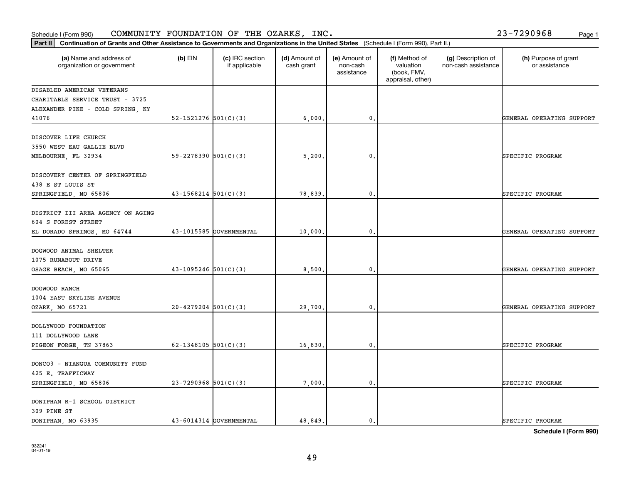309 PINE ST

DONIPHAN R-1 SCHOOL DISTRICT

| DISCOVERY CENTER OF SPRINGFIELD   |                            |         |                |                           |
|-----------------------------------|----------------------------|---------|----------------|---------------------------|
| 438 E ST LOUIS ST                 |                            |         |                |                           |
| SPRINGFIELD, MO 65806             | $43 - 1568214$ $501(C)(3)$ | 78,839. | 0.             | SPECIFIC PROGRAM          |
| DISTRICT III AREA AGENCY ON AGING |                            |         |                |                           |
| 604 S FOREST STREET               |                            |         |                |                           |
| EL DORADO SPRINGS, MO 64744       | 43-1015585 GOVERNMENTAL    | 10,000. | 0.             | GENERAL OPERATING SUPPORT |
| DOGWOOD ANIMAL SHELTER            |                            |         |                |                           |
| 1075 RUNABOUT DRIVE               |                            |         |                |                           |
| OSAGE BEACH, MO 65065             | $43-1095246$ 501(C)(3)     | 8,500.  | $\mathbf{0}$ . | GENERAL OPERATING SUPPORT |
| DOGWOOD RANCH                     |                            |         |                |                           |
| 1004 EAST SKYLINE AVENUE          |                            |         |                |                           |
| OZARK, MO 65721                   | $20-4279204$ 501(C)(3)     | 29,700. | 0.             | GENERAL OPERATING SUPPORT |
| DOLLYWOOD FOUNDATION              |                            |         |                |                           |
| 111 DOLLYWOOD LANE                |                            |         |                |                           |
| PIGEON FORGE, TN 37863            | 62-1348105 $501(C)(3)$     | 16,830. | $\mathbf{0}$ . | SPECIFIC PROGRAM          |
| DONCO3 - NIANGUA COMMUNITY FUND   |                            |         |                |                           |
| 425 E. TRAFFICWAY                 |                            |         |                |                           |
| SPRINGFIELD, MO 65806             | $23 - 7290968$ 501(C)(3)   | 7,000.  | 0.             | SPECIFIC PROGRAM          |

## Schedule I (Form 990)  ${\tt COMMUNITY}$  <code>FOUNDATION OF THE OZARKS, INC</code> .  $23-7290968$  Page 1

organization or government

DISABLED AMERICAN VETERANS CHARITABLE SERVICE TRUST - 3725 ALEXANDER PIKE - COLD SPRING, KY

DISCOVER LIFE CHURCH 3550 WEST EAU GALLIE BLVD

41076

**Part II Continuation of Grants and Other Assistance to Governments and Organizations in the United States**  (Schedule I (Form 990), Part II.)

if applicable

 $(b)$  EIN  $(c)$  IRC section

**(a) (b) (c) (d) (e) (f) (g) (h)** Name and address of

MELBOURNE, FL 32934 SO-2278390 501(C)(3) 35,200. O. SPECIFIC PROGRAM

(d) Amount of cash grant

(e) Amount of non-cashassistance

(f) Method of valuation (book, FMV, appraisal, other)

52-1521276 501(C)(3) 6,000. 6.000. 0. CHENERAL OPERATING SUPPORT

(g) Description of non-cash assistance

(h) Purpose of grant or assistance

**Schedule I (Form 990)**

DONIPHAN, MO 63935 43-6014314 GOVERNMENTAL 48,849. 0.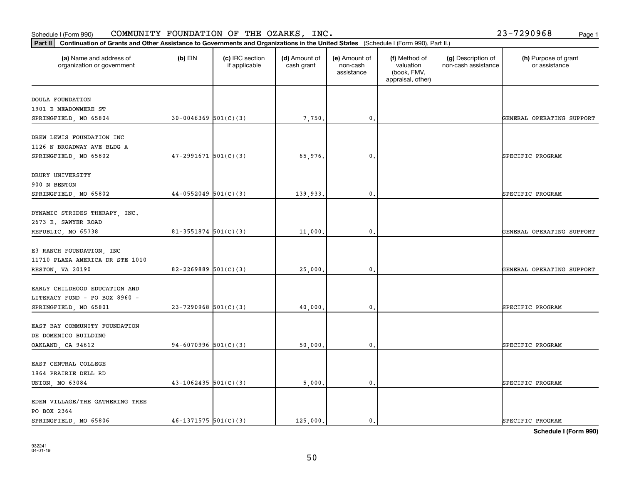| DOULA FOUNDATION                |                          |          |                |                           |
|---------------------------------|--------------------------|----------|----------------|---------------------------|
| 1901 E MEADOWMERE ST            |                          |          |                |                           |
| SPRINGFIELD, MO 65804           | $30-0046369$ $501(C)(3)$ | 7,750.   | $\mathbf{0}$ . | GENERAL OPERATING SUPPORT |
| DREW LEWIS FOUNDATION INC       |                          |          |                |                           |
| 1126 N BROADWAY AVE BLDG A      |                          |          |                |                           |
| SPRINGFIELD, MO 65802           | $47 - 2991671$ 501(C)(3) | 65,976.  | 0.             | SPECIFIC PROGRAM          |
|                                 |                          |          |                |                           |
| DRURY UNIVERSITY                |                          |          |                |                           |
| 900 N BENTON                    |                          |          |                |                           |
| SPRINGFIELD, MO 65802           | $44-0552049$ 501(C)(3)   | 139,933. | $\mathbf{0}$ . | SPECIFIC PROGRAM          |
| DYNAMIC STRIDES THERAPY, INC.   |                          |          |                |                           |
| 2673 E. SAWYER ROAD             |                          |          |                |                           |
| REPUBLIC, MO 65738              | $81 - 3551874$ 501(C)(3) | 11,000.  | 0.             | GENERAL OPERATING SUPPORT |
|                                 |                          |          |                |                           |
| E3 RANCH FOUNDATION, INC        |                          |          |                |                           |
| 11710 PLAZA AMERICA DR STE 1010 |                          |          |                |                           |
| RESTON, VA 20190                | 82-2269889 $501(C)(3)$   | 25,000.  | 0.             | GENERAL OPERATING SUPPORT |
| EARLY CHILDHOOD EDUCATION AND   |                          |          |                |                           |
| LITERACY FUND - PO BOX 8960 -   |                          |          |                |                           |
| SPRINGFIELD, MO 65801           | $23 - 7290968$ 501(C)(3) | 40,000.  | 0.             | SPECIFIC PROGRAM          |
| EAST BAY COMMUNITY FOUNDATION   |                          |          |                |                           |
| DE DOMENICO BUILDING            |                          |          |                |                           |
| OAKLAND, CA 94612               | 94-6070996 $501(C)(3)$   | 50,000.  | 0.             | SPECIFIC PROGRAM          |
|                                 |                          |          |                |                           |
| EAST CENTRAL COLLEGE            |                          |          |                |                           |
| 1964 PRAIRIE DELL RD            |                          |          |                |                           |
| UNION, MO 63084                 | $43 - 1062435$ 501(C)(3) | 5,000.   | $\mathbf{0}$ . | SPECIFIC PROGRAM          |
| EDEN VILLAGE/THE GATHERING TREE |                          |          |                |                           |
| PO BOX 2364                     |                          |          |                |                           |

**(a) (b) (c) (d) (e) (f) (g) (h)** Name and address of

(d) Amount of cash grant

(e) Amount of non-cashassistance

(f) Method of valuation (book, FMV, appraisal, other)

(g) Description of non-cash assistance

### Schedule I (Form 990)  ${\tt COMMUNITY}$  <code>FOUNDATION OF THE OZARKS, INC</code> .  $23-7290968$  Page 1

organization or government

**Part II Continuation of Grants and Other Assistance to Governments and Organizations in the United States**  (Schedule I (Form 990), Part II.)

if applicable

 $(b)$  EIN  $(c)$  IRC section

(h) Purpose of grant or assistance

**Schedule I (Form 990)**

SPRINGFIELD, MO 65806  $\begin{vmatrix} 46-1371575 & 501(C)(3) \end{vmatrix}$  125,000. 0. 0. SPECIFIC PROGRAM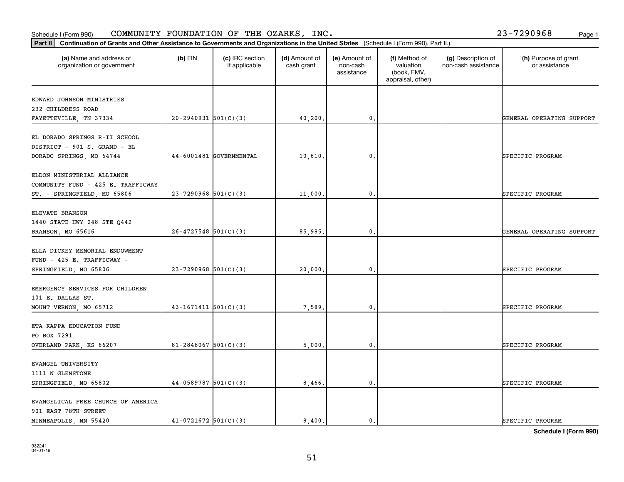| EDWARD JOHNSON MINISTRIES<br>232 CHILDRESS ROAD<br>$20-2940931$ 501(C)(3)<br>40,200.<br>$\mathfrak o$ .<br>GENERAL OPERATING SUPPORT<br>FAYETTEVILLE, TN 37334<br>EL DORADO SPRINGS R-II SCHOOL<br>DISTRICT - 901 S. GRAND - EL<br>44-6001481 GOVERNMENTAL<br>10,610.<br>$\mathbf{0}$ .<br>SPECIFIC PROGRAM<br>DORADO SPRINGS, MO 64744<br>ELDON MINISTERIAL ALLIANCE<br>COMMUNITY FUND - 425 E. TRAFFICWAY<br>$23 - 7290968$ 501(C)(3)<br>11,000.<br>0.<br>ST. - SPRINGFIELD, MO 65806<br>SPECIFIC PROGRAM<br>ELEVATE BRANSON<br>1440 STATE HWY 248 STE Q442<br>$26 - 4727548$ 501(C)(3)<br>$\mathfrak o$ .<br>85,985.<br>BRANSON, MO 65616<br>GENERAL OPERATING SUPPORT<br>ELLA DICKEY MEMORIAL ENDOWMENT<br>FUND - 425 E. TRAFFICWAY -<br>$23 - 7290968$ 501(C)(3)<br>20,000<br>SPRINGFIELD, MO 65806<br>$\mathbf{0}$<br>SPECIFIC PROGRAM | (h) Purpose of grant<br>or assistance |
|----------------------------------------------------------------------------------------------------------------------------------------------------------------------------------------------------------------------------------------------------------------------------------------------------------------------------------------------------------------------------------------------------------------------------------------------------------------------------------------------------------------------------------------------------------------------------------------------------------------------------------------------------------------------------------------------------------------------------------------------------------------------------------------------------------------------------------------------|---------------------------------------|
|                                                                                                                                                                                                                                                                                                                                                                                                                                                                                                                                                                                                                                                                                                                                                                                                                                              |                                       |
|                                                                                                                                                                                                                                                                                                                                                                                                                                                                                                                                                                                                                                                                                                                                                                                                                                              |                                       |
|                                                                                                                                                                                                                                                                                                                                                                                                                                                                                                                                                                                                                                                                                                                                                                                                                                              |                                       |
|                                                                                                                                                                                                                                                                                                                                                                                                                                                                                                                                                                                                                                                                                                                                                                                                                                              |                                       |
|                                                                                                                                                                                                                                                                                                                                                                                                                                                                                                                                                                                                                                                                                                                                                                                                                                              |                                       |
|                                                                                                                                                                                                                                                                                                                                                                                                                                                                                                                                                                                                                                                                                                                                                                                                                                              |                                       |
|                                                                                                                                                                                                                                                                                                                                                                                                                                                                                                                                                                                                                                                                                                                                                                                                                                              |                                       |
|                                                                                                                                                                                                                                                                                                                                                                                                                                                                                                                                                                                                                                                                                                                                                                                                                                              |                                       |
|                                                                                                                                                                                                                                                                                                                                                                                                                                                                                                                                                                                                                                                                                                                                                                                                                                              |                                       |
|                                                                                                                                                                                                                                                                                                                                                                                                                                                                                                                                                                                                                                                                                                                                                                                                                                              |                                       |
|                                                                                                                                                                                                                                                                                                                                                                                                                                                                                                                                                                                                                                                                                                                                                                                                                                              |                                       |
|                                                                                                                                                                                                                                                                                                                                                                                                                                                                                                                                                                                                                                                                                                                                                                                                                                              |                                       |
|                                                                                                                                                                                                                                                                                                                                                                                                                                                                                                                                                                                                                                                                                                                                                                                                                                              |                                       |
|                                                                                                                                                                                                                                                                                                                                                                                                                                                                                                                                                                                                                                                                                                                                                                                                                                              |                                       |
|                                                                                                                                                                                                                                                                                                                                                                                                                                                                                                                                                                                                                                                                                                                                                                                                                                              |                                       |
|                                                                                                                                                                                                                                                                                                                                                                                                                                                                                                                                                                                                                                                                                                                                                                                                                                              |                                       |
|                                                                                                                                                                                                                                                                                                                                                                                                                                                                                                                                                                                                                                                                                                                                                                                                                                              |                                       |
| EMERGENCY SERVICES FOR CHILDREN                                                                                                                                                                                                                                                                                                                                                                                                                                                                                                                                                                                                                                                                                                                                                                                                              |                                       |
| 101 E. DALLAS ST.                                                                                                                                                                                                                                                                                                                                                                                                                                                                                                                                                                                                                                                                                                                                                                                                                            |                                       |
| $43 - 1671411$ $501(C)(3)$<br>7,589.<br>$\mathfrak{o}$ .<br>MOUNT VERNON, MO 65712<br>SPECIFIC PROGRAM                                                                                                                                                                                                                                                                                                                                                                                                                                                                                                                                                                                                                                                                                                                                       |                                       |
| ETA KAPPA EDUCATION FUND                                                                                                                                                                                                                                                                                                                                                                                                                                                                                                                                                                                                                                                                                                                                                                                                                     |                                       |
| PO BOX 7291                                                                                                                                                                                                                                                                                                                                                                                                                                                                                                                                                                                                                                                                                                                                                                                                                                  |                                       |
| 81-2848067 $501(C)(3)$<br>5,000.<br>0.<br>OVERLAND PARK, KS 66207<br>SPECIFIC PROGRAM                                                                                                                                                                                                                                                                                                                                                                                                                                                                                                                                                                                                                                                                                                                                                        |                                       |
|                                                                                                                                                                                                                                                                                                                                                                                                                                                                                                                                                                                                                                                                                                                                                                                                                                              |                                       |
| EVANGEL UNIVERSITY                                                                                                                                                                                                                                                                                                                                                                                                                                                                                                                                                                                                                                                                                                                                                                                                                           |                                       |
| 1111 N GLENSTONE                                                                                                                                                                                                                                                                                                                                                                                                                                                                                                                                                                                                                                                                                                                                                                                                                             |                                       |
| $44-0589787$ 501(C)(3)<br>$\mathbf{0}$ .<br>SPRINGFIELD, MO 65802<br>8,466.<br>SPECIFIC PROGRAM                                                                                                                                                                                                                                                                                                                                                                                                                                                                                                                                                                                                                                                                                                                                              |                                       |
| EVANGELICAL FREE CHURCH OF AMERICA                                                                                                                                                                                                                                                                                                                                                                                                                                                                                                                                                                                                                                                                                                                                                                                                           |                                       |
| 901 EAST 78TH STREET                                                                                                                                                                                                                                                                                                                                                                                                                                                                                                                                                                                                                                                                                                                                                                                                                         |                                       |
| $41-0721672$ 501(C)(3)<br>8,400.<br>MINNEAPOLIS, MN 55420<br>$\mathbf{0}$ .<br>SPECIFIC PROGRAM                                                                                                                                                                                                                                                                                                                                                                                                                                                                                                                                                                                                                                                                                                                                              |                                       |

**Schedule I (Form 990)**

## Schedule I (Form 990)  ${\tt COMMUNITY}$  <code>FOUNDATION OF THE OZARKS, INC</code> .  $23-7290968$  Page 1

**Part II Continuation of Grants and Other Assistance to Governments and Organizations in the United States**  (Schedule I (Form 990), Part II.)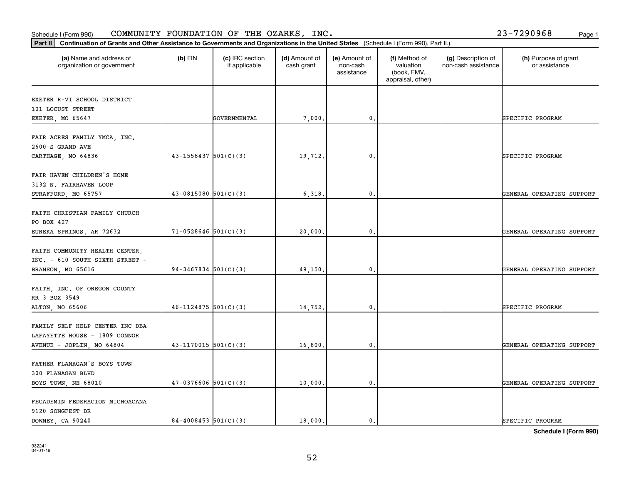9120 SONGFEST DR

|                                                                                               |                            |              |         | assistance   | (book, FMV,<br>appraisal, other) |                           |
|-----------------------------------------------------------------------------------------------|----------------------------|--------------|---------|--------------|----------------------------------|---------------------------|
| EXETER R-VI SCHOOL DISTRICT<br>101 LOCUST STREET<br>EXETER, MO 65647                          |                            | GOVERNMENTAL | 7,000.  | 0.           |                                  | SPECIFIC PROGRAM          |
| FAIR ACRES FAMILY YMCA, INC.<br>2600 S GRAND AVE<br>CARTHAGE, MO 64836                        | $43 - 1558437$ $501(C)(3)$ |              | 19,712. | 0.           |                                  | SPECIFIC PROGRAM          |
| FAIR HAVEN CHILDREN'S HOME<br>3132 N. FAIRHAVEN LOOP<br>STRAFFORD, MO 65757                   | $43 - 0815080$ $501(C)(3)$ |              | 6,318.  | 0.           |                                  | GENERAL OPERATING SUPPORT |
| FAITH CHRISTIAN FAMILY CHURCH<br>PO BOX 427<br>EUREKA SPRINGS, AR 72632                       | $71-0528646$ 501(C)(3)     |              | 20,000. | 0.           |                                  | GENERAL OPERATING SUPPORT |
| FAITH COMMUNITY HEALTH CENTER,<br>INC. - 610 SOUTH SIXTH STREET -<br>BRANSON, MO 65616        | $94-3467834$ 501(C)(3)     |              | 49,150. | 0.           |                                  | GENERAL OPERATING SUPPORT |
| FAITH, INC. OF OREGON COUNTY<br>RR 3 BOX 3549<br>ALTON, MO 65606                              | $46 - 1124875$ 501(C)(3)   |              | 14,752. | 0.           |                                  | SPECIFIC PROGRAM          |
| FAMILY SELF HELP CENTER INC DBA<br>LAFAYETTE HOUSE - 1809 CONNOR<br>AVENUE - JOPLIN, MO 64804 | $43 - 1170015$ 501(C)(3)   |              | 16,800. | $^{\rm 0}$ . |                                  | GENERAL OPERATING SUPPORT |
| FATHER FLANAGAN'S BOYS TOWN<br>300 FLANAGAN BLVD<br>BOYS TOWN, NE 68010                       | $47-0376606$ $501(C)(3)$   |              | 10,000. | 0.           |                                  | GENERAL OPERATING SUPPORT |
| FECADEMIN FEDERACION MICHOACANA                                                               |                            |              |         |              |                                  |                           |

## Schedule I (Form 990)  ${\tt COMMUNITY}$  <code>FOUNDATION OF THE OZARKS, INC</code> .  $23-7290968$  Page 1

organization or government

**Part II Continuation of Grants and Other Assistance to Governments and Organizations in the United States**  (Schedule I (Form 990), Part II.)

if applicable

 $(b)$  EIN  $(c)$  IRC section

**(a) (b) (c) (d) (e) (f) (g) (h)** Name and address of

(d) Amount of cash grant

(e) Amount of non-cash

(f) Method of valuation

(g) Description of non-cash assistance

(h) Purpose of grant or assistance

DOWNEY, CA 90240 84-4008453 501(C)(3) | 18,000. 0. 0. | SPECIFIC PROGRAM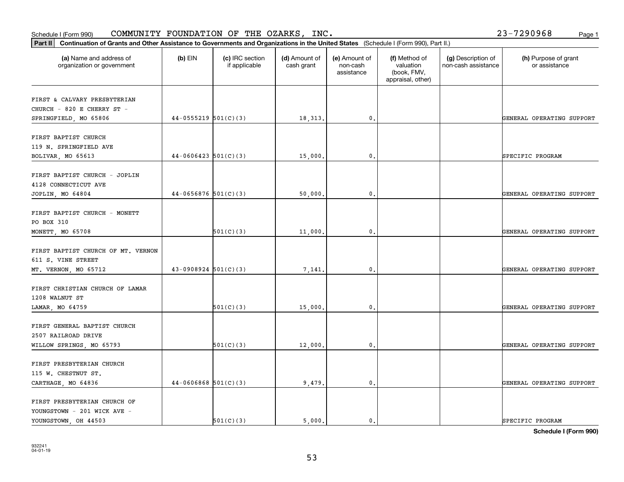| organization or government                                                          |                          | if applicable | cash grant | non-cash<br>assistance | valuation<br>(book, FMV,<br>appraisal, other) | non-cash assistance | or assistance             |
|-------------------------------------------------------------------------------------|--------------------------|---------------|------------|------------------------|-----------------------------------------------|---------------------|---------------------------|
| FIRST & CALVARY PRESBYTERIAN<br>CHURCH - 820 E CHERRY ST -<br>SPRINGFIELD, MO 65806 | $44-0555219$ 501(C)(3)   |               | 18,313.    | 0.                     |                                               |                     | GENERAL OPERATING SUPPORT |
|                                                                                     |                          |               |            |                        |                                               |                     |                           |
| FIRST BAPTIST CHURCH<br>119 N. SPRINGFIELD AVE<br>BOLIVAR, MO 65613                 | $44-0606423$ 501(C)(3)   |               | 15,000     | 0.                     |                                               |                     | SPECIFIC PROGRAM          |
| FIRST BAPTIST CHURCH - JOPLIN<br>4128 CONNECTICUT AVE                               | $44-0656876$ 501(C)(3)   |               |            |                        |                                               |                     |                           |
| JOPLIN, MO 64804                                                                    |                          |               | 50,000     | $\mathbf 0$ .          |                                               |                     | GENERAL OPERATING SUPPORT |
| FIRST BAPTIST CHURCH - MONETT<br>PO BOX 310<br>MONETT, MO 65708                     |                          | 501(C)(3)     | 11,000     | $\mathbf 0$ .          |                                               |                     | GENERAL OPERATING SUPPORT |
| FIRST BAPTIST CHURCH OF MT. VERNON<br>611 S. VINE STREET                            |                          |               |            |                        |                                               |                     |                           |
| MT. VERNON, MO 65712                                                                | $43-0908924$ 501(C)(3)   |               | 7,141.     | $\mathbf 0$ .          |                                               |                     | GENERAL OPERATING SUPPORT |
| FIRST CHRISTIAN CHURCH OF LAMAR<br>1208 WALNUT ST<br>LAMAR, MO 64759                |                          | 501(C)(3)     | 15,000     | $\mathbf 0$ .          |                                               |                     | GENERAL OPERATING SUPPORT |
| FIRST GENERAL BAPTIST CHURCH<br>2507 RAILROAD DRIVE                                 |                          |               |            |                        |                                               |                     |                           |
| WILLOW SPRINGS, MO 65793                                                            |                          | 501(C)(3)     | 12,000     | $\mathbf 0$ .          |                                               |                     | GENERAL OPERATING SUPPORT |
| FIRST PRESBYTERIAN CHURCH<br>115 W. CHESTNUT ST.<br>CARTHAGE, MO 64836              | $44-0606868$ $501(C)(3)$ |               | 9,479      | 0.                     |                                               |                     | GENERAL OPERATING SUPPORT |
| FIRST PRESBYTERIAN CHURCH OF                                                        |                          |               |            |                        |                                               |                     |                           |
| YOUNGSTOWN - 201 WICK AVE -                                                         |                          |               |            |                        |                                               |                     |                           |

## Schedule I (Form 990)  ${\tt COMMUNITY}$  <code>FOUNDATION OF THE OZARKS, INC</code> .  $23-7290968$  Page 1

**Part II Continuation of Grants and Other Assistance to Governments and Organizations in the United States**  (Schedule I (Form 990), Part II.)

 $(b)$  EIN  $(c)$  IRC section

**(a) (b) (c) (d) (e) (f) (g) (h)** Name and address of

(d) Amount of

(e) Amount of

(f) Method of

(g) Description of

(h) Purpose of grant

YOUNGSTOWN, OH 44503  $\begin{vmatrix} 501(C)(3) & 5000 \end{vmatrix}$  5,000. 0.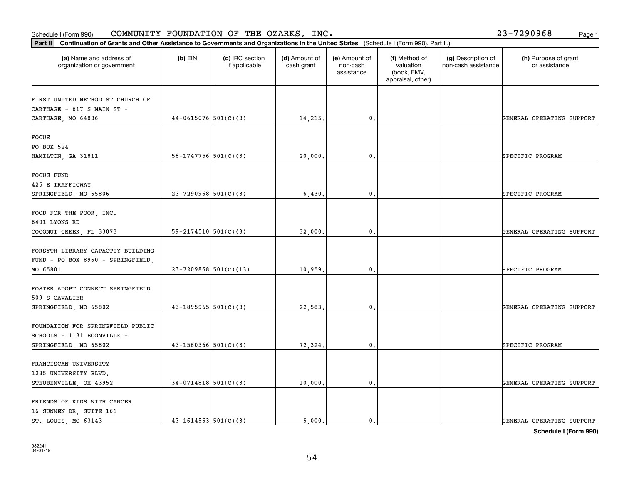# **Part II Continuation of Grants and Other Assistance to Governments and Organization of Grants and Organization of Grants and Organizations of United States** *and Organization* **of Grants and Organizations <b>in the United S**

Schedule I (Form 990)  ${\tt COMMUNITY}$  <code>FOUNDATION OF THE OZARKS, INC</code> .  $23-7290968$  Page 1

| Continuation of Grants and Other Assistance to Governments and Organizations in the United States (Schedule I (Form 990), Part II.)<br>Part II |                            |                                  |                             |                                         |                                                                |                                           |                                       |  |  |
|------------------------------------------------------------------------------------------------------------------------------------------------|----------------------------|----------------------------------|-----------------------------|-----------------------------------------|----------------------------------------------------------------|-------------------------------------------|---------------------------------------|--|--|
| (a) Name and address of<br>organization or government                                                                                          | $(b)$ EIN                  | (c) IRC section<br>if applicable | (d) Amount of<br>cash grant | (e) Amount of<br>non-cash<br>assistance | (f) Method of<br>valuation<br>(book, FMV,<br>appraisal, other) | (g) Description of<br>non-cash assistance | (h) Purpose of grant<br>or assistance |  |  |
| FIRST UNITED METHODIST CHURCH OF<br>CARTHAGE - 617 S MAIN ST -<br>CARTHAGE, MO 64836                                                           | $44-0615076$ 501(C)(3)     |                                  | 14,215.                     | $\mathbf{0}$ .                          |                                                                |                                           | GENERAL OPERATING SUPPORT             |  |  |
| FOCUS<br>PO BOX 524<br>HAMILTON, GA 31811                                                                                                      | 58-1747756 $501(C)(3)$     |                                  | 20,000                      | $\mathfrak{o}$ .                        |                                                                |                                           | SPECIFIC PROGRAM                      |  |  |
| <b>FOCUS FUND</b><br>425 E TRAFFICWAY<br>SPRINGFIELD, MO 65806                                                                                 | $23 - 7290968$ 501(C)(3)   |                                  | 6,430                       | 0.                                      |                                                                |                                           | SPECIFIC PROGRAM                      |  |  |
| FOOD FOR THE POOR, INC.<br>6401 LYONS RD<br>COCONUT CREEK, FL 33073                                                                            | $59 - 2174510$ $501(C)(3)$ |                                  | 32,000                      | $^{\circ}$ .                            |                                                                |                                           | GENERAL OPERATING SUPPORT             |  |  |
| FORSYTH LIBRARY CAPACTIY BUILDING<br>FUND - PO BOX 8960 - SPRINGFIELD,<br>MO 65801                                                             | $23 - 7209868$ 501(C)(13)  |                                  | 10,959                      | $\mathfrak{o}$ .                        |                                                                |                                           | SPECIFIC PROGRAM                      |  |  |
| FOSTER ADOPT CONNECT SPRINGFIELD<br>509 S CAVALIER<br>SPRINGFIELD, MO 65802                                                                    | $43-1895965$ 501(C)(3)     |                                  | 22,583.                     | $\mathfrak{o}$ .                        |                                                                |                                           | GENERAL OPERATING SUPPORT             |  |  |
| FOUNDATION FOR SPRINGFIELD PUBLIC<br>SCHOOLS - 1131 BOONVILLE -<br>SPRINGFIELD, MO 65802                                                       | $43 - 1560366$ $501(C)(3)$ |                                  | 72,324.                     | $\mathbf{0}$ .                          |                                                                |                                           | SPECIFIC PROGRAM                      |  |  |
| FRANCISCAN UNIVERSITY<br>1235 UNIVERSITY BLVD.<br>STEUBENVILLE, OH 43952                                                                       | $34-0714818$ 501(C)(3)     |                                  | 10,000.                     | $\mathfrak o$ .                         |                                                                |                                           | GENERAL OPERATING SUPPORT             |  |  |
| FRIENDS OF KIDS WITH CANCER<br>16 SUNNEN DR, SUITE 161<br>ST. LOUIS, MO 63143                                                                  | $43 - 1614563$ $501(C)(3)$ |                                  | 5.000.                      | $\mathbf{0}$ .                          |                                                                |                                           | GENERAL OPERATING SUPPORT             |  |  |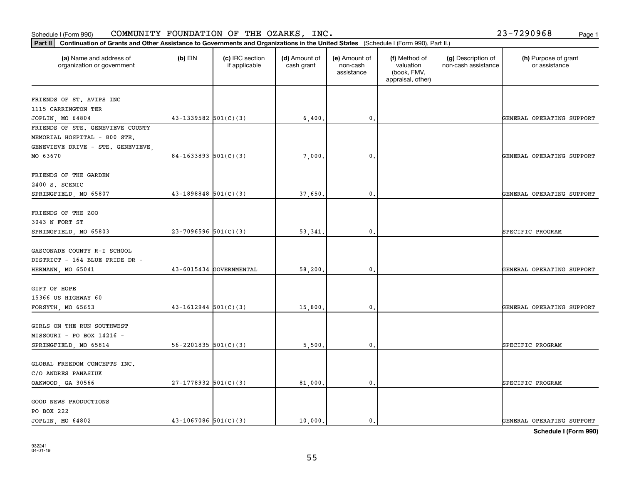| 932241   |  |
|----------|--|
| 04-01-19 |  |

| v  | . . |
|----|-----|
|    |     |
|    |     |
|    |     |
|    |     |
|    | ٦   |
| ۰. | ×   |
| v  |     |
| ., | ۰.  |
|    |     |

| (a) Name and address of<br>organization or government                                                       | $(b)$ EIN                  | (c) IRC section<br>if applicable | (d) Amount of<br>cash grant | (e) Amount of<br>non-cash<br>assistance | (f) Method of<br>valuation<br>(book, FMV,<br>appraisal, other) | (g) Description of<br>non-cash assistance | (h) Purpose of grant<br>or assistance         |
|-------------------------------------------------------------------------------------------------------------|----------------------------|----------------------------------|-----------------------------|-----------------------------------------|----------------------------------------------------------------|-------------------------------------------|-----------------------------------------------|
| FRIENDS OF ST. AVIPS INC<br>1115 CARRINGTON TER<br>JOPLIN, MO 64804                                         | $43-1339582$ $501(C)(3)$   |                                  | 6,400                       | $^{\circ}$ .                            |                                                                |                                           | GENERAL OPERATING SUPPORT                     |
| FRIENDS OF STE. GENEVIEVE COUNTY<br>MEMORIAL HOSPITAL - 800 STE.<br>GENEVIEVE DRIVE - STE. GENEVIEVE,       |                            |                                  |                             |                                         |                                                                |                                           |                                               |
| MO 63670<br>FRIENDS OF THE GARDEN<br>2400 S. SCENIC                                                         | $84-1633893$ $501(C)(3)$   |                                  | 7,000                       | $\mathbf{0}$ .                          |                                                                |                                           | GENERAL OPERATING SUPPORT                     |
| SPRINGFIELD, MO 65807<br><b>FRIENDS OF THE ZOO</b><br>3043 N FORT ST                                        | $43 - 1898848$ $501(C)(3)$ |                                  | 37,650.                     | $\mathbf{0}$ .                          |                                                                |                                           | GENERAL OPERATING SUPPORT                     |
| SPRINGFIELD, MO 65803<br>GASCONADE COUNTY R-I SCHOOL<br>DISTRICT - 164 BLUE PRIDE DR -<br>HERMANN, MO 65041 | $23 - 7096596$ 501(C)(3)   | 43-6015434 GOVERNMENTAL          | 53,341<br>58,200,           | $\mathbf{0}$ .<br>$\mathbf{0}$ .        |                                                                |                                           | SPECIFIC PROGRAM<br>GENERAL OPERATING SUPPORT |
| GIFT OF HOPE<br>15366 US HIGHWAY 60<br>FORSYTH, MO 65653                                                    | $43 - 1612944$ $501(C)(3)$ |                                  | 15,800                      | $\mathbf{0}$ .                          |                                                                |                                           | GENERAL OPERATING SUPPORT                     |
| GIRLS ON THE RUN SOUTHWEST<br>MISSOURI – PO BOX 14216 –<br>SPRINGFIELD, MO 65814                            | $56 - 2201835$ $501(C)(3)$ |                                  | 5,500,                      | $\mathbf{0}$ .                          |                                                                |                                           | SPECIFIC PROGRAM                              |
| GLOBAL FREEDOM CONCEPTS INC.<br>C/O ANDRES PANASIUK<br>OAKWOOD, GA 30566                                    | $27-1778932$ 501(C)(3)     |                                  | 81,000.                     | 0.                                      |                                                                |                                           | SPECIFIC PROGRAM                              |
| GOOD NEWS PRODUCTIONS<br>PO BOX 222<br>JOPLIN, MO 64802                                                     | $43 - 1067086$ 501(C)(3)   |                                  | 10,000.                     | 0.                                      |                                                                |                                           | GENERAL OPERATING SUPPORT                     |

Schedule I (Form 990)  ${\tt COMMUNITY}$  <code>FOUNDATION OF THE OZARKS, INC</code> .  $23-7290968$  Page 1

**Part II Continuation of Grants and Other Assistance to Governments and Organizations in the United States**  (Schedule I (Form 990), Part II.)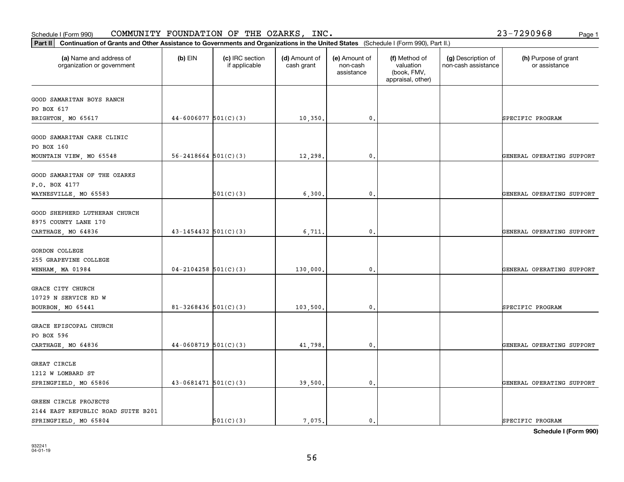2144 EAST REPUBLIC ROAD SUITE B201

|                               |                            |           |          |                | appraisal, other) |                           |
|-------------------------------|----------------------------|-----------|----------|----------------|-------------------|---------------------------|
| GOOD SAMARITAN BOYS RANCH     |                            |           |          |                |                   |                           |
| PO BOX 617                    |                            |           |          |                |                   |                           |
| BRIGHTON, MO 65617            | $44-6006077$ 501(C)(3)     |           | 10,350.  | 0.             |                   | SPECIFIC PROGRAM          |
|                               |                            |           |          |                |                   |                           |
| GOOD SAMARITAN CARE CLINIC    |                            |           |          |                |                   |                           |
| PO BOX 160                    |                            |           |          |                |                   |                           |
| MOUNTAIN VIEW, MO 65548       | $56 - 2418664$ $501(C)(3)$ |           | 12,298.  | $\mathbf{0}$ . |                   | GENERAL OPERATING SUPPORT |
| GOOD SAMARITAN OF THE OZARKS  |                            |           |          |                |                   |                           |
| P.O. BOX 4177                 |                            |           |          |                |                   |                           |
| WAYNESVILLE, MO 65583         |                            | 501(C)(3) | 6,300.   | 0.             |                   | GENERAL OPERATING SUPPORT |
|                               |                            |           |          |                |                   |                           |
| GOOD SHEPHERD LUTHERAN CHURCH |                            |           |          |                |                   |                           |
| 8975 COUNTY LANE 170          |                            |           |          |                |                   |                           |
| CARTHAGE, MO 64836            | $43 - 1454432$ 501(C)(3)   |           | 6,711.   | 0.             |                   | GENERAL OPERATING SUPPORT |
|                               |                            |           |          |                |                   |                           |
| GORDON COLLEGE                |                            |           |          |                |                   |                           |
| 255 GRAPEVINE COLLEGE         |                            |           |          |                |                   |                           |
| WENHAM, MA 01984              | $04 - 2104258$ 501(C)(3)   |           | 130,000. | 0.             |                   | GENERAL OPERATING SUPPORT |
| GRACE CITY CHURCH             |                            |           |          |                |                   |                           |
| 10729 N SERVICE RD W          |                            |           |          |                |                   |                           |
| BOURBON, MO 65441             | $81 - 3268436$ 501(C)(3)   |           | 103,500. | 0.             |                   | SPECIFIC PROGRAM          |
|                               |                            |           |          |                |                   |                           |
| GRACE EPISCOPAL CHURCH        |                            |           |          |                |                   |                           |
| PO BOX 596                    |                            |           |          |                |                   |                           |
| CARTHAGE, MO 64836            | $44-0608719$ 501(C)(3)     |           | 41,798.  | 0.             |                   | GENERAL OPERATING SUPPORT |
|                               |                            |           |          |                |                   |                           |
| GREAT CIRCLE                  |                            |           |          |                |                   |                           |
| 1212 W LOMBARD ST             |                            |           |          |                |                   |                           |
| SPRINGFIELD, MO 65806         | $43-0681471$ $501(C)(3)$   |           | 39,500.  | 0.             |                   | GENERAL OPERATING SUPPORT |
|                               |                            |           |          |                |                   |                           |
| GREEN CIRCLE PROJECTS         |                            |           |          |                |                   |                           |

## Schedule I (Form 990)  ${\tt COMMUNITY}$  <code>FOUNDATION OF THE OZARKS, INC</code> .  $23-7290968$  Page 1

organization or government

**Part II Continuation of Grants and Other Assistance to Governments and Organizations in the United States**  (Schedule I (Form 990), Part II.)

if applicable

 $(b)$  EIN  $(c)$  IRC section

**(a) (b) (c) (d) (e) (f) (g) (h)** Name and address of

(d) Amount of cash grant

(e) Amount of non-cashassistance

(f) Method of valuation (book, FMV,

(g) Description of non-cash assistance

(h) Purpose of grant or assistance

**Schedule I (Form 990)**

SPRINGFIELD, MO 65804 SOLO (3) 501(C)(3) | 7,075. 0. SPECIFIC PROGRAM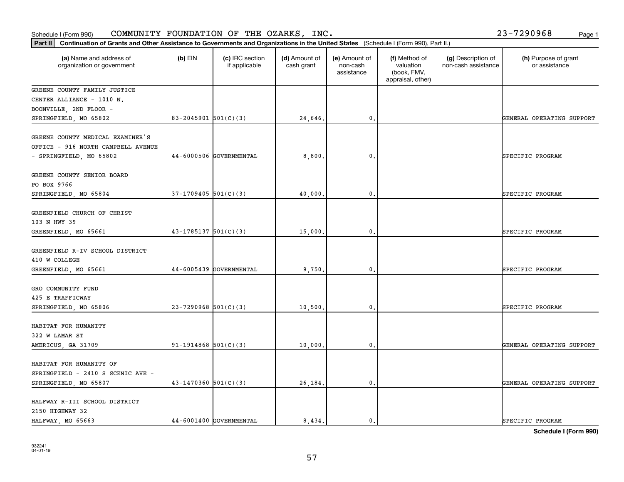| Schedule I (Form 990)                                                                                                                          |                            | COMMUNITY FOUNDATION OF THE OZARKS, INC. |                             |                                         |                                                                |                                           | 23-7290968<br>Page 1                  |
|------------------------------------------------------------------------------------------------------------------------------------------------|----------------------------|------------------------------------------|-----------------------------|-----------------------------------------|----------------------------------------------------------------|-------------------------------------------|---------------------------------------|
| Part II<br>Continuation of Grants and Other Assistance to Governments and Organizations in the United States (Schedule I (Form 990), Part II.) |                            |                                          |                             |                                         |                                                                |                                           |                                       |
| (a) Name and address of<br>organization or government                                                                                          | $(b)$ EIN                  | (c) IRC section<br>if applicable         | (d) Amount of<br>cash grant | (e) Amount of<br>non-cash<br>assistance | (f) Method of<br>valuation<br>(book, FMV,<br>appraisal, other) | (g) Description of<br>non-cash assistance | (h) Purpose of grant<br>or assistance |
| GREENE COUNTY FAMILY JUSTICE<br>CENTER ALLIANCE - 1010 N.<br>BOONVILLE, 2ND FLOOR -                                                            |                            |                                          |                             |                                         |                                                                |                                           |                                       |
| SPRINGFIELD, MO 65802                                                                                                                          | $83 - 2045901$ $501(C)(3)$ |                                          | 24,646                      | 0.                                      |                                                                |                                           | GENERAL OPERATING SUPPORT             |
| GREENE COUNTY MEDICAL EXAMINER'S<br>OFFICE - 916 NORTH CAMPBELL AVENUE<br>- SPRINGFIELD, MO 65802                                              |                            | 44-6000506 GOVERNMENTAL                  | 8,800                       | $\mathbf{0}$ .                          |                                                                |                                           | SPECIFIC PROGRAM                      |
| GREENE COUNTY SENIOR BOARD<br>PO BOX 9766                                                                                                      |                            |                                          |                             |                                         |                                                                |                                           |                                       |
| SPRINGFIELD, MO 65804                                                                                                                          | $37-1709405$ 501(C)(3)     |                                          | 40,000                      | $\mathbf{0}$ .                          |                                                                |                                           | SPECIFIC PROGRAM                      |
| GREENFIELD CHURCH OF CHRIST<br>103 N HWY 39<br>GREENFIELD, MO 65661                                                                            | $43-1785137$ $501(C)(3)$   |                                          | 15,000                      | $\mathbf 0$ .                           |                                                                |                                           | SPECIFIC PROGRAM                      |
| GREENFIELD R-IV SCHOOL DISTRICT<br>410 W COLLEGE<br>GREENFIELD, MO 65661                                                                       |                            | 44-6005439 GOVERNMENTAL                  | 9,750                       | $\mathbf{0}$ .                          |                                                                |                                           | SPECIFIC PROGRAM                      |
|                                                                                                                                                |                            |                                          |                             |                                         |                                                                |                                           |                                       |
| GRO COMMUNITY FUND<br>425 E TRAFFICWAY<br>SPRINGFIELD, MO 65806                                                                                | $23 - 7290968$ 501(C)(3)   |                                          | 10,500                      | 0.                                      |                                                                |                                           | SPECIFIC PROGRAM                      |
| HABITAT FOR HUMANITY<br>322 W LAMAR ST                                                                                                         |                            |                                          |                             |                                         |                                                                |                                           |                                       |
| AMERICUS, GA 31709                                                                                                                             | 91-1914868 $501(C)(3)$     |                                          | 10,000                      | 0.                                      |                                                                |                                           | GENERAL OPERATING SUPPORT             |
| HABITAT FOR HUMANITY OF<br>SPRINGFIELD - 2410 S SCENIC AVE -<br>SPRINGFIELD, MO 65807                                                          | $43 - 1470360$ 501(C)(3)   |                                          | 26,184                      | $\mathbf{0}$ .                          |                                                                |                                           | GENERAL OPERATING SUPPORT             |
| HALFWAY R-III SCHOOL DISTRICT<br>2150 HIGHWAY 32<br>HALFWAY, MO 65663                                                                          |                            | 44-6001400 GOVERNMENTAL                  | 8,434.                      | 0.                                      |                                                                |                                           | SPECIFIC PROGRAM                      |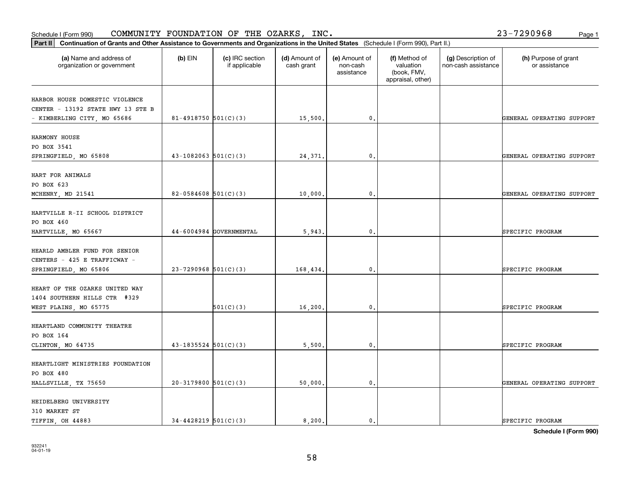**Schedule I (Form 990)**

| Part II   Continuation of Grants and Other Assistance to Governments and Organizations in the United States (Schedule I (Form 990), Part II.) |                            |                                  |                             |                                         |                                                                |                                           |                                       |
|-----------------------------------------------------------------------------------------------------------------------------------------------|----------------------------|----------------------------------|-----------------------------|-----------------------------------------|----------------------------------------------------------------|-------------------------------------------|---------------------------------------|
| (a) Name and address of<br>organization or government                                                                                         | $(b)$ EIN                  | (c) IRC section<br>if applicable | (d) Amount of<br>cash grant | (e) Amount of<br>non-cash<br>assistance | (f) Method of<br>valuation<br>(book, FMV,<br>appraisal, other) | (g) Description of<br>non-cash assistance | (h) Purpose of grant<br>or assistance |
|                                                                                                                                               |                            |                                  |                             |                                         |                                                                |                                           |                                       |
| HARBOR HOUSE DOMESTIC VIOLENCE                                                                                                                |                            |                                  |                             |                                         |                                                                |                                           |                                       |
| CENTER - 13192 STATE HWY 13 STE B                                                                                                             |                            |                                  |                             | $\mathsf{0}$ .                          |                                                                |                                           | GENERAL OPERATING SUPPORT             |
| - KIMBERLING CITY, MO 65686                                                                                                                   | 81-4918750 501(C)(3)       |                                  | 15,500.                     |                                         |                                                                |                                           |                                       |
| HARMONY HOUSE                                                                                                                                 |                            |                                  |                             |                                         |                                                                |                                           |                                       |
| PO BOX 3541                                                                                                                                   |                            |                                  |                             |                                         |                                                                |                                           |                                       |
| SPRINGFIELD, MO 65808                                                                                                                         | $43-1082063$ 501(C)(3)     |                                  | 24,371.                     | 0.                                      |                                                                |                                           | GENERAL OPERATING SUPPORT             |
|                                                                                                                                               |                            |                                  |                             |                                         |                                                                |                                           |                                       |
| HART FOR ANIMALS                                                                                                                              |                            |                                  |                             |                                         |                                                                |                                           |                                       |
| PO BOX 623                                                                                                                                    |                            |                                  |                             |                                         |                                                                |                                           |                                       |
| MCHENRY, MD 21541                                                                                                                             | 82-0584608 $501(C)(3)$     |                                  | 10,000.                     | $\mathbf{0}$ .                          |                                                                |                                           | GENERAL OPERATING SUPPORT             |
|                                                                                                                                               |                            |                                  |                             |                                         |                                                                |                                           |                                       |
| HARTVILLE R-II SCHOOL DISTRICT                                                                                                                |                            |                                  |                             |                                         |                                                                |                                           |                                       |
| PO BOX 460                                                                                                                                    |                            |                                  |                             |                                         |                                                                |                                           |                                       |
| HARTVILLE, MO 65667                                                                                                                           |                            | 44-6004984 GOVERNMENTAL          | 5,943.                      | $\mathbf 0$ .                           |                                                                |                                           | SPECIFIC PROGRAM                      |
|                                                                                                                                               |                            |                                  |                             |                                         |                                                                |                                           |                                       |
| HEARLD AMBLER FUND FOR SENIOR                                                                                                                 |                            |                                  |                             |                                         |                                                                |                                           |                                       |
| CENTERS - 425 E TRAFFICWAY -                                                                                                                  |                            |                                  |                             |                                         |                                                                |                                           |                                       |
| SPRINGFIELD, MO 65806                                                                                                                         | $23-7290968$ 501(C)(3)     |                                  | 168,434.                    | 0.                                      |                                                                |                                           | SPECIFIC PROGRAM                      |
|                                                                                                                                               |                            |                                  |                             |                                         |                                                                |                                           |                                       |
| HEART OF THE OZARKS UNITED WAY                                                                                                                |                            |                                  |                             |                                         |                                                                |                                           |                                       |
| 1404 SOUTHERN HILLS CTR #329                                                                                                                  |                            |                                  |                             |                                         |                                                                |                                           |                                       |
| WEST PLAINS, MO 65775                                                                                                                         |                            | 501(C)(3)                        | 16,200.                     | $\mathbf{0}$                            |                                                                |                                           | SPECIFIC PROGRAM                      |
|                                                                                                                                               |                            |                                  |                             |                                         |                                                                |                                           |                                       |
| HEARTLAND COMMUNITY THEATRE                                                                                                                   |                            |                                  |                             |                                         |                                                                |                                           |                                       |
| PO BOX 164                                                                                                                                    |                            |                                  |                             |                                         |                                                                |                                           |                                       |
| CLINTON, MO 64735                                                                                                                             | $43 - 1835524$ 501(C)(3)   |                                  | 5,500.                      | $\mathbf{0}$ .                          |                                                                |                                           | SPECIFIC PROGRAM                      |
|                                                                                                                                               |                            |                                  |                             |                                         |                                                                |                                           |                                       |
| HEARTLIGHT MINISTRIES FOUNDATION                                                                                                              |                            |                                  |                             |                                         |                                                                |                                           |                                       |
| PO BOX 480                                                                                                                                    |                            |                                  |                             |                                         |                                                                |                                           |                                       |
| HALLSVILLE, TX 75650                                                                                                                          | $20-3179800$ 501(C)(3)     |                                  | 50,000                      | 0.                                      |                                                                |                                           | GENERAL OPERATING SUPPORT             |
| HEIDELBERG UNIVERSITY                                                                                                                         |                            |                                  |                             |                                         |                                                                |                                           |                                       |
| 310 MARKET ST                                                                                                                                 |                            |                                  |                             |                                         |                                                                |                                           |                                       |
| TIFFIN, OH 44883                                                                                                                              | $34 - 4428219$ $501(C)(3)$ |                                  | 8,200.                      | 0.                                      |                                                                |                                           | SPECIFIC PROGRAM                      |
|                                                                                                                                               |                            |                                  |                             |                                         |                                                                |                                           |                                       |

## Schedule I (Form 990)  ${\tt COMMUNITY}$  <code>FOUNDATION OF THE OZARKS, INC</code> .  $23-7290968$  Page 1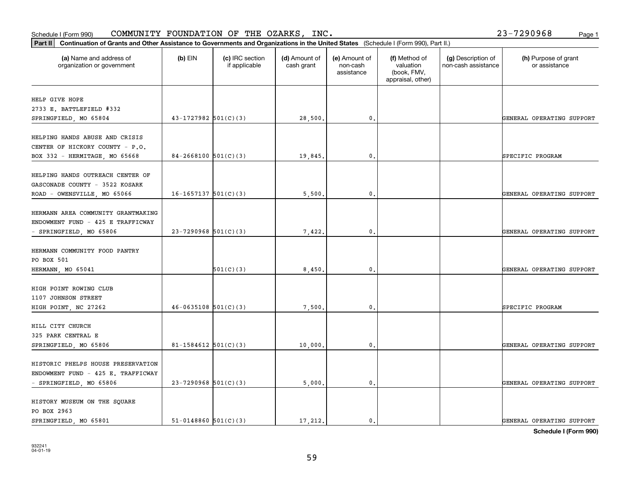**Part II Continuation of Grants and Other Assistance to Governments and Organizations in the United States**  (Schedule I (Form 990), Part II.) **(a) (b) (c) (d) (e) (f) (g) (h)** Name and address of  $(b)$  EIN  $(c)$  IRC section  $\mathsf{Id}$  Amount of  $\mathsf{I}$ (e) Amount of

**Schedule I (Form 990)**

| (a) Name and address of<br>organization or government | $(b)$ EIN                | (c) IRC section<br>if applicable | (d) Amount of<br>cash grant | (e) Amount of<br>non-cash<br>assistance | (f) Method of<br>valuation<br>(book, FMV,<br>appraisal, other) | (g) Description of<br>non-cash assistance | (h) Purpose of grant<br>or assistance |
|-------------------------------------------------------|--------------------------|----------------------------------|-----------------------------|-----------------------------------------|----------------------------------------------------------------|-------------------------------------------|---------------------------------------|
| HELP GIVE HOPE                                        |                          |                                  |                             |                                         |                                                                |                                           |                                       |
| 2733 E. BATTLEFIELD #332                              |                          |                                  |                             |                                         |                                                                |                                           |                                       |
| SPRINGFIELD, MO 65804                                 | $43-1727982$ 501(C)(3)   |                                  | 28,500.                     | $\mathbf{0}$ .                          |                                                                |                                           | GENERAL OPERATING SUPPORT             |
| HELPING HANDS ABUSE AND CRISIS                        |                          |                                  |                             |                                         |                                                                |                                           |                                       |
| CENTER OF HICKORY COUNTY - P.O.                       |                          |                                  |                             |                                         |                                                                |                                           |                                       |
| BOX 332 - HERMITAGE, MO 65668                         | $84 - 2668100$ 501(C)(3) |                                  | 19,845.                     | $\mathbf{0}$ .                          |                                                                |                                           | SPECIFIC PROGRAM                      |
| HELPING HANDS OUTREACH CENTER OF                      |                          |                                  |                             |                                         |                                                                |                                           |                                       |
| GASCONADE COUNTY - 3522 KOSARK                        |                          |                                  |                             |                                         |                                                                |                                           |                                       |
| ROAD - OWENSVILLE, MO 65066                           | $16-1657137$ $501(C)(3)$ |                                  | 5,500.                      | 0.                                      |                                                                |                                           | GENERAL OPERATING SUPPORT             |
| HERMANN AREA COMMUNITY GRANTMAKING                    |                          |                                  |                             |                                         |                                                                |                                           |                                       |
| ENDOWMENT FUND - 425 E TRAFFICWAY                     |                          |                                  |                             |                                         |                                                                |                                           |                                       |
| - SPRINGFIELD, MO 65806                               | $23 - 7290968$ 501(C)(3) |                                  | 7,422.                      | $\mathbf{0}$ .                          |                                                                |                                           | GENERAL OPERATING SUPPORT             |
| HERMANN COMMUNITY FOOD PANTRY                         |                          |                                  |                             |                                         |                                                                |                                           |                                       |
| PO BOX 501                                            |                          |                                  |                             |                                         |                                                                |                                           |                                       |
| HERMANN, MO 65041                                     |                          | 501(C)(3)                        | 8,450.                      | $\mathbf{0}$ .                          |                                                                |                                           | GENERAL OPERATING SUPPORT             |
| HIGH POINT ROWING CLUB                                |                          |                                  |                             |                                         |                                                                |                                           |                                       |
| 1107 JOHNSON STREET<br>HIGH POINT, NC 27262           | $46-0635108$ $501(C)(3)$ |                                  | 7,500.                      | 0.                                      |                                                                |                                           | SPECIFIC PROGRAM                      |
|                                                       |                          |                                  |                             |                                         |                                                                |                                           |                                       |
| HILL CITY CHURCH                                      |                          |                                  |                             |                                         |                                                                |                                           |                                       |
| 325 PARK CENTRAL E                                    |                          |                                  |                             |                                         |                                                                |                                           |                                       |
| SPRINGFIELD, MO 65806                                 | 81-1584612 $501(C)(3)$   |                                  | 10,000.                     | 0.                                      |                                                                |                                           | GENERAL OPERATING SUPPORT             |
| HISTORIC PHELPS HOUSE PRESERVATION                    |                          |                                  |                             |                                         |                                                                |                                           |                                       |
| ENDOWMENT FUND - 425 E. TRAFFICWAY                    |                          |                                  |                             |                                         |                                                                |                                           |                                       |
| - SPRINGFIELD, MO 65806                               | $23 - 7290968$ 501(C)(3) |                                  | 5,000.                      | $\mathbf{0}$ .                          |                                                                |                                           | GENERAL OPERATING SUPPORT             |
| HISTORY MUSEUM ON THE SQUARE                          |                          |                                  |                             |                                         |                                                                |                                           |                                       |
| PO BOX 2963                                           |                          |                                  |                             |                                         |                                                                |                                           |                                       |
| SPRINGFIELD, MO 65801                                 | $51-0148860$ $501(C)(3)$ |                                  | 17,212.                     | $\mathbf{0}$ .                          |                                                                |                                           | GENERAL OPERATING SUPPORT             |

932241 04-01-19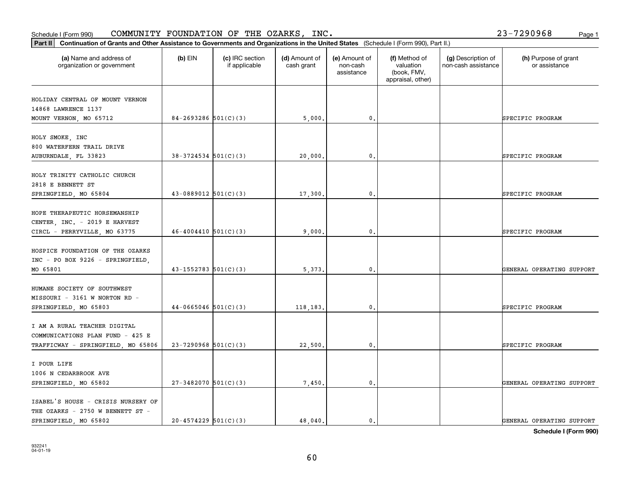### **Part III Continuation of Grants and Other Assistance to Governments and Organization of Grants and Other Assistance to Governments and Organization of Grants and Other Assistance to Governments and Organization** Schedule I (Form 990)  ${\tt COMMUNITY}$  <code>FOUNDATION OF THE OZARKS, INC</code> .  $23-7290968$  Page 1

| Part II                                                                                                |                            |                                  |                             |                                         |                                                                | Continuation of Grants and Other Assistance to Governments and Organizations in the United States (Schedule I (Form 990), Part II.) |                                       |  |  |  |  |  |  |  |
|--------------------------------------------------------------------------------------------------------|----------------------------|----------------------------------|-----------------------------|-----------------------------------------|----------------------------------------------------------------|-------------------------------------------------------------------------------------------------------------------------------------|---------------------------------------|--|--|--|--|--|--|--|
| (a) Name and address of<br>organization or government                                                  | $(b)$ EIN                  | (c) IRC section<br>if applicable | (d) Amount of<br>cash grant | (e) Amount of<br>non-cash<br>assistance | (f) Method of<br>valuation<br>(book, FMV,<br>appraisal, other) | (g) Description of<br>non-cash assistance                                                                                           | (h) Purpose of grant<br>or assistance |  |  |  |  |  |  |  |
| HOLIDAY CENTRAL OF MOUNT VERNON<br>14868 LAWRENCE 1137<br>MOUNT VERNON, MO 65712                       | $84 - 2693286$ 501(C)(3)   |                                  | 5,000.                      | 0.                                      |                                                                |                                                                                                                                     | SPECIFIC PROGRAM                      |  |  |  |  |  |  |  |
| HOLY SMOKE, INC<br>800 WATERFERN TRAIL DRIVE<br>AUBURNDALE, FL 33823                                   | $38-3724534$ 501(C)(3)     |                                  | 20,000.                     | $^{\circ}$ .                            |                                                                |                                                                                                                                     | SPECIFIC PROGRAM                      |  |  |  |  |  |  |  |
| HOLY TRINITY CATHOLIC CHURCH<br>2818 E BENNETT ST<br>SPRINGFIELD, MO 65804                             | $43-0889012$ 501(C)(3)     |                                  | 17,300                      | $\mathbf{0}$                            |                                                                |                                                                                                                                     | SPECIFIC PROGRAM                      |  |  |  |  |  |  |  |
| HOPE THERAPEUTIC HORSEMANSHIP<br>CENTER, INC. - 2019 E HARVEST<br>CIRCL - PERRYVILLE, MO 63775         | $46 - 4004410$ $501(C)(3)$ |                                  | 9,000.                      | 0.                                      |                                                                |                                                                                                                                     | SPECIFIC PROGRAM                      |  |  |  |  |  |  |  |
| HOSPICE FOUNDATION OF THE OZARKS<br>INC - PO BOX 9226 - SPRINGFIELD,<br>MO 65801                       | $43 - 1552783$ 501(C)(3)   |                                  | 5, 373.                     | $^{\circ}$ .                            |                                                                |                                                                                                                                     | GENERAL OPERATING SUPPORT             |  |  |  |  |  |  |  |
| HUMANE SOCIETY OF SOUTHWEST<br>MISSOURI - 3161 W NORTON RD -<br>SPRINGFIELD, MO 65803                  | $44-0665046$ 501(C)(3)     |                                  | 118,183,                    | $\mathbf{0}$                            |                                                                |                                                                                                                                     | SPECIFIC PROGRAM                      |  |  |  |  |  |  |  |
| I AM A RURAL TEACHER DIGITAL<br>COMMUNICATIONS PLAN FUND - 425 E<br>TRAFFICWAY - SPRINGFIELD, MO 65806 | $23 - 7290968$ 501(C)(3)   |                                  | 22,500.                     | 0.                                      |                                                                |                                                                                                                                     | SPECIFIC PROGRAM                      |  |  |  |  |  |  |  |
| I POUR LIFE<br>1006 N CEDARBROOK AVE<br>SPRINGFIELD, MO 65802                                          | $27-3482070$ 501(C)(3)     |                                  | 7,450.                      | $^{\circ}$ .                            |                                                                |                                                                                                                                     | GENERAL OPERATING SUPPORT             |  |  |  |  |  |  |  |
| ISABEL'S HOUSE - CRISIS NURSERY OF<br>THE OZARKS - 2750 W BENNETT ST -<br>SPRINGFIELD, MO 65802        | $20 - 4574229$ 501(C)(3)   |                                  | 48.040.                     | $\mathbf{0}$ .                          |                                                                |                                                                                                                                     | GENERAL OPERATING SUPPORT             |  |  |  |  |  |  |  |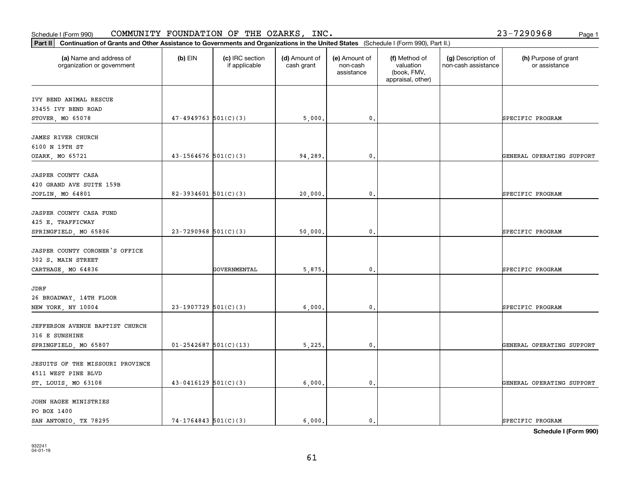| JASPER COUNTY CORONER'S OFFICE   |                              |              |          |       |  |                           |
|----------------------------------|------------------------------|--------------|----------|-------|--|---------------------------|
| 302 S. MAIN STREET               |                              |              |          |       |  |                           |
| CARTHAGE, MO 64836               |                              | GOVERNMENTAL | 5.875.   | 0.    |  | SPECIFIC PROGRAM          |
| JDRF                             |                              |              |          |       |  |                           |
| 26 BROADWAY, 14TH FLOOR          |                              |              |          |       |  |                           |
| NEW YORK, NY 10004               | $23-1907729$ 501(C)(3)       |              | 6.000.   | 0.    |  | SPECIFIC PROGRAM          |
| JEFFERSON AVENUE BAPTIST CHURCH  |                              |              |          |       |  |                           |
| 316 E SUNSHINE                   |                              |              |          |       |  |                           |
| SPRINGFIELD, MO 65807            | $01 - 2542687$ 501(C)(13)    |              | 5,225.   | $0$ . |  | GENERAL OPERATING SUPPORT |
| JESUITS OF THE MISSOURI PROVINCE |                              |              |          |       |  |                           |
| 4511 WEST PINE BLVD              |                              |              |          |       |  |                           |
|                                  | $10.0117100$ = 0.4 $(0.101)$ |              | $-$ 0.00 |       |  | --------- --------------- |

**(a) (b) (c) (d) (e) (f) (g) (h)** Name and address of

STOVER, MO 65078 **6000 17-4949763** 501(C)(3) **5,000. 0. SPECIFIC PROGRAM** 

JOPLIN, MO 64801 **82-3934601 501(C)(3)** 20,000. 0. 0. 0. SPECIFIC PROGRAM

SPRINGFIELD, MO 65806 23-7290968 501(C)(3) 30.000. 3000. 0.

OZARK, MO 65721 (and the state of the state of the state of the state of the state of the state of the state of the state of the state of the state of the state of the state of the state of the state of the state of the st

(d) Amount of cash grant

(e) Amount of non-cashassistance

(f) Method of valuation (book, FMV, appraisal, other)

(g) Description of non-cash assistance

**Part II Continuation of Grants and Other Assistance to Governments and Organizations in the United States**  (Schedule I (Form 990), Part II.) Schedule I (Form 990)  ${\tt COMMUNITY}$  <code>FOUNDATION OF THE OZARKS, INC</code> .  $23-7290968$  Page 1

 $(b)$  EIN  $(c)$  IRC section

if applicable

organization or government

IVY BEND ANIMAL RESCUE 33455 IVY BEND ROAD

JAMES RIVER CHURCH 6100 N 19TH ST

JASPER COUNTY CASA 420 GRAND AVE SUITE 159B

JASPER COUNTY CASA FUND 425 E. TRAFFICWAY

(h) Purpose of grant or assistance

| <b>JESUITS OF THE MISSOURI PROVINCE</b><br>4511 WEST PINE BLVD |                          |        |  |                           |
|----------------------------------------------------------------|--------------------------|--------|--|---------------------------|
| ST. LOUIS, MO 63108                                            | $43-0416129$ $501(C)(3)$ | 6000.  |  | GENERAL OPERATING SUPPORT |
|                                                                |                          |        |  |                           |
| JOHN HAGEE MINISTRIES                                          |                          |        |  |                           |
| PO BOX 1400                                                    |                          |        |  |                           |
| SAN ANTONIO TX 78295                                           | $74-1764843$ 501(C)(3)   | 6.000. |  | SPECIFIC PROGRAM          |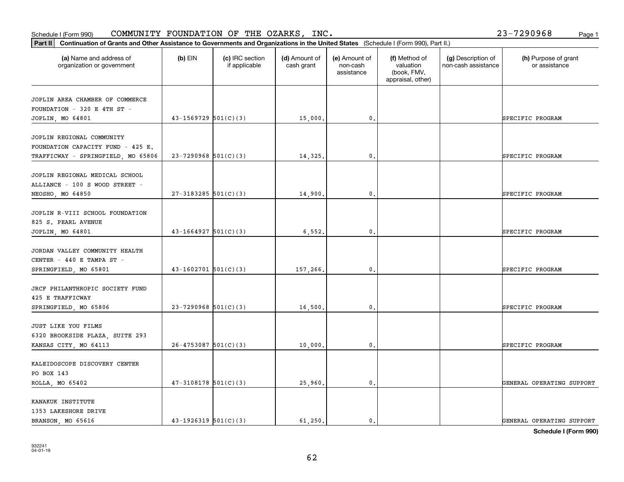### **Part II Continuation of Grants and Other Assistance to Governments and Organization of Grants and Organization of Grants and Organizations of United States and Organization of Grants and Organizations of United States <b>** Schedule I (Form 990)  ${\tt COMMUNITY}$  <code>FOUNDATION OF THE OZARKS, INC</code> .  $23-7290968$  Page 1

| Continuation of Grants and Other Assistance to Governments and Organizations in the United States (Schedule I (Form 990), Part II.)<br>Part II |                            |                                  |                             |                                         |                                                                |                                           |                                       |  |  |
|------------------------------------------------------------------------------------------------------------------------------------------------|----------------------------|----------------------------------|-----------------------------|-----------------------------------------|----------------------------------------------------------------|-------------------------------------------|---------------------------------------|--|--|
| (a) Name and address of<br>organization or government                                                                                          | $(b)$ EIN                  | (c) IRC section<br>if applicable | (d) Amount of<br>cash grant | (e) Amount of<br>non-cash<br>assistance | (f) Method of<br>valuation<br>(book, FMV,<br>appraisal, other) | (g) Description of<br>non-cash assistance | (h) Purpose of grant<br>or assistance |  |  |
| JOPLIN AREA CHAMBER OF COMMERCE<br>FOUNDATION - 320 E 4TH ST -<br>JOPLIN, MO 64801                                                             | $43 - 1569729$ $501(C)(3)$ |                                  | 15,000.                     | $\mathbf{0}$ .                          |                                                                |                                           | SPECIFIC PROGRAM                      |  |  |
| JOPLIN REGIONAL COMMUNITY<br>FOUNDATION CAPACITY FUND - 425 E.<br>TRAFFICWAY - SPRINGFIELD, MO 65806                                           | $23 - 7290968$ 501(C)(3)   |                                  | 14,325.                     | $\mathbf{0}$ .                          |                                                                |                                           | SPECIFIC PROGRAM                      |  |  |
| JOPLIN REGIONAL MEDICAL SCHOOL<br>ALLIANCE - 100 S WOOD STREET -<br>NEOSHO, MO 64850                                                           | $27-3183285$ 501(C)(3)     |                                  | 14,900.                     | 0.                                      |                                                                |                                           | SPECIFIC PROGRAM                      |  |  |
| JOPLIN R-VIII SCHOOL FOUNDATION<br>825 S. PEARL AVENUE<br>JOPLIN, MO 64801                                                                     | $43-1664927$ 501(C)(3)     |                                  | 6,552.                      | $\mathbf{0}$ .                          |                                                                |                                           | SPECIFIC PROGRAM                      |  |  |
| JORDAN VALLEY COMMUNITY HEALTH<br>CENTER - 440 E TAMPA ST -<br>SPRINGFIELD, MO 65801                                                           | $43-1602701$ 501(C)(3)     |                                  | 157,266.                    | $\mathbf{0}$ .                          |                                                                |                                           | SPECIFIC PROGRAM                      |  |  |
| JRCF PHILANTHROPIC SOCIETY FUND<br>425 E TRAFFICWAY<br>SPRINGFIELD, MO 65806                                                                   | $23 - 7290968$ 501(C)(3)   |                                  | 16,500                      | 0.                                      |                                                                |                                           | SPECIFIC PROGRAM                      |  |  |
| JUST LIKE YOU FILMS<br>6320 BROOKSIDE PLAZA, SUITE 293<br>KANSAS CITY, MO 64113                                                                | $26 - 4753087$ 501(C)(3)   |                                  | 10,000.                     | 0.                                      |                                                                |                                           | SPECIFIC PROGRAM                      |  |  |
| KALEIDOSCOPE DISCOVERY CENTER<br>PO BOX 143<br>ROLLA, MO 65402                                                                                 | $47-3108178$ 501(C)(3)     |                                  | 25,960.                     | $\mathbf{0}$ .                          |                                                                |                                           | GENERAL OPERATING SUPPORT             |  |  |
| KANAKUK INSTITUTE<br>1353 LAKESHORE DRIVE<br>BRANSON, MO 65616                                                                                 | $43-1926319$ $501(C)(3)$   |                                  | 61, 250.                    | $\mathbf{0}$ .                          |                                                                |                                           | GENERAL OPERATING SUPPORT             |  |  |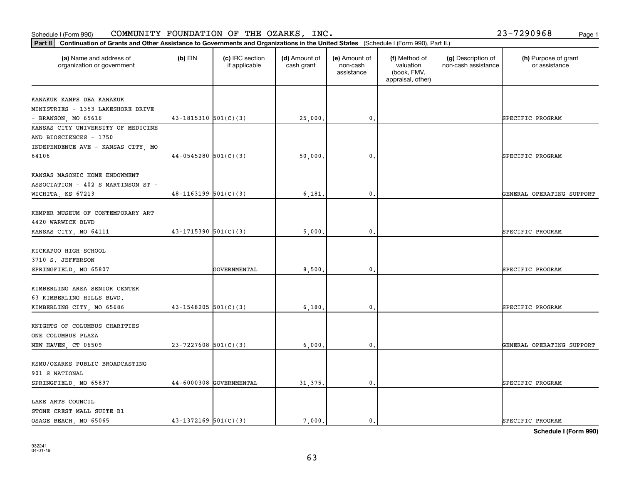### Schedule I (Form 990) COMMUNITY FOUNDATION OF THE OZARKS, INC。 Page 1 COMMUNITY FOUNDATION OF THE OZARKS, INC. 23-7290968

| Part II   Continuation of Grants and Other Assistance to Governments and Organizations in the United States (Schedule I (Form 990), Part II.) |                            |                                  |                             |                                         |                                                                |                                           |                                       |
|-----------------------------------------------------------------------------------------------------------------------------------------------|----------------------------|----------------------------------|-----------------------------|-----------------------------------------|----------------------------------------------------------------|-------------------------------------------|---------------------------------------|
| (a) Name and address of<br>organization or government                                                                                         | $(b)$ EIN                  | (c) IRC section<br>if applicable | (d) Amount of<br>cash grant | (e) Amount of<br>non-cash<br>assistance | (f) Method of<br>valuation<br>(book, FMV,<br>appraisal, other) | (g) Description of<br>non-cash assistance | (h) Purpose of grant<br>or assistance |
| KANAKUK KAMPS DBA KANAKUK                                                                                                                     |                            |                                  |                             |                                         |                                                                |                                           |                                       |
| MINISTRIES - 1353 LAKESHORE DRIVE                                                                                                             |                            |                                  |                             |                                         |                                                                |                                           |                                       |
| $-$ BRANSON, MO 65616                                                                                                                         | $43 - 1815310$ $501(C)(3)$ |                                  | 25,000.                     | 0.                                      |                                                                |                                           | SPECIFIC PROGRAM                      |
| KANSAS CITY UNIVERSITY OF MEDICINE                                                                                                            |                            |                                  |                             |                                         |                                                                |                                           |                                       |
| AND BIOSCIENCES - 1750                                                                                                                        |                            |                                  |                             |                                         |                                                                |                                           |                                       |
| INDEPENDENCE AVE - KANSAS CITY, MO                                                                                                            |                            |                                  |                             |                                         |                                                                |                                           |                                       |
| 64106                                                                                                                                         | $44-0545280$ 501(C)(3)     |                                  | 50,000                      | 0.                                      |                                                                |                                           | SPECIFIC PROGRAM                      |
| KANSAS MASONIC HOME ENDOWMENT                                                                                                                 |                            |                                  |                             |                                         |                                                                |                                           |                                       |
| ASSOCIATION - 402 S MARTINSON ST -                                                                                                            |                            |                                  |                             |                                         |                                                                |                                           |                                       |
| WICHITA, KS 67213                                                                                                                             | $48-1163199$ 501(C)(3)     |                                  | 6,181                       | $\mathbf{0}$ .                          |                                                                |                                           | GENERAL OPERATING SUPPORT             |
|                                                                                                                                               |                            |                                  |                             |                                         |                                                                |                                           |                                       |
| KEMPER MUSEUM OF CONTEMPORARY ART                                                                                                             |                            |                                  |                             |                                         |                                                                |                                           |                                       |
| 4420 WARWICK BLVD                                                                                                                             |                            |                                  |                             |                                         |                                                                |                                           |                                       |
| KANSAS CITY, MO 64111                                                                                                                         | $43 - 1715390$ $501(C)(3)$ |                                  | 5,000                       | 0.                                      |                                                                |                                           | SPECIFIC PROGRAM                      |
|                                                                                                                                               |                            |                                  |                             |                                         |                                                                |                                           |                                       |
| KICKAPOO HIGH SCHOOL                                                                                                                          |                            |                                  |                             |                                         |                                                                |                                           |                                       |
| 3710 S. JEFFERSON                                                                                                                             |                            |                                  |                             |                                         |                                                                |                                           |                                       |
| SPRINGFIELD, MO 65807                                                                                                                         |                            | GOVERNMENTAL                     | 8,500                       | $\mathbf{0}$                            |                                                                |                                           | SPECIFIC PROGRAM                      |
|                                                                                                                                               |                            |                                  |                             |                                         |                                                                |                                           |                                       |
| KIMBERLING AREA SENIOR CENTER                                                                                                                 |                            |                                  |                             |                                         |                                                                |                                           |                                       |
| 63 KIMBERLING HILLS BLVD.                                                                                                                     |                            |                                  |                             |                                         |                                                                |                                           |                                       |
| KIMBERLING CITY, MO 65686                                                                                                                     | $43 - 1548205$ 501(C)(3)   |                                  | 6,180.                      | 0.                                      |                                                                |                                           | SPECIFIC PROGRAM                      |
|                                                                                                                                               |                            |                                  |                             |                                         |                                                                |                                           |                                       |
| KNIGHTS OF COLUMBUS CHARITIES                                                                                                                 |                            |                                  |                             |                                         |                                                                |                                           |                                       |
| ONE COLUMBUS PLAZA                                                                                                                            |                            |                                  |                             |                                         |                                                                |                                           |                                       |
| NEW HAVEN, CT 06509                                                                                                                           | $23 - 7227608$ 501(C)(3)   |                                  | 6,000                       | $^{\circ}$ .                            |                                                                |                                           | GENERAL OPERATING SUPPORT             |
| KSMU/OZARKS PUBLIC BROADCASTING                                                                                                               |                            |                                  |                             |                                         |                                                                |                                           |                                       |
| 901 S NATIONAL                                                                                                                                |                            |                                  |                             |                                         |                                                                |                                           |                                       |
| SPRINGFIELD, MO 65897                                                                                                                         |                            | 44-6000308 GOVERNMENTAL          | 31, 375.                    | $\mathbf{0}$ .                          |                                                                |                                           | SPECIFIC PROGRAM                      |
|                                                                                                                                               |                            |                                  |                             |                                         |                                                                |                                           |                                       |
| LAKE ARTS COUNCIL                                                                                                                             |                            |                                  |                             |                                         |                                                                |                                           |                                       |
| STONE CREST MALL SUITE B1                                                                                                                     |                            |                                  |                             |                                         |                                                                |                                           |                                       |
| OSAGE BEACH, MO 65065                                                                                                                         | $43 - 1372169$ 501(C)(3)   |                                  | 7.000.                      | $\mathbf{0}$ .                          |                                                                |                                           | SPECIFIC PROGRAM                      |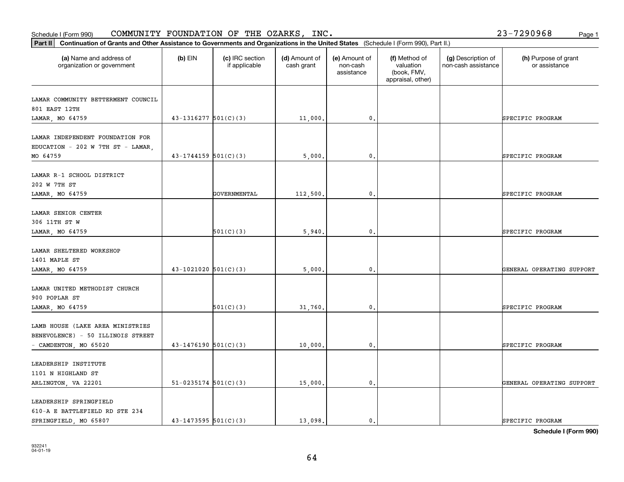### **Part III Continuation of Grants and Other Assistance Community Continuation of Grants and Other Assistance** Schedule I (Form 990)  ${\tt COMMUNITY}$  <code>FOUNDATION OF THE OZARKS, INC</code> .  $23-7290968$  Page 1

| Continuation of Grants and Other Assistance to Governments and Organizations in the United States (Schedule I (Form 990), Part II.)<br>Part II |                            |                                  |                             |                                         |                                                                |                                           |                                       |
|------------------------------------------------------------------------------------------------------------------------------------------------|----------------------------|----------------------------------|-----------------------------|-----------------------------------------|----------------------------------------------------------------|-------------------------------------------|---------------------------------------|
| (a) Name and address of<br>organization or government                                                                                          | $(b)$ EIN                  | (c) IRC section<br>if applicable | (d) Amount of<br>cash grant | (e) Amount of<br>non-cash<br>assistance | (f) Method of<br>valuation<br>(book, FMV,<br>appraisal, other) | (g) Description of<br>non-cash assistance | (h) Purpose of grant<br>or assistance |
| LAMAR COMMUNITY BETTERMENT COUNCIL<br>801 EAST 12TH<br>LAMAR, MO 64759                                                                         | $43 - 1316277$ 501(C)(3)   |                                  | 11,000                      | 0.                                      |                                                                |                                           | SPECIFIC PROGRAM                      |
| LAMAR INDEPENDENT FOUNDATION FOR<br>EDUCATION - 202 W 7TH ST - LAMAR,<br>MO 64759                                                              | $43 - 1744159$ 501(C)(3)   |                                  | 5,000                       | $\mathbf{0}$ .                          |                                                                |                                           | SPECIFIC PROGRAM                      |
| LAMAR R-1 SCHOOL DISTRICT<br>202 W 7TH ST<br>LAMAR, MO 64759                                                                                   |                            | GOVERNMENTAL                     | 112,500                     | $\mathbf{0}$                            |                                                                |                                           | SPECIFIC PROGRAM                      |
| LAMAR SENIOR CENTER<br>306 11TH ST W<br>LAMAR, MO 64759                                                                                        |                            | 501(C)(3)                        | 5,940                       | 0.                                      |                                                                |                                           | SPECIFIC PROGRAM                      |
| LAMAR SHELTERED WORKSHOP<br>1401 MAPLE ST<br>LAMAR, MO 64759                                                                                   | $43 - 1021020$ 501(C)(3)   |                                  | 5,000                       | $\mathbf{0}$ .                          |                                                                |                                           | GENERAL OPERATING SUPPORT             |
| LAMAR UNITED METHODIST CHURCH<br>900 POPLAR ST<br>LAMAR, MO 64759                                                                              |                            | 501(C)(3)                        | 31,760                      | $\mathbf{0}$                            |                                                                |                                           | SPECIFIC PROGRAM                      |
| LAMB HOUSE (LAKE AREA MINISTRIES<br>BENEVOLENCE) - 50 ILLINOIS STREET<br>- CAMDENTON, MO 65020                                                 | $43-1476190$ 501(C)(3)     |                                  | 10,000                      | 0.                                      |                                                                |                                           | SPECIFIC PROGRAM                      |
| LEADERSHIP INSTITUTE<br>1101 N HIGHLAND ST<br>ARLINGTON, VA 22201                                                                              | $51-0235174$ $501(C)(3)$   |                                  | 15,000.                     | $\mathsf{o}\,$ .                        |                                                                |                                           | GENERAL OPERATING SUPPORT             |
| LEADERSHIP SPRINGFIELD<br>610-A E BATTLEFIELD RD STE 234<br>SPRINGFIELD, MO 65807                                                              | $43 - 1473595$ $501(C)(3)$ |                                  | 13.098.                     | $\mathbf{0}$ .                          |                                                                |                                           | SPECIFIC PROGRAM                      |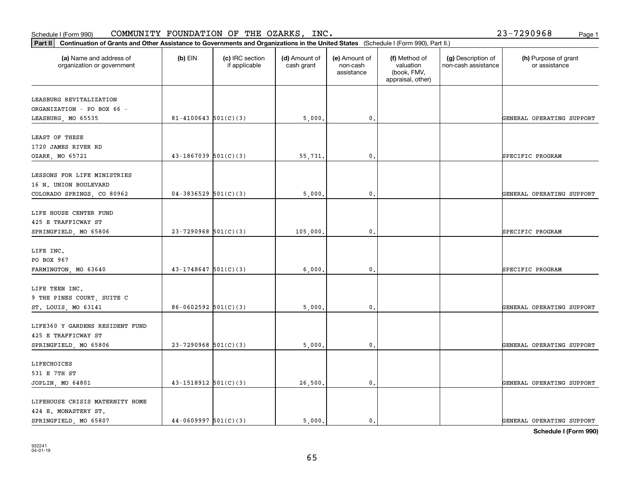| (a) Name and address of<br>organization or government | $(b)$ EIN                  | (c) IRC section<br>if applicable | (d) Amount of<br>cash grant | (e) Amount of<br>non-cash<br>assistance | (f) Method of<br>valuation<br>(book, FMV,<br>appraisal, other) | (g) Description of<br>non-cash assistance | (h) Purpose of grant<br>or assistance |
|-------------------------------------------------------|----------------------------|----------------------------------|-----------------------------|-----------------------------------------|----------------------------------------------------------------|-------------------------------------------|---------------------------------------|
| LEASBURG REVITALIZATION                               |                            |                                  |                             |                                         |                                                                |                                           |                                       |
| ORGANIZATION - PO BOX 66 -                            |                            |                                  |                             |                                         |                                                                |                                           |                                       |
| LEASBURG, MO 65535                                    | $81 - 4100643$ 501(C)(3)   |                                  | 5,000.                      | $\mathbf{0}$ .                          |                                                                |                                           | GENERAL OPERATING SUPPORT             |
| LEAST OF THESE                                        |                            |                                  |                             |                                         |                                                                |                                           |                                       |
| 1720 JAMES RIVER RD                                   |                            |                                  |                             |                                         |                                                                |                                           |                                       |
| OZARK, MO 65721                                       | $43-1867039$ $501(C)(3)$   |                                  | 55,731.                     | $\mathbf{0}$ .                          |                                                                |                                           | SPECIFIC PROGRAM                      |
| LESSONS FOR LIFE MINISTRIES                           |                            |                                  |                             |                                         |                                                                |                                           |                                       |
| 16 N. UNION BOULEVARD                                 |                            |                                  |                             |                                         |                                                                |                                           |                                       |
| COLORADO SPRINGS, CO 80962                            | $04-3836529$ $501(C)(3)$   |                                  | 5,000.                      | $\mathbf{0}$ .                          |                                                                |                                           | GENERAL OPERATING SUPPORT             |
| LIFE HOUSE CENTER FUND                                |                            |                                  |                             |                                         |                                                                |                                           |                                       |
| 425 E TRAFFICWAY ST                                   |                            |                                  |                             |                                         |                                                                |                                           |                                       |
| SPRINGFIELD, MO 65806                                 | $23-7290968$ 501(C)(3)     |                                  | 105,000                     | $\mathbf 0$ .                           |                                                                |                                           | SPECIFIC PROGRAM                      |
| LIFE INC.                                             |                            |                                  |                             |                                         |                                                                |                                           |                                       |
| PO BOX 967                                            |                            |                                  |                             |                                         |                                                                |                                           |                                       |
| FARMINGTON, MO 63640                                  | $43 - 1748647$ 501(C)(3)   |                                  | 6,000                       | $\mathbf{0}$ .                          |                                                                |                                           | SPECIFIC PROGRAM                      |
| LIFE TEEN INC.                                        |                            |                                  |                             |                                         |                                                                |                                           |                                       |
| 9 THE PINES COURT, SUITE C                            |                            |                                  |                             |                                         |                                                                |                                           |                                       |
| ST. LOUIS, MO 63141                                   | $86 - 0602592$ 501(C)(3)   |                                  | 5,000,                      | $\mathfrak o$ .                         |                                                                |                                           | GENERAL OPERATING SUPPORT             |
| LIFE360 Y GARDENS RESIDENT FUND                       |                            |                                  |                             |                                         |                                                                |                                           |                                       |
| 425 E TRAFFICWAY ST                                   |                            |                                  |                             |                                         |                                                                |                                           |                                       |
| SPRINGFIELD, MO 65806                                 | $23 - 7290968$ 501(C)(3)   |                                  | 5,000                       | $\mathbf{0}$ .                          |                                                                |                                           | GENERAL OPERATING SUPPORT             |
| LIFECHOICES                                           |                            |                                  |                             |                                         |                                                                |                                           |                                       |
| 531 E 7TH ST                                          |                            |                                  |                             |                                         |                                                                |                                           |                                       |
| JOPLIN, MO 64801                                      | $43 - 1518912$ $501(C)(3)$ |                                  | 26,500.                     | $\mathbf 0$ .                           |                                                                |                                           | GENERAL OPERATING SUPPORT             |
| LIFEHOUSE CRISIS MATERNITY HOME                       |                            |                                  |                             |                                         |                                                                |                                           |                                       |
| 424 E. MONASTERY ST.                                  |                            |                                  |                             |                                         |                                                                |                                           |                                       |
| SPRINGFIELD, MO 65807                                 | $44-0609997$ 501(C)(3)     |                                  | 5.000.                      | $\mathbf{0}$ .                          |                                                                |                                           | GENERAL OPERATING SUPPORT             |

## Schedule I (Form 990)  ${\tt COMMUNITY}$  <code>FOUNDATION OF THE OZARKS, INC</code> .  $23-7290968$  Page 1

**Part II Continuation of Grants and Other Assistance to Governments and Organizations in the United States**  (Schedule I (Form 990), Part II.)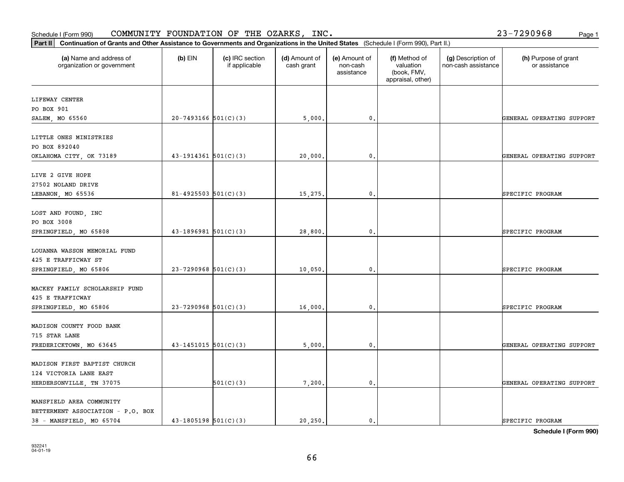| (a) Name and address of<br>organization or government | $(b)$ EIN                  | (c) IRC section<br>if applicable | (d) Amount of<br>cash grant | (e) Amount of<br>non-cash<br>assistance | (f) Method of<br>valuation<br>(book, FMV,<br>appraisal, other) | (g) Description of<br>non-cash assistance | (h) Purpose of grant<br>or assistance |
|-------------------------------------------------------|----------------------------|----------------------------------|-----------------------------|-----------------------------------------|----------------------------------------------------------------|-------------------------------------------|---------------------------------------|
| LIFEWAY CENTER                                        |                            |                                  |                             |                                         |                                                                |                                           |                                       |
| PO BOX 901                                            |                            |                                  |                             |                                         |                                                                |                                           |                                       |
| SALEM, MO 65560                                       | $20 - 7493166$ 501(C)(3)   |                                  | 5,000.                      | 0.                                      |                                                                |                                           | GENERAL OPERATING SUPPORT             |
| LITTLE ONES MINISTRIES                                |                            |                                  |                             |                                         |                                                                |                                           |                                       |
| PO BOX 892040                                         |                            |                                  |                             |                                         |                                                                |                                           |                                       |
| OKLAHOMA CITY, OK 73189                               | $43-1914361$ $501(C)(3)$   |                                  | 20,000.                     | 0.                                      |                                                                |                                           | GENERAL OPERATING SUPPORT             |
| LIVE 2 GIVE HOPE                                      |                            |                                  |                             |                                         |                                                                |                                           |                                       |
| 27502 NOLAND DRIVE                                    |                            |                                  |                             |                                         |                                                                |                                           |                                       |
| LEBANON, MO 65536                                     | $81 - 4925503$ $501(C)(3)$ |                                  | 15,275.                     | 0.                                      |                                                                |                                           | SPECIFIC PROGRAM                      |
| LOST AND FOUND, INC                                   |                            |                                  |                             |                                         |                                                                |                                           |                                       |
| PO BOX 3008                                           |                            |                                  |                             |                                         |                                                                |                                           |                                       |
| SPRINGFIELD, MO 65808                                 | $43-1896981$ $501(C)(3)$   |                                  | 28,800.                     | 0.                                      |                                                                |                                           | SPECIFIC PROGRAM                      |
| LOUANNA WASSON MEMORIAL FUND                          |                            |                                  |                             |                                         |                                                                |                                           |                                       |
| 425 E TRAFFICWAY ST                                   |                            |                                  |                             |                                         |                                                                |                                           |                                       |
| SPRINGFIELD, MO 65806                                 | $23 - 7290968$ 501(C)(3)   |                                  | 10,050.                     | 0.                                      |                                                                |                                           | SPECIFIC PROGRAM                      |
| MACKEY FAMILY SCHOLARSHIP FUND<br>425 E TRAFFICWAY    |                            |                                  |                             |                                         |                                                                |                                           |                                       |
| SPRINGFIELD, MO 65806                                 | $23 - 7290968$ 501(C)(3)   |                                  | 16,000                      | 0.                                      |                                                                |                                           | SPECIFIC PROGRAM                      |
| MADISON COUNTY FOOD BANK                              |                            |                                  |                             |                                         |                                                                |                                           |                                       |
| 715 STAR LANE                                         |                            |                                  |                             |                                         |                                                                |                                           |                                       |
| FREDERICKTOWN, MO 63645                               | $43 - 1451015$ $501(C)(3)$ |                                  | 5,000.                      | 0.                                      |                                                                |                                           | GENERAL OPERATING SUPPORT             |
| MADISON FIRST BAPTIST CHURCH                          |                            |                                  |                             |                                         |                                                                |                                           |                                       |
| 124 VICTORIA LANE EAST                                |                            |                                  |                             |                                         |                                                                |                                           |                                       |
| HERDERSONVILLE, TN 37075                              |                            | 501(C)(3)                        | 7,200.                      | 0.                                      |                                                                |                                           | GENERAL OPERATING SUPPORT             |
| MANSFIELD AREA COMMUNITY                              |                            |                                  |                             |                                         |                                                                |                                           |                                       |
| BETTERMENT ASSOCIATION - P.O. BOX                     |                            |                                  |                             |                                         |                                                                |                                           |                                       |
| 38 - MANSFIELD, MO 65704                              | $43 - 1805198$ $501(C)(3)$ |                                  | 20,250.                     | 0.                                      |                                                                |                                           | SPECIFIC PROGRAM                      |

**Schedule I (Form 990)**

## Schedule I (Form 990)  ${\tt COMMUNITY}$  <code>FOUNDATION OF THE OZARKS, INC</code> .  $23-7290968$  Page 1

**Part II Continuation of Grants and Other Assistance to Governments and Organizations in the United States**  (Schedule I (Form 990), Part II.)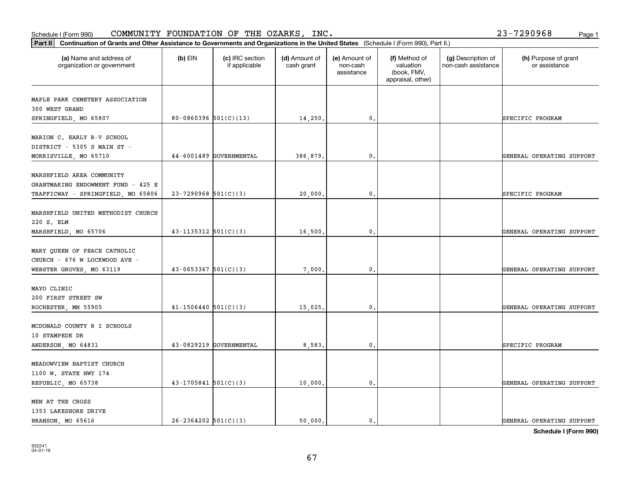| (a) Name and address of<br>organization or government | (b) EIN                    | (c) IRC section<br>if applicable | (d) Amount of<br>cash grant | (e) Amount of<br>non-cash<br>assistance | (f) Method of<br>valuation<br>(book, FMV,<br>appraisal, other) | (g) Description of<br>non-cash assistance | (h) Purpose of grant<br>or assistance |
|-------------------------------------------------------|----------------------------|----------------------------------|-----------------------------|-----------------------------------------|----------------------------------------------------------------|-------------------------------------------|---------------------------------------|
| MAPLE PARK CEMETERY ASSOCIATION                       |                            |                                  |                             |                                         |                                                                |                                           |                                       |
| 300 WEST GRAND                                        |                            |                                  |                             |                                         |                                                                |                                           |                                       |
| SPRINGFIELD, MO 65807                                 | $80 - 0860396$ 501(C)(13)  |                                  | 14,250.                     | 0.                                      |                                                                |                                           | SPECIFIC PROGRAM                      |
| MARION C. EARLY R-V SCHOOL                            |                            |                                  |                             |                                         |                                                                |                                           |                                       |
| DISTRICT - 5305 S MAIN ST -                           |                            |                                  |                             |                                         |                                                                |                                           |                                       |
| MORRISVILLE, MO 65710                                 |                            | 44-6001489 GOVERNMENTAL          | 386,879.                    | 0.                                      |                                                                |                                           | GENERAL OPERATING SUPPORT             |
| MARSHFIELD AREA COMMUNITY                             |                            |                                  |                             |                                         |                                                                |                                           |                                       |
| GRANTMAKING ENDOWMENT FUND - 425 E                    |                            |                                  |                             |                                         |                                                                |                                           |                                       |
| TRAFFICWAY - SPRINGFIELD, MO 65806                    | $23 - 7290968$ 501(C)(3)   |                                  | 20,000.                     | 0.                                      |                                                                |                                           | SPECIFIC PROGRAM                      |
|                                                       |                            |                                  |                             |                                         |                                                                |                                           |                                       |
| MARSHFIELD UNITED METHODIST CHURCH                    |                            |                                  |                             |                                         |                                                                |                                           |                                       |
| 220 S. ELM                                            |                            |                                  |                             |                                         |                                                                |                                           |                                       |
| MARSHFIELD, MO 65706                                  | $43 - 1135312$ $501(C)(3)$ |                                  | 16,500.                     | 0.                                      |                                                                |                                           | GENERAL OPERATING SUPPORT             |
| MARY QUEEN OF PEACE CATHOLIC                          |                            |                                  |                             |                                         |                                                                |                                           |                                       |
| CHURCH - 676 W LOCKWOOD AVE -                         |                            |                                  |                             |                                         |                                                                |                                           |                                       |
| WEBSTER GROVES, MO 63119                              | $43 - 0653367$ $501(C)(3)$ |                                  | 7,000.                      | 0.                                      |                                                                |                                           | GENERAL OPERATING SUPPORT             |
|                                                       |                            |                                  |                             |                                         |                                                                |                                           |                                       |
| MAYO CLINIC<br>200 FIRST STREET SW                    |                            |                                  |                             |                                         |                                                                |                                           |                                       |
| ROCHESTER, MN 55905                                   | $41 - 1506440$ $501(C)(3)$ |                                  | 15,025.                     | 0.                                      |                                                                |                                           | GENERAL OPERATING SUPPORT             |
|                                                       |                            |                                  |                             |                                         |                                                                |                                           |                                       |
| MCDONALD COUNTY R I SCHOOLS                           |                            |                                  |                             |                                         |                                                                |                                           |                                       |
| 10 STAMPEDE DR                                        |                            |                                  |                             |                                         |                                                                |                                           |                                       |
| ANDERSON, MO 64831                                    |                            | 43-0829219 GOVERNMENTAL          | 8,583.                      | 0.                                      |                                                                |                                           | SPECIFIC PROGRAM                      |
| MEADOWVIEW BAPTIST CHURCH                             |                            |                                  |                             |                                         |                                                                |                                           |                                       |
| 1100 W. STATE HWY 174                                 |                            |                                  |                             |                                         |                                                                |                                           |                                       |
| REPUBLIC, MO 65738                                    | $43-1705841$ $501(C)(3)$   |                                  | 10,000.                     | 0.                                      |                                                                |                                           | GENERAL OPERATING SUPPORT             |
|                                                       |                            |                                  |                             |                                         |                                                                |                                           |                                       |
| MEN AT THE CROSS                                      |                            |                                  |                             |                                         |                                                                |                                           |                                       |
| 1353 LAKESHORE DRIVE                                  |                            |                                  |                             |                                         |                                                                |                                           |                                       |
| BRANSON, MO 65616                                     | $26 - 2364202$ 501(C)(3)   |                                  | 50,000.                     | $\mathbf{0}$ .                          |                                                                |                                           | GENERAL OPERATING SUPPORT             |

**Part II Continuation of Grants and Other Assistance to Governments and Organizations in the United States**  (Schedule I (Form 990), Part II.)

932241 04-01-19

Schedule I (Form 990)  ${\tt COMMUNITY}$  <code>FOUNDATION OF THE OZARKS, INC</code> .  $23-7290968$  Page 1

Т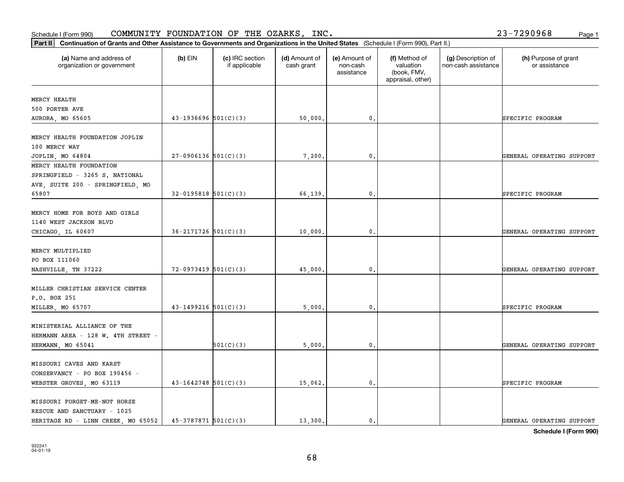MERCY HEALTH 500 PORTER AVE

organization or government

| MERCY HEALTH FOUNDATION JOPLIN     |                            |           |         |               |                           |
|------------------------------------|----------------------------|-----------|---------|---------------|---------------------------|
| 100 MERCY WAY                      |                            |           |         |               |                           |
| JOPLIN, MO 64804                   | $27-0906136$ 501(C)(3)     |           | 7,200.  | 0.            | GENERAL OPERATING SUPPORT |
| MERCY HEALTH FOUNDATION            |                            |           |         |               |                           |
| SPRINGFIELD - 3265 S. NATIONAL     |                            |           |         |               |                           |
| AVE, SUITE 200 - SPRINGFIELD, MO   |                            |           |         |               |                           |
| 65807                              | $32-0195818$ $501(C)(3)$   |           | 66,139. | $\mathbf 0$ . | SPECIFIC PROGRAM          |
| MERCY HOME FOR BOYS AND GIRLS      |                            |           |         |               |                           |
| 1140 WEST JACKSON BLVD             |                            |           |         |               |                           |
| CHICAGO, IL 60607                  | $36 - 2171726$ $501(C)(3)$ |           | 10,000. | 0.            | GENERAL OPERATING SUPPORT |
| MERCY MULTIPLIED                   |                            |           |         |               |                           |
| PO BOX 111060                      |                            |           |         |               |                           |
| NASHVILLE, TN 37222                | $72-0973419$ 501(C)(3)     |           | 45,000. | $\mathbf 0$ . | GENERAL OPERATING SUPPORT |
| MILLER CHRISTIAN SERVICE CENTER    |                            |           |         |               |                           |
| P.O. BOX 251                       |                            |           |         |               |                           |
| MILLER, MO 65707                   | $43-1499216$ 501(C)(3)     |           | 5,000.  | 0.            | SPECIFIC PROGRAM          |
| MINISTERIAL ALLIANCE OF THE        |                            |           |         |               |                           |
| HERMANN AREA - 128 W. 4TH STREET - |                            |           |         |               |                           |
| HERMANN, MO 65041                  |                            | 501(C)(3) | 5,000.  | 0.            | GENERAL OPERATING SUPPORT |
| MISSOURI CAVES AND KARST           |                            |           |         |               |                           |
| CONSERVANCY - PO BOX 190456 -      |                            |           |         |               |                           |
| WEBSTER GROVES, MO 63119           | $43 - 1642748$ 501(C)(3)   |           | 15,062. | 0.            | SPECIFIC PROGRAM          |
| MISSOURI FORGET-ME-NOT HORSE       |                            |           |         |               |                           |
| RESCUE AND SANCTUARY - 1025        |                            |           |         |               |                           |
| HERITAGE RD - LINN CREEK, MO 65052 | $45-3787871$ 501(C)(3)     |           | 13,300. | 0.            | GENERAL OPERATING SUPPORT |
|                                    |                            |           |         |               |                           |

### Schedule I (Form 990)  ${\tt COMMUNITY}$  <code>FOUNDATION OF THE OZARKS, INC</code> .  $23-7290968$  Page 1

**Part II Continuation of Grants and Other Assistance to Governments and Organizations in the United States**  (Schedule I (Form 990), Part II.)

if applicable

 $(b)$  EIN  $(c)$  IRC section

**(a) (b) (c) (d) (e) (f) (g) (h)** Name and address of

AURORA, MO 65605 (autority of the distribution of the solution of the solution of the solution of the solution o

(d) Amount of cash grant

(e) Amount of non-cashassistance

(f) Method of valuation (book, FMV, appraisal, other)

(g) Description of non-cash assistance

**Schedule I (Form 990)**

(h) Purpose of grant or assistance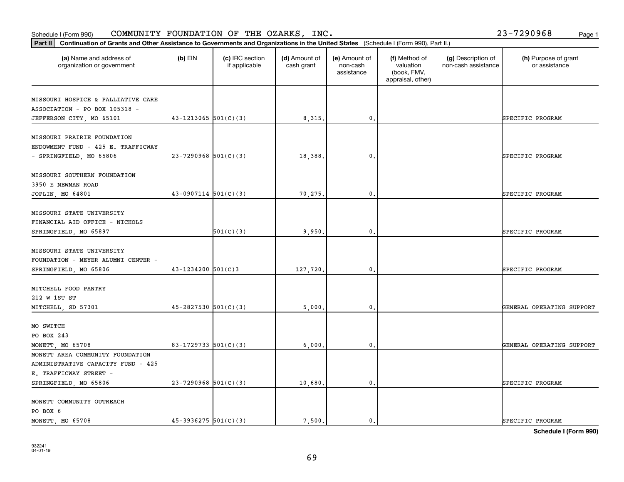### **Part III Continuation of Grants and Other Assistance to Governments and Organization of Grants and Organization of Grants and Organizations of Organizations and Organization of Grants and Organizations of Departments an** Schedule I (Form 990)  ${\tt COMMUNITY}$  <code>FOUNDATION OF THE OZARKS, INC</code> .  $23-7290968$  Page 1

| Continuation of Grants and Other Assistance to Governments and Organizations in the United States (Schedule I (Form 990), Part II.)<br>Part II |                            |                                  |                             |                                         |                                                                |                                           |                                       |
|------------------------------------------------------------------------------------------------------------------------------------------------|----------------------------|----------------------------------|-----------------------------|-----------------------------------------|----------------------------------------------------------------|-------------------------------------------|---------------------------------------|
| (a) Name and address of<br>organization or government                                                                                          | $(b)$ EIN                  | (c) IRC section<br>if applicable | (d) Amount of<br>cash grant | (e) Amount of<br>non-cash<br>assistance | (f) Method of<br>valuation<br>(book, FMV,<br>appraisal, other) | (g) Description of<br>non-cash assistance | (h) Purpose of grant<br>or assistance |
| MISSOURI HOSPICE & PALLIATIVE CARE                                                                                                             |                            |                                  |                             |                                         |                                                                |                                           |                                       |
| ASSOCIATION - PO BOX 105318 -                                                                                                                  |                            |                                  |                             |                                         |                                                                |                                           |                                       |
| JEFFERSON CITY, MO 65101                                                                                                                       | $43 - 1213065$ 501(C)(3)   |                                  | 8,315.                      | 0.                                      |                                                                |                                           | SPECIFIC PROGRAM                      |
| MISSOURI PRAIRIE FOUNDATION                                                                                                                    |                            |                                  |                             |                                         |                                                                |                                           |                                       |
| ENDOWMENT FUND - 425 E. TRAFFICWAY                                                                                                             |                            |                                  |                             |                                         |                                                                |                                           |                                       |
| - SPRINGFIELD, MO 65806                                                                                                                        | $23 - 7290968$ 501(C)(3)   |                                  | 18,388.                     | $\mathbf{0}$ .                          |                                                                |                                           | SPECIFIC PROGRAM                      |
|                                                                                                                                                |                            |                                  |                             |                                         |                                                                |                                           |                                       |
| MISSOURI SOUTHERN FOUNDATION<br>3950 E NEWMAN ROAD                                                                                             |                            |                                  |                             |                                         |                                                                |                                           |                                       |
| JOPLIN, MO 64801                                                                                                                               | $43-0907114$ $501(C)(3)$   |                                  | 70,275.                     | 0.                                      |                                                                |                                           | SPECIFIC PROGRAM                      |
|                                                                                                                                                |                            |                                  |                             |                                         |                                                                |                                           |                                       |
| MISSOURI STATE UNIVERSITY                                                                                                                      |                            |                                  |                             |                                         |                                                                |                                           |                                       |
| FINANCIAL AID OFFICE - NICHOLS                                                                                                                 |                            |                                  |                             |                                         |                                                                |                                           |                                       |
| SPRINGFIELD, MO 65897                                                                                                                          |                            | 501(C)(3)                        | 9,950.                      | 0.                                      |                                                                |                                           | SPECIFIC PROGRAM                      |
| MISSOURI STATE UNIVERSITY                                                                                                                      |                            |                                  |                             |                                         |                                                                |                                           |                                       |
| FOUNDATION - MEYER ALUMNI CENTER -                                                                                                             |                            |                                  |                             |                                         |                                                                |                                           |                                       |
| SPRINGFIELD, MO 65806                                                                                                                          | $43 - 1234200$ 501(C)3     |                                  | 127,720.                    | $\mathbf{0}$ .                          |                                                                |                                           | SPECIFIC PROGRAM                      |
|                                                                                                                                                |                            |                                  |                             |                                         |                                                                |                                           |                                       |
| MITCHELL FOOD PANTRY                                                                                                                           |                            |                                  |                             |                                         |                                                                |                                           |                                       |
| 212 W 1ST ST                                                                                                                                   |                            |                                  |                             |                                         |                                                                |                                           |                                       |
| MITCHELL, SD 57301                                                                                                                             | $45 - 2827530$ $501(C)(3)$ |                                  | 5,000                       | 0.                                      |                                                                |                                           | GENERAL OPERATING SUPPORT             |
| MO SWITCH                                                                                                                                      |                            |                                  |                             |                                         |                                                                |                                           |                                       |
| PO BOX 243                                                                                                                                     |                            |                                  |                             |                                         |                                                                |                                           |                                       |
| MONETT, MO 65708                                                                                                                               | $83-1729733$ 501(C)(3)     |                                  | 6,000                       | 0.                                      |                                                                |                                           | GENERAL OPERATING SUPPORT             |
| MONETT AREA COMMUNITY FOUNDATION                                                                                                               |                            |                                  |                             |                                         |                                                                |                                           |                                       |
| ADMINISTRATIVE CAPACITY FUND - 425                                                                                                             |                            |                                  |                             |                                         |                                                                |                                           |                                       |
| E. TRAFFICWAY STREET -                                                                                                                         |                            |                                  |                             |                                         |                                                                |                                           |                                       |
| SPRINGFIELD, MO 65806                                                                                                                          | $23 - 7290968$ 501(C)(3)   |                                  | 10,680.                     | $\mathbf{0}$ .                          |                                                                |                                           | SPECIFIC PROGRAM                      |
| MONETT COMMUNITY OUTREACH                                                                                                                      |                            |                                  |                             |                                         |                                                                |                                           |                                       |
| PO BOX 6                                                                                                                                       |                            |                                  |                             |                                         |                                                                |                                           |                                       |
| MONETT, MO 65708                                                                                                                               | $45-3936275$ $501(C)(3)$   |                                  | 7.500.                      | 0.                                      |                                                                |                                           | SPECIFIC PROGRAM                      |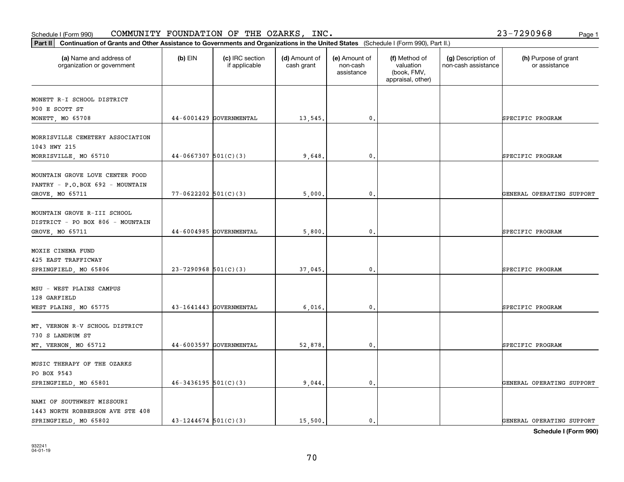| MAME OF COMMUNICAT MECCONDE |                            |       |  |                           |
|-----------------------------|----------------------------|-------|--|---------------------------|
| SPRINGFIELD, MO 65801       | $46 - 3436195$ $501(C)(3)$ | 9044. |  | GENERAL OPERATING SUPPORT |
| PO BOX 9543                 |                            |       |  |                           |
| MUSIC THERAPY OF THE OZARKS |                            |       |  |                           |
|                             |                            |       |  |                           |

| 128 GARFIELD                   |                         |         |  |                  |
|--------------------------------|-------------------------|---------|--|------------------|
| WEST PLAINS, MO 65775          | 43-1641443 GOVERNMENTAL | 6.016.  |  | SPECIFIC PROGRAM |
|                                |                         |         |  |                  |
| MT. VERNON R-V SCHOOL DISTRICT |                         |         |  |                  |
| 730 S LANDRUM ST               |                         |         |  |                  |
| MT. VERNON, MO 65712           | 44-6003597 GOVERNMENTAL | 52.878. |  | SPECIFIC PROGRAM |
|                                |                         |         |  |                  |
| MUSIC THERAPY OF THE OZARKS    |                         |         |  |                  |

|                                                                                       |                          |                         |         | assistance     | (book, FMV,<br>appraisal, other) |                           |
|---------------------------------------------------------------------------------------|--------------------------|-------------------------|---------|----------------|----------------------------------|---------------------------|
| MONETT R-I SCHOOL DISTRICT<br>900 E SCOTT ST<br>MONETT, MO 65708                      |                          | 44-6001429 GOVERNMENTAL | 13,545. | $\mathbf{0}$ . |                                  | SPECIFIC PROGRAM          |
| MORRISVILLE CEMETERY ASSOCIATION<br>1043 HWY 215<br>MORRISVILLE, MO 65710             | $44-0667307$ 501(C)(3)   |                         | 9,648.  | 0.             |                                  | SPECIFIC PROGRAM          |
| MOUNTAIN GROVE LOVE CENTER FOOD<br>PANTRY - P.O.BOX 692 - MOUNTAIN<br>GROVE, MO 65711 | $77 - 0622202$ 501(C)(3) |                         | 5,000.  | 0.             |                                  | GENERAL OPERATING SUPPORT |
| MOUNTAIN GROVE R-III SCHOOL<br>DISTRICT - PO BOX 806 - MOUNTAIN<br>GROVE, MO 65711    |                          | 44-6004985 GOVERNMENTAL | 5,800.  | $\mathbf{0}$ . |                                  | SPECIFIC PROGRAM          |
| MOXIE CINEMA FUND<br>425 EAST TRAFFICWAY<br>SPRINGFIELD, MO 65806                     | $23 - 7290968$ 501(C)(3) |                         | 37,045. | $\mathbf{0}$ . |                                  | SPECIFIC PROGRAM          |
| MSU - WEST PLAINS CAMPUS<br>128 GARFIELD<br>WEST PLAINS, MO 65775                     |                          | 43-1641443 GOVERNMENTAL | 6,016.  | 0.             |                                  | SPECIFIC PROGRAM          |
|                                                                                       |                          |                         |         |                |                                  |                           |

**(a) (b) (c) (d) (e) (f) (g) (h)** Name and address of

(d) Amount of cash grant

(e) Amount of non-cash

(f) Method of valuation

(g) Description of non-cash assistance

## Schedule I (Form 990)  ${\tt COMMUNITY}$  <code>FOUNDATION OF THE OZARKS, INC</code> .  $23-7290968$  Page 1

organization or government

NAMI OF SOUTHWEST MISSOURI 1443 NORTH ROBBERSON AVE STE 408

**Part II Continuation of Grants and Other Assistance to Governments and Organizations in the United States**  (Schedule I (Form 990), Part II.)

if applicable

 $(b)$  EIN  $(c)$  IRC section

(h) Purpose of grant or assistance

SPRINGFIELD, MO 65802 43-1244674 501(C)(3) 15,500. 0. 0. CENERAL OPERATING SUPPORT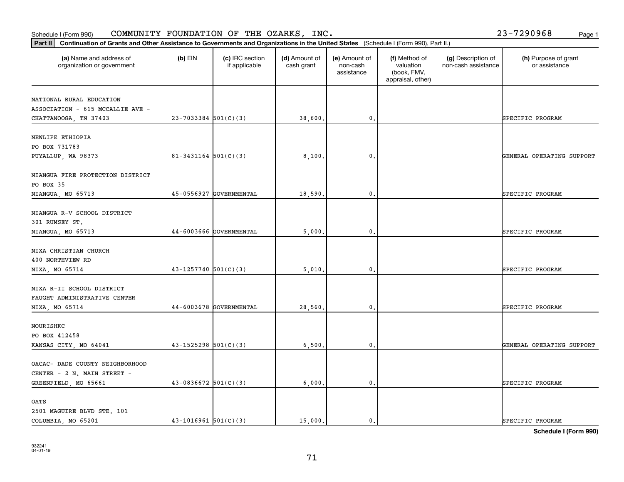Schedule I (Form 990)  ${\tt COMMUNITY}$  <code>FOUNDATION OF THE OZARKS, INC</code> .  $23-7290968$  Page 1

| Part II   Continuation of Grants and Other Assistance to Governments and Organizations in the United States (Schedule I (Form 990), Part II.) |                            |                                  |                             |                                         |                                                                |                                           |                                       |  |  |  |
|-----------------------------------------------------------------------------------------------------------------------------------------------|----------------------------|----------------------------------|-----------------------------|-----------------------------------------|----------------------------------------------------------------|-------------------------------------------|---------------------------------------|--|--|--|
| (a) Name and address of<br>organization or government                                                                                         | $(b)$ EIN                  | (c) IRC section<br>if applicable | (d) Amount of<br>cash grant | (e) Amount of<br>non-cash<br>assistance | (f) Method of<br>valuation<br>(book, FMV,<br>appraisal, other) | (g) Description of<br>non-cash assistance | (h) Purpose of grant<br>or assistance |  |  |  |
|                                                                                                                                               |                            |                                  |                             |                                         |                                                                |                                           |                                       |  |  |  |
| NATIONAL RURAL EDUCATION<br>ASSOCIATION - 615 MCCALLIE AVE -                                                                                  |                            |                                  |                             |                                         |                                                                |                                           |                                       |  |  |  |
| CHATTANOOGA, TN 37403                                                                                                                         | $23 - 7033384$ 501(C)(3)   |                                  | 38,600.                     | $\mathbf{0}$ .                          |                                                                |                                           | SPECIFIC PROGRAM                      |  |  |  |
|                                                                                                                                               |                            |                                  |                             |                                         |                                                                |                                           |                                       |  |  |  |
| NEWLIFE ETHIOPIA                                                                                                                              |                            |                                  |                             |                                         |                                                                |                                           |                                       |  |  |  |
| PO BOX 731783                                                                                                                                 |                            |                                  |                             |                                         |                                                                |                                           |                                       |  |  |  |
| PUYALLUP, WA 98373                                                                                                                            | $81 - 3431164$ $501(C)(3)$ |                                  | 8,100                       | 0.                                      |                                                                |                                           | GENERAL OPERATING SUPPORT             |  |  |  |
| NIANGUA FIRE PROTECTION DISTRICT                                                                                                              |                            |                                  |                             |                                         |                                                                |                                           |                                       |  |  |  |
| PO BOX 35                                                                                                                                     |                            |                                  |                             |                                         |                                                                |                                           |                                       |  |  |  |
| NIANGUA, MO 65713                                                                                                                             |                            | 45-0556927 GOVERNMENTAL          | 18,590.                     | $\mathbf{0}$ .                          |                                                                |                                           | SPECIFIC PROGRAM                      |  |  |  |
|                                                                                                                                               |                            |                                  |                             |                                         |                                                                |                                           |                                       |  |  |  |
| NIANGUA R-V SCHOOL DISTRICT                                                                                                                   |                            |                                  |                             |                                         |                                                                |                                           |                                       |  |  |  |
| 301 RUMSEY ST.                                                                                                                                |                            |                                  |                             |                                         |                                                                |                                           |                                       |  |  |  |
| NIANGUA, MO 65713                                                                                                                             |                            | 44-6003666 GOVERNMENTAL          | 5,000.                      | $\mathfrak{o}$ .                        |                                                                |                                           | SPECIFIC PROGRAM                      |  |  |  |
|                                                                                                                                               |                            |                                  |                             |                                         |                                                                |                                           |                                       |  |  |  |
| NIXA CHRISTIAN CHURCH                                                                                                                         |                            |                                  |                             |                                         |                                                                |                                           |                                       |  |  |  |
| 400 NORTHVIEW RD                                                                                                                              |                            |                                  |                             |                                         |                                                                |                                           |                                       |  |  |  |
| NIXA, MO 65714                                                                                                                                | $43 - 1257740$ 501(C)(3)   |                                  | 5,010                       | 0.                                      |                                                                |                                           | SPECIFIC PROGRAM                      |  |  |  |
| NIXA R-II SCHOOL DISTRICT                                                                                                                     |                            |                                  |                             |                                         |                                                                |                                           |                                       |  |  |  |
| FAUGHT ADMINISTRATIVE CENTER                                                                                                                  |                            |                                  |                             |                                         |                                                                |                                           |                                       |  |  |  |
| NIXA, MO 65714                                                                                                                                |                            | 44-6003678 GOVERNMENTAL          | 28,560.                     | $\mathfrak{o}$ .                        |                                                                |                                           | SPECIFIC PROGRAM                      |  |  |  |
|                                                                                                                                               |                            |                                  |                             |                                         |                                                                |                                           |                                       |  |  |  |
| NOURISHKC                                                                                                                                     |                            |                                  |                             |                                         |                                                                |                                           |                                       |  |  |  |
| PO BOX 412458                                                                                                                                 |                            |                                  |                             |                                         |                                                                |                                           |                                       |  |  |  |
| KANSAS CITY, MO 64041                                                                                                                         | $43 - 1525298$ $501(C)(3)$ |                                  | 6,500                       | $\mathbf{0}$ .                          |                                                                |                                           | GENERAL OPERATING SUPPORT             |  |  |  |
| OACAC- DADE COUNTY NEIGHBORHOOD                                                                                                               |                            |                                  |                             |                                         |                                                                |                                           |                                       |  |  |  |
| CENTER - 2 N. MAIN STREET -                                                                                                                   |                            |                                  |                             |                                         |                                                                |                                           |                                       |  |  |  |
|                                                                                                                                               | $43 - 0836672$ 501(C)(3)   |                                  | 6,000.                      | $\mathbf{0}$ .                          |                                                                |                                           | SPECIFIC PROGRAM                      |  |  |  |
| GREENFIELD, MO 65661                                                                                                                          |                            |                                  |                             |                                         |                                                                |                                           |                                       |  |  |  |
| OATS                                                                                                                                          |                            |                                  |                             |                                         |                                                                |                                           |                                       |  |  |  |
| 2501 MAGUIRE BLVD STE. 101                                                                                                                    |                            |                                  |                             |                                         |                                                                |                                           |                                       |  |  |  |
| COLUMBIA, MO 65201                                                                                                                            | $43-1016961$ 501(C)(3)     |                                  | 15,000.                     | $\mathbf{0}$ .                          |                                                                |                                           | SPECIFIC PROGRAM                      |  |  |  |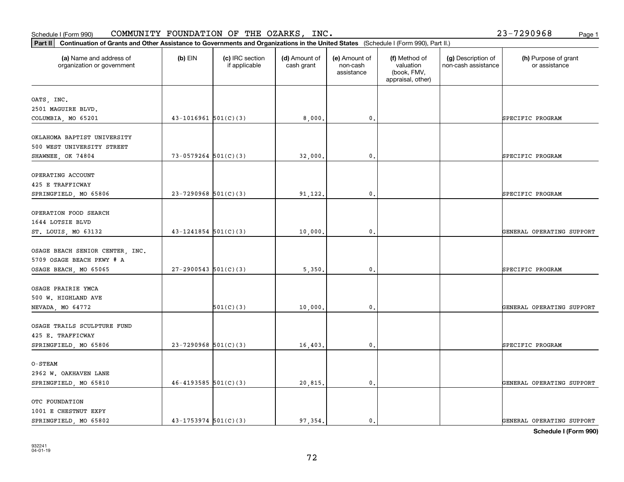OTC FOUNDATION 1001 E CHESTNUT EXPY

| OKLAHOMA BAPTIST UNIVERSITY     |                            |           |         |                  |  |                           |
|---------------------------------|----------------------------|-----------|---------|------------------|--|---------------------------|
| 500 WEST UNIVERSITY STREET      |                            |           |         |                  |  |                           |
| SHAWNEE, OK 74804               | $73 - 0579264$ 501(C)(3)   |           | 32,000. | $\mathbf{0}$ .   |  | SPECIFIC PROGRAM          |
|                                 |                            |           |         |                  |  |                           |
| OPERATING ACCOUNT               |                            |           |         |                  |  |                           |
| 425 E TRAFFICWAY                |                            |           |         |                  |  |                           |
| SPRINGFIELD, MO 65806           | $23 - 7290968$ 501(C)(3)   |           | 91,122. | $\mathbf{0}$ .   |  | SPECIFIC PROGRAM          |
| OPERATION FOOD SEARCH           |                            |           |         |                  |  |                           |
| 1644 LOTSIE BLVD                |                            |           |         |                  |  |                           |
| ST. LOUIS, MO 63132             | $43 - 1241854$ 501(C)(3)   |           | 10,000. | $\mathbf{0}$ .   |  | GENERAL OPERATING SUPPORT |
| OSAGE BEACH SENIOR CENTER, INC. |                            |           |         |                  |  |                           |
| 5709 OSAGE BEACH PKWY # A       |                            |           |         |                  |  |                           |
| OSAGE BEACH, MO 65065           | $27 - 2900543$ 501(C)(3)   |           | 5,350.  | $\mathbf{0}$ .   |  | SPECIFIC PROGRAM          |
| OSAGE PRAIRIE YMCA              |                            |           |         |                  |  |                           |
| 500 W. HIGHLAND AVE             |                            |           |         |                  |  |                           |
| NEVADA, MO 64772                |                            | 501(C)(3) | 10,000. | $\mathbf{0}$ .   |  | GENERAL OPERATING SUPPORT |
| OSAGE TRAILS SCULPTURE FUND     |                            |           |         |                  |  |                           |
| 425 E. TRAFFICWAY               |                            |           |         |                  |  |                           |
| SPRINGFIELD, MO 65806           | $23 - 7290968$ 501(C)(3)   |           | 16,403. | $\mathbf{0}$ .   |  | SPECIFIC PROGRAM          |
| <b>O-STEAM</b>                  |                            |           |         |                  |  |                           |
| 2962 W. OAKHAVEN LANE           |                            |           |         |                  |  |                           |
| SPRINGFIELD, MO 65810           | $46 - 4193585$ $501(C)(3)$ |           | 20,815. | $\mathfrak{o}$ . |  | GENERAL OPERATING SUPPORT |
|                                 |                            |           |         |                  |  |                           |

## Schedule I (Form 990)  ${\tt COMMUNITY}$  <code>FOUNDATION OF THE OZARKS, INC</code> .  $23-7290968$  Page 1

organization or government

OATS, INC.

2501 MAGUIRE BLVD.

**Part II Continuation of Grants and Other Assistance to Governments and Organizations in the United States**  (Schedule I (Form 990), Part II.)

if applicable

 $(b)$  EIN  $(c)$  IRC section

**(a) (b) (c) (d) (e) (f) (g) (h)** Name and address of

COLUMBIA, MO 65201 43-1016961 501(C)(3) 8,000. 0. 0. 0. SPECIFIC PROGRAM

(d) Amount of cash grant

(e) Amount of non-cashassistance

(f) Method of valuation (book, FMV, appraisal, other)

(g) Description of non-cash assistance

(h) Purpose of grant or assistance

**Schedule I (Form 990)**

SPRINGFIELD, MO 65802 43-1753974 501(C)(3) 97,354. 0. 0. 0. SENERAL OPERATING SUPPORT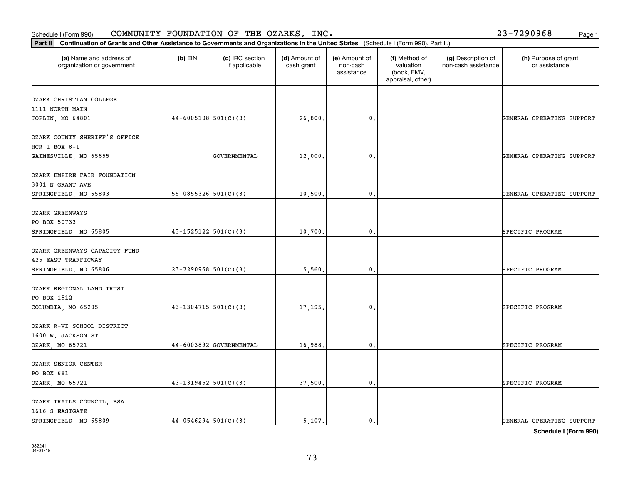OZARK TRAILS COUNCIL, BSA

1616 S EASTGATE

| HCR $1$ BOX $8-1$             |                            |                         |         |                |  |                           |
|-------------------------------|----------------------------|-------------------------|---------|----------------|--|---------------------------|
| GAINESVILLE, MO 65655         |                            | GOVERNMENTAL            | 12,000. | 0.             |  | GENERAL OPERATING SUPPORT |
| OZARK EMPIRE FAIR FOUNDATION  |                            |                         |         |                |  |                           |
| 3001 N GRANT AVE              |                            |                         |         |                |  |                           |
| SPRINGFIELD, MO 65803         | $55-0855326$ $501(C)(3)$   |                         | 10,500. | 0.             |  | GENERAL OPERATING SUPPORT |
| OZARK GREENWAYS               |                            |                         |         |                |  |                           |
| PO BOX 50733                  |                            |                         |         |                |  |                           |
| SPRINGFIELD, MO 65805         | $43 - 1525122$ $501(C)(3)$ |                         | 10,700. | $\mathbf{0}$ . |  | SPECIFIC PROGRAM          |
| OZARK GREENWAYS CAPACITY FUND |                            |                         |         |                |  |                           |
| 425 EAST TRAFFICWAY           |                            |                         |         |                |  |                           |
| SPRINGFIELD, MO 65806         | $23 - 7290968$ 501(C)(3)   |                         | 5,560.  | $\mathbf{0}$ . |  | SPECIFIC PROGRAM          |
| OZARK REGIONAL LAND TRUST     |                            |                         |         |                |  |                           |
| PO BOX 1512                   |                            |                         |         |                |  |                           |
| COLUMBIA, MO 65205            | $43-1304715$ 501(C)(3)     |                         | 17,195. | 0.             |  | SPECIFIC PROGRAM          |
| OZARK R-VI SCHOOL DISTRICT    |                            |                         |         |                |  |                           |
| 1600 W. JACKSON ST            |                            |                         |         |                |  |                           |
| OZARK, MO 65721               |                            | 44-6003892 GOVERNMENTAL | 16,988. | 0.             |  | SPECIFIC PROGRAM          |
| OZARK SENIOR CENTER           |                            |                         |         |                |  |                           |
| PO BOX 681                    |                            |                         |         |                |  |                           |
| OZARK, MO 65721               | $43-1319452$ 501(C)(3)     |                         | 37,500. | 0.             |  | SPECIFIC PROGRAM          |
|                               |                            |                         |         |                |  |                           |

## Schedule I (Form 990)  ${\tt COMMUNITY}$  <code>FOUNDATION OF THE OZARKS, INC</code> .  $23-7290968$  Page 1

organization or government

OZARK CHRISTIAN COLLEGE

OZARK COUNTY SHERIFF'S OFFICE

1111 NORTH MAIN

**Part II Continuation of Grants and Other Assistance to Governments and Organizations in the United States**  (Schedule I (Form 990), Part II.)

if applicable

 $(b)$  EIN  $(c)$  IRC section

**(a) (b) (c) (d) (e) (f) (g) (h)** Name and address of

(d) Amount of cash grant

JOPLIN, MO 64801 44-6005108 501(C)(3) 26,800. 0. GENERAL OPERATING SUPPORT

(e) Amount of non-cashassistance

(f) Method of valuation (book, FMV, appraisal, other)

(g) Description of non-cash assistance

(h) Purpose of grant or assistance

SPRINGFIELD, MO 65809 44-0546294 501(C)(3)  $\begin{vmatrix} 3 & 5 \\ 0 & 1 \end{vmatrix}$  5,107. 0.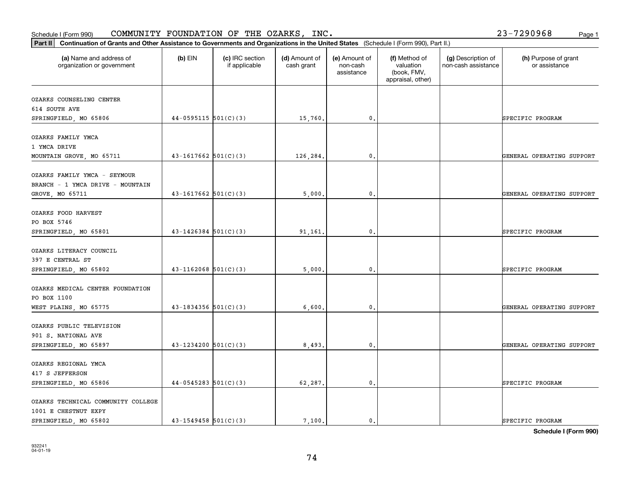| (a) Name and address of<br>organization or government | $(b)$ EIN                  | (c) IRC section<br>if applicable | (d) Amount of<br>cash grant | (e) Amount of<br>non-cash<br>assistance | (f) Method of<br>valuation<br>(book, FMV,<br>appraisal, other) | (g) Description of<br>non-cash assistance | (h) Purpose of grant<br>or assistance |
|-------------------------------------------------------|----------------------------|----------------------------------|-----------------------------|-----------------------------------------|----------------------------------------------------------------|-------------------------------------------|---------------------------------------|
| OZARKS COUNSELING CENTER                              |                            |                                  |                             |                                         |                                                                |                                           |                                       |
| 614 SOUTH AVE                                         |                            |                                  |                             |                                         |                                                                |                                           |                                       |
| SPRINGFIELD, MO 65806                                 | $44-0595115$ 501(C)(3)     |                                  | 15,760.                     | $\mathbf{0}$ .                          |                                                                |                                           | SPECIFIC PROGRAM                      |
| OZARKS FAMILY YMCA                                    |                            |                                  |                             |                                         |                                                                |                                           |                                       |
| 1 YMCA DRIVE                                          |                            |                                  |                             |                                         |                                                                |                                           |                                       |
| MOUNTAIN GROVE, MO 65711                              | $43 - 1617662$ 501(C)(3)   |                                  | 126,284.                    | $\mathbf{0}$ .                          |                                                                |                                           | GENERAL OPERATING SUPPORT             |
| OZARKS FAMILY YMCA - SEYMOUR                          |                            |                                  |                             |                                         |                                                                |                                           |                                       |
| BRANCH - 1 YMCA DRIVE - MOUNTAIN                      |                            |                                  |                             |                                         |                                                                |                                           |                                       |
| GROVE, MO 65711                                       | $43 - 1617662$ $501(C)(3)$ |                                  | 5,000.                      | 0.                                      |                                                                |                                           | GENERAL OPERATING SUPPORT             |
| OZARKS FOOD HARVEST                                   |                            |                                  |                             |                                         |                                                                |                                           |                                       |
| PO BOX 5746                                           |                            |                                  |                             |                                         |                                                                |                                           |                                       |
| SPRINGFIELD, MO 65801                                 | $43 - 1426384$ 501(C)(3)   |                                  | 91,161.                     | 0.                                      |                                                                |                                           | SPECIFIC PROGRAM                      |
| OZARKS LITERACY COUNCIL                               |                            |                                  |                             |                                         |                                                                |                                           |                                       |
| 397 E CENTRAL ST                                      |                            |                                  |                             |                                         |                                                                |                                           |                                       |
| SPRINGFIELD, MO 65802                                 | $43 - 1162068$ $501(C)(3)$ |                                  | 5,000.                      | $\mathbf{0}$ .                          |                                                                |                                           | SPECIFIC PROGRAM                      |
| OZARKS MEDICAL CENTER FOUNDATION                      |                            |                                  |                             |                                         |                                                                |                                           |                                       |
| PO BOX 1100                                           |                            |                                  |                             |                                         |                                                                |                                           |                                       |
| WEST PLAINS, MO 65775                                 | $43 - 1834356$ 501(C)(3)   |                                  | 6,600.                      | $\mathfrak{o}$ .                        |                                                                |                                           | GENERAL OPERATING SUPPORT             |
| OZARKS PUBLIC TELEVISION                              |                            |                                  |                             |                                         |                                                                |                                           |                                       |
| 901 S. NATIONAL AVE                                   |                            |                                  |                             |                                         |                                                                |                                           |                                       |
| SPRINGFIELD, MO 65897                                 | $43 - 1234200$ $501(C)(3)$ |                                  | 8,493.                      | $\mathbf{0}$ .                          |                                                                |                                           | GENERAL OPERATING SUPPORT             |
| OZARKS REGIONAL YMCA                                  |                            |                                  |                             |                                         |                                                                |                                           |                                       |
| 417 S JEFFERSON                                       |                            |                                  |                             |                                         |                                                                |                                           |                                       |
| SPRINGFIELD, MO 65806                                 | $44-0545283$ 501(C)(3)     |                                  | 62,287.                     | $\mathsf{o}\,$ .                        |                                                                |                                           | SPECIFIC PROGRAM                      |
| OZARKS TECHNICAL COMMUNITY COLLEGE                    |                            |                                  |                             |                                         |                                                                |                                           |                                       |
| 1001 E CHESTNUT EXPY                                  |                            |                                  |                             |                                         |                                                                |                                           |                                       |
| SPRINGFIELD, MO 65802                                 | $43 - 1549458$ $501(C)(3)$ |                                  | 7.100.                      | $\mathbf{0}$ .                          |                                                                |                                           | SPECIFIC PROGRAM                      |

## Schedule I (Form 990)  ${\tt COMMUNITY}$  <code>FOUNDATION OF THE OZARKS, INC</code> .  $23-7290968$  Page 1

**Part II Continuation of Grants and Other Assistance to Governments and Organizations in the United States**  (Schedule I (Form 990), Part II.)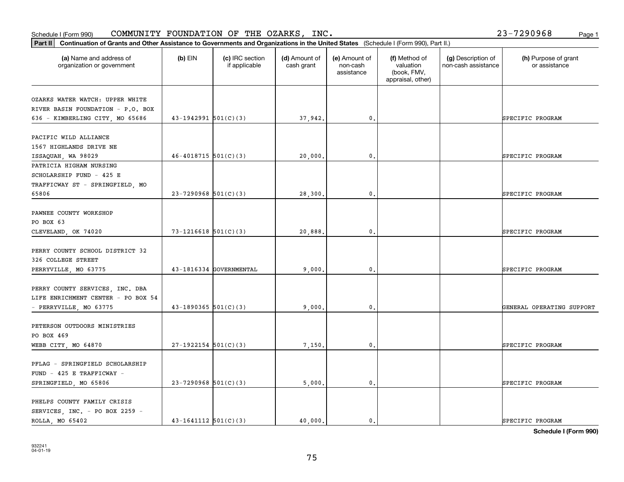### Schedule I (Form 990) COMMUNITY FOUNDATION OF THE OZARKS, INC。 Page 1 COMMUNITY FOUNDATION OF THE OZARKS, INC. 23-7290968

| Part II   Continuation of Grants and Other Assistance to Governments and Organizations in the United States (Schedule I (Form 990), Part II.) |                            |                                  |                             |                                         |                                                                |                                           |                                       |
|-----------------------------------------------------------------------------------------------------------------------------------------------|----------------------------|----------------------------------|-----------------------------|-----------------------------------------|----------------------------------------------------------------|-------------------------------------------|---------------------------------------|
| (a) Name and address of<br>organization or government                                                                                         | $(b)$ EIN                  | (c) IRC section<br>if applicable | (d) Amount of<br>cash grant | (e) Amount of<br>non-cash<br>assistance | (f) Method of<br>valuation<br>(book, FMV,<br>appraisal, other) | (g) Description of<br>non-cash assistance | (h) Purpose of grant<br>or assistance |
| OZARKS WATER WATCH: UPPER WHITE                                                                                                               |                            |                                  |                             |                                         |                                                                |                                           |                                       |
| RIVER BASIN FOUNDATION - P.O. BOX                                                                                                             |                            |                                  |                             |                                         |                                                                |                                           |                                       |
| 636 - KIMBERLING CITY, MO 65686                                                                                                               | $43-1942991$ $501(C)(3)$   |                                  | 37,942.                     | 0.                                      |                                                                |                                           | SPECIFIC PROGRAM                      |
|                                                                                                                                               |                            |                                  |                             |                                         |                                                                |                                           |                                       |
| PACIFIC WILD ALLIANCE                                                                                                                         |                            |                                  |                             |                                         |                                                                |                                           |                                       |
| 1567 HIGHLANDS DRIVE NE                                                                                                                       |                            |                                  |                             |                                         |                                                                |                                           |                                       |
| ISSAQUAH, WA 98029                                                                                                                            | $46 - 4018715$ 501(C)(3)   |                                  | 20,000                      | $\mathfrak{o}$ .                        |                                                                |                                           | SPECIFIC PROGRAM                      |
| PATRICIA HIGHAM NURSING                                                                                                                       |                            |                                  |                             |                                         |                                                                |                                           |                                       |
| SCHOLARSHIP FUND - 425 E                                                                                                                      |                            |                                  |                             |                                         |                                                                |                                           |                                       |
| TRAFFICWAY ST - SPRINGFIELD, MO                                                                                                               |                            |                                  |                             |                                         |                                                                |                                           |                                       |
| 65806                                                                                                                                         | $23 - 7290968$ 501(C)(3)   |                                  | 28,300                      | $\mathfrak{o}$ .                        |                                                                |                                           | SPECIFIC PROGRAM                      |
|                                                                                                                                               |                            |                                  |                             |                                         |                                                                |                                           |                                       |
| PAWNEE COUNTY WORKSHOP                                                                                                                        |                            |                                  |                             |                                         |                                                                |                                           |                                       |
| PO BOX 63                                                                                                                                     |                            |                                  |                             |                                         |                                                                |                                           |                                       |
| CLEVELAND, OK 74020                                                                                                                           | $73 - 1216618$ 501(C)(3)   |                                  | 20,888                      | 0.                                      |                                                                |                                           | SPECIFIC PROGRAM                      |
|                                                                                                                                               |                            |                                  |                             |                                         |                                                                |                                           |                                       |
| PERRY COUNTY SCHOOL DISTRICT 32                                                                                                               |                            |                                  |                             |                                         |                                                                |                                           |                                       |
| 326 COLLEGE STREET                                                                                                                            |                            |                                  |                             |                                         |                                                                |                                           |                                       |
| PERRYVILLE, MO 63775                                                                                                                          |                            | 43-1816334 GOVERNMENTAL          | 9,000                       | 0.                                      |                                                                |                                           | SPECIFIC PROGRAM                      |
|                                                                                                                                               |                            |                                  |                             |                                         |                                                                |                                           |                                       |
| PERRY COUNTY SERVICES, INC. DBA                                                                                                               |                            |                                  |                             |                                         |                                                                |                                           |                                       |
| LIFE ENRICHMENT CENTER - PO BOX 54                                                                                                            |                            |                                  |                             |                                         |                                                                |                                           |                                       |
| - PERRYVILLE, MO 63775                                                                                                                        | $43-1890365$ 501(C)(3)     |                                  | 9,000                       | 0.                                      |                                                                |                                           | GENERAL OPERATING SUPPORT             |
|                                                                                                                                               |                            |                                  |                             |                                         |                                                                |                                           |                                       |
| PETERSON OUTDOORS MINISTRIES                                                                                                                  |                            |                                  |                             |                                         |                                                                |                                           |                                       |
| PO BOX 469                                                                                                                                    |                            |                                  |                             |                                         |                                                                |                                           |                                       |
| WEBB CITY, MO 64870                                                                                                                           | $27-1922154$ 501(C)(3)     |                                  | 7,150,                      | $\mathfrak{o}$ .                        |                                                                |                                           | SPECIFIC PROGRAM                      |
|                                                                                                                                               |                            |                                  |                             |                                         |                                                                |                                           |                                       |
| PFLAG - SPRINGFIELD SCHOLARSHIP                                                                                                               |                            |                                  |                             |                                         |                                                                |                                           |                                       |
| FUND - 425 E TRAFFICWAY -                                                                                                                     |                            |                                  |                             |                                         |                                                                |                                           |                                       |
| SPRINGFIELD, MO 65806                                                                                                                         | $23 - 7290968$ 501(C)(3)   |                                  | 5,000.                      | $\mathbf{0}$ .                          |                                                                |                                           | SPECIFIC PROGRAM                      |
|                                                                                                                                               |                            |                                  |                             |                                         |                                                                |                                           |                                       |
| PHELPS COUNTY FAMILY CRISIS                                                                                                                   |                            |                                  |                             |                                         |                                                                |                                           |                                       |
| SERVICES, INC. - PO BOX 2259 -                                                                                                                | $43 - 1641112$ $501(C)(3)$ |                                  | 40,000.                     | $\mathbf{0}$ .                          |                                                                |                                           | SPECIFIC PROGRAM                      |
| ROLLA, MO 65402                                                                                                                               |                            |                                  |                             |                                         |                                                                |                                           |                                       |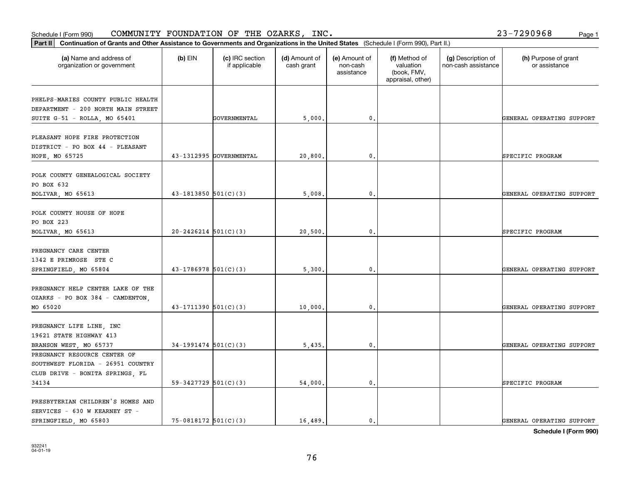| Schedule I (Form 990)                                                                                                                          |                            | COMMUNITY FOUNDATION OF THE OZARKS, INC. |                             |                                         |                                                                |                                           | 23-7290968<br>Page 1                  |
|------------------------------------------------------------------------------------------------------------------------------------------------|----------------------------|------------------------------------------|-----------------------------|-----------------------------------------|----------------------------------------------------------------|-------------------------------------------|---------------------------------------|
| Continuation of Grants and Other Assistance to Governments and Organizations in the United States (Schedule I (Form 990), Part II.)<br>Part II |                            |                                          |                             |                                         |                                                                |                                           |                                       |
| (a) Name and address of<br>organization or government                                                                                          | $(b)$ EIN                  | (c) IRC section<br>if applicable         | (d) Amount of<br>cash grant | (e) Amount of<br>non-cash<br>assistance | (f) Method of<br>valuation<br>(book, FMV,<br>appraisal, other) | (g) Description of<br>non-cash assistance | (h) Purpose of grant<br>or assistance |
| PHELPS-MARIES COUNTY PUBLIC HEALTH<br>DEPARTMENT - 200 NORTH MAIN STREET<br>SUITE G-51 - ROLLA, MO 65401                                       |                            | GOVERNMENTAL                             | 5,000.                      | $\mathfrak{o}$ .                        |                                                                |                                           | GENERAL OPERATING SUPPORT             |
| PLEASANT HOPE FIRE PROTECTION<br>DISTRICT - PO BOX 44 - PLEASANT<br>HOPE, MO 65725                                                             |                            | 43-1312995 GOVERNMENTAL                  | 20,800                      | $\mathbf 0$ .                           |                                                                |                                           | SPECIFIC PROGRAM                      |
| POLK COUNTY GENEALOGICAL SOCIETY<br>PO BOX 632<br>BOLIVAR, MO 65613                                                                            | $43 - 1813850$ $501(C)(3)$ |                                          | 5,008                       | 0.                                      |                                                                |                                           | GENERAL OPERATING SUPPORT             |
| POLK COUNTY HOUSE OF HOPE<br>PO BOX 223<br>BOLIVAR, MO 65613                                                                                   | $20 - 2426214$ $501(C)(3)$ |                                          | 20,500.                     | 0.                                      |                                                                |                                           | SPECIFIC PROGRAM                      |
| PREGNANCY CARE CENTER<br>1342 E PRIMROSE STE C<br>SPRINGFIELD, MO 65804                                                                        | $43-1786978$ 501(C)(3)     |                                          | 5,300,                      | $\mathfrak{o}$ .                        |                                                                |                                           | GENERAL OPERATING SUPPORT             |
| PREGNANCY HELP CENTER LAKE OF THE<br>OZARKS - PO BOX 384 - CAMDENTON,<br>MO 65020                                                              | $43 - 1711390$ $501(C)(3)$ |                                          | 10,000.                     | 0.                                      |                                                                |                                           | GENERAL OPERATING SUPPORT             |
| PREGNANCY LIFE LINE, INC<br>19621 STATE HIGHWAY 413<br>BRANSON WEST, MO 65737                                                                  | $34-1991474$ 501(C)(3)     |                                          | 5,435                       | $\mathfrak{o}$ .                        |                                                                |                                           | GENERAL OPERATING SUPPORT             |
| PREGNANCY RESOURCE CENTER OF<br>SOUTHWEST FLORIDA - 26951 COUNTRY<br>CLUB DRIVE - BONITA SPRINGS, FL<br>34134                                  | 59-3427729 $501(C)(3)$     |                                          | 54,000.                     | 0.                                      |                                                                |                                           | SPECIFIC PROGRAM                      |
| PRESBYTERIAN CHILDREN'S HOMES AND<br>SERVICES - 630 W KEARNEY ST -<br>SPRINGFIELD, MO 65803                                                    | $75-0818172$ 501(C)(3)     |                                          | 16,489.                     | $\mathbf{0}$ .                          |                                                                |                                           | GENERAL OPERATING SUPPORT             |

**Schedule I (Form 990)**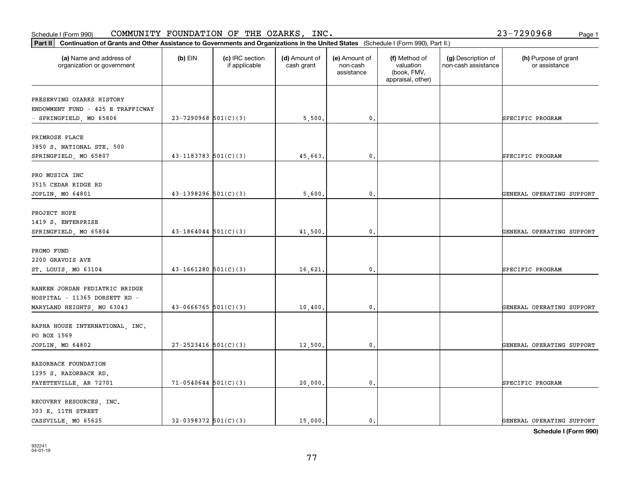Schedule I (Form 990) COMMUNITY FOUNDATION OF THE OZARKS, INC。 Page 1 COMMUNITY FOUNDATION OF THE OZARKS, INC. 23-7290968

| Part II   Continuation of Grants and Other Assistance to Governments and Organizations in the United States (Schedule I (Form 990), Part II.) |                            |                                  |                             |                                         |                                                                |                                           |                                       |  |
|-----------------------------------------------------------------------------------------------------------------------------------------------|----------------------------|----------------------------------|-----------------------------|-----------------------------------------|----------------------------------------------------------------|-------------------------------------------|---------------------------------------|--|
| (a) Name and address of<br>organization or government                                                                                         | $(b)$ EIN                  | (c) IRC section<br>if applicable | (d) Amount of<br>cash grant | (e) Amount of<br>non-cash<br>assistance | (f) Method of<br>valuation<br>(book, FMV,<br>appraisal, other) | (g) Description of<br>non-cash assistance | (h) Purpose of grant<br>or assistance |  |
| PRESERVING OZARKS HISTORY                                                                                                                     |                            |                                  |                             |                                         |                                                                |                                           |                                       |  |
| ENDOWMENT FUND - 425 E TRAFFICWAY                                                                                                             |                            |                                  |                             |                                         |                                                                |                                           |                                       |  |
| - SPRINGFIELD, MO 65806                                                                                                                       | $23-7290968$ 501(C)(3)     |                                  | 5,500.                      | 0.                                      |                                                                |                                           | SPECIFIC PROGRAM                      |  |
| PRIMROSE PLACE                                                                                                                                |                            |                                  |                             |                                         |                                                                |                                           |                                       |  |
| 3850 S. NATIONAL STE. 500                                                                                                                     |                            |                                  |                             |                                         |                                                                |                                           |                                       |  |
| SPRINGFIELD, MO 65807                                                                                                                         | $43 - 1183783$ $501(C)(3)$ |                                  | 45,663                      | 0.                                      |                                                                |                                           | SPECIFIC PROGRAM                      |  |
|                                                                                                                                               |                            |                                  |                             |                                         |                                                                |                                           |                                       |  |
| PRO MUSICA INC                                                                                                                                |                            |                                  |                             |                                         |                                                                |                                           |                                       |  |
| 3515 CEDAR RIDGE RD                                                                                                                           |                            |                                  |                             |                                         |                                                                |                                           |                                       |  |
| JOPLIN, MO 64801                                                                                                                              | $43 - 1398296$ 501(C)(3)   |                                  | 5,600                       | $\mathfrak{o}$ .                        |                                                                |                                           | GENERAL OPERATING SUPPORT             |  |
| PROJECT HOPE                                                                                                                                  |                            |                                  |                             |                                         |                                                                |                                           |                                       |  |
| 1419 S. ENTERPRISE                                                                                                                            |                            |                                  |                             |                                         |                                                                |                                           |                                       |  |
| SPRINGFIELD, MO 65804                                                                                                                         | $43-1864044$ 501(C)(3)     |                                  | 41,500.                     | 0.                                      |                                                                |                                           | GENERAL OPERATING SUPPORT             |  |
|                                                                                                                                               |                            |                                  |                             |                                         |                                                                |                                           |                                       |  |
| PROMO FUND<br>2200 GRAVOIS AVE                                                                                                                |                            |                                  |                             |                                         |                                                                |                                           |                                       |  |
| ST. LOUIS, MO 63104                                                                                                                           | $43-1661280$ 501(C)(3)     |                                  | 16,621                      | $\mathbf{0}$                            |                                                                |                                           | SPECIFIC PROGRAM                      |  |
|                                                                                                                                               |                            |                                  |                             |                                         |                                                                |                                           |                                       |  |
| RANKEN JORDAN PEDIATRIC BRIDGE                                                                                                                |                            |                                  |                             |                                         |                                                                |                                           |                                       |  |
| HOSPITAL - 11365 DORSETT RD -                                                                                                                 |                            |                                  |                             |                                         |                                                                |                                           |                                       |  |
| MARYLAND HEIGHTS, MO 63043                                                                                                                    | $43 - 0666765$ 501(C)(3)   |                                  | 10,400.                     | 0.                                      |                                                                |                                           | GENERAL OPERATING SUPPORT             |  |
| RAPHA HOUSE INTERNATIONAL, INC.                                                                                                               |                            |                                  |                             |                                         |                                                                |                                           |                                       |  |
| PO BOX 1569                                                                                                                                   |                            |                                  |                             |                                         |                                                                |                                           |                                       |  |
| JOPLIN, MO 64802                                                                                                                              | $27 - 2523416$ 501(C)(3)   |                                  | 12,500                      | $\mathfrak{o}$ .                        |                                                                |                                           | GENERAL OPERATING SUPPORT             |  |
|                                                                                                                                               |                            |                                  |                             |                                         |                                                                |                                           |                                       |  |
| RAZORBACK FOUNDATION                                                                                                                          |                            |                                  |                             |                                         |                                                                |                                           |                                       |  |
| 1295 S. RAZORBACK RD.                                                                                                                         |                            |                                  |                             |                                         |                                                                |                                           |                                       |  |
| FAYETTEVILLE, AR 72701                                                                                                                        | $71-0540644$ 501(C)(3)     |                                  | 20,000.                     | $\mathfrak{o}$ .                        |                                                                |                                           | SPECIFIC PROGRAM                      |  |
| RECOVERY RESOURCES, INC.                                                                                                                      |                            |                                  |                             |                                         |                                                                |                                           |                                       |  |
| 303 E. 11TH STREET                                                                                                                            |                            |                                  |                             |                                         |                                                                |                                           |                                       |  |
| CASSVILLE, MO 65625                                                                                                                           | $32-0398372$ $501(C)(3)$   |                                  | 15,000.                     | $\mathbf{0}$ .                          |                                                                |                                           | GENERAL OPERATING SUPPORT             |  |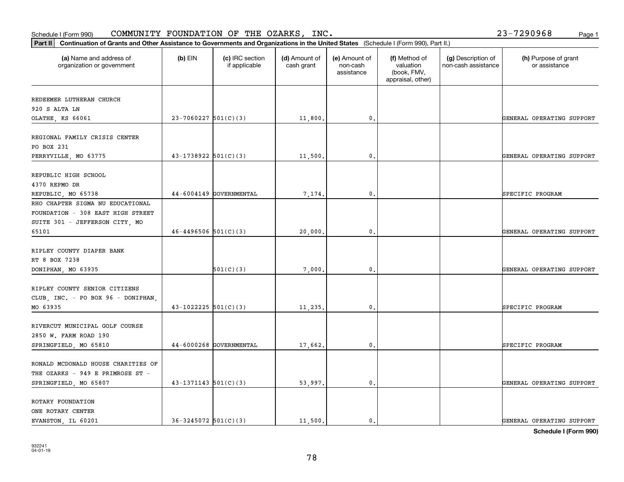| (a) Name and address of<br>organization or government | $(b)$ EIN                | (c) IRC section<br>if applicable | (d) Amount of<br>cash grant | (e) Amount of<br>non-cash<br>assistance | (f) Method of<br>valuation<br>(book, FMV,<br>appraisal, other) | (g) Description of<br>non-cash assistance | (h) Purpose of grant<br>or assistance |
|-------------------------------------------------------|--------------------------|----------------------------------|-----------------------------|-----------------------------------------|----------------------------------------------------------------|-------------------------------------------|---------------------------------------|
| REDEEMER LUTHERAN CHURCH                              |                          |                                  |                             |                                         |                                                                |                                           |                                       |
| 920 S ALTA LN                                         |                          |                                  |                             |                                         |                                                                |                                           |                                       |
| OLATHE, KS 66061                                      | $23-7060227$ 501(C)(3)   |                                  | 11,800.                     | 0.                                      |                                                                |                                           | GENERAL OPERATING SUPPORT             |
| REGIONAL FAMILY CRISIS CENTER                         |                          |                                  |                             |                                         |                                                                |                                           |                                       |
| PO BOX 231                                            |                          |                                  |                             |                                         |                                                                |                                           |                                       |
| PERRYVILLE, MO 63775                                  | $43-1738922$ $501(C)(3)$ |                                  | 11,500.                     | 0.                                      |                                                                |                                           | GENERAL OPERATING SUPPORT             |
| REPUBLIC HIGH SCHOOL                                  |                          |                                  |                             |                                         |                                                                |                                           |                                       |
| 4370 REPMO DR                                         |                          |                                  |                             |                                         |                                                                |                                           |                                       |
| REPUBLIC, MO 65738                                    |                          | 44-6004149 GOVERNMENTAL          | 7,174.                      | $\mathfrak{o}$ .                        |                                                                |                                           | SPECIFIC PROGRAM                      |
| RHO CHAPTER SIGMA NU EDUCATIONAL                      |                          |                                  |                             |                                         |                                                                |                                           |                                       |
| FOUNDATION - 308 EAST HIGH STREET                     |                          |                                  |                             |                                         |                                                                |                                           |                                       |
| SUITE 301 - JEFFERSON CITY, MO                        |                          |                                  |                             |                                         |                                                                |                                           |                                       |
| 65101                                                 | $46 - 4496506$ 501(C)(3) |                                  | 20,000.                     | 0.                                      |                                                                |                                           | GENERAL OPERATING SUPPORT             |
| RIPLEY COUNTY DIAPER BANK                             |                          |                                  |                             |                                         |                                                                |                                           |                                       |
| RT 8 BOX 7238                                         |                          |                                  |                             |                                         |                                                                |                                           |                                       |
| DONIPHAN, MO 63935                                    |                          | 501(C)(3)                        | 7,000.                      | $\mathfrak{o}$ .                        |                                                                |                                           | GENERAL OPERATING SUPPORT             |
| RIPLEY COUNTY SENIOR CITIZENS                         |                          |                                  |                             |                                         |                                                                |                                           |                                       |
| CLUB, INC. - PO BOX 96 - DONIPHAN,                    |                          |                                  |                             |                                         |                                                                |                                           |                                       |
| MO 63935                                              | $43 - 1022225$ 501(C)(3) |                                  | 11,235.                     | $\mathbf{0}$ .                          |                                                                |                                           | SPECIFIC PROGRAM                      |
| RIVERCUT MUNICIPAL GOLF COURSE                        |                          |                                  |                             |                                         |                                                                |                                           |                                       |
| 2850 W. FARM ROAD 190                                 |                          |                                  |                             |                                         |                                                                |                                           |                                       |
| SPRINGFIELD, MO 65810                                 |                          | 44-6000268 GOVERNMENTAL          | 17,662.                     | $\mathbf{0}$ .                          |                                                                |                                           | SPECIFIC PROGRAM                      |
| RONALD MCDONALD HOUSE CHARITIES OF                    |                          |                                  |                             |                                         |                                                                |                                           |                                       |
| THE OZARKS - 949 E PRIMROSE ST -                      |                          |                                  |                             |                                         |                                                                |                                           |                                       |
| SPRINGFIELD, MO 65807                                 | $43-1371143$ $501(C)(3)$ |                                  | 53,997.                     | $\mathbf{0}$ .                          |                                                                |                                           | GENERAL OPERATING SUPPORT             |
| ROTARY FOUNDATION                                     |                          |                                  |                             |                                         |                                                                |                                           |                                       |
| ONE ROTARY CENTER                                     |                          |                                  |                             |                                         |                                                                |                                           |                                       |
| EVANSTON, IL 60201                                    | $36 - 3245072$ 501(C)(3) |                                  | 11,500.                     | $\mathbf{0}$ .                          |                                                                |                                           | GENERAL OPERATING SUPPORT             |
|                                                       |                          |                                  |                             |                                         |                                                                |                                           |                                       |

**Schedule I (Form 990)**

#### Schedule I (Form 990)  ${\tt COMMUNITY}$  <code>FOUNDATION OF THE OZARKS, INC</code> .  $23-7290968$  Page 1

**Part II Continuation of Grants and Other Assistance to Governments and Organizations in the United States**  (Schedule I (Form 990), Part II.)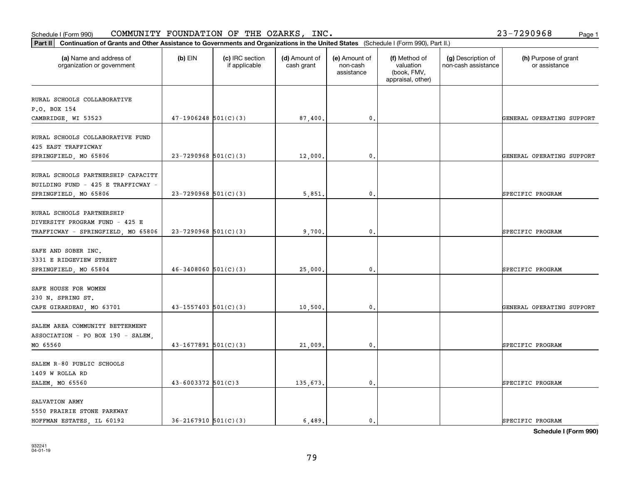SALVATION ARMY

5550 PRAIRIE STONE PARKWAY

| RURAL SCHOOLS PARTNERSHIP CAPACITY |                            |         |                |  |                           |
|------------------------------------|----------------------------|---------|----------------|--|---------------------------|
| BUILDING FUND - 425 E TRAFFICWAY - |                            |         |                |  |                           |
| SPRINGFIELD, MO 65806              | $23 - 7290968$ 501(C)(3)   | 5,851.  | $\mathbf{0}$ . |  | SPECIFIC PROGRAM          |
|                                    |                            |         |                |  |                           |
| RURAL SCHOOLS PARTNERSHIP          |                            |         |                |  |                           |
| DIVERSITY PROGRAM FUND - 425 E     |                            |         |                |  |                           |
| TRAFFICWAY - SPRINGFIELD, MO 65806 | $23-7290968$ 501(C)(3)     | 9,700.  | 0.             |  | SPECIFIC PROGRAM          |
|                                    |                            |         |                |  |                           |
| SAFE AND SOBER INC.                |                            |         |                |  |                           |
| 3331 E RIDGEVIEW STREET            |                            |         |                |  |                           |
| SPRINGFIELD, MO 65804              | $46 - 3408060$ $501(C)(3)$ | 25,000. | $\mathbf{0}$ . |  | SPECIFIC PROGRAM          |
|                                    |                            |         |                |  |                           |
| SAFE HOUSE FOR WOMEN               |                            |         |                |  |                           |
| 230 N. SPRING ST.                  |                            |         |                |  |                           |
| CAPE GIRARDEAU, MO 63701           | $43 - 1557403$ 501(C)(3)   | 10,500. | $\mathbf{0}$ . |  | GENERAL OPERATING SUPPORT |
| SALEM AREA COMMUNITY BETTERMENT    |                            |         |                |  |                           |
|                                    |                            |         |                |  |                           |
| ASSOCIATION - PO BOX 190 - SALEM,  |                            |         |                |  |                           |
| MO 65560                           | $43 - 1677891$ 501(C)(3)   | 21,009. | $\mathbf{0}$ . |  | SPECIFIC PROGRAM          |
| SALEM R-80 PUBLIC SCHOOLS          |                            |         |                |  |                           |
| 1409 W ROLLA RD                    |                            |         |                |  |                           |
|                                    |                            |         |                |  |                           |

### Schedule I (Form 990)  ${\tt COMMUNITY}$  <code>FOUNDATION OF THE OZARKS, INC</code> .  $23-7290968$  Page 1

organization or government

RURAL SCHOOLS COLLABORATIVE

RURAL SCHOOLS COLLABORATIVE FUND

P.O. BOX 154

425 EAST TRAFFICWAY

**Part II Continuation of Grants and Other Assistance to Governments and Organizations in the United States**  (Schedule I (Form 990), Part II.)

if applicable

 $(b)$  EIN  $(c)$  IRC section

**(a) (b) (c) (d) (e) (f) (g) (h)** Name and address of

(d) Amount of cash grant

CAMBRIDGE, WI 53523  $\begin{vmatrix} 47-1906248 & 501(C)(3) \end{vmatrix}$  87,400. 0. 0.

SPRINGFIELD, MO 65806 8000 23-7290968 501(C)(3) 23-7290968 101(C)(3) 23-7290968 22000.

(e) Amount of non-cashassistance

(f) Method of valuation (book, FMV, appraisal, other)

(g) Description of non-cash assistance

(h) Purpose of grant or assistance

SALEM, MO 65560 43-6003372 501(C)3 43-6003372 501. 43-673.

HOFFMAN ESTATES, IL 60192  $\begin{vmatrix} 36-2167910 & 501(C)(3) \end{vmatrix}$  6,489. 0. 0.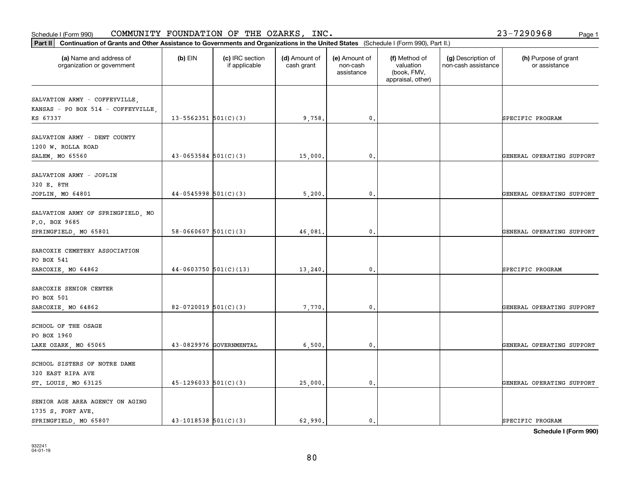#### **Part II Continuation of Grants and Other Assistance to Governments and Organization of Grants and Organization of Grants and Organizations of United States** *I***n the United States <b>Property** and Organizations of Organiza Schedule I (Form 990)  ${\tt COMMUNITY}$  <code>FOUNDATION OF THE OZARKS, INC</code> .  $23-7290968$  Page 1

| Continuation of Grants and Other Assistance to Governments and Organizations in the United States (Schedule I (Form 990), Part II.)<br>Part II |                            |                                  |                             |                                         |                                                                |                                           |                                       |
|------------------------------------------------------------------------------------------------------------------------------------------------|----------------------------|----------------------------------|-----------------------------|-----------------------------------------|----------------------------------------------------------------|-------------------------------------------|---------------------------------------|
| (a) Name and address of<br>organization or government                                                                                          | $(b)$ EIN                  | (c) IRC section<br>if applicable | (d) Amount of<br>cash grant | (e) Amount of<br>non-cash<br>assistance | (f) Method of<br>valuation<br>(book, FMV,<br>appraisal, other) | (g) Description of<br>non-cash assistance | (h) Purpose of grant<br>or assistance |
| SALVATION ARMY - COFFEYVILLE,<br>KANSAS - PO BOX 514 - COFFEYVILLE<br>KS 67337                                                                 | $13 - 5562351$ $501(C)(3)$ |                                  | 9,758.                      | 0.                                      |                                                                |                                           | SPECIFIC PROGRAM                      |
| SALVATION ARMY - DENT COUNTY<br>1200 W. ROLLA ROAD<br>SALEM, MO 65560                                                                          | $43 - 0653584$ 501(C)(3)   |                                  | 15,000.                     | $\mathbf{0}$ .                          |                                                                |                                           | GENERAL OPERATING SUPPORT             |
| SALVATION ARMY - JOPLIN<br>320 E. 8TH<br>JOPLIN, MO 64801                                                                                      | $44-0545998$ $501(C)(3)$   |                                  | 5,200                       | $\mathbf{0}$                            |                                                                |                                           | GENERAL OPERATING SUPPORT             |
| SALVATION ARMY OF SPRINGFIELD, MO<br>P.O. BOX 9685<br>SPRINGFIELD, MO 65801                                                                    | $58 - 0660607$ $501(C)(3)$ |                                  | 46,081.                     | 0.                                      |                                                                |                                           | GENERAL OPERATING SUPPORT             |
| SARCOXIE CEMETERY ASSOCIATION<br>PO BOX 541<br>SARCOXIE, MO 64862                                                                              | $44-0603750$ 501(C)(13)    |                                  | 13,240.                     | $\mathbf{0}$ .                          |                                                                |                                           | SPECIFIC PROGRAM                      |
| SARCOXIE SENIOR CENTER<br>PO BOX 501<br>SARCOXIE, MO 64862                                                                                     | $82-0720019$ 501(C)(3)     |                                  | 7,770.                      | 0.                                      |                                                                |                                           | GENERAL OPERATING SUPPORT             |
| SCHOOL OF THE OSAGE<br>PO BOX 1960<br>LAKE OZARK, MO 65065                                                                                     |                            | 43-0829976 GOVERNMENTAL          | 6,500.                      | $\mathbf{0}$ .                          |                                                                |                                           | GENERAL OPERATING SUPPORT             |
| SCHOOL SISTERS OF NOTRE DAME<br>320 EAST RIPA AVE<br>ST. LOUIS, MO 63125                                                                       | $45-1296033$ 501(C)(3)     |                                  | 25,000.                     | $\mathfrak o$ .                         |                                                                |                                           | GENERAL OPERATING SUPPORT             |
| SENIOR AGE AREA AGENCY ON AGING<br>1735 S. FORT AVE.<br>SPRINGFIELD, MO 65807                                                                  | $43 - 1018538$ $501(C)(3)$ |                                  | 62.990.                     | 0.                                      |                                                                |                                           | SPECIFIC PROGRAM                      |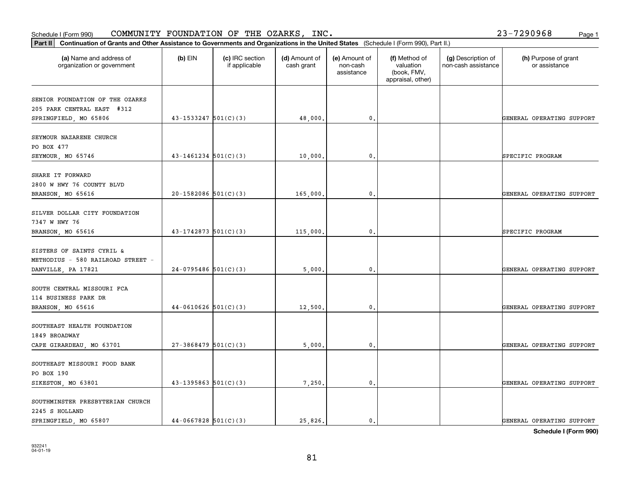| :) (3) | 25,826. |  |
|--------|---------|--|

81

**Schedule I (Form 990)**

| organization or government                                                           |                            | if applicable | cash grant | non-cash<br>assistance | valuation<br>(book, FMV,<br>appraisal, other) | non-cash assistance | or assistance             |
|--------------------------------------------------------------------------------------|----------------------------|---------------|------------|------------------------|-----------------------------------------------|---------------------|---------------------------|
| SENIOR FOUNDATION OF THE OZARKS<br>205 PARK CENTRAL EAST #312                        |                            |               |            |                        |                                               |                     |                           |
| SPRINGFIELD, MO 65806                                                                | $43 - 1533247$ $501(C)(3)$ |               | 48,000.    | $\mathfrak{o}$ .       |                                               |                     | GENERAL OPERATING SUPPORT |
| SEYMOUR NAZARENE CHURCH<br>PO BOX 477                                                |                            |               |            |                        |                                               |                     |                           |
| SEYMOUR, MO 65746                                                                    | $43 - 1461234$ $501(C)(3)$ |               | 10,000     | 0.                     |                                               |                     | SPECIFIC PROGRAM          |
| SHARE IT FORWARD<br>2800 W HWY 76 COUNTY BLVD<br>BRANSON, MO 65616                   | $20-1582086$ 501(C)(3)     |               | 165,000.   | 0.                     |                                               |                     | GENERAL OPERATING SUPPORT |
| SILVER DOLLAR CITY FOUNDATION<br>7347 W HWY 76                                       |                            |               |            |                        |                                               |                     |                           |
| BRANSON, MO 65616                                                                    | $43-1742873$ 501(C)(3)     |               | 115,000    | 0.                     |                                               |                     | SPECIFIC PROGRAM          |
| SISTERS OF SAINTS CYRIL &<br>METHODIUS - 580 RAILROAD STREET -<br>DANVILLE, PA 17821 | $24-0795486$ 501(C)(3)     |               | 5,000.     | 0.                     |                                               |                     | GENERAL OPERATING SUPPORT |
| SOUTH CENTRAL MISSOURI FCA<br>114 BUSINESS PARK DR<br>BRANSON, MO 65616              | $44-0610626$ 501(C)(3)     |               | 12,500     | 0.                     |                                               |                     | GENERAL OPERATING SUPPORT |
| SOUTHEAST HEALTH FOUNDATION<br>1849 BROADWAY                                         |                            |               |            |                        |                                               |                     |                           |
| CAPE GIRARDEAU, MO 63701                                                             | $27-3868479$ 501(C)(3)     |               | 5,000.     | $\mathfrak{o}$ .       |                                               |                     | GENERAL OPERATING SUPPORT |
| SOUTHEAST MISSOURI FOOD BANK<br>PO BOX 190                                           |                            |               |            |                        |                                               |                     |                           |
| SIKESTON, MO 63801                                                                   | $43 - 1395863$ $501(C)(3)$ |               | 7,250.     | 0.                     |                                               |                     | GENERAL OPERATING SUPPORT |
| SOUTHMINSTER PRESBYTERIAN CHURCH<br>2245 S HOLLAND                                   |                            |               |            |                        |                                               |                     |                           |
| SPRINGFIELD, MO 65807                                                                | $44-0667828$ 501(C)(3)     |               | 25,826.    | $\mathbf{0}$ .         |                                               |                     | GENERAL OPERATING SUPPORT |

## Schedule I (Form 990)  ${\tt COMMUNITY}$  <code>FOUNDATION OF THE OZARKS, INC</code> .  $23-7290968$  Page 1

**Part II Continuation of Grants and Other Assistance to Governments and Organizations in the United States**  (Schedule I (Form 990), Part II.)

 $(b)$  EIN  $(c)$  IRC section

**(a) (b) (c) (d) (e) (f) (g) (h)** Name and address of

(d) Amount of

(e) Amount of

(f) Method of

(g) Description of

(h) Purpose of grant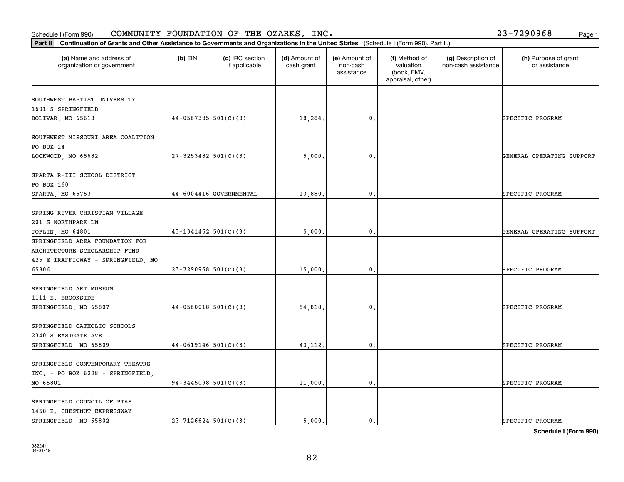| SOUTHWEST BAPTIST UNIVERSITY            |                            |         |                |                           |
|-----------------------------------------|----------------------------|---------|----------------|---------------------------|
| 1601 S SPRINGFIELD<br>BOLIVAR, MO 65613 | $44-0567385$ 501(C)(3)     | 18,284. | 0.             | SPECIFIC PROGRAM          |
|                                         |                            |         |                |                           |
| SOUTHWEST MISSOURI AREA COALITION       |                            |         |                |                           |
| PO BOX 14                               |                            |         |                |                           |
| LOCKWOOD, MO 65682                      | $27 - 3253482$ 501(C)(3)   | 5,000.  | $\mathbf{0}$ . | GENERAL OPERATING SUPPORT |
| SPARTA R-III SCHOOL DISTRICT            |                            |         |                |                           |
| PO BOX 160                              |                            |         |                |                           |
| SPARTA, MO 65753                        | $44-6004416$ GOVERNMENTAL  | 13,880. | $\mathbf{0}$ . | SPECIFIC PROGRAM          |
| SPRING RIVER CHRISTIAN VILLAGE          |                            |         |                |                           |
| 201 S NORTHPARK LN                      |                            |         |                |                           |
| JOPLIN, MO 64801                        | $43 - 1341462$ $501(C)(3)$ | 5,000.  | 0.             | GENERAL OPERATING SUPPORT |
| SPRINGFIELD AREA FOUNDATION FOR         |                            |         |                |                           |
| ARCHITECTURE SCHOLARSHIP FUND -         |                            |         |                |                           |
| 425 E TRAFFICWAY - SPRINGFIELD, MO      |                            |         |                |                           |
| 65806                                   | $23 - 7290968$ 501(C)(3)   | 15,000. | $\mathbf{0}$ . | SPECIFIC PROGRAM          |
| SPRINGFIELD ART MUSEUM                  |                            |         |                |                           |
| 1111 E. BROOKSIDE                       |                            |         |                |                           |
| SPRINGFIELD, MO 65807                   | $44-0560018$ 501(C)(3)     | 54,818. | $\mathbf{0}$ . | SPECIFIC PROGRAM          |
| SPRINGFIELD CATHOLIC SCHOOLS            |                            |         |                |                           |
| 2340 S EASTGATE AVE                     |                            |         |                |                           |
| SPRINGFIELD, MO 65809                   | $44-0619146$ 501(C)(3)     | 43,112. | $\mathbf{0}$ . | SPECIFIC PROGRAM          |
|                                         |                            |         |                |                           |
| SPRINGFIELD CONTEMPORARY THEATRE        |                            |         |                |                           |
| INC. - PO BOX 6228 - SPRINGFIELD,       |                            |         |                |                           |
| MO 65801                                | $94-3445098$ 501(C)(3)     | 11,000. | 0.             | SPECIFIC PROGRAM          |
| SPRINGFIELD COUNCIL OF PTAS             |                            |         |                |                           |
| 1458 E. CHESTNUT EXPRESSWAY             |                            |         |                |                           |
| SPRINGFIELD, MO 65802                   | $23 - 7126624$ 501(C)(3)   | 5,000.  | 0.             | SPECIFIC PROGRAM          |

Schedule I (Form 990)  ${\tt COMMUNITY}$  <code>FOUNDATION OF THE OZARKS, INC</code> .  $23-7290968$  Page 1

organization or government

**Part II Continuation of Grants and Other Assistance to Governments and Organizations in the United States**  (Schedule I (Form 990), Part II.)

if applicable

 $(b)$  EIN  $(c)$  IRC section

**(a) (b) (c) (d) (e) (f) (g) (h)** Name and address of

(d) Amount of cash grant

(e) Amount of non-cashassistance

(f) Method of valuation (book, FMV, appraisal, other)

(g) Description of non-cash assistance

(h) Purpose of grant or assistance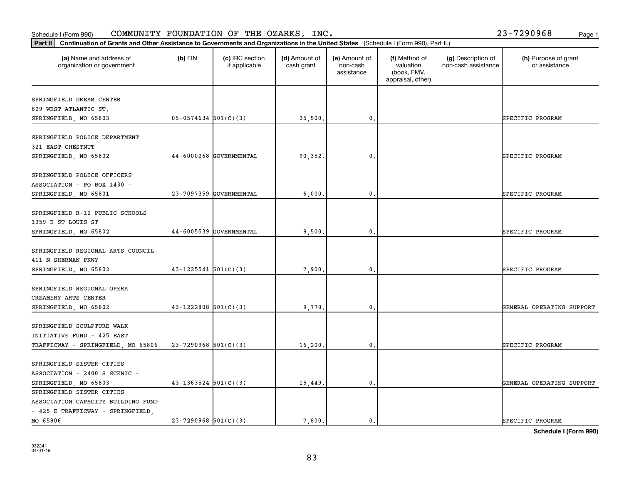SPRINGFIELD SISTER CITIES

ASSOCIATION CAPACITY BUILDING FUND - 425 E TRAFFICWAY - SPRINGFIELD,

| SPRINGFIELD POLICE OFFICERS        |                            |                         |          |                |  |                           |
|------------------------------------|----------------------------|-------------------------|----------|----------------|--|---------------------------|
| ASSOCIATION - PO BOX 1430 -        |                            |                         |          |                |  |                           |
| SPRINGFIELD, MO 65801              |                            | 23-7097359 GOVERNMENTAL | 6,000.   | 0.             |  | SPECIFIC PROGRAM          |
|                                    |                            |                         |          |                |  |                           |
| SPRINGFIELD R-12 PUBLIC SCHOOLS    |                            |                         |          |                |  |                           |
| 1359 E ST LOUIS ST                 |                            |                         |          |                |  |                           |
| SPRINGFIELD, MO 65802              |                            | 44-6005539 GOVERNMENTAL | 8,500.   | 0.             |  | SPECIFIC PROGRAM          |
| SPRINGFIELD REGIONAL ARTS COUNCIL  |                            |                         |          |                |  |                           |
| 411 N SHERMAN PKWY                 |                            |                         |          |                |  |                           |
| SPRINGFIELD, MO 65802              | $43 - 1225541$ $501(C)(3)$ |                         | 7,900.   | $\mathbf{0}$ . |  | SPECIFIC PROGRAM          |
| SPRINGFIELD REGIONAL OPERA         |                            |                         |          |                |  |                           |
| CREAMERY ARTS CENTER               |                            |                         |          |                |  |                           |
| SPRINGFIELD, MO 65802              | $43 - 1222808$ 501(C)(3)   |                         | 9,778.   | 0.             |  | GENERAL OPERATING SUPPORT |
| SPRINGFIELD SCULPTURE WALK         |                            |                         |          |                |  |                           |
| INITIATIVE FUND - 425 EAST         |                            |                         |          |                |  |                           |
| TRAFFICWAY - SPRINGFIELD, MO 65806 | $23-7290968$ 501(C)(3)     |                         | 16, 200. | $\mathbf{0}$ . |  | SPECIFIC PROGRAM          |
| SPRINGFIELD SISTER CITIES          |                            |                         |          |                |  |                           |
| ASSOCIATION - 2400 S SCENIC -      |                            |                         |          |                |  |                           |

organization or government

SPRINGFIELD DREAM CENTER 829 WEST ATLANTIC ST.

321 EAST CHESTNUT

SPRINGFIELD POLICE DEPARTMENT

**Part II Continuation of Grants and Other Assistance to Governments and Organizations in the United States**  (Schedule I (Form 990), Part II.)

if applicable

 $(b)$  EIN  $(c)$  IRC section

**(a) (b) (c) (d) (e) (f) (g) (h)** Name and address of

SPRINGFIELD, MO 65803 | 05-0574634 501(C)(3) | 35,500. 0. 0. SPECIFIC PROGRAM

SPRINGFIELD, MO 65802 44-6000268 GOVERNMENTAL 90,352. 0. 0. SPECIFIC PROGRAM

(d) Amount of cash grant

(e) Amount of non-cashassistance

(f) Method of valuation (book, FMV, appraisal, other)

(g) Description of non-cash assistance

(h) Purpose of grant or assistance

**Schedule I (Form 990)**

MO 65806 23-7290968 501(C)(3) 7,800. 0. SPECIFIC PROGRAM

SPRINGFIELD, MO 65803 43-1363524 501(C)(3) | 15,449. 0. 0. | GENERAL OPERATING SUPPORT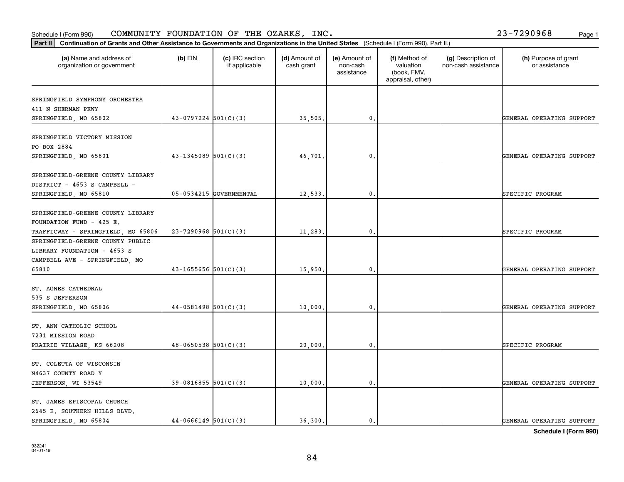#### Schedule I (Form 990)  ${\tt COMMUNITY}$  <code>FOUNDATION OF THE OZARKS, INC</code> .  $23-7290968$  Page 1

|  | 23-7290968 | Page 1 |
|--|------------|--------|
|  |            |        |

| Part II                                                                                                    |                            |                                  |                             |                                         |                                                                | Continuation of Grants and Other Assistance to Governments and Organizations in the United States (Schedule I (Form 990), Part II.) |                                       |  |  |  |  |
|------------------------------------------------------------------------------------------------------------|----------------------------|----------------------------------|-----------------------------|-----------------------------------------|----------------------------------------------------------------|-------------------------------------------------------------------------------------------------------------------------------------|---------------------------------------|--|--|--|--|
| (a) Name and address of<br>organization or government                                                      | $(b)$ EIN                  | (c) IRC section<br>if applicable | (d) Amount of<br>cash grant | (e) Amount of<br>non-cash<br>assistance | (f) Method of<br>valuation<br>(book, FMV,<br>appraisal, other) | (g) Description of<br>non-cash assistance                                                                                           | (h) Purpose of grant<br>or assistance |  |  |  |  |
| SPRINGFIELD SYMPHONY ORCHESTRA<br>411 N SHERMAN PKWY<br>SPRINGFIELD, MO 65802                              | $43-0797224$ 501(C)(3)     |                                  | 35,505.                     | $\mathfrak{o}$ .                        |                                                                |                                                                                                                                     | GENERAL OPERATING SUPPORT             |  |  |  |  |
| SPRINGFIELD VICTORY MISSION<br>PO BOX 2884<br>SPRINGFIELD, MO 65801                                        | $43 - 1345089$ 501(C)(3)   |                                  | 46,701                      | $\mathbf{0}$ .                          |                                                                |                                                                                                                                     | GENERAL OPERATING SUPPORT             |  |  |  |  |
| SPRINGFIELD-GREENE COUNTY LIBRARY<br>DISTRICT - 4653 S CAMPBELL -<br>SPRINGFIELD, MO 65810                 |                            | 05-0534215 GOVERNMENTAL          | 12,533.                     | $\mathbf{0}$                            |                                                                |                                                                                                                                     | SPECIFIC PROGRAM                      |  |  |  |  |
| SPRINGFIELD-GREENE COUNTY LIBRARY<br>FOUNDATION FUND - 425 E.<br>TRAFFICWAY - SPRINGFIELD, MO 65806        | $23 - 7290968$ 501(C)(3)   |                                  | 11,283.                     | $\mathfrak{o}$ .                        |                                                                |                                                                                                                                     | SPECIFIC PROGRAM                      |  |  |  |  |
| SPRINGFIELD-GREENE COUNTY PUBLIC<br>LIBRARY FOUNDATION - 4653 S<br>CAMPBELL AVE - SPRINGFIELD, MO<br>65810 | $43 - 1655656$ $501(C)(3)$ |                                  | 15,950.                     | $\mathbf{0}$ .                          |                                                                |                                                                                                                                     | GENERAL OPERATING SUPPORT             |  |  |  |  |
| ST. AGNES CATHEDRAL<br>535 S JEFFERSON<br>SPRINGFIELD, MO 65806                                            | $44-0581498$ 501(C)(3)     |                                  | 10,000                      | $\mathbf{0}$                            |                                                                |                                                                                                                                     | GENERAL OPERATING SUPPORT             |  |  |  |  |
| ST. ANN CATHOLIC SCHOOL<br>7231 MISSION ROAD<br>PRAIRIE VILLAGE, KS 66208                                  | $48-0650538$ $501(C)(3)$   |                                  | 20,000                      | $^{\circ}$ .                            |                                                                |                                                                                                                                     | SPECIFIC PROGRAM                      |  |  |  |  |
| ST. COLETTA OF WISCONSIN<br>N4637 COUNTY ROAD Y<br>JEFFERSON, WI 53549                                     | $39-0816855$ 501(C)(3)     |                                  | 10,000.                     | $\mathbf{0}$ .                          |                                                                |                                                                                                                                     | GENERAL OPERATING SUPPORT             |  |  |  |  |
| ST. JAMES EPISCOPAL CHURCH<br>2645 E. SOUTHERN HILLS BLVD.<br>SPRINGFIELD, MO 65804                        | $44-0666149$ 501(C)(3)     |                                  | 36.300.                     | $\mathfrak{o}$ .                        |                                                                |                                                                                                                                     | GENERAL OPERATING SUPPORT             |  |  |  |  |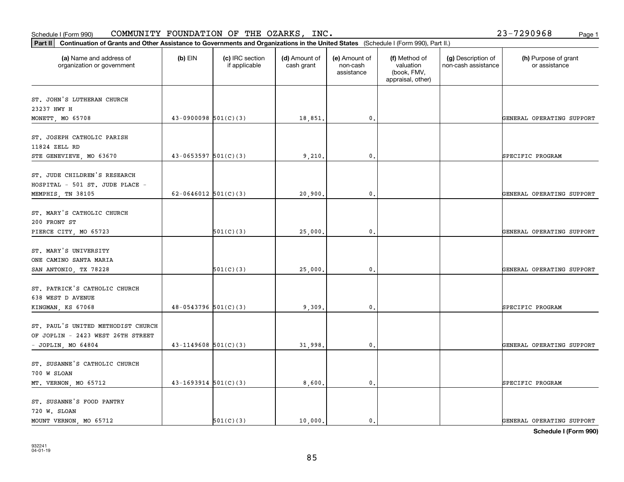720 W. SLOAN

ST. SUSANNE'S FOOD PANTRY

| MEMPHIS, TN 38105                  | 62-0646012 $501(C)(3)$     |           | 20,900. | 0. | GENERAL OPERATING SUPPORT |
|------------------------------------|----------------------------|-----------|---------|----|---------------------------|
| ST. MARY'S CATHOLIC CHURCH         |                            |           |         |    |                           |
| 200 FRONT ST                       |                            |           |         |    |                           |
| PIERCE CITY, MO 65723              |                            | 501(C)(3) | 25,000. | 0. | GENERAL OPERATING SUPPORT |
| ST. MARY'S UNIVERSITY              |                            |           |         |    |                           |
| ONE CAMINO SANTA MARIA             |                            |           |         |    |                           |
| SAN ANTONIO, TX 78228              |                            | 501(C)(3) | 25,000. | 0. | GENERAL OPERATING SUPPORT |
| ST. PATRICK'S CATHOLIC CHURCH      |                            |           |         |    |                           |
| 638 WEST D AVENUE                  |                            |           |         |    |                           |
| KINGMAN, KS 67068                  | $48-0543796$ 501(C)(3)     |           | 9,309.  | 0. | SPECIFIC PROGRAM          |
| ST. PAUL'S UNITED METHODIST CHURCH |                            |           |         |    |                           |
| OF JOPLIN - 2423 WEST 26TH STREET  |                            |           |         |    |                           |
| - JOPLIN, MO 64804                 | $43 - 1149608$ $501(C)(3)$ |           | 31,998. | 0. | GENERAL OPERATING SUPPORT |
| ST. SUSANNE'S CATHOLIC CHURCH      |                            |           |         |    |                           |
| 700 W SLOAN                        |                            |           |         |    |                           |
| MT. VERNON, MO 65712               | $43-1693914$ $501(C)(3)$   |           | 8,600.  | 0. | SPECIFIC PROGRAM          |

### Schedule I (Form 990)  ${\tt COMMUNITY}$  <code>FOUNDATION OF THE OZARKS, INC</code> .  $23-7290968$  Page 1

organization or government

ST. JOHN'S LUTHERAN CHURCH

ST. JOSEPH CATHOLIC PARISH

ST. JUDE CHILDREN'S RESEARCH HOSPITAL - 501 ST. JUDE PLACE -

23237 HWY H

11824 ZELL RD

**Part II Continuation of Grants and Other Assistance to Governments and Organizations in the United States**  (Schedule I (Form 990), Part II.)

if applicable

 $(b)$  EIN  $(c)$  IRC section

**(a) (b) (c) (d) (e) (f) (g) (h)** Name and address of

STE GENEVIEVE, MO 63670 43-0653597 501(C)(3) 9,210. 0. SPECIFIC PROGRAM

(d) Amount of cash grant

MONETT, MO 65708 **12000000 130000000 12000000 1200000** 18,851. 18,851. 0.

(e) Amount of non-cashassistance

(f) Method of valuation (book, FMV, appraisal, other)

(g) Description of non-cash assistance

(h) Purpose of grant or assistance

MOUNT VERNON, MO 65712  $\begin{vmatrix} 501(C)(3) & 10,000 \end{vmatrix}$  0. Observer the support of the support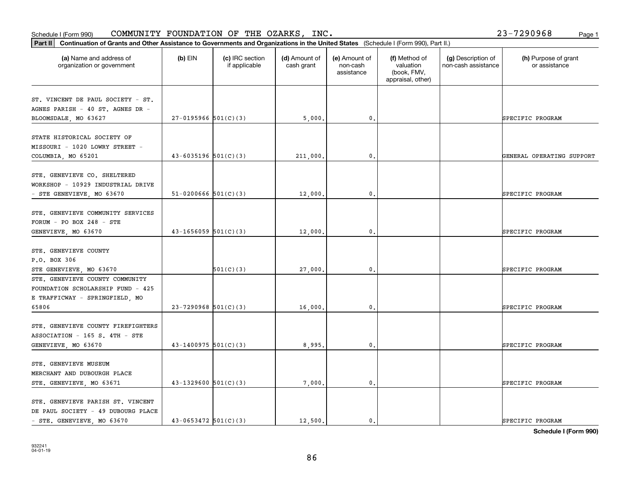#### Schedule I (Form 990) COMMUNITY FOUNDATION OF THE OZARKS, INC。 Page 1 COMMUNITY FOUNDATION OF THE OZARKS, INC. 23-7290968

| Part II   Continuation of Grants and Other Assistance to Governments and Organizations in the United States (Schedule I (Form 990), Part II.) |                            |                                  |                             |                                         |                                                                |                                           |                                       |
|-----------------------------------------------------------------------------------------------------------------------------------------------|----------------------------|----------------------------------|-----------------------------|-----------------------------------------|----------------------------------------------------------------|-------------------------------------------|---------------------------------------|
| (a) Name and address of<br>organization or government                                                                                         | $(b)$ EIN                  | (c) IRC section<br>if applicable | (d) Amount of<br>cash grant | (e) Amount of<br>non-cash<br>assistance | (f) Method of<br>valuation<br>(book, FMV,<br>appraisal, other) | (g) Description of<br>non-cash assistance | (h) Purpose of grant<br>or assistance |
| ST. VINCENT DE PAUL SOCIETY - ST.                                                                                                             |                            |                                  |                             |                                         |                                                                |                                           |                                       |
| AGNES PARISH - 40 ST. AGNES DR -                                                                                                              |                            |                                  |                             |                                         |                                                                |                                           |                                       |
| BLOOMSDALE, MO 63627                                                                                                                          | $27-0195966$ 501(C)(3)     |                                  | 5,000.                      | $\mathbf{0}$ .                          |                                                                |                                           | SPECIFIC PROGRAM                      |
|                                                                                                                                               |                            |                                  |                             |                                         |                                                                |                                           |                                       |
| STATE HISTORICAL SOCIETY OF                                                                                                                   |                            |                                  |                             |                                         |                                                                |                                           |                                       |
| MISSOURI - 1020 LOWRY STREET -                                                                                                                |                            |                                  |                             |                                         |                                                                |                                           |                                       |
| COLUMBIA, MO 65201                                                                                                                            | $43 - 6035196$ $501(C)(3)$ |                                  | 211,000                     | $\mathfrak{o}$ .                        |                                                                |                                           | GENERAL OPERATING SUPPORT             |
|                                                                                                                                               |                            |                                  |                             |                                         |                                                                |                                           |                                       |
| STE. GENEVIEVE CO. SHELTERED                                                                                                                  |                            |                                  |                             |                                         |                                                                |                                           |                                       |
| WORKSHOP - 10929 INDUSTRIAL DRIVE                                                                                                             |                            |                                  |                             |                                         |                                                                |                                           |                                       |
| - STE GENEVIEVE, MO 63670                                                                                                                     | $51-0200666$ $501(C)(3)$   |                                  | 12,000,                     | $\mathbf{0}$ .                          |                                                                |                                           | SPECIFIC PROGRAM                      |
| STE. GENEVIEVE COMMUNITY SERVICES                                                                                                             |                            |                                  |                             |                                         |                                                                |                                           |                                       |
|                                                                                                                                               |                            |                                  |                             |                                         |                                                                |                                           |                                       |
| FORUM - PO BOX 248 - STE                                                                                                                      |                            |                                  |                             |                                         |                                                                |                                           |                                       |
| GENEVIEVE, MO 63670                                                                                                                           | $43-1656059$ 501(C)(3)     |                                  | 12,000                      | 0.                                      |                                                                |                                           | SPECIFIC PROGRAM                      |
| STE. GENEVIEVE COUNTY                                                                                                                         |                            |                                  |                             |                                         |                                                                |                                           |                                       |
| P.O. BOX 306                                                                                                                                  |                            |                                  |                             |                                         |                                                                |                                           |                                       |
| STE GENEVIEVE, MO 63670                                                                                                                       |                            | 501(C)(3)                        | 27,000                      | 0.                                      |                                                                |                                           | SPECIFIC PROGRAM                      |
| STE. GENEVIEVE COUNTY COMMUNITY                                                                                                               |                            |                                  |                             |                                         |                                                                |                                           |                                       |
| FOUNDATION SCHOLARSHIP FUND - 425                                                                                                             |                            |                                  |                             |                                         |                                                                |                                           |                                       |
| E TRAFFICWAY - SPRINGFIELD, MO                                                                                                                |                            |                                  |                             |                                         |                                                                |                                           |                                       |
| 65806                                                                                                                                         | $23 - 7290968$ 501(C)(3)   |                                  | 16,000                      | 0.                                      |                                                                |                                           | SPECIFIC PROGRAM                      |
|                                                                                                                                               |                            |                                  |                             |                                         |                                                                |                                           |                                       |
| STE. GENEVIEVE COUNTY FIREFIGHTERS                                                                                                            |                            |                                  |                             |                                         |                                                                |                                           |                                       |
| ASSOCIATION - 165 S. 4TH - STE                                                                                                                |                            |                                  |                             |                                         |                                                                |                                           |                                       |
| GENEVIEVE, MO 63670                                                                                                                           | $43 - 1400975$ 501(C)(3)   |                                  | 8,995.                      | $\mathfrak o$ .                         |                                                                |                                           | SPECIFIC PROGRAM                      |
|                                                                                                                                               |                            |                                  |                             |                                         |                                                                |                                           |                                       |
| STE. GENEVIEVE MUSEUM                                                                                                                         |                            |                                  |                             |                                         |                                                                |                                           |                                       |
| MERCHANT AND DUBOURGH PLACE                                                                                                                   |                            |                                  |                             |                                         |                                                                |                                           |                                       |
| STE. GENEVIEVE, MO 63671                                                                                                                      | $43 - 1329600$ 501(C)(3)   |                                  | 7,000.                      | $\mathbf{0}$ .                          |                                                                |                                           | SPECIFIC PROGRAM                      |
|                                                                                                                                               |                            |                                  |                             |                                         |                                                                |                                           |                                       |
| STE. GENEVIEVE PARISH ST. VINCENT                                                                                                             |                            |                                  |                             |                                         |                                                                |                                           |                                       |
| DE PAUL SOCIETY - 49 DUBOURG PLACE                                                                                                            |                            |                                  |                             |                                         |                                                                |                                           |                                       |
| - STE. GENEVIEVE, MO 63670                                                                                                                    | $43 - 0653472$ $501(C)(3)$ |                                  | 12,500.                     | $\mathbf{0}$ .                          |                                                                |                                           | SPECIFIC PROGRAM                      |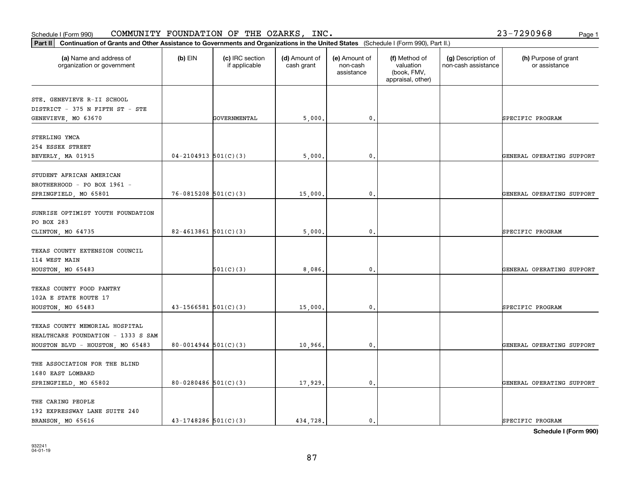| 6.501(0)(3) | 434 728 |  |
|-------------|---------|--|

**Schedule I (Form 990)**

| (a) Name and address of<br>organization or government                                                    | $(b)$ EIN                  | (c) IRC section<br>if applicable | (d) Amount of<br>cash grant | (e) Amount of<br>non-cash<br>assistance | (f) Method of<br>valuation<br>(book, FMV,<br>appraisal, other) | (g) Description of<br>non-cash assistance | (h) Purpose of grant<br>or assistance |
|----------------------------------------------------------------------------------------------------------|----------------------------|----------------------------------|-----------------------------|-----------------------------------------|----------------------------------------------------------------|-------------------------------------------|---------------------------------------|
| STE. GENEVIEVE R-II SCHOOL<br>DISTRICT - 375 N FIFTH ST - STE                                            |                            |                                  |                             |                                         |                                                                |                                           |                                       |
| GENEVIEVE, MO 63670                                                                                      |                            | GOVERNMENTAL                     | 5,000                       | 0.                                      |                                                                |                                           | SPECIFIC PROGRAM                      |
| STERLING YMCA<br>254 ESSEX STREET                                                                        |                            |                                  |                             |                                         |                                                                |                                           |                                       |
| BEVERLY, MA 01915                                                                                        | $04 - 2104913$ 501(C)(3)   |                                  | 5,000                       | $\mathbf 0$ .                           |                                                                |                                           | GENERAL OPERATING SUPPORT             |
| STUDENT AFRICAN AMERICAN<br>BROTHERHOOD - PO BOX 1961 -<br>SPRINGFIELD, MO 65801                         | $76-0815208$ $501(C)(3)$   |                                  | 15,000                      | $\mathbf 0$ .                           |                                                                |                                           | GENERAL OPERATING SUPPORT             |
| SUNRISE OPTIMIST YOUTH FOUNDATION<br>PO BOX 283<br>CLINTON, MO 64735                                     | $82 - 4613861$ 501(C)(3)   |                                  | 5,000                       | $\mathbf{0}$                            |                                                                |                                           | SPECIFIC PROGRAM                      |
| TEXAS COUNTY EXTENSION COUNCIL<br>114 WEST MAIN<br>HOUSTON, MO 65483                                     |                            | 501(C)(3)                        | 8,086                       | 0.                                      |                                                                |                                           | GENERAL OPERATING SUPPORT             |
| TEXAS COUNTY FOOD PANTRY<br>102A E STATE ROUTE 17<br>HOUSTON, MO 65483                                   | $43 - 1566581$ $501(C)(3)$ |                                  | 15,000                      | 0.                                      |                                                                |                                           | SPECIFIC PROGRAM                      |
| TEXAS COUNTY MEMORIAL HOSPITAL<br>HEALTHCARE FOUNDATION - 1333 S SAM<br>HOUSTON BLVD - HOUSTON, MO 65483 | $80 - 0014944$ $501(C)(3)$ |                                  | 10,966.                     | $\mathbf{0}$ .                          |                                                                |                                           | GENERAL OPERATING SUPPORT             |
| THE ASSOCIATION FOR THE BLIND<br>1680 EAST LOMBARD<br>SPRINGFIELD, MO 65802                              | 80-0280486 $501(C)(3)$     |                                  | 17,929                      | $\mathbf 0$ .                           |                                                                |                                           | GENERAL OPERATING SUPPORT             |
| THE CARING PEOPLE<br>192 EXPRESSWAY LANE SUITE 240<br>BRANSON, MO 65616                                  | $43-1748286$ 501(C)(3)     |                                  | 434,728.                    | 0.                                      |                                                                |                                           | SPECIFIC PROGRAM                      |

Schedule I (Form 990)  ${\tt COMMUNITY}$  <code>FOUNDATION OF THE OZARKS, INC</code> .  $23-7290968$  Page 1

**Part II Continuation of Grants and Other Assistance to Governments and Organizations in the United States**  (Schedule I (Form 990), Part II.)

87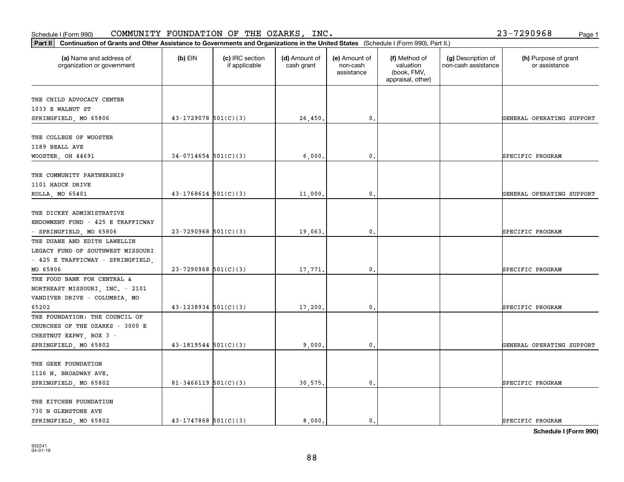#### Schedule I (Form 990) COMMUNITY FOUNDATION OF THE OZARKS, INC。 Page 1 COMMUNITY FOUNDATION OF THE OZARKS, INC. 23-7290968

| Part II   Continuation of Grants and Other Assistance to Governments and Organizations in the United States (Schedule I (Form 990), Part II.) |                            |                                  |                             |                                         |                                                                |                                           |                                       |
|-----------------------------------------------------------------------------------------------------------------------------------------------|----------------------------|----------------------------------|-----------------------------|-----------------------------------------|----------------------------------------------------------------|-------------------------------------------|---------------------------------------|
| (a) Name and address of<br>organization or government                                                                                         | $(b)$ EIN                  | (c) IRC section<br>if applicable | (d) Amount of<br>cash grant | (e) Amount of<br>non-cash<br>assistance | (f) Method of<br>valuation<br>(book, FMV,<br>appraisal, other) | (g) Description of<br>non-cash assistance | (h) Purpose of grant<br>or assistance |
| THE CHILD ADVOCACY CENTER                                                                                                                     |                            |                                  |                             |                                         |                                                                |                                           |                                       |
| 1033 E WALNUT ST                                                                                                                              |                            |                                  |                             |                                         |                                                                |                                           |                                       |
| SPRINGFIELD, MO 65806                                                                                                                         | $43 - 1729078$ 501(C)(3)   |                                  | 26,450.                     | $\mathbf{0}$ .                          |                                                                |                                           | GENERAL OPERATING SUPPORT             |
|                                                                                                                                               |                            |                                  |                             |                                         |                                                                |                                           |                                       |
| THE COLLEGE OF WOOSTER                                                                                                                        |                            |                                  |                             |                                         |                                                                |                                           |                                       |
| 1189 BEALL AVE                                                                                                                                |                            |                                  |                             |                                         |                                                                |                                           |                                       |
| WOOSTER, OH 44691                                                                                                                             | $34-0714654$ 501(C)(3)     |                                  | 6,000                       | $\mathbf{0}$                            |                                                                |                                           | SPECIFIC PROGRAM                      |
|                                                                                                                                               |                            |                                  |                             |                                         |                                                                |                                           |                                       |
| THE COMMUNITY PARTNERSHIP                                                                                                                     |                            |                                  |                             |                                         |                                                                |                                           |                                       |
| 1101 HAUCK DRIVE                                                                                                                              |                            |                                  |                             |                                         |                                                                |                                           |                                       |
| ROLLA, MO 65401                                                                                                                               | $43 - 1768614$ 501(C)(3)   |                                  | 11,000                      | $\mathbf{0}$ .                          |                                                                |                                           | GENERAL OPERATING SUPPORT             |
|                                                                                                                                               |                            |                                  |                             |                                         |                                                                |                                           |                                       |
| THE DICKEY ADMINISTRATIVE                                                                                                                     |                            |                                  |                             |                                         |                                                                |                                           |                                       |
| ENDOWMENT FUND - 425 E TRAFFICWAY                                                                                                             |                            |                                  |                             |                                         |                                                                |                                           |                                       |
|                                                                                                                                               | $23 - 7290968$ 501(C)(3)   |                                  |                             | 0.                                      |                                                                |                                           | SPECIFIC PROGRAM                      |
| - SPRINGFIELD, MO 65806<br>THE DUANE AND EDITH LAWELLIN                                                                                       |                            |                                  | 19,063                      |                                         |                                                                |                                           |                                       |
|                                                                                                                                               |                            |                                  |                             |                                         |                                                                |                                           |                                       |
| LEGACY FUND OF SOUTHWEST MISSOURI                                                                                                             |                            |                                  |                             |                                         |                                                                |                                           |                                       |
| - 425 E TRAFFICWAY - SPRINGFIELD,                                                                                                             |                            |                                  |                             |                                         |                                                                |                                           |                                       |
| MO 65806                                                                                                                                      | $23 - 7290968$ 501(C)(3)   |                                  | 17,771                      | $\mathbf{0}$                            |                                                                |                                           | SPECIFIC PROGRAM                      |
| THE FOOD BANK FOR CENTRAL &                                                                                                                   |                            |                                  |                             |                                         |                                                                |                                           |                                       |
| NORTHEAST MISSOURI, INC. - 2101                                                                                                               |                            |                                  |                             |                                         |                                                                |                                           |                                       |
| VANDIVER DRIVE - COLUMBIA, MO                                                                                                                 |                            |                                  |                             |                                         |                                                                |                                           |                                       |
| 65202                                                                                                                                         | $43 - 1238934$ $501(C)(3)$ |                                  | 17,200                      | $\mathbf{0}$                            |                                                                |                                           | SPECIFIC PROGRAM                      |
| THE FOUNDATION: THE COUNCIL OF                                                                                                                |                            |                                  |                             |                                         |                                                                |                                           |                                       |
| CHURCHES OF THE OZARKS - 3000 E                                                                                                               |                            |                                  |                             |                                         |                                                                |                                           |                                       |
| CHESTNUT EXPWY, BOX 3 -                                                                                                                       |                            |                                  |                             |                                         |                                                                |                                           |                                       |
| SPRINGFIELD, MO 65802                                                                                                                         | $43 - 1819544$ $501(C)(3)$ |                                  | 9,000                       | $\mathbf{0}$ .                          |                                                                |                                           | GENERAL OPERATING SUPPORT             |
|                                                                                                                                               |                            |                                  |                             |                                         |                                                                |                                           |                                       |
| THE GEEK FOUNDATION                                                                                                                           |                            |                                  |                             |                                         |                                                                |                                           |                                       |
| 1126 N. BROADWAY AVE.                                                                                                                         |                            |                                  |                             |                                         |                                                                |                                           |                                       |
| SPRINGFIELD, MO 65802                                                                                                                         | $81 - 3466119$ 501(C)(3)   |                                  | 30,575.                     | $\mathbf{0}$ .                          |                                                                |                                           | SPECIFIC PROGRAM                      |
|                                                                                                                                               |                            |                                  |                             |                                         |                                                                |                                           |                                       |
| THE KITCHEN FOUNDATION                                                                                                                        |                            |                                  |                             |                                         |                                                                |                                           |                                       |
| 730 N GLENSTONE AVE                                                                                                                           |                            |                                  |                             |                                         |                                                                |                                           |                                       |
| SPRINGFIELD, MO 65802                                                                                                                         | $43 - 1747868$ 501(C)(3)   |                                  | 8,000.                      | $\mathbf{0}$ .                          |                                                                |                                           | SPECIFIC PROGRAM                      |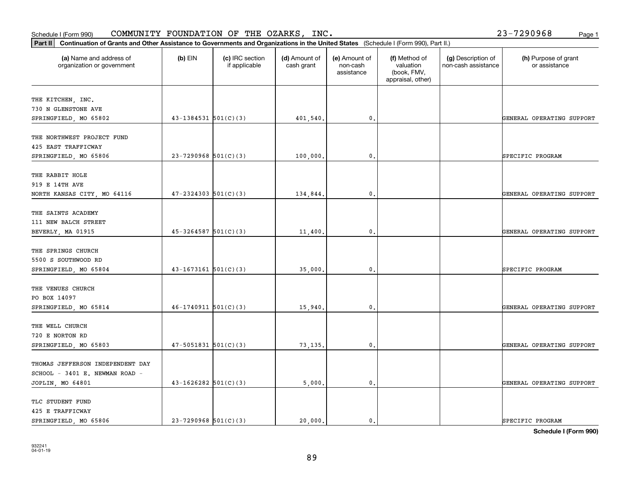| (a) Name and address of<br>organization or government | $(b)$ EIN                  | (c) IRC section<br>if applicable | (d) Amount of<br>cash grant | (e) Amount of<br>non-cash<br>assistance | (f) Method of<br>valuation<br>(book, FMV,<br>appraisal, other) | (g) Description of<br>non-cash assistance | (h) Purpose of grant<br>or assistance |
|-------------------------------------------------------|----------------------------|----------------------------------|-----------------------------|-----------------------------------------|----------------------------------------------------------------|-------------------------------------------|---------------------------------------|
| THE KITCHEN, INC.                                     |                            |                                  |                             |                                         |                                                                |                                           |                                       |
| 730 N GLENSTONE AVE                                   |                            |                                  |                             |                                         |                                                                |                                           |                                       |
| SPRINGFIELD, MO 65802                                 | $43 - 1384531$ $501(C)(3)$ |                                  | 401,540.                    | 0.                                      |                                                                |                                           | GENERAL OPERATING SUPPORT             |
| THE NORTHWEST PROJECT FUND                            |                            |                                  |                             |                                         |                                                                |                                           |                                       |
| 425 EAST TRAFFICWAY<br>SPRINGFIELD, MO 65806          | $23 - 7290968$ 501(C)(3)   |                                  | 100,000.                    | $\mathbf 0$ .                           |                                                                |                                           | SPECIFIC PROGRAM                      |
| THE RABBIT HOLE                                       |                            |                                  |                             |                                         |                                                                |                                           |                                       |
| 919 E 14TH AVE                                        |                            |                                  |                             |                                         |                                                                |                                           |                                       |
| NORTH KANSAS CITY, MO 64116                           | $47 - 2324303$ $501(C)(3)$ |                                  | 134,844.                    | 0.                                      |                                                                |                                           | GENERAL OPERATING SUPPORT             |
| THE SAINTS ACADEMY                                    |                            |                                  |                             |                                         |                                                                |                                           |                                       |
| 111 NEW BALCH STREET                                  |                            |                                  |                             |                                         |                                                                |                                           |                                       |
| BEVERLY, MA 01915                                     | $45 - 3264587$ 501(C)(3)   |                                  | 11,400.                     | 0.                                      |                                                                |                                           | GENERAL OPERATING SUPPORT             |
| THE SPRINGS CHURCH                                    |                            |                                  |                             |                                         |                                                                |                                           |                                       |
| 5500 S SOUTHWOOD RD                                   |                            |                                  |                             |                                         |                                                                |                                           |                                       |
| SPRINGFIELD, MO 65804                                 | $43 - 1673161$ $501(C)(3)$ |                                  | 35,000.                     | 0.                                      |                                                                |                                           | SPECIFIC PROGRAM                      |
| THE VENUES CHURCH                                     |                            |                                  |                             |                                         |                                                                |                                           |                                       |
| PO BOX 14097                                          |                            |                                  |                             |                                         |                                                                |                                           |                                       |
| SPRINGFIELD, MO 65814                                 | $46-1740911$ $501(C)(3)$   |                                  | 15,940.                     | $\mathbf 0$ .                           |                                                                |                                           | GENERAL OPERATING SUPPORT             |
| THE WELL CHURCH                                       |                            |                                  |                             |                                         |                                                                |                                           |                                       |
| 720 E NORTON RD                                       |                            |                                  |                             |                                         |                                                                |                                           |                                       |
| SPRINGFIELD, MO 65803                                 | $47 - 5051831$ $501(C)(3)$ |                                  | 73,135.                     | 0.                                      |                                                                |                                           | GENERAL OPERATING SUPPORT             |
| THOMAS JEFFERSON INDEPENDENT DAY                      |                            |                                  |                             |                                         |                                                                |                                           |                                       |
| SCHOOL - 3401 E. NEWMAN ROAD -                        |                            |                                  |                             |                                         |                                                                |                                           |                                       |
| JOPLIN, MO 64801                                      | $43 - 1626282$ 501(C)(3)   |                                  | 5,000.                      | 0.                                      |                                                                |                                           | GENERAL OPERATING SUPPORT             |
| TLC STUDENT FUND                                      |                            |                                  |                             |                                         |                                                                |                                           |                                       |
| 425 E TRAFFICWAY                                      |                            |                                  |                             |                                         |                                                                |                                           |                                       |
| SPRINGFIELD, MO 65806                                 | $23 - 7290968$ 501(C)(3)   |                                  | 20,000.                     | 0.                                      |                                                                |                                           | SPECIFIC PROGRAM                      |

**Schedule I (Form 990)**

### Schedule I (Form 990)  ${\tt COMMUNITY}$  <code>FOUNDATION OF THE OZARKS, INC</code> .  $23-7290968$  Page 1

**Part II Continuation of Grants and Other Assistance to Governments and Organizations in the United States**  (Schedule I (Form 990), Part II.)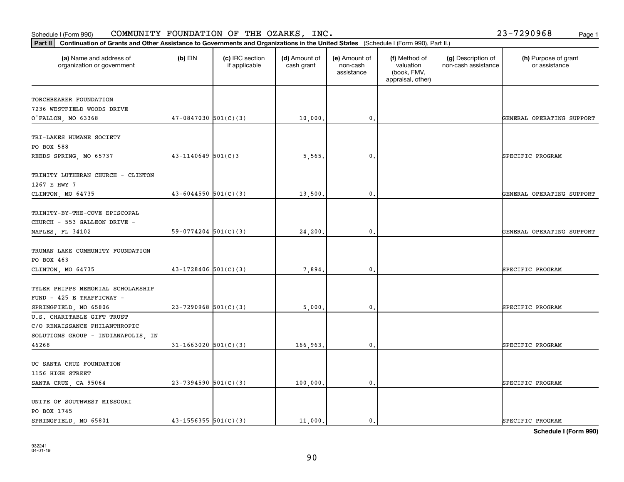organization or government

|  | 10,000.                                                                                                                                                                                                                                                  | $\mathbf{0}$ .   |                                     | GENERAL OPERATING SUPPORT |
|--|----------------------------------------------------------------------------------------------------------------------------------------------------------------------------------------------------------------------------------------------------------|------------------|-------------------------------------|---------------------------|
|  |                                                                                                                                                                                                                                                          |                  |                                     |                           |
|  |                                                                                                                                                                                                                                                          |                  |                                     | SPECIFIC PROGRAM          |
|  |                                                                                                                                                                                                                                                          |                  |                                     |                           |
|  |                                                                                                                                                                                                                                                          |                  |                                     |                           |
|  | 13,500.                                                                                                                                                                                                                                                  | 0.               |                                     | GENERAL OPERATING SUPPORT |
|  |                                                                                                                                                                                                                                                          |                  |                                     |                           |
|  | 24,200.                                                                                                                                                                                                                                                  | 0.               |                                     | GENERAL OPERATING SUPPORT |
|  | 7,894.                                                                                                                                                                                                                                                   | 0.               |                                     | SPECIFIC PROGRAM          |
|  |                                                                                                                                                                                                                                                          |                  |                                     | SPECIFIC PROGRAM          |
|  |                                                                                                                                                                                                                                                          |                  |                                     |                           |
|  | 166,963.                                                                                                                                                                                                                                                 | 0.               |                                     | SPECIFIC PROGRAM          |
|  | 100,000.                                                                                                                                                                                                                                                 | 0.               |                                     | SPECIFIC PROGRAM          |
|  |                                                                                                                                                                                                                                                          |                  |                                     | SPECIFIC PROGRAM          |
|  | $47-0847030$ 501(C)(3)<br>$43 - 1140649$ 501(C)3<br>$43 - 6044550$ $501(C)(3)$<br>$59-0774204$ $501(C)(3)$<br>$43 - 1728406$ 501(C)(3)<br>$23 - 7290968$ 501(C)(3)<br>$31 - 1663020$ 501(C)(3)<br>$23 - 7394590$ 501(C)(3)<br>$43 - 1556355$ $501(C)(3)$ | 5,565.<br>5,000. | $\mathbf{0}$<br>0.<br>11,000.<br>0. |                           |

**Part II Continuation of Grants and Other Assistance to Governments and Organizations in the United States**  (Schedule I (Form 990), Part II.)

if applicable

 $(b)$  EIN  $(c)$  IRC section

**(a) (b) (c) (d) (e) (f) (g) (h)** Name and address of

(d) Amount of cash grant

(e) Amount of non-cashassistance

(f) Method of valuation (book, FMV, appraisal, other)

(g) Description of non-cash assistance

**Schedule I (Form 990)**

Schedule I (Form 990)  ${\tt COMMUNITY}$  <code>FOUNDATION OF THE OZARKS, INC</code> .  $23-7290968$  Page 1

(h) Purpose of grant or assistance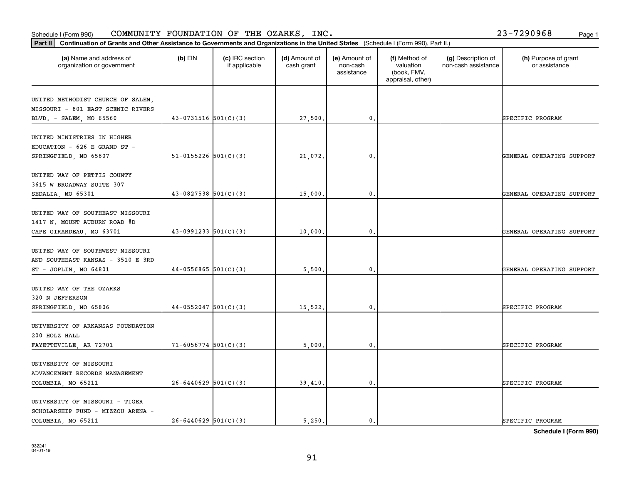### **Part III Continuation of Grants and Other Assistance to Governments and Organization of Grants and Other Assistance to Governments and Organization of Grants and Other Assistance to Governments and Organization** Schedule I (Form 990)  ${\tt COMMUNITY}$  <code>FOUNDATION OF THE OZARKS, INC</code> .  $23-7290968$  Page 1

| Continuation of Grants and Other Assistance to Governments and Organizations in the United States (Schedule I (Form 990), Part II.)<br>Part II |                          |                                  |                             |                                         |                                                                |                                           |                                       |
|------------------------------------------------------------------------------------------------------------------------------------------------|--------------------------|----------------------------------|-----------------------------|-----------------------------------------|----------------------------------------------------------------|-------------------------------------------|---------------------------------------|
| (a) Name and address of<br>organization or government                                                                                          | $(b)$ EIN                | (c) IRC section<br>if applicable | (d) Amount of<br>cash grant | (e) Amount of<br>non-cash<br>assistance | (f) Method of<br>valuation<br>(book, FMV,<br>appraisal, other) | (g) Description of<br>non-cash assistance | (h) Purpose of grant<br>or assistance |
| UNITED METHODIST CHURCH OF SALEM,<br>MISSOURI - 801 EAST SCENIC RIVERS<br>BLVD. - SALEM, MO 65560                                              | $43-0731516$ $501(C)(3)$ |                                  | 27,500.                     | $\mathbf{0}$ .                          |                                                                |                                           | SPECIFIC PROGRAM                      |
| UNITED MINISTRIES IN HIGHER<br>EDUCATION - 626 E GRAND ST -<br>SPRINGFIELD, MO 65807                                                           | $51-0155226$ $501(C)(3)$ |                                  | 21,072.                     | 0.                                      |                                                                |                                           | GENERAL OPERATING SUPPORT             |
| UNITED WAY OF PETTIS COUNTY<br>3615 W BROADWAY SUITE 307<br>SEDALIA, MO 65301                                                                  | $43-0827538$ $501(C)(3)$ |                                  | 15,000.                     | 0.                                      |                                                                |                                           | GENERAL OPERATING SUPPORT             |
| UNITED WAY OF SOUTHEAST MISSOURI<br>1417 N. MOUNT AUBURN ROAD #D<br>CAPE GIRARDEAU, MO 63701                                                   | $43-0991233$ $501(C)(3)$ |                                  | 10,000.                     | 0.                                      |                                                                |                                           | GENERAL OPERATING SUPPORT             |
| UNITED WAY OF SOUTHWEST MISSOURI<br>AND SOUTHEAST KANSAS - 3510 E 3RD<br>$ST$ - JOPLIN, MO 64801                                               | $44-0556865$ 501(C)(3)   |                                  | 5,500.                      | $\mathbf{0}$ .                          |                                                                |                                           | GENERAL OPERATING SUPPORT             |
| UNITED WAY OF THE OZARKS<br>320 N JEFFERSON<br>SPRINGFIELD, MO 65806                                                                           | $44-0552047$ 501(C)(3)   |                                  | 15,522.                     | 0.                                      |                                                                |                                           | SPECIFIC PROGRAM                      |
| UNIVERSITY OF ARKANSAS FOUNDATION<br>200 HOLZ HALL<br>FAYETTEVILLE, AR 72701                                                                   | $71-6056774$ 501(C)(3)   |                                  | 5,000.                      | 0.                                      |                                                                |                                           | SPECIFIC PROGRAM                      |
| UNIVERSITY OF MISSOURI<br>ADVANCEMENT RECORDS MANAGEMENT<br>COLUMBIA, MO 65211                                                                 | $26-6440629$ 501(C)(3)   |                                  | 39,410.                     | $\mathbf{0}$ .                          |                                                                |                                           | SPECIFIC PROGRAM                      |
| UNIVERSITY OF MISSOURI - TIGER<br>SCHOLARSHIP FUND - MIZZOU ARENA -<br>COLUMBIA, MO 65211                                                      | $26 - 6440629$ 501(C)(3) |                                  | 5.250.                      | $\mathbf{0}$ .                          |                                                                |                                           | SPECIFIC PROGRAM                      |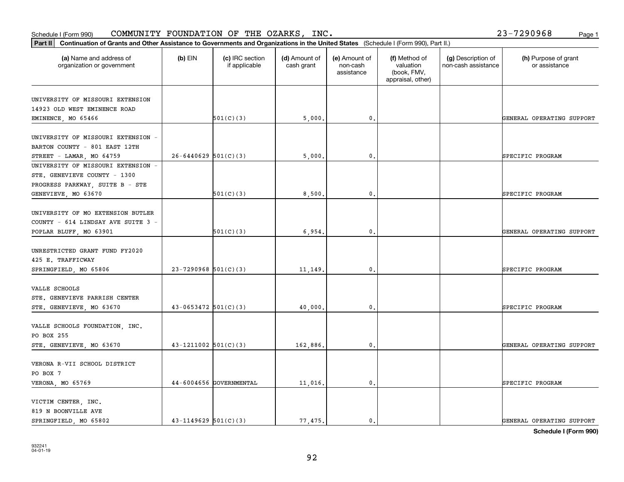#### **Part II Continuation of Grants and Other Assistance to Governments and Organization of Grants and Organization of Grants and Organizations of Grants and Organization of Grants and Organizations of United States <b>Propert** Schedule I (Form 990)  ${\tt COMMUNITY}$  <code>FOUNDATION OF THE OZARKS, INC</code> .  $23-7290968$  Page 1

| $23 - 7290968$ | Page 1 |
|----------------|--------|

| Part II<br>Continuation of Grants and Other Assistance to Governments and Organizations in the United States (Schedule I (Form 990), Part II.) |                            |                                  |                             |                                         |                                                                |                                           |                                       |
|------------------------------------------------------------------------------------------------------------------------------------------------|----------------------------|----------------------------------|-----------------------------|-----------------------------------------|----------------------------------------------------------------|-------------------------------------------|---------------------------------------|
| (a) Name and address of<br>organization or government                                                                                          | $(b)$ EIN                  | (c) IRC section<br>if applicable | (d) Amount of<br>cash grant | (e) Amount of<br>non-cash<br>assistance | (f) Method of<br>valuation<br>(book, FMV,<br>appraisal, other) | (g) Description of<br>non-cash assistance | (h) Purpose of grant<br>or assistance |
| UNIVERSITY OF MISSOURI EXTENSION<br>14923 OLD WEST EMINENCE ROAD<br>EMINENCE, MO 65466                                                         |                            | 501(C)(3)                        | 5,000.                      | 0.                                      |                                                                |                                           | GENERAL OPERATING SUPPORT             |
| UNIVERSITY OF MISSOURI EXTENSION -<br>BARTON COUNTY - 801 EAST 12TH<br>STREET - LAMAR, MO 64759                                                | $26 - 6440629$ 501(C)(3)   |                                  | 5,000                       | $\mathbf{0}$ .                          |                                                                |                                           | SPECIFIC PROGRAM                      |
| UNIVERSITY OF MISSOURI EXTENSION -<br>STE. GENEVIEVE COUNTY - 1300<br>PROGRESS PARKWAY, SUITE B - STE<br>GENEVIEVE, MO 63670                   |                            | 501(C)(3)                        | 8,500.                      | $\mathbf{0}$                            |                                                                |                                           | SPECIFIC PROGRAM                      |
| UNIVERSITY OF MO EXTENSION BUTLER<br>COUNTY - 614 LINDSAY AVE SUITE 3 -<br>POPLAR BLUFF, MO 63901                                              |                            | 501(C)(3)                        | 6,954.                      | $\mathfrak{o}$ .                        |                                                                |                                           | GENERAL OPERATING SUPPORT             |
| UNRESTRICTED GRANT FUND FY2020<br>425 E. TRAFFICWAY<br>SPRINGFIELD, MO 65806                                                                   | $23 - 7290968$ 501(C)(3)   |                                  | 11,149.                     | $\mathbf{0}$ .                          |                                                                |                                           | SPECIFIC PROGRAM                      |
| VALLE SCHOOLS<br>STE. GENEVIEVE PARRISH CENTER<br>STE. GENEVIEVE, MO 63670                                                                     | $43 - 0653472$ $501(C)(3)$ |                                  | 40,000.                     | $\mathbf{0}$                            |                                                                |                                           | SPECIFIC PROGRAM                      |
| VALLE SCHOOLS FOUNDATION, INC.<br>PO BOX 255<br>STE. GENEVIEVE, MO 63670                                                                       | $43 - 1211002$ 501(C)(3)   |                                  | 162,886.                    | 0.                                      |                                                                |                                           | GENERAL OPERATING SUPPORT             |
| VERONA R-VII SCHOOL DISTRICT<br>PO BOX 7<br>VERONA, MO 65769                                                                                   |                            | 44-6004656 GOVERNMENTAL          | 11,016.                     | $\mathbf{0}$ .                          |                                                                |                                           | SPECIFIC PROGRAM                      |
| VICTIM CENTER, INC.<br>819 N BOONVILLE AVE<br>SPRINGFIELD, MO 65802                                                                            | $43 - 1149629$ 501(C)(3)   |                                  | 77.475.                     | $\mathbf{0}$ .                          |                                                                |                                           | GENERAL OPERATING SUPPORT             |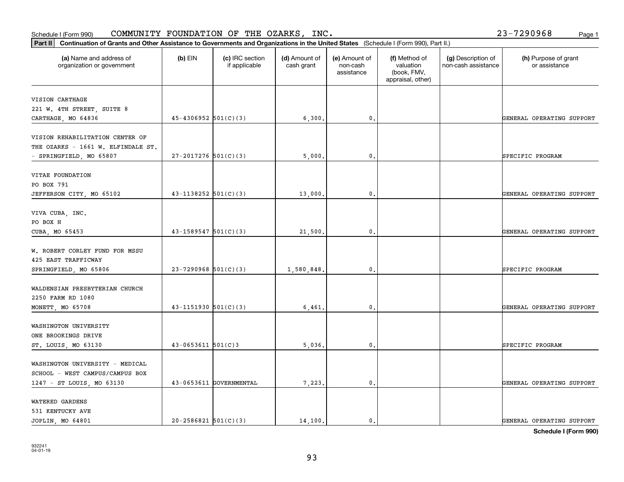WATERED GARDENS 531 KENTUCKY AVE

| VITAE FOUNDATION                |                            |                         |            |                |  |                           |
|---------------------------------|----------------------------|-------------------------|------------|----------------|--|---------------------------|
| PO BOX 791                      |                            |                         |            |                |  |                           |
| JEFFERSON CITY, MO 65102        | $43 - 1138252$ $501(C)(3)$ |                         | 13,000.    | $\mathbf{0}$ . |  | GENERAL OPERATING SUPPORT |
| VIVA CUBA, INC.                 |                            |                         |            |                |  |                           |
| PO BOX H                        |                            |                         |            |                |  |                           |
| CUBA, MO 65453                  | $43-1589547$ $501(C)(3)$   |                         | 21,500.    | $\mathbf{0}$ . |  | GENERAL OPERATING SUPPORT |
| W. ROBERT CORLEY FUND FOR MSSU  |                            |                         |            |                |  |                           |
| 425 EAST TRAFFICWAY             |                            |                         |            |                |  |                           |
| SPRINGFIELD, MO 65806           | $23 - 7290968$ 501(C)(3)   |                         | 1,580,848. | $\mathbf{0}$ . |  | SPECIFIC PROGRAM          |
| WALDENSIAN PRESBYTERIAN CHURCH  |                            |                         |            |                |  |                           |
| 2250 FARM RD 1080               |                            |                         |            |                |  |                           |
| MONETT, MO 65708                | $43 - 1151930$ $501(C)(3)$ |                         | 6,461.     | 0.             |  | GENERAL OPERATING SUPPORT |
| WASHINGTON UNIVERSITY           |                            |                         |            |                |  |                           |
| ONE BROOKINGS DRIVE             |                            |                         |            |                |  |                           |
| ST. LOUIS, MO 63130             | $43 - 0653611$ 501(C)3     |                         | 5,036.     | 0.             |  | SPECIFIC PROGRAM          |
| WASHINGTON UNIVERSITY - MEDICAL |                            |                         |            |                |  |                           |
| SCHOOL - WEST CAMPUS/CAMPUS BOX |                            |                         |            |                |  |                           |
| 1247 - ST LOUIS, MO 63130       |                            | 43-0653611 GOVERNMENTAL | 7,223.     | 0.             |  | GENERAL OPERATING SUPPORT |

**(a) (b) (c) (d) (e) (f) (g) (h)** Name and address of

- SPRINGFIELD, MO 65807 27-2017276 501(C)(3) 3 5,000. 0. SPECIFIC PROGRAM

(d) Amount of cash grant

CARTHAGE, MO 64836  $\begin{vmatrix} 45-4306952 & 501(C)(3) \end{vmatrix}$  6,300. 0. 0. carthage contracts operating support

(e) Amount of non-cashassistance

(f) Method of valuation (book, FMV, appraisal, other)

(g) Description of non-cash assistance

**Part II Continuation of Grants and Other Assistance to Governments and Organizations in the United States**  (Schedule I (Form 990), Part II.) Schedule I (Form 990)  ${\tt COMMUNITY}$  <code>FOUNDATION OF THE OZARKS, INC</code> .  $23-7290968$  Page 1

 $(b)$  EIN  $(c)$  IRC section

if applicable

organization or government

VISION CARTHAGE

221 W. 4TH STREET, SUITE 8

VISION REHABILITATION CENTER OF THE OZARKS - 1661 W. ELFINDALE ST.

(h) Purpose of grant or assistance

**Schedule I (Form 990)**

JOPLIN, MO 64801 20-2586821 501(C)(3) | 14,100. 0. 0. | GENERAL OPERATING SUPPORT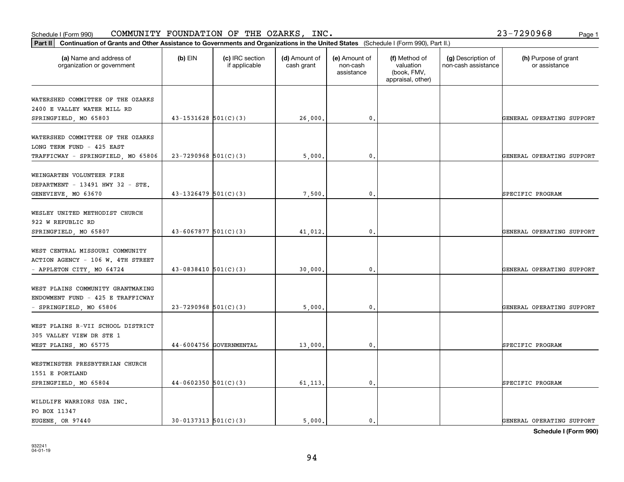### **Part III Continuation of Grants and Other Assistance to Governments and Organization of Grants and Other Assistance to Governments and Organization of Grants and Other Assistance to Governments and Organization** Schedule I (Form 990)  ${\tt COMMUNITY}$  <code>FOUNDATION OF THE OZARKS, INC</code> .  $23-7290968$  Page 1

| Part II                                                                                              | Continuation of Grants and Other Assistance to Governments and Organizations in the United States (Schedule I (Form 990), Part II.) |                                  |                             |                                         |                                                                |                                           |                                       |  |  |
|------------------------------------------------------------------------------------------------------|-------------------------------------------------------------------------------------------------------------------------------------|----------------------------------|-----------------------------|-----------------------------------------|----------------------------------------------------------------|-------------------------------------------|---------------------------------------|--|--|
| (a) Name and address of<br>organization or government                                                | $(b)$ EIN                                                                                                                           | (c) IRC section<br>if applicable | (d) Amount of<br>cash grant | (e) Amount of<br>non-cash<br>assistance | (f) Method of<br>valuation<br>(book, FMV,<br>appraisal, other) | (g) Description of<br>non-cash assistance | (h) Purpose of grant<br>or assistance |  |  |
| WATERSHED COMMITTEE OF THE OZARKS<br>2400 E VALLEY WATER MILL RD<br>SPRINGFIELD, MO 65803            | $43 - 1531628$ $501(C)(3)$                                                                                                          |                                  | 26,000.                     | $\mathbf{0}$ .                          |                                                                |                                           | GENERAL OPERATING SUPPORT             |  |  |
| WATERSHED COMMITTEE OF THE OZARKS<br>LONG TERM FUND - 425 EAST<br>TRAFFICWAY - SPRINGFIELD, MO 65806 | $23 - 7290968$ 501(C)(3)                                                                                                            |                                  | 5,000.                      | 0.                                      |                                                                |                                           | GENERAL OPERATING SUPPORT             |  |  |
| WEINGARTEN VOLUNTEER FIRE<br>DEPARTMENT - 13491 HWY 32 - STE.<br>GENEVIEVE, MO 63670                 | $43 - 1326479$ 501(C)(3)                                                                                                            |                                  | 7,500                       | 0.                                      |                                                                |                                           | SPECIFIC PROGRAM                      |  |  |
| WESLEY UNITED METHODIST CHURCH<br>922 W REPUBLIC RD<br>SPRINGFIELD, MO 65807                         | $43 - 6067877$ $501(C)(3)$                                                                                                          |                                  | 41,012.                     | $\mathbf{0}$ .                          |                                                                |                                           | GENERAL OPERATING SUPPORT             |  |  |
| WEST CENTRAL MISSOURI COMMUNITY<br>ACTION AGENCY - 106 W. 4TH STREET<br>- APPLETON CITY, MO 64724    | $43 - 0838410$ 501(C)(3)                                                                                                            |                                  | 30,000.                     | 0.                                      |                                                                |                                           | GENERAL OPERATING SUPPORT             |  |  |
| WEST PLAINS COMMUNITY GRANTMAKING<br>ENDOWMENT FUND - 425 E TRAFFICWAY<br>- SPRINGFIELD, MO 65806    | $23 - 7290968$ 501(C)(3)                                                                                                            |                                  | 5,000                       | $\mathbf{0}$                            |                                                                |                                           | GENERAL OPERATING SUPPORT             |  |  |
| WEST PLAINS R-VII SCHOOL DISTRICT<br>305 VALLEY VIEW DR STE 1<br>WEST PLAINS, MO 65775               |                                                                                                                                     | 44-6004756 GOVERNMENTAL          | 13,000.                     | $\mathbf{0}$ .                          |                                                                |                                           | SPECIFIC PROGRAM                      |  |  |
| WESTMINSTER PRESBYTERIAN CHURCH<br>1551 E PORTLAND<br>SPRINGFIELD, MO 65804                          | $44-0602350$ 501(C)(3)                                                                                                              |                                  | 61, 113.                    | $\mathbf{0}$ .                          |                                                                |                                           | SPECIFIC PROGRAM                      |  |  |
| WILDLIFE WARRIORS USA INC.<br>PO BOX 11347<br>EUGENE, OR 97440                                       | $30-0137313$ $501(C)(3)$                                                                                                            |                                  | 5.000.                      | $\mathbf{0}$ .                          |                                                                |                                           | GENERAL OPERATING SUPPORT             |  |  |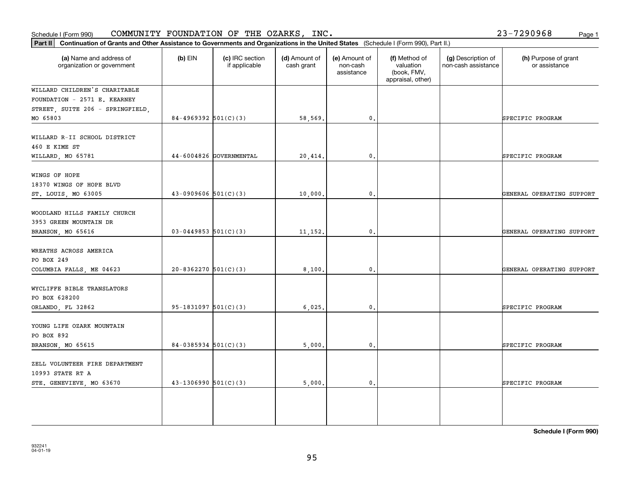| Schedule I (Form 990)                                                                                                                          |                            | COMMUNITY FOUNDATION OF THE OZARKS, INC. |                             |                                         |                                                                |                                           | 23-7290968<br>Page 1                  |
|------------------------------------------------------------------------------------------------------------------------------------------------|----------------------------|------------------------------------------|-----------------------------|-----------------------------------------|----------------------------------------------------------------|-------------------------------------------|---------------------------------------|
| Continuation of Grants and Other Assistance to Governments and Organizations in the United States (Schedule I (Form 990), Part II.)<br>Part II |                            |                                          |                             |                                         |                                                                |                                           |                                       |
| (a) Name and address of<br>organization or government                                                                                          | $(b)$ EIN                  | (c) IRC section<br>if applicable         | (d) Amount of<br>cash grant | (e) Amount of<br>non-cash<br>assistance | (f) Method of<br>valuation<br>(book, FMV,<br>appraisal, other) | (g) Description of<br>non-cash assistance | (h) Purpose of grant<br>or assistance |
| WILLARD CHILDREN'S CHARITABLE                                                                                                                  |                            |                                          |                             |                                         |                                                                |                                           |                                       |
| FOUNDATION - 2571 E. KEARNEY                                                                                                                   |                            |                                          |                             |                                         |                                                                |                                           |                                       |
| STREET, SUITE 206 - SPRINGFIELD,                                                                                                               |                            |                                          |                             |                                         |                                                                |                                           |                                       |
| MO 65803                                                                                                                                       | 84-4969392 $501(C)(3)$     |                                          | 58,569.                     | $\mathbf{0}$ .                          |                                                                |                                           | SPECIFIC PROGRAM                      |
| WILLARD R-II SCHOOL DISTRICT<br>460 E KIME ST<br>WILLARD, MO 65781                                                                             |                            | 44-6004826 GOVERNMENTAL                  | 20,414.                     | $\mathbf 0$ .                           |                                                                |                                           | SPECIFIC PROGRAM                      |
|                                                                                                                                                |                            |                                          |                             |                                         |                                                                |                                           |                                       |
| WINGS OF HOPE<br>18370 WINGS OF HOPE BLVD<br>ST. LOUIS, MO 63005                                                                               | $43-0909606$ 501(C)(3)     |                                          | 10,000                      | 0.                                      |                                                                |                                           | GENERAL OPERATING SUPPORT             |
| WOODLAND HILLS FAMILY CHURCH<br>3953 GREEN MOUNTAIN DR<br>BRANSON, MO 65616                                                                    | $03 - 0449853$ $501(C)(3)$ |                                          | 11, 152.                    | 0.                                      |                                                                |                                           | GENERAL OPERATING SUPPORT             |
|                                                                                                                                                |                            |                                          |                             |                                         |                                                                |                                           |                                       |
| WREATHS ACROSS AMERICA<br>PO BOX 249<br>COLUMBIA FALLS, ME 04623                                                                               | $20 - 8362270$ 501(C)(3)   |                                          | 8,100.                      | $\mathbf 0$ .                           |                                                                |                                           | GENERAL OPERATING SUPPORT             |
| WYCLIFFE BIBLE TRANSLATORS<br>PO BOX 628200<br>ORLANDO, FL 32862                                                                               | $95-1831097$ 501(C)(3)     |                                          | 6,025.                      | $\mathbf{0}$ .                          |                                                                |                                           | SPECIFIC PROGRAM                      |
|                                                                                                                                                |                            |                                          |                             |                                         |                                                                |                                           |                                       |
| YOUNG LIFE OZARK MOUNTAIN<br>PO BOX 892                                                                                                        |                            |                                          |                             |                                         |                                                                |                                           |                                       |
| BRANSON, MO 65615                                                                                                                              | $84-0385934$ 501(C)(3)     |                                          | 5,000.                      | $\mathbf{0}$ .                          |                                                                |                                           | SPECIFIC PROGRAM                      |
| ZELL VOLUNTEER FIRE DEPARTMENT<br>10993 STATE RT A                                                                                             |                            |                                          |                             |                                         |                                                                |                                           |                                       |
| STE. GENEVIEVE, MO 63670                                                                                                                       | $43 - 1306990$ 501(C)(3)   |                                          | 5,000.                      | $\mathbf{0}$ .                          |                                                                |                                           | SPECIFIC PROGRAM                      |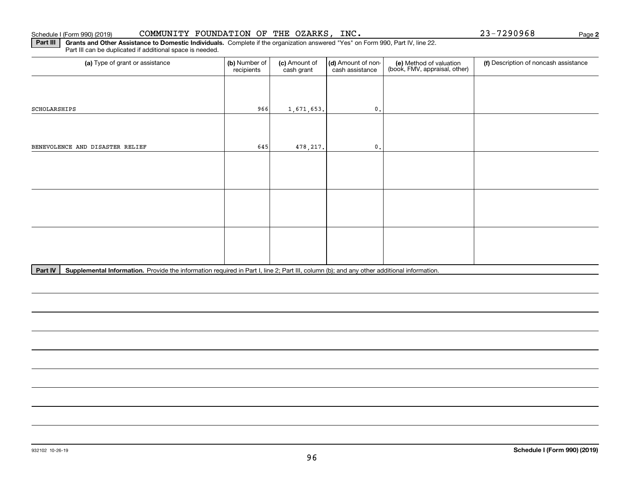#### Schedule I (Form 990) (2019) CO**MMUN**ITY FOUNDATION OF THE OZARKS,INC。 23-7290968 Page

**2**

**Part III** | Grants and Other Assistance to Domestic Individuals. Complete if the organization answered "Yes" on Form 990, Part IV, line 22. Part III can be duplicated if additional space is needed.

| (a) Type of grant or assistance | (b) Number of<br>recipients | (c) Amount of<br>cash grant | (d) Amount of non-<br>cash assistance | (e) Method of valuation<br>(book, FMV, appraisal, other) | (f) Description of noncash assistance |
|---------------------------------|-----------------------------|-----------------------------|---------------------------------------|----------------------------------------------------------|---------------------------------------|
|                                 |                             |                             |                                       |                                                          |                                       |
| SCHOLARSHIPS                    | 966                         | 1,671,653.                  | $\mathbf{0}$ .                        |                                                          |                                       |
|                                 |                             |                             |                                       |                                                          |                                       |
| BENEVOLENCE AND DISASTER RELIEF | 645                         | 478, 217.                   | $\mathbf{0}$ .                        |                                                          |                                       |
|                                 |                             |                             |                                       |                                                          |                                       |
|                                 |                             |                             |                                       |                                                          |                                       |
|                                 |                             |                             |                                       |                                                          |                                       |
|                                 |                             |                             |                                       |                                                          |                                       |
|                                 |                             |                             |                                       |                                                          |                                       |
|                                 |                             |                             |                                       |                                                          |                                       |

Part IV | Supplemental Information. Provide the information required in Part I, line 2; Part III, column (b); and any other additional information.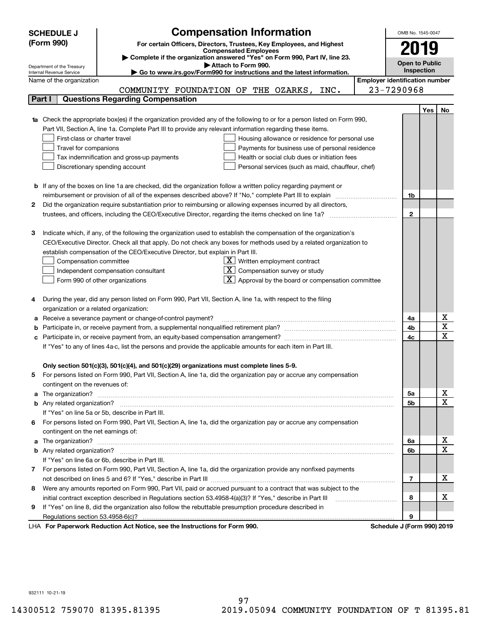|    | <b>Compensation Information</b><br><b>SCHEDULE J</b><br>(Form 990)<br>For certain Officers, Directors, Trustees, Key Employees, and Highest<br><b>Compensated Employees</b><br>Complete if the organization answered "Yes" on Form 990, Part IV, line 23.                                                                                                                                                                                                                                                                                                                                                                                                                                                        |                            | OMB No. 1545-0047<br>2019                                  |     |                            |  |  |
|----|------------------------------------------------------------------------------------------------------------------------------------------------------------------------------------------------------------------------------------------------------------------------------------------------------------------------------------------------------------------------------------------------------------------------------------------------------------------------------------------------------------------------------------------------------------------------------------------------------------------------------------------------------------------------------------------------------------------|----------------------------|------------------------------------------------------------|-----|----------------------------|--|--|
|    | Attach to Form 990.<br>Department of the Treasury                                                                                                                                                                                                                                                                                                                                                                                                                                                                                                                                                                                                                                                                |                            | <b>Open to Public</b>                                      |     |                            |  |  |
|    | Go to www.irs.gov/Form990 for instructions and the latest information.<br>Internal Revenue Service                                                                                                                                                                                                                                                                                                                                                                                                                                                                                                                                                                                                               |                            | <b>Inspection</b><br><b>Employer identification number</b> |     |                            |  |  |
|    | Name of the organization                                                                                                                                                                                                                                                                                                                                                                                                                                                                                                                                                                                                                                                                                         | 23-7290968                 |                                                            |     |                            |  |  |
|    | COMMUNITY FOUNDATION OF THE OZARKS, INC.<br><b>Questions Regarding Compensation</b><br>Part I                                                                                                                                                                                                                                                                                                                                                                                                                                                                                                                                                                                                                    |                            |                                                            |     |                            |  |  |
|    |                                                                                                                                                                                                                                                                                                                                                                                                                                                                                                                                                                                                                                                                                                                  |                            |                                                            | Yes |                            |  |  |
|    | 1a Check the appropriate box(es) if the organization provided any of the following to or for a person listed on Form 990,<br>Part VII, Section A, line 1a. Complete Part III to provide any relevant information regarding these items.<br>First-class or charter travel<br>Housing allowance or residence for personal use<br>Travel for companions<br>Payments for business use of personal residence<br>Tax indemnification and gross-up payments<br>Health or social club dues or initiation fees<br>Discretionary spending account<br>Personal services (such as maid, chauffeur, chef)                                                                                                                     |                            |                                                            |     | No                         |  |  |
|    | <b>b</b> If any of the boxes on line 1a are checked, did the organization follow a written policy regarding payment or                                                                                                                                                                                                                                                                                                                                                                                                                                                                                                                                                                                           |                            |                                                            |     |                            |  |  |
|    | reimbursement or provision of all of the expenses described above? If "No," complete Part III to explain                                                                                                                                                                                                                                                                                                                                                                                                                                                                                                                                                                                                         |                            | 1b                                                         |     |                            |  |  |
| 2  | Did the organization require substantiation prior to reimbursing or allowing expenses incurred by all directors,                                                                                                                                                                                                                                                                                                                                                                                                                                                                                                                                                                                                 |                            |                                                            |     |                            |  |  |
|    |                                                                                                                                                                                                                                                                                                                                                                                                                                                                                                                                                                                                                                                                                                                  |                            | $\mathbf{2}$                                               |     |                            |  |  |
| 3  | Indicate which, if any, of the following the organization used to establish the compensation of the organization's<br>CEO/Executive Director. Check all that apply. Do not check any boxes for methods used by a related organization to<br>establish compensation of the CEO/Executive Director, but explain in Part III.<br>$X$ Written employment contract<br>Compensation committee<br>$ \mathbf{X} $ Compensation survey or study<br>Independent compensation consultant<br>$\lfloor \mathbf{X} \rfloor$ Approval by the board or compensation committee<br>Form 990 of other organizations<br>During the year, did any person listed on Form 990, Part VII, Section A, line 1a, with respect to the filing |                            |                                                            |     |                            |  |  |
|    | organization or a related organization:                                                                                                                                                                                                                                                                                                                                                                                                                                                                                                                                                                                                                                                                          |                            |                                                            |     |                            |  |  |
|    | Receive a severance payment or change-of-control payment?                                                                                                                                                                                                                                                                                                                                                                                                                                                                                                                                                                                                                                                        |                            | 4a                                                         |     | х                          |  |  |
|    |                                                                                                                                                                                                                                                                                                                                                                                                                                                                                                                                                                                                                                                                                                                  |                            | 4b                                                         |     | $\overline{\texttt{x}}$    |  |  |
|    | Participate in, or receive payment from, an equity-based compensation arrangement?                                                                                                                                                                                                                                                                                                                                                                                                                                                                                                                                                                                                                               |                            | 4c                                                         |     | $\overline{\text{x}}$      |  |  |
|    | If "Yes" to any of lines 4a-c, list the persons and provide the applicable amounts for each item in Part III.                                                                                                                                                                                                                                                                                                                                                                                                                                                                                                                                                                                                    |                            |                                                            |     |                            |  |  |
|    | Only section 501(c)(3), 501(c)(4), and 501(c)(29) organizations must complete lines 5-9.<br>For persons listed on Form 990, Part VII, Section A, line 1a, did the organization pay or accrue any compensation<br>contingent on the revenues of:                                                                                                                                                                                                                                                                                                                                                                                                                                                                  |                            |                                                            |     |                            |  |  |
|    | a The organization? <b>Entitation</b> and the organization?                                                                                                                                                                                                                                                                                                                                                                                                                                                                                                                                                                                                                                                      |                            | 5а                                                         |     | x<br>$\overline{\text{x}}$ |  |  |
|    |                                                                                                                                                                                                                                                                                                                                                                                                                                                                                                                                                                                                                                                                                                                  |                            | <b>5b</b>                                                  |     |                            |  |  |
|    | If "Yes" on line 5a or 5b, describe in Part III.                                                                                                                                                                                                                                                                                                                                                                                                                                                                                                                                                                                                                                                                 |                            |                                                            |     |                            |  |  |
| 6. | For persons listed on Form 990, Part VII, Section A, line 1a, did the organization pay or accrue any compensation<br>contingent on the net earnings of:                                                                                                                                                                                                                                                                                                                                                                                                                                                                                                                                                          |                            |                                                            |     |                            |  |  |
|    | a The organization? <b>Entitled Strategies and Strategies and Strategies and Strategies and Strategies and Strategies and Strategies and Strategies and Strategies and Strategies and Strategies and Strategies and Strategies a</b>                                                                                                                                                                                                                                                                                                                                                                                                                                                                             |                            | 6a                                                         |     | x                          |  |  |
|    |                                                                                                                                                                                                                                                                                                                                                                                                                                                                                                                                                                                                                                                                                                                  |                            | 6b                                                         |     | $\overline{\text{x}}$      |  |  |
|    | If "Yes" on line 6a or 6b, describe in Part III.                                                                                                                                                                                                                                                                                                                                                                                                                                                                                                                                                                                                                                                                 |                            |                                                            |     |                            |  |  |
|    | 7 For persons listed on Form 990, Part VII, Section A, line 1a, did the organization provide any nonfixed payments                                                                                                                                                                                                                                                                                                                                                                                                                                                                                                                                                                                               |                            |                                                            |     |                            |  |  |
|    |                                                                                                                                                                                                                                                                                                                                                                                                                                                                                                                                                                                                                                                                                                                  |                            | $\overline{7}$                                             |     | х                          |  |  |
| 8  | Were any amounts reported on Form 990, Part VII, paid or accrued pursuant to a contract that was subject to the                                                                                                                                                                                                                                                                                                                                                                                                                                                                                                                                                                                                  |                            |                                                            |     |                            |  |  |
|    | initial contract exception described in Regulations section 53.4958-4(a)(3)? If "Yes," describe in Part III                                                                                                                                                                                                                                                                                                                                                                                                                                                                                                                                                                                                      |                            | 8                                                          |     | x                          |  |  |
| 9  | If "Yes" on line 8, did the organization also follow the rebuttable presumption procedure described in                                                                                                                                                                                                                                                                                                                                                                                                                                                                                                                                                                                                           |                            |                                                            |     |                            |  |  |
|    | Regulations section 53.4958-6(c)?                                                                                                                                                                                                                                                                                                                                                                                                                                                                                                                                                                                                                                                                                |                            | 9                                                          |     |                            |  |  |
|    | LHA For Paperwork Reduction Act Notice, see the Instructions for Form 990.                                                                                                                                                                                                                                                                                                                                                                                                                                                                                                                                                                                                                                       | Schedule J (Form 990) 2019 |                                                            |     |                            |  |  |

932111 10-21-19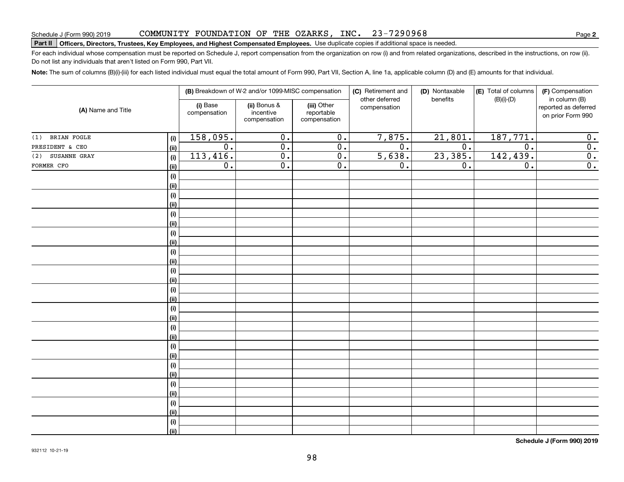#### COMMUNITY FOUNDATION OF THE OZARKS, INC. 23-7290968

# Schedule J (Form 990) 2019 COMMUN L'LY F'OUNDA'L' LON OF 'L'HE OZARKS, LNC. *Z 3-T Z* Y U Y 6 8 Page<br>Part II │Officers, Directors, Trustees, Key Employees, and Highest Compensated Employees. Use dupli

For each individual whose compensation must be reported on Schedule J, report compensation from the organization on row (i) and from related organizations, described in the instructions, on row (ii). Do not list any individuals that aren't listed on Form 990, Part VII.

**Note:**  The sum of columns (B)(i)-(iii) for each listed individual must equal the total amount of Form 990, Part VII, Section A, line 1a, applicable column (D) and (E) amounts for that individual.

|                     |                |                          | (B) Breakdown of W-2 and/or 1099-MISC compensation |                                           | (C) Retirement and<br>other deferred | (D) Nontaxable<br>benefits | (E) Total of columns<br>(F) Compensation<br>$(B)(i)$ - $(D)$ |                                                            |  |
|---------------------|----------------|--------------------------|----------------------------------------------------|-------------------------------------------|--------------------------------------|----------------------------|--------------------------------------------------------------|------------------------------------------------------------|--|
| (A) Name and Title  |                | (i) Base<br>compensation | (ii) Bonus &<br>incentive<br>compensation          | (iii) Other<br>reportable<br>compensation | compensation                         |                            |                                                              | in column (B)<br>reported as deferred<br>on prior Form 990 |  |
| (1) BRIAN FOGLE     | (i)            | 158,095.                 | $\mathbf 0$ .                                      | $\overline{0}$ .                          | 7,875.                               | 21,801.                    | 187,771.                                                     | $\boldsymbol{0}$ .                                         |  |
| PRESIDENT & CEO     | <u>(ii)</u>    | $\overline{0}$ .         | $\overline{0}$ .                                   | $\overline{0}$ .                          | $\overline{0}$ .                     | $\overline{0}$ .           | $\overline{0}$ .                                             | $\overline{\mathbf{0}}$ .                                  |  |
| SUSANNE GRAY<br>(2) | (i)            | 113,416.                 | $\overline{0}$ .                                   | $\overline{0}$ .                          | 5,638.                               | 23,385.                    | 142,439.                                                     | $\overline{0}$ .                                           |  |
| FORMER CFO          | <u>(ii)</u>    | $\overline{0}$ .         | $\overline{0}$ .                                   | $\overline{0}$ .                          | $\mathbf 0$ .                        | 0.                         | $\overline{0}$ .                                             | $\overline{0}$ .                                           |  |
|                     | (i)            |                          |                                                    |                                           |                                      |                            |                                                              |                                                            |  |
|                     | <u>(ii)</u>    |                          |                                                    |                                           |                                      |                            |                                                              |                                                            |  |
|                     | (i)            |                          |                                                    |                                           |                                      |                            |                                                              |                                                            |  |
|                     | <u>(ii)</u>    |                          |                                                    |                                           |                                      |                            |                                                              |                                                            |  |
|                     | $(\sf{i})$     |                          |                                                    |                                           |                                      |                            |                                                              |                                                            |  |
|                     | <u>(ii)</u>    |                          |                                                    |                                           |                                      |                            |                                                              |                                                            |  |
|                     | $(\sf{i})$     |                          |                                                    |                                           |                                      |                            |                                                              |                                                            |  |
|                     | <u>(ii)</u>    |                          |                                                    |                                           |                                      |                            |                                                              |                                                            |  |
|                     | (i)            |                          |                                                    |                                           |                                      |                            |                                                              |                                                            |  |
|                     | (ii)           |                          |                                                    |                                           |                                      |                            |                                                              |                                                            |  |
|                     | (i)            |                          |                                                    |                                           |                                      |                            |                                                              |                                                            |  |
|                     | (ii)           |                          |                                                    |                                           |                                      |                            |                                                              |                                                            |  |
|                     | $(\sf{i})$     |                          |                                                    |                                           |                                      |                            |                                                              |                                                            |  |
|                     | <u>(ii)</u>    |                          |                                                    |                                           |                                      |                            |                                                              |                                                            |  |
|                     | $(\sf{i})$     |                          |                                                    |                                           |                                      |                            |                                                              |                                                            |  |
|                     | <u>(ii)</u>    |                          |                                                    |                                           |                                      |                            |                                                              |                                                            |  |
|                     | $(\sf{i})$     |                          |                                                    |                                           |                                      |                            |                                                              |                                                            |  |
|                     | <u>(ii)</u>    |                          |                                                    |                                           |                                      |                            |                                                              |                                                            |  |
|                     | (i)            |                          |                                                    |                                           |                                      |                            |                                                              |                                                            |  |
|                     | (ii)           |                          |                                                    |                                           |                                      |                            |                                                              |                                                            |  |
|                     | (i)            |                          |                                                    |                                           |                                      |                            |                                                              |                                                            |  |
|                     | (ii)           |                          |                                                    |                                           |                                      |                            |                                                              |                                                            |  |
|                     | (i)            |                          |                                                    |                                           |                                      |                            |                                                              |                                                            |  |
|                     | (ii)           |                          |                                                    |                                           |                                      |                            |                                                              |                                                            |  |
|                     | (i)            |                          |                                                    |                                           |                                      |                            |                                                              |                                                            |  |
|                     | <u>(ii)</u>    |                          |                                                    |                                           |                                      |                            |                                                              |                                                            |  |
|                     | (i)            |                          |                                                    |                                           |                                      |                            |                                                              |                                                            |  |
|                     | $\overline{}}$ |                          |                                                    |                                           |                                      |                            |                                                              |                                                            |  |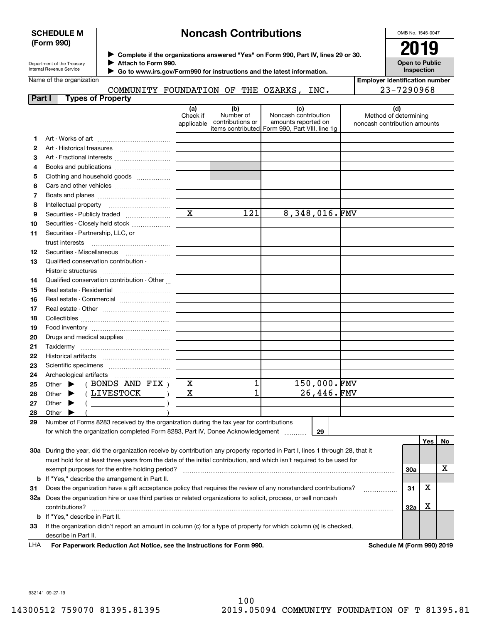### **SCHEDULE M (Form 990)**

# **Noncash Contributions**

OMB No. 1545-0047

| Department of the Treasury |
|----------------------------|
| Internal Revenue Service   |

**Complete if the organizations answered "Yes" on Form 990, Part IV, lines 29 or 30.** <sup>J</sup>**2019 Attach to Form 990.**  $\blacktriangleright$ 

**Open to Public Inspection**

|                          | --- |  |
|--------------------------|-----|--|
| Name of the organization |     |  |

 $\blacktriangleright$ 

 **Go to www.irs.gov/Form990 for instructions and the latest information.** COMMUNITY FOUNDATION OF THE OZARKS, INC.

| <b>Employer identification number</b> |
|---------------------------------------|
| 23-7290968                            |

| Part I | <b>Types of Property</b>                                                                                                       |                               |                                      |                                                                                                      |                                                              |            |     |    |
|--------|--------------------------------------------------------------------------------------------------------------------------------|-------------------------------|--------------------------------------|------------------------------------------------------------------------------------------------------|--------------------------------------------------------------|------------|-----|----|
|        |                                                                                                                                | (a)<br>Check if<br>applicable | (b)<br>Number of<br>contributions or | (c)<br>Noncash contribution<br>amounts reported on<br>items contributed Form 990, Part VIII, line 1g | (d)<br>Method of determining<br>noncash contribution amounts |            |     |    |
| 1      |                                                                                                                                |                               |                                      |                                                                                                      |                                                              |            |     |    |
| 2      |                                                                                                                                |                               |                                      |                                                                                                      |                                                              |            |     |    |
| з      | Art - Fractional interests                                                                                                     |                               |                                      |                                                                                                      |                                                              |            |     |    |
| 4      | Books and publications                                                                                                         |                               |                                      |                                                                                                      |                                                              |            |     |    |
| 5      | Clothing and household goods                                                                                                   |                               |                                      |                                                                                                      |                                                              |            |     |    |
| 6      |                                                                                                                                |                               |                                      |                                                                                                      |                                                              |            |     |    |
| 7      |                                                                                                                                |                               |                                      |                                                                                                      |                                                              |            |     |    |
| 8      | Intellectual property                                                                                                          |                               |                                      |                                                                                                      |                                                              |            |     |    |
| 9      | Securities - Publicly traded                                                                                                   | $\mathbf x$                   | 121                                  | 8,348,016.FMV                                                                                        |                                                              |            |     |    |
| 10     | Securities - Closely held stock                                                                                                |                               |                                      |                                                                                                      |                                                              |            |     |    |
| 11     | Securities - Partnership, LLC, or                                                                                              |                               |                                      |                                                                                                      |                                                              |            |     |    |
|        | trust interests                                                                                                                |                               |                                      |                                                                                                      |                                                              |            |     |    |
| 12     | Securities - Miscellaneous                                                                                                     |                               |                                      |                                                                                                      |                                                              |            |     |    |
| 13     | Qualified conservation contribution -                                                                                          |                               |                                      |                                                                                                      |                                                              |            |     |    |
|        | Historic structures                                                                                                            |                               |                                      |                                                                                                      |                                                              |            |     |    |
| 14     | Qualified conservation contribution - Other                                                                                    |                               |                                      |                                                                                                      |                                                              |            |     |    |
| 15     | Real estate - Residential                                                                                                      |                               |                                      |                                                                                                      |                                                              |            |     |    |
| 16     | Real estate - Commercial                                                                                                       |                               |                                      |                                                                                                      |                                                              |            |     |    |
| 17     |                                                                                                                                |                               |                                      |                                                                                                      |                                                              |            |     |    |
| 18     |                                                                                                                                |                               |                                      |                                                                                                      |                                                              |            |     |    |
| 19     |                                                                                                                                |                               |                                      |                                                                                                      |                                                              |            |     |    |
| 20     | Drugs and medical supplies                                                                                                     |                               |                                      |                                                                                                      |                                                              |            |     |    |
| 21     |                                                                                                                                |                               |                                      |                                                                                                      |                                                              |            |     |    |
| 22     |                                                                                                                                |                               |                                      |                                                                                                      |                                                              |            |     |    |
| 23     |                                                                                                                                |                               |                                      |                                                                                                      |                                                              |            |     |    |
| 24     | Archeological artifacts                                                                                                        |                               |                                      |                                                                                                      |                                                              |            |     |    |
| 25     | (BONDS AND FIX)<br>Other $\blacktriangleright$                                                                                 | х                             | $\mathbf 1$                          | 150,000.FMV                                                                                          |                                                              |            |     |    |
| 26     | (LIVESTOCK<br>Other $\blacktriangleright$                                                                                      | X                             | 1                                    | 26,446.FMV                                                                                           |                                                              |            |     |    |
| 27     | Other<br>▸                                                                                                                     |                               |                                      |                                                                                                      |                                                              |            |     |    |
| 28     | Other                                                                                                                          |                               |                                      |                                                                                                      |                                                              |            |     |    |
| 29     | Number of Forms 8283 received by the organization during the tax year for contributions                                        |                               |                                      |                                                                                                      |                                                              |            |     |    |
|        | for which the organization completed Form 8283, Part IV, Donee Acknowledgement                                                 |                               |                                      | 29                                                                                                   |                                                              |            |     |    |
|        |                                                                                                                                |                               |                                      |                                                                                                      |                                                              |            | Yes | No |
|        | 30a During the year, did the organization receive by contribution any property reported in Part I, lines 1 through 28, that it |                               |                                      |                                                                                                      |                                                              |            |     |    |
|        | must hold for at least three years from the date of the initial contribution, and which isn't required to be used for          |                               |                                      |                                                                                                      |                                                              |            |     |    |
|        | exempt purposes for the entire holding period?                                                                                 |                               |                                      |                                                                                                      |                                                              | <b>30a</b> |     | х  |
|        | <b>b</b> If "Yes," describe the arrangement in Part II.                                                                        |                               |                                      |                                                                                                      |                                                              |            |     |    |
| 31     | Does the organization have a gift acceptance policy that requires the review of any nonstandard contributions?                 |                               |                                      |                                                                                                      |                                                              | 31         | х   |    |
|        | 32a Does the organization hire or use third parties or related organizations to solicit, process, or sell noncash              |                               |                                      |                                                                                                      |                                                              |            |     |    |
|        | contributions?                                                                                                                 |                               |                                      |                                                                                                      |                                                              | 32a        | х   |    |
|        | <b>b</b> If "Yes," describe in Part II.                                                                                        |                               |                                      |                                                                                                      |                                                              |            |     |    |
| 33     | If the organization didn't report an amount in column (c) for a type of property for which column (a) is checked,              |                               |                                      |                                                                                                      |                                                              |            |     |    |
|        | describe in Part II.                                                                                                           |                               |                                      |                                                                                                      |                                                              |            |     |    |

For Paperwork Reduction Act Notice, see the Instructions for Form 990. Schedule M (Form 990) 2019 LHA

932141 09-27-19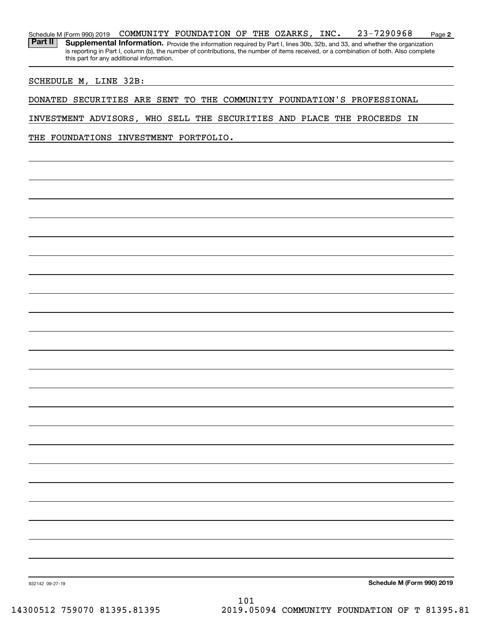#### **2** Schedule M (Form 990) 2019 Page COMMUNITY FOUNDATION OF THE OZARKS, INC. 23-7290968

Part II | Supplemental Information. Provide the information required by Part I, lines 30b, 32b, and 33, and whether the organization is reporting in Part I, column (b), the number of contributions, the number of items received, or a combination of both. Also complete this part for any additional information.

#### SCHEDULE M, LINE 32B:

DONATED SECURITIES ARE SENT TO THE COMMUNITY FOUNDATION'S PROFESSIONAL

INVESTMENT ADVISORS, WHO SELL THE SECURITIES AND PLACE THE PROCEEDS IN

THE FOUNDATIONS INVESTMENT PORTFOLIO.

**Schedule M (Form 990) 2019**

932142 09-27-19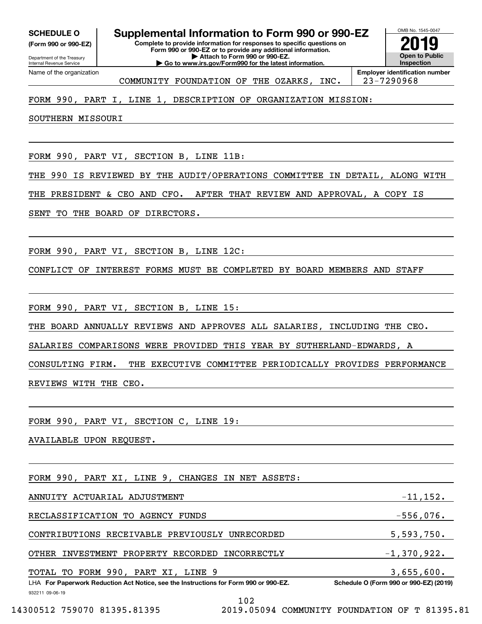**(Form 990 or 990-EZ)**

Department of the Treasury Internal Revenue Service Name of the organization

**Complete to provide information for responses to specific questions on Form 990 or 990-EZ or to provide any additional information. | Attach to Form 990 or 990-EZ. | Go to www.irs.gov/Form990 for the latest information. SCHEDULE O Supplemental Information to Form 990 or 990-EZ**



COMMUNITY FOUNDATION OF THE OZARKS, INC. | 23-7290968

### FORM 990, PART I, LINE 1, DESCRIPTION OF ORGANIZATION MISSION:

SOUTHERN MISSOURI

FORM 990, PART VI, SECTION B, LINE 11B:

THE 990 IS REVIEWED BY THE AUDIT/OPERATIONS COMMITTEE IN DETAIL, ALONG WITH

THE PRESIDENT & CEO AND CFO. AFTER THAT REVIEW AND APPROVAL, A COPY IS

SENT TO THE BOARD OF DIRECTORS.

FORM 990, PART VI, SECTION B, LINE 12C:

CONFLICT OF INTEREST FORMS MUST BE COMPLETED BY BOARD MEMBERS AND STAFF

FORM 990, PART VI, SECTION B, LINE 15:

THE BOARD ANNUALLY REVIEWS AND APPROVES ALL SALARIES, INCLUDING THE CEO.

SALARIES COMPARISONS WERE PROVIDED THIS YEAR BY SUTHERLAND-EDWARDS, A

CONSULTING FIRM. THE EXECUTIVE COMMITTEE PERIODICALLY PROVIDES PERFORMANCE REVIEWS WITH THE CEO.

FORM 990, PART VI, SECTION C, LINE 19:

AVAILABLE UPON REQUEST.

FORM 990, PART XI, LINE 9, CHANGES IN NET ASSETS:

932211 09-06-19 LHA For Paperwork Reduction Act Notice, see the Instructions for Form 990 or 990-EZ. Schedule O (Form 990 or 990-EZ) (2019) ANNUITY ACTUARIAL ADJUSTMENT -11,152. RECLASSIFICATION TO AGENCY FUNDS  $-556,076$ . CONTRIBUTIONS RECEIVABLE PREVIOUSLY UNRECORDED 5,593,750. OTHER INVESTMENT PROPERTY RECORDED INCORRECTLY  $-1,370,922$ . TOTAL TO FORM 990, PART XI, LINE 9 3,655,600.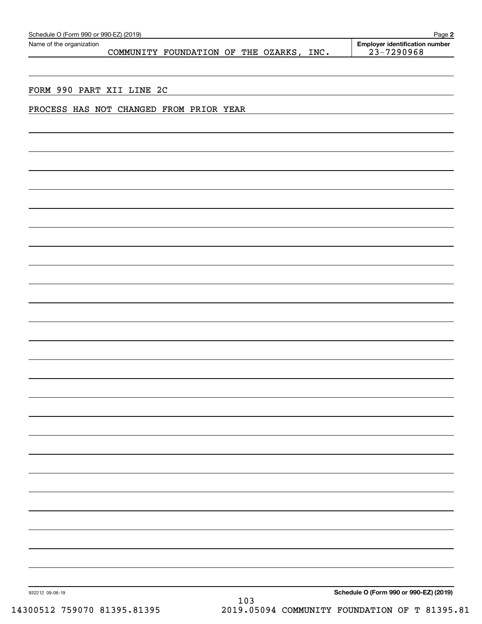| Name of the organization                | COMMUNITY FOUNDATION OF THE OZARKS, INC. |  |  | <b>Employer identification number</b><br>23-7290968 |
|-----------------------------------------|------------------------------------------|--|--|-----------------------------------------------------|
|                                         |                                          |  |  |                                                     |
|                                         |                                          |  |  |                                                     |
| FORM 990 PART XII LINE 2C               |                                          |  |  |                                                     |
|                                         |                                          |  |  |                                                     |
|                                         |                                          |  |  |                                                     |
| PROCESS HAS NOT CHANGED FROM PRIOR YEAR |                                          |  |  |                                                     |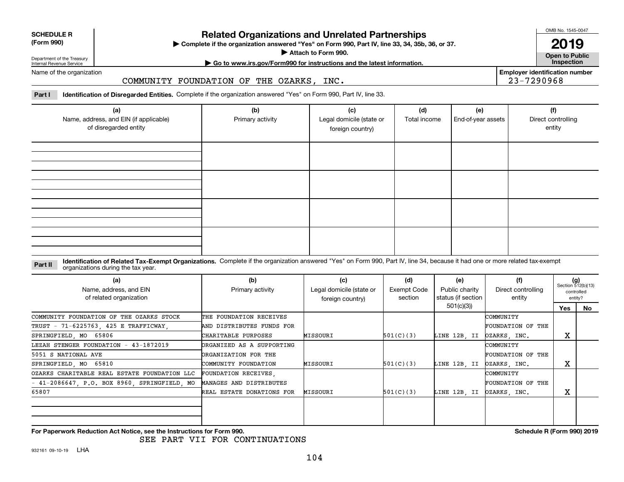| <b>SCHEDULE R</b>          |  |
|----------------------------|--|
| $(T - m \cdot \mathbf{A})$ |  |

### **(Form 990)**

# **Related Organizations and Unrelated Partnerships**

**Complete if the organization answered "Yes" on Form 990, Part IV, line 33, 34, 35b, 36, or 37.** |

**Attach to Form 990.**  |

OMB No. 1545-0047

**Open to Public 2019**

**Employer identification number**

23-7290968

Department of the Treasury Internal Revenue Service

# **| Go to www.irs.gov/Form990 for instructions and the latest information. Inspection**

Name of the organization

### COMMUNITY FOUNDATION OF THE OZARKS, INC.

**Part I Identification of Disregarded Entities.**  Complete if the organization answered "Yes" on Form 990, Part IV, line 33.

| (a)<br>Name, address, and EIN (if applicable)<br>of disregarded entity | (b)<br>Primary activity | (c)<br>Legal domicile (state or<br>foreign country) | (d)<br>Total income | (e)<br>End-of-year assets | (f)<br>Direct controlling<br>entity |
|------------------------------------------------------------------------|-------------------------|-----------------------------------------------------|---------------------|---------------------------|-------------------------------------|
|                                                                        |                         |                                                     |                     |                           |                                     |
|                                                                        |                         |                                                     |                     |                           |                                     |
|                                                                        |                         |                                                     |                     |                           |                                     |
|                                                                        |                         |                                                     |                     |                           |                                     |

#### **Identification of Related Tax-Exempt Organizations.** Complete if the organization answered "Yes" on Form 990, Part IV, line 34, because it had one or more related tax-exempt **Part II** organizations during the tax year.

| (a)<br>Name, address, and EIN<br>of related organization | (b)<br>Primary activity   | (c)<br>Legal domicile (state or<br>foreign country) | (d)<br>Exempt Code<br>section | (e)<br>Public charity<br>status (if section | (f)<br>Direct controlling<br>entity | $(g)$<br>Section 512(b)(13) | controlled<br>entity? |
|----------------------------------------------------------|---------------------------|-----------------------------------------------------|-------------------------------|---------------------------------------------|-------------------------------------|-----------------------------|-----------------------|
|                                                          |                           |                                                     |                               | 501(c)(3))                                  |                                     | Yes                         | No                    |
| COMMUNITY FOUNDATION OF THE OZARKS STOCK                 | THE FOUNDATION RECEIVES   |                                                     |                               |                                             | COMMUNITY                           |                             |                       |
| TRUST - 71-6225763, 425 E TRAFFICWAY,                    | AND DISTRIBUTES FUNDS FOR |                                                     |                               |                                             | FOUNDATION OF THE                   |                             |                       |
| SPRINGFIELD, MO 65806                                    | CHARITABLE PURPOSES       | MISSOURI                                            | 501(C)(3)                     | LINE 12B, II                                | DZARKS, INC.                        | х                           |                       |
| LEZAH STENGER FOUNDATION - 43-1872019                    | ORGANIZED AS A SUPPORTING |                                                     |                               |                                             | COMMUNITY                           |                             |                       |
| 5051 S NATIONAL AVE                                      | ORGANIZATION FOR THE      |                                                     |                               |                                             | FOUNDATION OF THE                   |                             |                       |
| SPRINGFIELD, MO 65810                                    | COMMUNITY FOUNDATION      | MISSOURI                                            | 501(C)(3)                     | LINE 12B. II                                | DZARKS, INC.                        | A                           |                       |
| OZARKS CHARITABLE REAL ESTATE FOUNDATION LLC             | FOUNDATION RECEIVES,      |                                                     |                               |                                             | COMMUNITY                           |                             |                       |
| $-41-2086647$ , P.O. BOX 8960, SPRINGFIELD, MO           | MANAGES AND DISTRIBUTES   |                                                     |                               |                                             | FOUNDATION OF THE                   |                             |                       |
| 65807                                                    | REAL ESTATE DONATIONS FOR | MISSOURI                                            | 501(C)(3)                     | LINE 12B. II                                | OZARKS, INC.                        | A                           |                       |
|                                                          |                           |                                                     |                               |                                             |                                     |                             |                       |
|                                                          |                           |                                                     |                               |                                             |                                     |                             |                       |

**For Paperwork Reduction Act Notice, see the Instructions for Form 990. Schedule R (Form 990) 2019**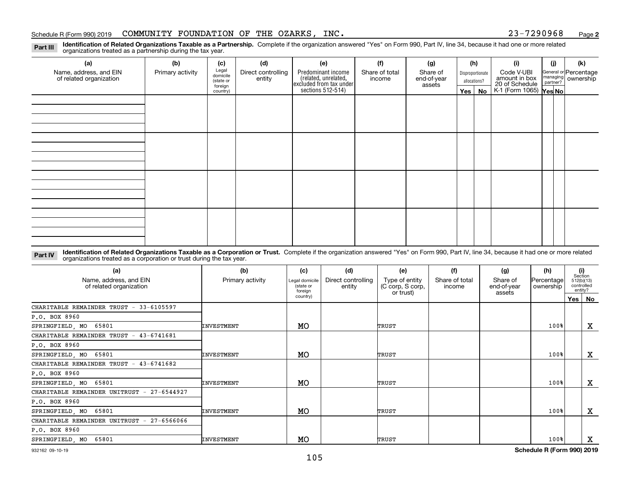#### Schedule R (Form 990) 2019 Page COMMUNITY FOUNDATION OF THE OZARKS, INC. 23-7290968

**2**

**Identification of Related Organizations Taxable as a Partnership.** Complete if the organization answered "Yes" on Form 990, Part IV, line 34, because it had one or more related **Part III** organizations treated as a partnership during the tax year.

| (a)                     | (b)              | (c)                  | (d)                | (e)                                                                 | (f)            | (g)                   | (h)                              |          | (i)                                                                     | (j) | (k)                                                       |  |  |
|-------------------------|------------------|----------------------|--------------------|---------------------------------------------------------------------|----------------|-----------------------|----------------------------------|----------|-------------------------------------------------------------------------|-----|-----------------------------------------------------------|--|--|
| Name, address, and EIN  | Primary activity | Legal<br>domicile    | Direct controlling | Predominant income                                                  | Share of total | Share of              | Disproportionate<br>allocations? |          | Code V-UBI<br>amount in box<br>20 of Schedule<br>K-1 (Form 1065) Yes No |     | General or Percentage<br>managing<br>partner?<br>partner? |  |  |
| of related organization |                  | (state or<br>foreign | entity             | related, unrelated,<br>excluded from tax under<br>sections 512-514) | income         | end-of-year<br>assets |                                  |          |                                                                         |     |                                                           |  |  |
|                         |                  | country)             |                    |                                                                     |                |                       |                                  | Yes   No |                                                                         |     |                                                           |  |  |
|                         |                  |                      |                    |                                                                     |                |                       |                                  |          |                                                                         |     |                                                           |  |  |
|                         |                  |                      |                    |                                                                     |                |                       |                                  |          |                                                                         |     |                                                           |  |  |
|                         |                  |                      |                    |                                                                     |                |                       |                                  |          |                                                                         |     |                                                           |  |  |
|                         |                  |                      |                    |                                                                     |                |                       |                                  |          |                                                                         |     |                                                           |  |  |
|                         |                  |                      |                    |                                                                     |                |                       |                                  |          |                                                                         |     |                                                           |  |  |
|                         |                  |                      |                    |                                                                     |                |                       |                                  |          |                                                                         |     |                                                           |  |  |
|                         |                  |                      |                    |                                                                     |                |                       |                                  |          |                                                                         |     |                                                           |  |  |
|                         |                  |                      |                    |                                                                     |                |                       |                                  |          |                                                                         |     |                                                           |  |  |
|                         |                  |                      |                    |                                                                     |                |                       |                                  |          |                                                                         |     |                                                           |  |  |
|                         |                  |                      |                    |                                                                     |                |                       |                                  |          |                                                                         |     |                                                           |  |  |
|                         |                  |                      |                    |                                                                     |                |                       |                                  |          |                                                                         |     |                                                           |  |  |
|                         |                  |                      |                    |                                                                     |                |                       |                                  |          |                                                                         |     |                                                           |  |  |
|                         |                  |                      |                    |                                                                     |                |                       |                                  |          |                                                                         |     |                                                           |  |  |
|                         |                  |                      |                    |                                                                     |                |                       |                                  |          |                                                                         |     |                                                           |  |  |
|                         |                  |                      |                    |                                                                     |                |                       |                                  |          |                                                                         |     |                                                           |  |  |
|                         |                  |                      |                    |                                                                     |                |                       |                                  |          |                                                                         |     |                                                           |  |  |
|                         |                  |                      |                    |                                                                     |                |                       |                                  |          |                                                                         |     |                                                           |  |  |

**Identification of Related Organizations Taxable as a Corporation or Trust.** Complete if the organization answered "Yes" on Form 990, Part IV, line 34, because it had one or more related **Part IV** organizations treated as a corporation or trust during the tax year.

| (a)<br>Name, address, and EIN<br>of related organization | (b)<br>Primary activity | (c)<br>Legal domicile<br>(state or<br>foreian | (d)<br>Direct controlling<br>entity | (e)<br>Type of entity<br>(C corp, S corp,<br>or trust) | (f)<br>Share of total<br>income | (g)<br>Share of<br>end-of-year<br>assets | (h)<br>Percentage<br>ownership | entity? | (i)<br>Section<br>512(b)(13)<br>controlled |
|----------------------------------------------------------|-------------------------|-----------------------------------------------|-------------------------------------|--------------------------------------------------------|---------------------------------|------------------------------------------|--------------------------------|---------|--------------------------------------------|
|                                                          |                         | country)                                      |                                     |                                                        |                                 |                                          |                                | Yes     | No                                         |
| CHARITABLE REMAINDER TRUST - 33-6105597                  |                         |                                               |                                     |                                                        |                                 |                                          |                                |         |                                            |
| P.O. BOX 8960                                            |                         |                                               |                                     |                                                        |                                 |                                          |                                |         |                                            |
| SPRINGFIELD, MO 65801                                    | <b>INVESTMENT</b>       | MO                                            |                                     | TRUST                                                  |                                 |                                          | 100%                           |         | X                                          |
| CHARITABLE REMAINDER TRUST - 43-6741681                  |                         |                                               |                                     |                                                        |                                 |                                          |                                |         |                                            |
| P.O. BOX 8960                                            |                         |                                               |                                     |                                                        |                                 |                                          |                                |         |                                            |
| SPRINGFIELD, MO 65801                                    | <b>INVESTMENT</b>       | MO.                                           |                                     | TRUST                                                  |                                 |                                          | 100%                           |         | X                                          |
| CHARITABLE REMAINDER TRUST - 43-6741682                  |                         |                                               |                                     |                                                        |                                 |                                          |                                |         |                                            |
| P.O. BOX 8960                                            |                         |                                               |                                     |                                                        |                                 |                                          |                                |         |                                            |
| SPRINGFIELD, MO 65801                                    | <b>INVESTMENT</b>       | MO                                            |                                     | TRUST                                                  |                                 |                                          | 100%                           |         | X                                          |
| CHARITABLE REMAINDER UNITRUST - 27-6544927               |                         |                                               |                                     |                                                        |                                 |                                          |                                |         |                                            |
| P.O. BOX 8960                                            |                         |                                               |                                     |                                                        |                                 |                                          |                                |         |                                            |
| SPRINGFIELD, MO<br>65801                                 | <b>INVESTMENT</b>       | MO                                            |                                     | TRUST                                                  |                                 |                                          | 100%                           |         | X                                          |
| CHARITABLE REMAINDER UNITRUST - 27-6566066               |                         |                                               |                                     |                                                        |                                 |                                          |                                |         |                                            |
| P.O. BOX 8960                                            |                         |                                               |                                     |                                                        |                                 |                                          |                                |         |                                            |
| SPRINGFIELD, MO<br>65801                                 | INVESTMENT              | MO.                                           |                                     | <b>TRUST</b>                                           |                                 |                                          | 100%                           |         | x                                          |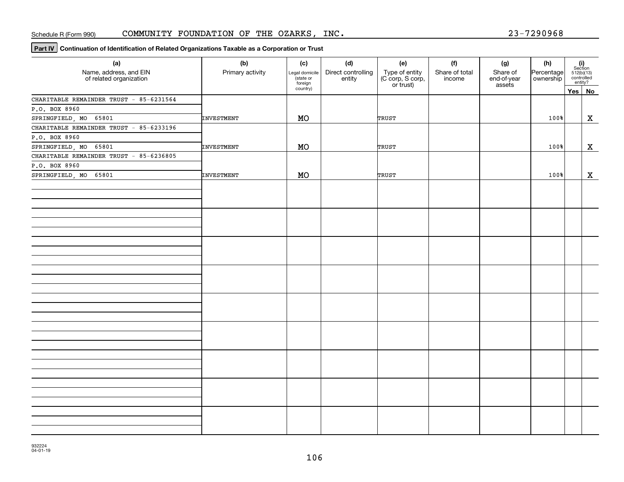**Part IV** Continuation of Identification of Related Organizations Taxable as a Corporation or Trust

| (a)<br>Name, address, and EIN<br>of related organization | (b)<br>Primary activity | (c)<br>Legal domicile<br>state or<br>foreign | (d)<br>Direct controlling<br>entity | (e)<br>Type of entity<br>(C corp, S corp,<br>or trust) | (f)<br>Share of total<br>income | (g)<br>Share of<br>end-of-year<br>assets | (h)<br>Percentage<br>ownership | (i)<br>Section<br>$512(b)(13)$<br>controlled<br>entity? |
|----------------------------------------------------------|-------------------------|----------------------------------------------|-------------------------------------|--------------------------------------------------------|---------------------------------|------------------------------------------|--------------------------------|---------------------------------------------------------|
|                                                          |                         | country)                                     |                                     |                                                        |                                 |                                          |                                | Yes No                                                  |
| CHARITABLE REMAINDER TRUST - 85-6231564                  |                         |                                              |                                     |                                                        |                                 |                                          |                                |                                                         |
| P.O. BOX 8960                                            |                         |                                              |                                     |                                                        |                                 |                                          |                                |                                                         |
| SPRINGFIELD, MO 65801                                    | INVESTMENT              | MO                                           |                                     | TRUST                                                  |                                 |                                          | 100%                           | X                                                       |
| CHARITABLE REMAINDER TRUST - 85-6233196                  |                         |                                              |                                     |                                                        |                                 |                                          |                                |                                                         |
| P.O. BOX 8960                                            |                         |                                              |                                     |                                                        |                                 |                                          |                                |                                                         |
| SPRINGFIELD, MO 65801                                    | INVESTMENT              | MO                                           |                                     | TRUST                                                  |                                 |                                          | 100%                           | $\mathbf X$                                             |
| CHARITABLE REMAINDER TRUST - 85-6236805                  |                         |                                              |                                     |                                                        |                                 |                                          |                                |                                                         |
| P.O. BOX 8960                                            |                         |                                              |                                     |                                                        |                                 |                                          |                                |                                                         |
| SPRINGFIELD, MO 65801                                    | INVESTMENT              | MO                                           |                                     | TRUST                                                  |                                 |                                          | 100%                           | X                                                       |
|                                                          |                         |                                              |                                     |                                                        |                                 |                                          |                                |                                                         |
|                                                          |                         |                                              |                                     |                                                        |                                 |                                          |                                |                                                         |
|                                                          |                         |                                              |                                     |                                                        |                                 |                                          |                                |                                                         |
|                                                          |                         |                                              |                                     |                                                        |                                 |                                          |                                |                                                         |
|                                                          |                         |                                              |                                     |                                                        |                                 |                                          |                                |                                                         |
|                                                          |                         |                                              |                                     |                                                        |                                 |                                          |                                |                                                         |
|                                                          |                         |                                              |                                     |                                                        |                                 |                                          |                                |                                                         |
|                                                          |                         |                                              |                                     |                                                        |                                 |                                          |                                |                                                         |
|                                                          |                         |                                              |                                     |                                                        |                                 |                                          |                                |                                                         |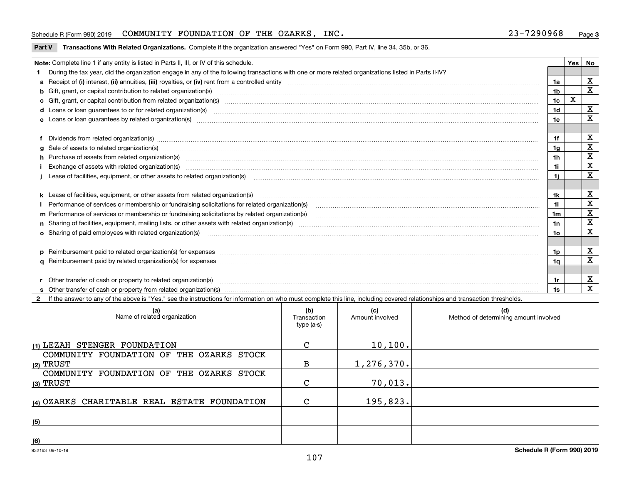#### Schedule R (Form 990) 2019 Page COMMUNITY FOUNDATION OF THE OZARKS, INC. 23-7290968

#### **Part V** T**ransactions With Related Organizations.** Complete if the organization answered "Yes" on Form 990, Part IV, line 34, 35b, or 36.

| Note: Complete line 1 if any entity is listed in Parts II, III, or IV of this schedule.                                                                                                                                        |                | Yes | No |
|--------------------------------------------------------------------------------------------------------------------------------------------------------------------------------------------------------------------------------|----------------|-----|----|
| During the tax year, did the organization engage in any of the following transactions with one or more related organizations listed in Parts II-IV?                                                                            |                |     |    |
|                                                                                                                                                                                                                                | 1a             |     | X  |
| b Gift, grant, or capital contribution to related organization(s) matching material content and contribution to related organization(s) matching material contribution to related organization(s) matching material material c | 1 <sub>b</sub> |     | X  |
|                                                                                                                                                                                                                                | 1 <sub>c</sub> | x   |    |
|                                                                                                                                                                                                                                | 1 <sub>d</sub> |     | X  |
|                                                                                                                                                                                                                                | 1e             |     | X  |
|                                                                                                                                                                                                                                |                |     |    |
| f Dividends from related organization(s) manufactured and contract the contract of the contract of the contract of the contract of the contract of the contract of the contract of the contract of the contract of the contrac | 1f             |     | х  |
| g Sale of assets to related organization(s) www.assettion.com/www.assettion.com/www.assettion.com/www.assettion.com/www.assettion.com/www.assettion.com/www.assettion.com/www.assettion.com/www.assettion.com/www.assettion.co | 1a             |     | X  |
| h Purchase of assets from related organization(s) manufactured and content to content the content of assets from related organization(s)                                                                                       | 1h             |     | X  |
|                                                                                                                                                                                                                                | 1i.            |     | X  |
| Lease of facilities, equipment, or other assets to related organization(s) The manuform manuform manuform manuform manuform manuform manuform manuform manuform manuform manuform manuform manuform manuform manuform manuform | 1i             |     | х  |
|                                                                                                                                                                                                                                |                |     |    |
|                                                                                                                                                                                                                                | 1k             |     | x  |
| Performance of services or membership or fundraising solicitations for related organization(s)                                                                                                                                 | $\mathbf{1}$   |     | X  |
| m Performance of services or membership or fundraising solicitations by related organization(s)                                                                                                                                | 1m             |     | х  |
|                                                                                                                                                                                                                                | 1n             |     | X  |
| <b>o</b> Sharing of paid employees with related organization(s)                                                                                                                                                                | 1o             |     | X  |
|                                                                                                                                                                                                                                |                |     |    |
| p Reimbursement paid to related organization(s) for expenses [1111] and manufacture manufacture manufacture manufacture manufacture manufacture manufacture manufacture manufacture manufacture manufacture manufacture manufa | 1p.            |     | X  |
|                                                                                                                                                                                                                                | 1a             |     | X  |
|                                                                                                                                                                                                                                |                |     |    |
| r Other transfer of cash or property to related organization(s)                                                                                                                                                                | 1r             |     | X  |
|                                                                                                                                                                                                                                | 1s             |     | X  |

**2**If the answer to any of the above is "Yes," see the instructions for information on who must complete this line, including covered relationships and transaction thresholds.

| (a)<br>Name of related organization                   | (b)<br>Transaction<br>type (a-s) | (c)<br>Amount involved | (d)<br>Method of determining amount involved |
|-------------------------------------------------------|----------------------------------|------------------------|----------------------------------------------|
| (1) LEZAH STENGER FOUNDATION                          | C                                | 10, 100.               |                                              |
| COMMUNITY FOUNDATION OF THE OZARKS STOCK<br>(2) TRUST | в                                | 1, 276, 370.           |                                              |
| COMMUNITY FOUNDATION OF THE OZARKS STOCK<br>(3) TRUST | $\mathsf{C}$                     | 70,013.                |                                              |
| (4) OZARKS CHARITABLE REAL ESTATE FOUNDATION          | $\mathsf{C}$                     | 195,823.               |                                              |
| (5)                                                   |                                  |                        |                                              |
| (6)                                                   |                                  |                        |                                              |

 $\overline{a}$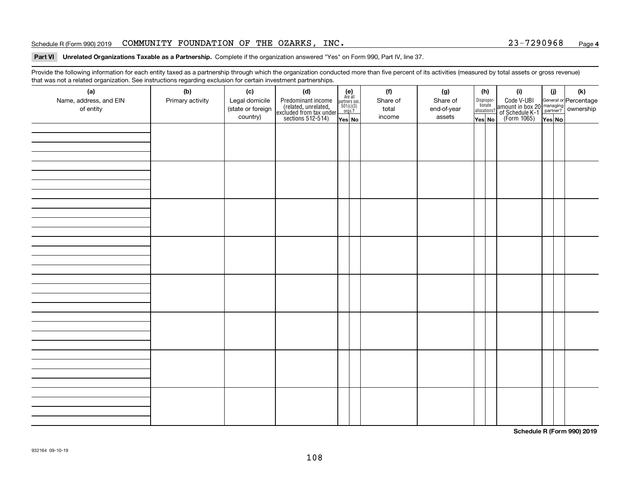#### Schedule R (Form 990) 2019 Page COMMUNITY FOUNDATION OF THE OZARKS, INC. 23-7290968

#### **Part VI Unrelated Organizations Taxable as a Partnership. Complete if the organization answered "Yes" on Form 990, Part IV, line 37.**

Provide the following information for each entity taxed as a partnership through which the organization conducted more than five percent of its activities (measured by total assets or gross revenue) that was not a related organization. See instructions regarding exclusion for certain investment partnerships.

| ັ<br>(a)<br>Name, address, and EIN<br>of entity | ັ<br>ັ<br>(b)<br>Primary activity | (c)<br>Legal domicile<br>(state or foreign<br>country) | (d)<br>Predominant income<br>(related, unrelated,<br>excluded from tax under<br>sections 512-514) | (e)<br>Are all<br>$\begin{array}{c}\n\text{partners} \sec.\n\\ \n501(c)(3)\n\\ \n0rgs.?\n\end{array}$ | (f)<br>Share of<br>total<br>income | (g)<br>Share of<br>end-of-year<br>assets | (h)<br>Dispropor-<br>tionate<br>allocations? | (i)<br>Code V-UBI<br>amount in box 20 managing<br>of Schedule K-1<br>(Form 1065)<br>$\overline{Yes}$ No | (i)    | (k) |
|-------------------------------------------------|-----------------------------------|--------------------------------------------------------|---------------------------------------------------------------------------------------------------|-------------------------------------------------------------------------------------------------------|------------------------------------|------------------------------------------|----------------------------------------------|---------------------------------------------------------------------------------------------------------|--------|-----|
|                                                 |                                   |                                                        |                                                                                                   | Yes No                                                                                                |                                    |                                          | Yes No                                       |                                                                                                         | Yes No |     |
|                                                 |                                   |                                                        |                                                                                                   |                                                                                                       |                                    |                                          |                                              |                                                                                                         |        |     |
|                                                 |                                   |                                                        |                                                                                                   |                                                                                                       |                                    |                                          |                                              |                                                                                                         |        |     |
|                                                 |                                   |                                                        |                                                                                                   |                                                                                                       |                                    |                                          |                                              |                                                                                                         |        |     |
|                                                 |                                   |                                                        |                                                                                                   |                                                                                                       |                                    |                                          |                                              |                                                                                                         |        |     |
|                                                 |                                   |                                                        |                                                                                                   |                                                                                                       |                                    |                                          |                                              |                                                                                                         |        |     |
|                                                 |                                   |                                                        |                                                                                                   |                                                                                                       |                                    |                                          |                                              |                                                                                                         |        |     |
|                                                 |                                   |                                                        |                                                                                                   |                                                                                                       |                                    |                                          |                                              |                                                                                                         |        |     |
|                                                 |                                   |                                                        |                                                                                                   |                                                                                                       |                                    |                                          |                                              |                                                                                                         |        |     |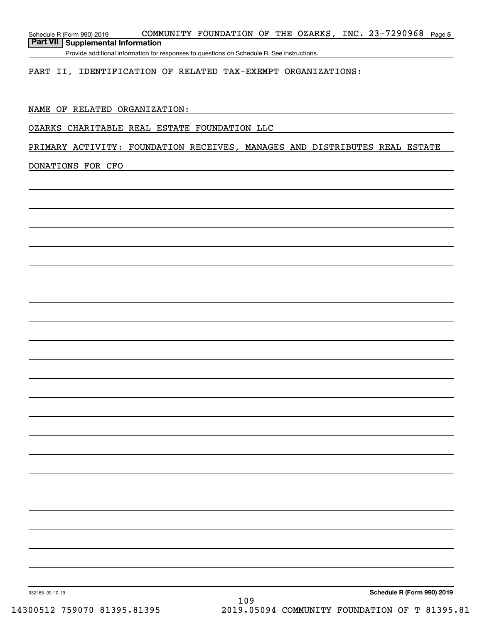Schedule R (Form 990) 2019 CO**MMUNITY FOUNDATION OF THE OZARKS, INC.23-7290968** Page **5 Part VII Supplemental Information**

Provide additional information for responses to questions on Schedule R. See instructions.

### PART II, IDENTIFICATION OF RELATED TAX-EXEMPT ORGANIZATIONS:

### NAME OF RELATED ORGANIZATION:

#### OZARKS CHARITABLE REAL ESTATE FOUNDATION LLC

### PRIMARY ACTIVITY: FOUNDATION RECEIVES, MANAGES AND DISTRIBUTES REAL ESTATE

#### DONATIONS FOR CFO